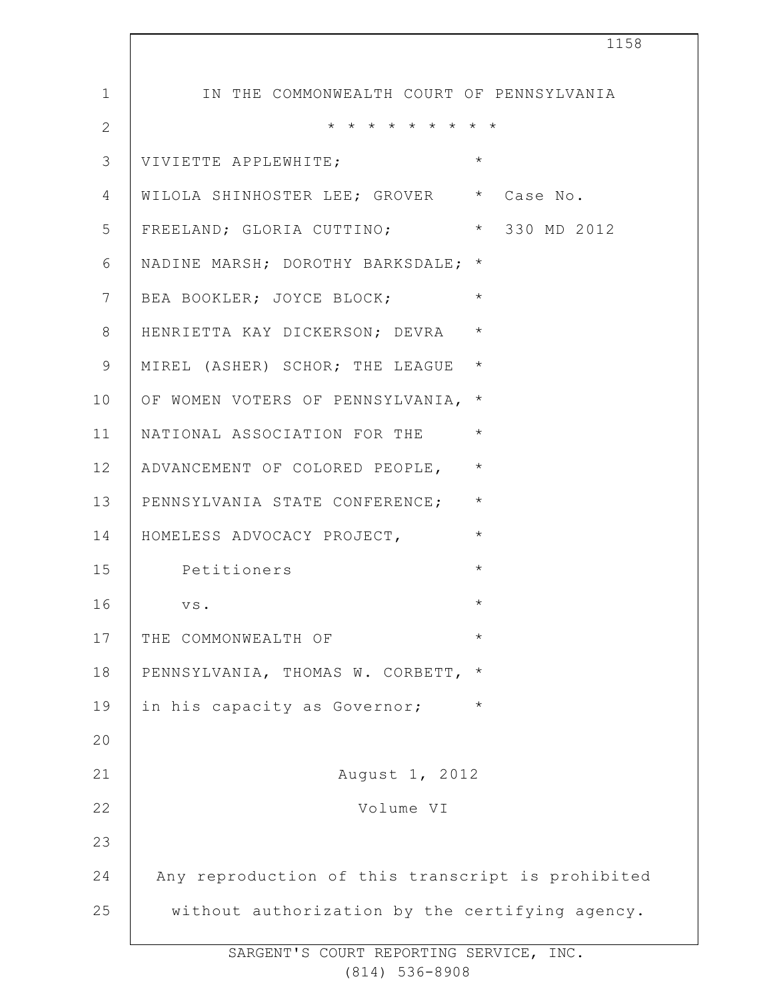1 2 3 4 5 6 7 8 9 10 11 12 13 14 15 16 17 18 19  $20$ 21 22 23 24 25 1158 IN THE COMMONWEALTH COURT OF PENNSYLVANIA \* \* \* \* \* \* \* \* \* VIVIETTE APPLEWHITE; WILOLA SHINHOSTER LEE; GROVER \* Case No. FREELAND; GLORIA CUTTINO; \* 330 MD 2012 NADINE MARSH; DOROTHY BARKSDALE; \* BEA BOOKLER; JOYCE BLOCK;  $*$ HENRIETTA KAY DICKERSON; DEVRA \* MIREL (ASHER) SCHOR; THE LEAGUE \* OF WOMEN VOTERS OF PENNSYLVANIA, \* NATIONAL ASSOCIATION FOR THE \* ADVANCEMENT OF COLORED PEOPLE, \* PENNSYLVANIA STATE CONFERENCE; \* HOMELESS ADVOCACY PROJECT, Petitioners \* vs.  $\star$ THE COMMONWEALTH OF PENNSYLVANIA, THOMAS W. CORBETT, \* in his capacity as Governor; \* August 1, 2012 Volume VI Any reproduction of this transcript is prohibited without authorization by the certifying agency.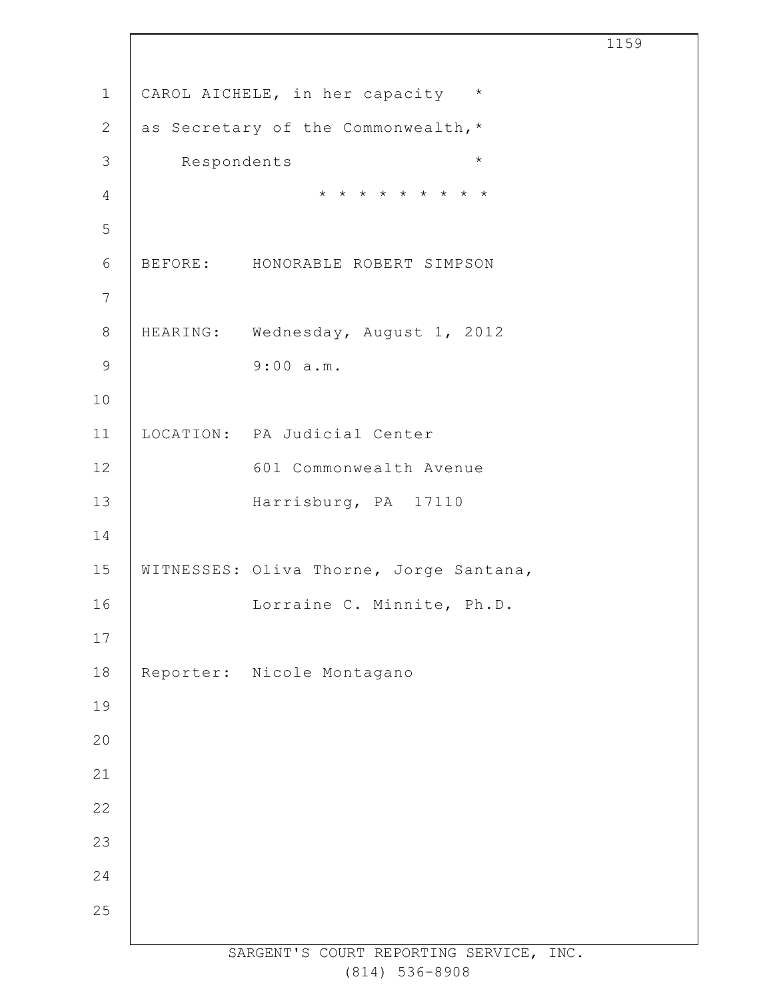CAROL AICHELE, in her capacity \* as Secretary of the Commonwealth,\* Respondents \* \* \* \* \* \* \* \* \* \* BEFORE: HONORABLE ROBERT SIMPSON HEARING: Wednesday, August 1, 2012 9:00 a.m. LOCATION: PA Judicial Center 601 Commonwealth Avenue Harrisburg, PA 17110 WITNESSES: Oliva Thorne, Jorge Santana, Lorraine C. Minnite, Ph.D. Reporter: Nicole Montagano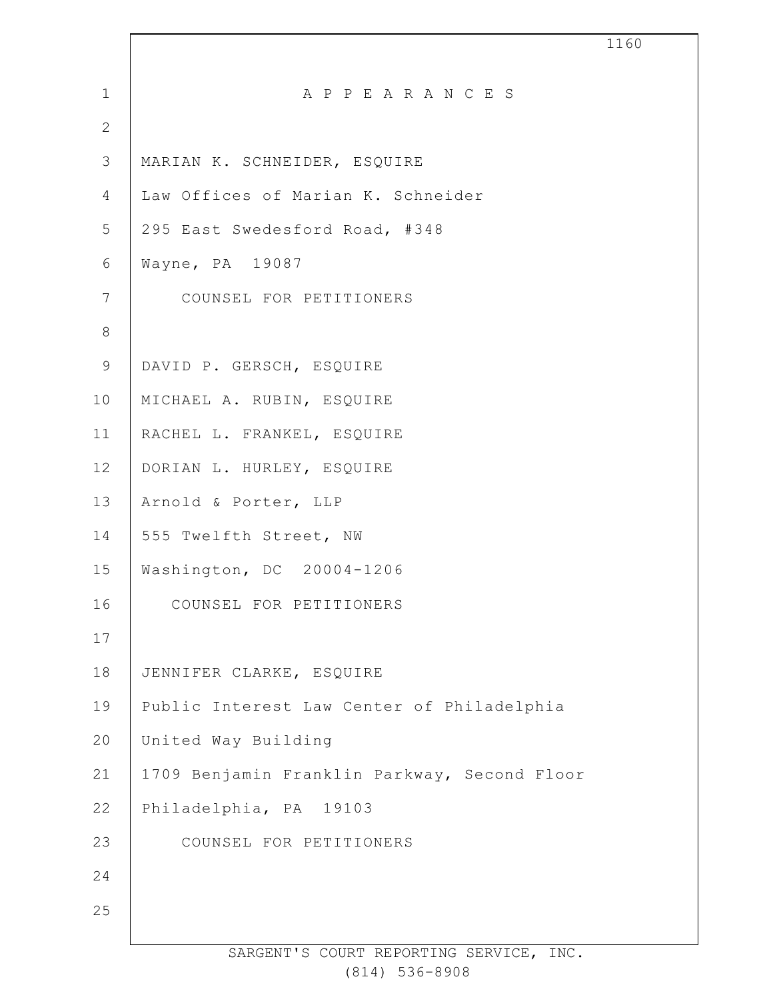| $\mathbf 1$    | A P P E A R A N C E S                        |
|----------------|----------------------------------------------|
| $\mathbf{2}$   |                                              |
| $\mathcal{S}$  | MARIAN K. SCHNEIDER, ESQUIRE                 |
| $\overline{4}$ | Law Offices of Marian K. Schneider           |
| 5              | 295 East Swedesford Road, #348               |
| $6\,$          | Wayne, PA 19087                              |
| $\overline{7}$ | COUNSEL FOR PETITIONERS                      |
| $\,8\,$        |                                              |
| $\mathsf 9$    | DAVID P. GERSCH, ESQUIRE                     |
| 10             | MICHAEL A. RUBIN, ESQUIRE                    |
| 11             | RACHEL L. FRANKEL, ESQUIRE                   |
| 12             | DORIAN L. HURLEY, ESQUIRE                    |
| 13             | Arnold & Porter, LLP                         |
| 14             | 555 Twelfth Street, NW                       |
| 15             | Washington, DC 20004-1206                    |
| 16             | COUNSEL FOR PETITIONERS                      |
| 17             |                                              |
| 18             | JENNIFER CLARKE, ESQUIRE                     |
| 19             | Public Interest Law Center of Philadelphia   |
| 20             | United Way Building                          |
| 21             | 1709 Benjamin Franklin Parkway, Second Floor |
| 22             | Philadelphia, PA 19103                       |
| 23             | COUNSEL FOR PETITIONERS                      |
| 24             |                                              |
| 25             |                                              |
|                |                                              |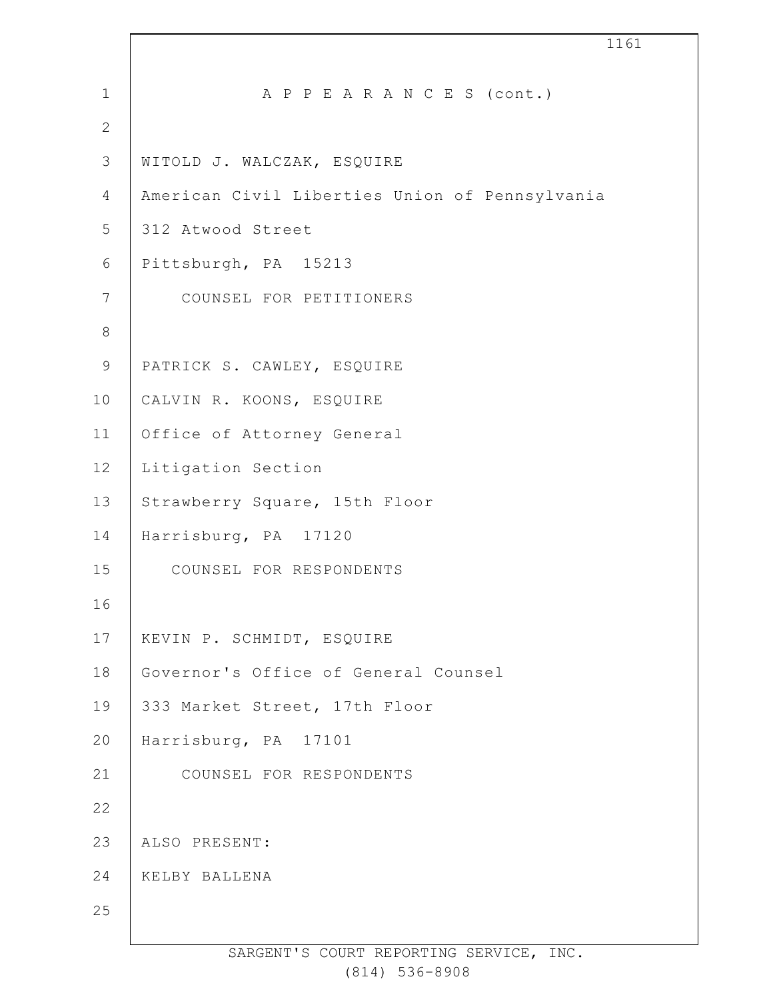| $\mathbf 1$      | A P P E A R A N C E S (cont.)                  |
|------------------|------------------------------------------------|
| $\mathbf{2}$     |                                                |
| $\mathcal{S}$    | WITOLD J. WALCZAK, ESQUIRE                     |
| $\overline{4}$   | American Civil Liberties Union of Pennsylvania |
| 5                | 312 Atwood Street                              |
| 6                | Pittsburgh, PA 15213                           |
| $\boldsymbol{7}$ | COUNSEL FOR PETITIONERS                        |
| $\,8\,$          |                                                |
| $\mathsf 9$      | PATRICK S. CAWLEY, ESQUIRE                     |
| 10               | CALVIN R. KOONS, ESQUIRE                       |
| 11               | Office of Attorney General                     |
| 12               | Litigation Section                             |
| 13               | Strawberry Square, 15th Floor                  |
| 14               | Harrisburg, PA 17120                           |
| 15               | COUNSEL FOR RESPONDENTS                        |
| 16               |                                                |
| 17               | KEVIN P. SCHMIDT, ESQUIRE                      |
| 18               | Governor's Office of General Counsel           |
| 19               | 333 Market Street, 17th Floor                  |
| 20               | Harrisburg, PA 17101                           |
| 21               | COUNSEL FOR RESPONDENTS                        |
| 22               |                                                |
| 23               | ALSO PRESENT:                                  |
| 24               | KELBY BALLENA                                  |
| 25               |                                                |
|                  |                                                |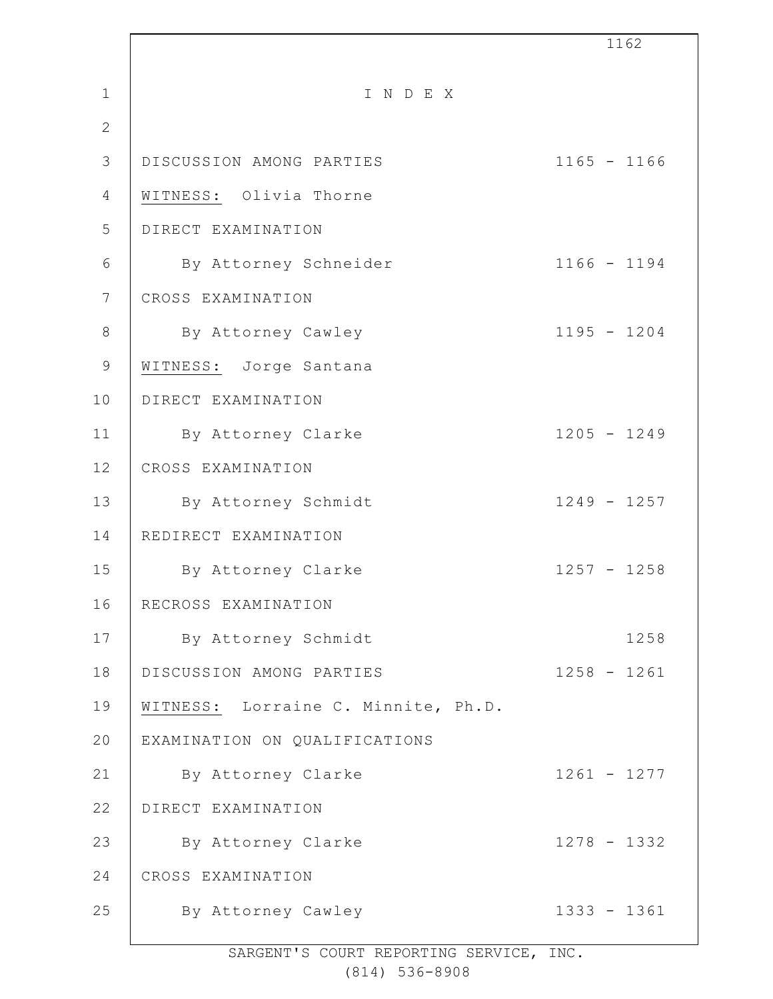|                 |                                     | 1162          |
|-----------------|-------------------------------------|---------------|
| $\mathbf 1$     | INDEX                               |               |
| $\overline{2}$  |                                     |               |
| 3               | DISCUSSION AMONG PARTIES            | $1165 - 1166$ |
| $\overline{4}$  | WITNESS: Olivia Thorne              |               |
| 5               | DIRECT EXAMINATION                  |               |
| 6               | By Attorney Schneider               | $1166 - 1194$ |
| $7\phantom{.0}$ | CROSS EXAMINATION                   |               |
| $\,8\,$         | By Attorney Cawley                  | $1195 - 1204$ |
| 9               | WITNESS: Jorge Santana              |               |
| 10              | DIRECT EXAMINATION                  |               |
| 11              | By Attorney Clarke                  | $1205 - 1249$ |
| 12              | CROSS EXAMINATION                   |               |
| 13              | By Attorney Schmidt                 | $1249 - 1257$ |
| 14              | REDIRECT EXAMINATION                |               |
| 15              | By Attorney Clarke                  | $1257 - 1258$ |
| 16              | RECROSS EXAMINATION                 |               |
| 17              | By Attorney Schmidt                 | 1258          |
| 18              | DISCUSSION AMONG PARTIES            | $1258 - 1261$ |
| 19              | WITNESS: Lorraine C. Minnite, Ph.D. |               |
| 20              | EXAMINATION ON QUALIFICATIONS       |               |
| 21              | By Attorney Clarke                  | $1261 - 1277$ |
| 22              | DIRECT EXAMINATION                  |               |
| 23              | By Attorney Clarke                  | $1278 - 1332$ |
| 24              | CROSS EXAMINATION                   |               |
| 25              | By Attorney Cawley                  | $1333 - 1361$ |
|                 |                                     |               |

SARGENT'S COURT REPORTING SERVICE, INC.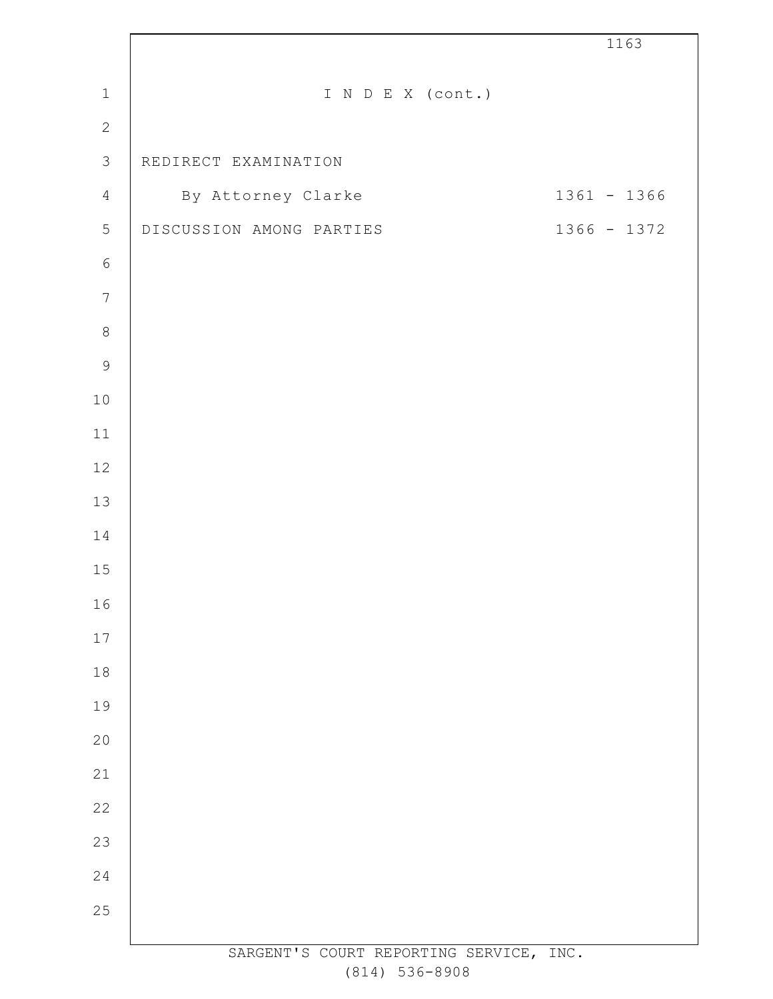|                |                                         | 1163          |
|----------------|-----------------------------------------|---------------|
| $\,1\,$        | I N D E X (cont.)                       |               |
| $\overline{2}$ |                                         |               |
| $\mathfrak{Z}$ | REDIRECT EXAMINATION                    |               |
| $\overline{4}$ | By Attorney Clarke                      | $1361 - 1366$ |
| $\mathbf 5$    | DISCUSSION AMONG PARTIES                | 1366 - 1372   |
| $\epsilon$     |                                         |               |
| $\sqrt{ }$     |                                         |               |
| $\,8\,$        |                                         |               |
| $\mathcal{G}$  |                                         |               |
| $10$           |                                         |               |
| $11$           |                                         |               |
| 12             |                                         |               |
| 13             |                                         |               |
| 14             |                                         |               |
| $15$           |                                         |               |
| 16             |                                         |               |
| $17$           |                                         |               |
| $1\,8$         |                                         |               |
| 19             |                                         |               |
| 20             |                                         |               |
| 21             |                                         |               |
| 22             |                                         |               |
| 23             |                                         |               |
| 24             |                                         |               |
| 25             |                                         |               |
|                | SARGENT'S COURT REPORTING SERVICE, INC. |               |

 $\mathsf T$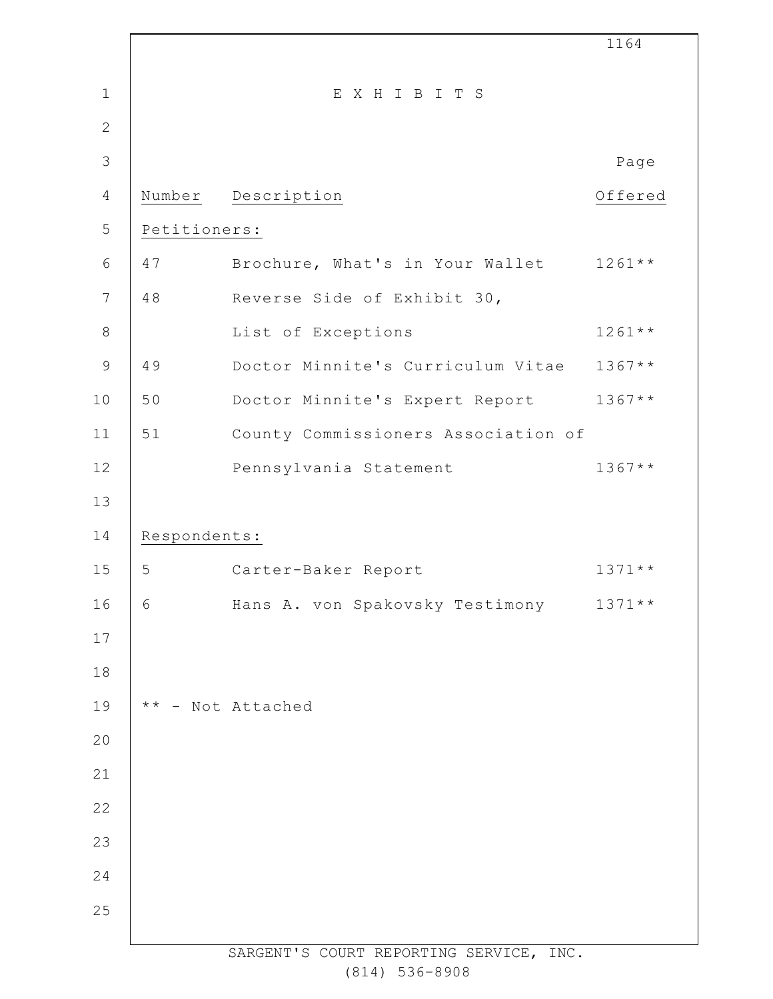|                |               |                                         | 1164     |
|----------------|---------------|-----------------------------------------|----------|
| $\mathbf 1$    |               | EXHIBITS                                |          |
| $\overline{2}$ |               |                                         |          |
| 3              |               |                                         | Page     |
| 4              | Number        | Description                             | Offered  |
| 5              | Petitioners:  |                                         |          |
| $6\,$          | 47            | Brochure, What's in Your Wallet 1261**  |          |
| $7\phantom{.}$ | 48            | Reverse Side of Exhibit 30,             |          |
| 8              |               | List of Exceptions                      | $1261**$ |
| $\mathcal{G}$  | 49            | Doctor Minnite's Curriculum Vitae       | $1367**$ |
| 10             | 50            | Doctor Minnite's Expert Report          | $1367**$ |
| 11             | 51            | County Commissioners Association of     |          |
| 12             |               | Pennsylvania Statement                  | $1367**$ |
| 13             |               |                                         |          |
| 14             | Respondents:  |                                         |          |
| 15             | 5             | Carter-Baker Report                     | $1371**$ |
| 16             | 6             | Hans A. von Spakovsky Testimony         | $1371**$ |
| 17             |               |                                         |          |
| 18             |               |                                         |          |
| 19             | $\star \star$ | - Not Attached                          |          |
| 20             |               |                                         |          |
| 21             |               |                                         |          |
| 22             |               |                                         |          |
| 23             |               |                                         |          |
| 24             |               |                                         |          |
| 25             |               |                                         |          |
|                |               | SARGENT'S COURT REPORTING SERVICE, INC. |          |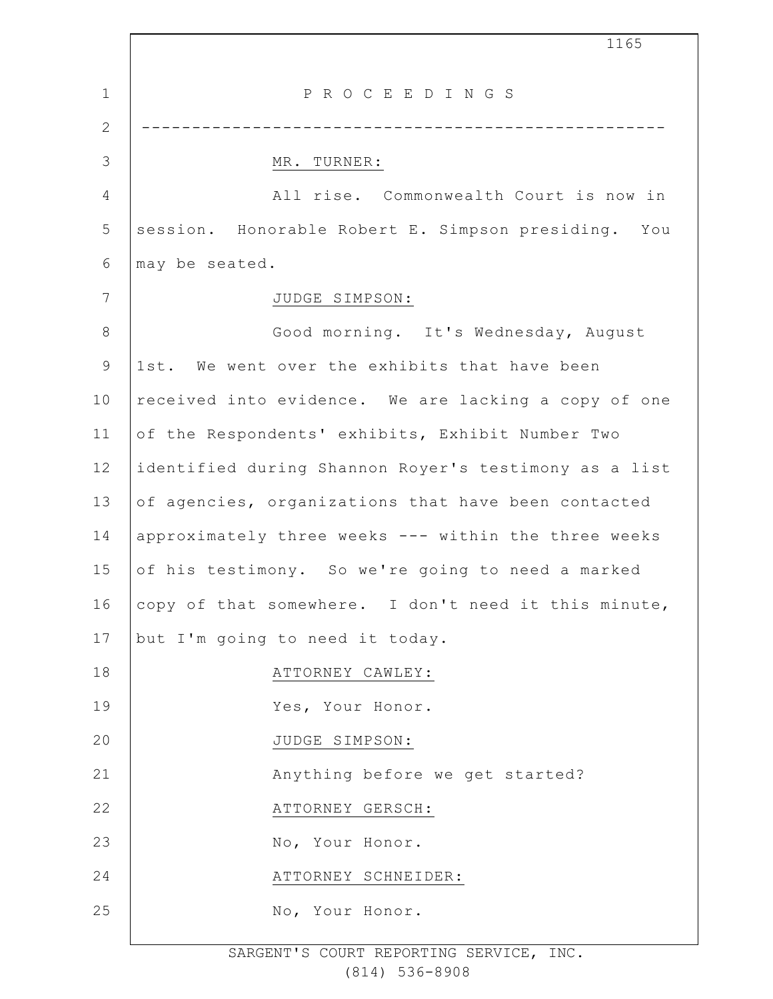1 2 3 4 5 6 7 8 9 10 11 12 13 14 15 16 17 18 19 20 21 22 23 24 25 1165 P R O C E E D I N G S ---------------------------------------------------- MR. TURNER: All rise. Commonwealth Court is now in session. Honorable Robert E. Simpson presiding. You may be seated. JUDGE SIMPSON: Good morning. It's Wednesday, August 1st. We went over the exhibits that have been received into evidence. We are lacking a copy of one of the Respondents' exhibits, Exhibit Number Two identified during Shannon Royer's testimony as a list of agencies, organizations that have been contacted approximately three weeks --- within the three weeks of his testimony. So we're going to need a marked copy of that somewhere. I don't need it this minute, but I'm going to need it today. ATTORNEY CAWLEY: Yes, Your Honor. JUDGE SIMPSON: Anything before we get started? ATTORNEY GERSCH: No, Your Honor. ATTORNEY SCHNEIDER: No, Your Honor.

> SARGENT'S COURT REPORTING SERVICE, INC. (814) 536-8908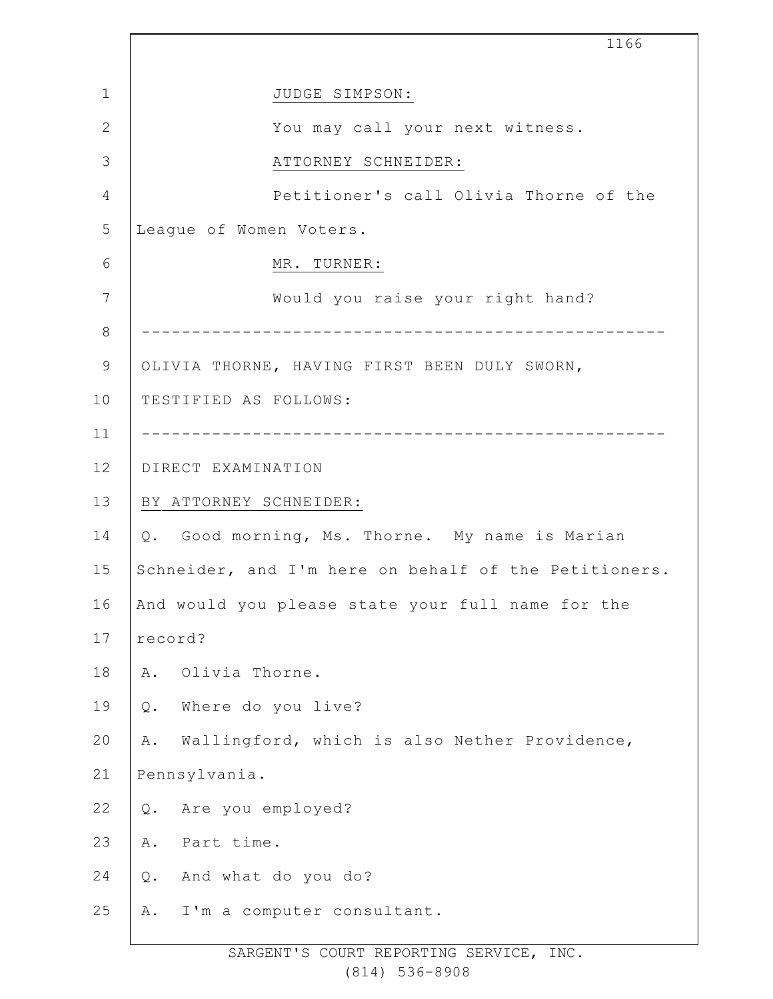|              | 1166                                                  |
|--------------|-------------------------------------------------------|
| $\mathbf{1}$ | JUDGE SIMPSON:                                        |
| $\mathbf{2}$ | You may call your next witness.                       |
| 3            | ATTORNEY SCHNEIDER:                                   |
| 4            | Petitioner's call Olivia Thorne of the                |
| 5            | Leaque of Women Voters.                               |
| 6            | MR. TURNER:                                           |
| 7            | Would you raise your right hand?                      |
| 8            |                                                       |
| 9            | OLIVIA THORNE, HAVING FIRST BEEN DULY SWORN,          |
| 10           | TESTIFIED AS FOLLOWS:                                 |
| 11           |                                                       |
| 12           | DIRECT EXAMINATION                                    |
| 13           | BY ATTORNEY SCHNEIDER:                                |
| 14           | Q. Good morning, Ms. Thorne. My name is Marian        |
| 15           | Schneider, and I'm here on behalf of the Petitioners. |
| 16           | And would you please state your full name for the     |
| 17           | record?                                               |
| 18           | Olivia Thorne.<br>Α.                                  |
| 19           | Where do you live?<br>Q.                              |
| 20           | Wallingford, which is also Nether Providence,<br>Α.   |
| 21           | Pennsylvania.                                         |
| 22           | Are you employed?<br>Q.                               |
| 23           | Part time.<br>Α.                                      |
| 24           | And what do you do?<br>Q.                             |
| 25           | I'm a computer consultant.<br>Α.                      |
|              |                                                       |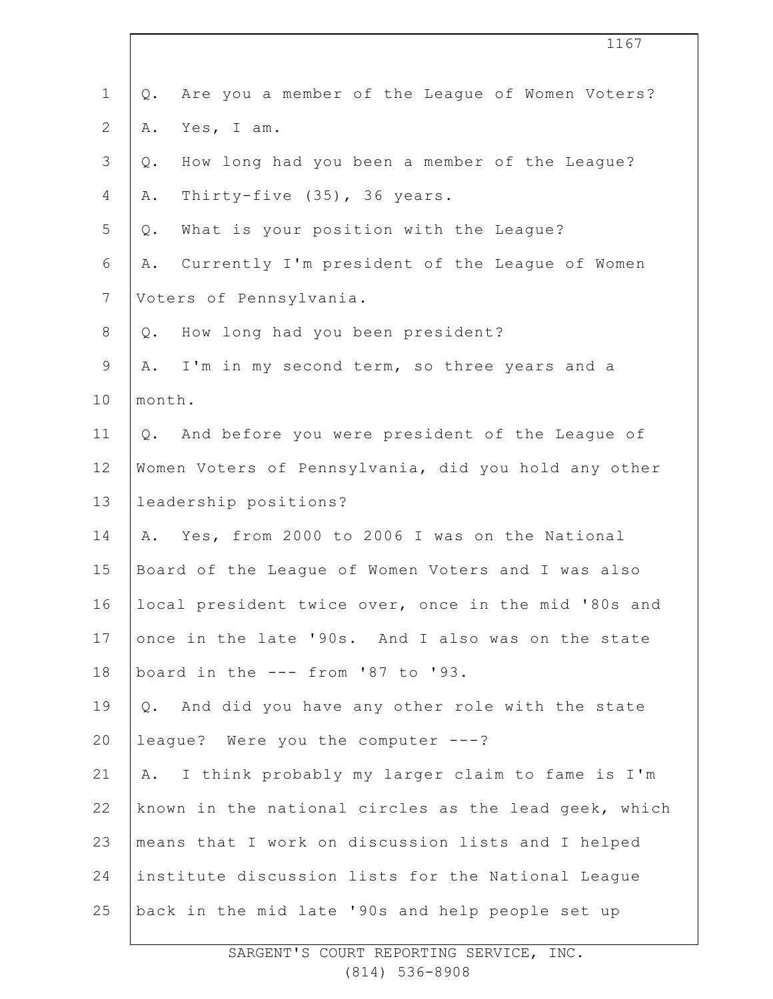|              | 1167                                                     |
|--------------|----------------------------------------------------------|
| $\mathbf 1$  | Are you a member of the League of Women Voters?<br>$Q$ . |
| $\mathbf{2}$ | Yes, I am.<br>Α.                                         |
| 3            | How long had you been a member of the League?<br>$Q$ .   |
| 4            | Thirty-five (35), 36 years.<br>Α.                        |
| 5            | What is your position with the League?<br>Q.             |
| 6            | Currently I'm president of the League of Women<br>Α.     |
| 7            | Voters of Pennsylvania.                                  |
| $8\,$        | How long had you been president?<br>$Q$ .                |
| $\mathsf 9$  | A. I'm in my second term, so three years and a           |
| 10           | month.                                                   |
| 11           | Q. And before you were president of the League of        |
| 12           | Women Voters of Pennsylvania, did you hold any other     |
| 13           | leadership positions?                                    |
| 14           | Yes, from 2000 to 2006 I was on the National<br>Α.       |
| 15           | Board of the League of Women Voters and I was also       |
| 16           | local president twice over, once in the mid '80s and     |
| 17           | once in the late '90s. And I also was on the state       |
| 18           | board in the --- from '87 to '93.                        |
| 19           | Q. And did you have any other role with the state        |
| 20           | league? Were you the computer ---?                       |
| 21           | I think probably my larger claim to fame is I'm<br>Α.    |
| 22           | known in the national circles as the lead geek, which    |
| 23           | means that I work on discussion lists and I helped       |
| 24           | institute discussion lists for the National League       |
| 25           | back in the mid late '90s and help people set up         |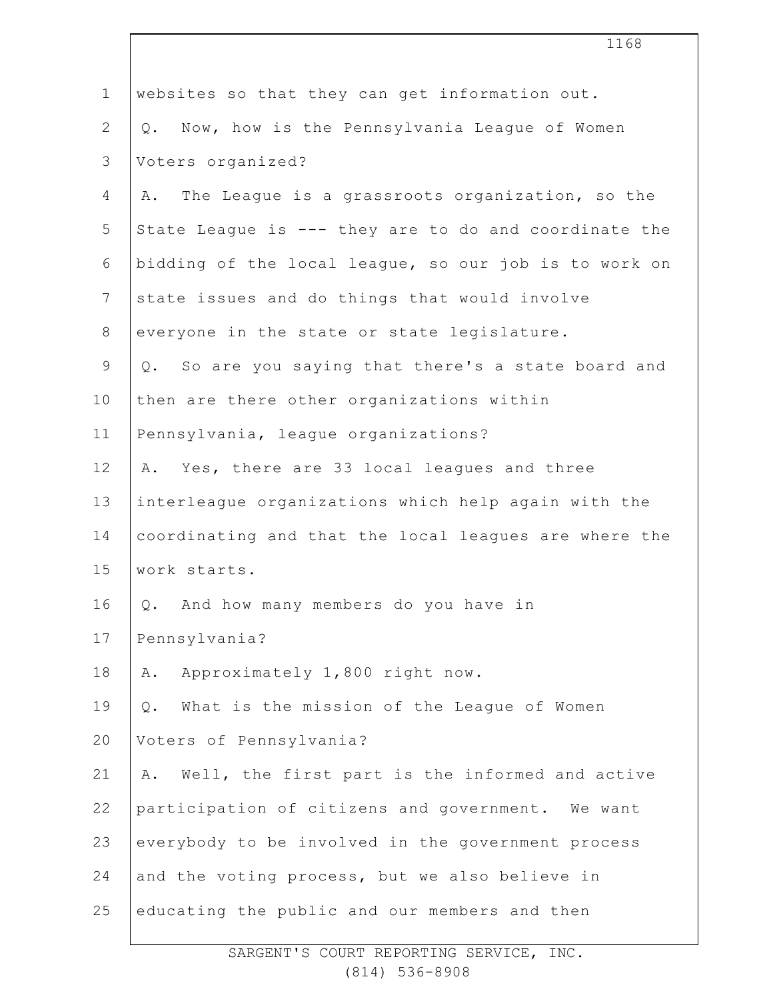|                | 1168                                                  |
|----------------|-------------------------------------------------------|
| $\mathbf 1$    | websites so that they can get information out.        |
| $\mathbf{2}$   | Q. Now, how is the Pennsylvania League of Women       |
| 3              | Voters organized?                                     |
| 4              | The League is a grassroots organization, so the<br>Α. |
| 5              | State League is --- they are to do and coordinate the |
| 6              | bidding of the local league, so our job is to work on |
| $\overline{7}$ | state issues and do things that would involve         |
| $8\,$          | everyone in the state or state legislature.           |
| 9              | Q. So are you saying that there's a state board and   |
| 10             | then are there other organizations within             |
| 11             | Pennsylvania, league organizations?                   |
| 12             | Yes, there are 33 local leagues and three<br>Α.       |
| 13             | interleague organizations which help again with the   |
| 14             | coordinating and that the local leagues are where the |
| 15             | work starts.                                          |
| 16             | Q. And how many members do you have in                |
| 17             | Pennsylvania?                                         |
| 18             | Approximately 1,800 right now.<br>Α.                  |
| 19             | What is the mission of the League of Women<br>Q.      |
| 20             | Voters of Pennsylvania?                               |
| 21             | Well, the first part is the informed and active<br>Α. |
| 22             | participation of citizens and government. We want     |
| 23             | everybody to be involved in the government process    |
| 24             | and the voting process, but we also believe in        |
| 25             | educating the public and our members and then         |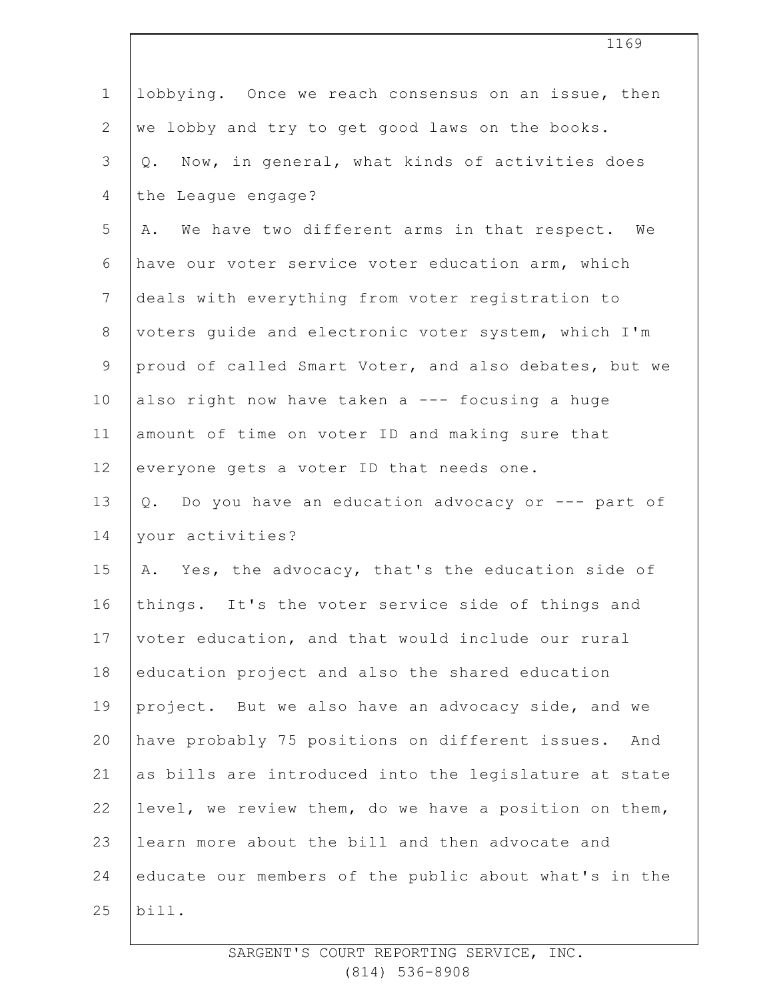| $\mathbf 1$    | lobbying. Once we reach consensus on an issue, then    |
|----------------|--------------------------------------------------------|
| $\overline{2}$ | we lobby and try to get good laws on the books.        |
| 3              | Now, in general, what kinds of activities does<br>Q.   |
| $\overline{4}$ | the League engage?                                     |
| 5              | We have two different arms in that respect. We<br>Α.   |
| $\epsilon$     | have our voter service voter education arm, which      |
| $7\phantom{.}$ | deals with everything from voter registration to       |
| $8\,$          | voters guide and electronic voter system, which I'm    |
| 9              | proud of called Smart Voter, and also debates, but we  |
| 10             | also right now have taken a --- focusing a huge        |
| 11             | amount of time on voter ID and making sure that        |
| 12             | everyone gets a voter ID that needs one.               |
| 13             | Q. Do you have an education advocacy or --- part of    |
| 14             | your activities?                                       |
| 15             | A. Yes, the advocacy, that's the education side of     |
| 16             | things. It's the voter service side of things and      |
| 17             | voter education, and that would include our rural      |
| 18             | education project and also the shared education        |
| 19             | project. But we also have an advocacy side, and we     |
| 20             | have probably 75 positions on different issues.<br>And |
| 21             | as bills are introduced into the legislature at state  |
| 22             | level, we review them, do we have a position on them,  |
| 23             | learn more about the bill and then advocate and        |
| 24             | educate our members of the public about what's in the  |
| 25             | bill.                                                  |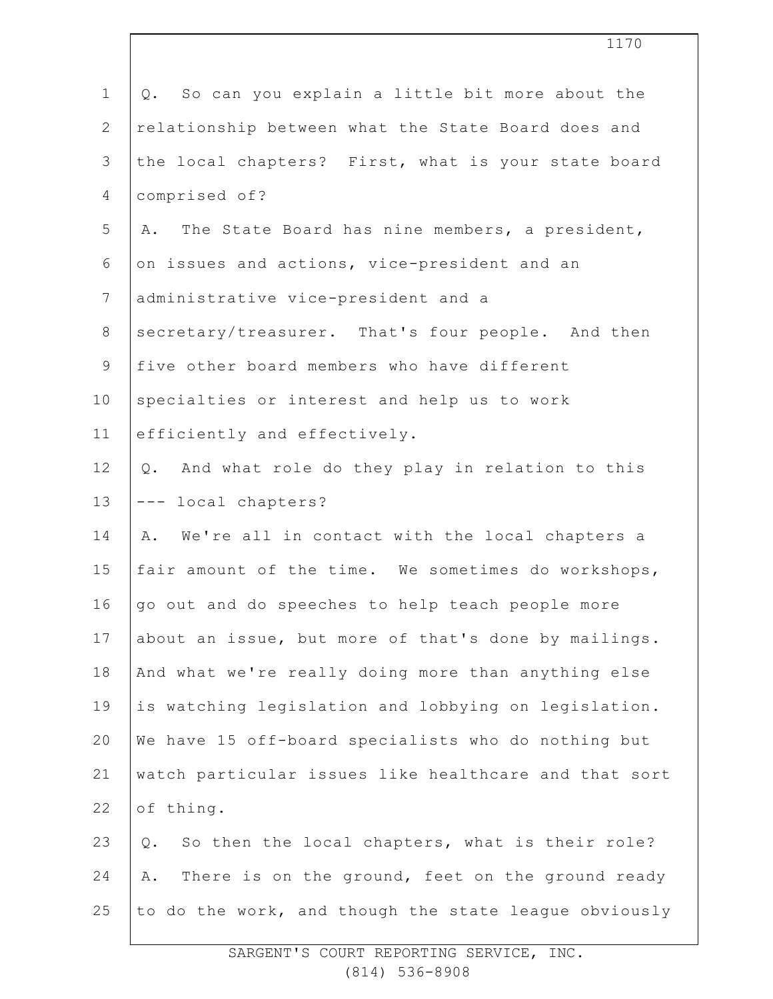| $\mathbf 1$     | So can you explain a little bit more about the<br>Q.   |
|-----------------|--------------------------------------------------------|
| $\mathbf{2}$    | relationship between what the State Board does and     |
| $\mathcal{S}$   | the local chapters? First, what is your state board    |
| $\overline{4}$  | comprised of?                                          |
| 5               | The State Board has nine members, a president,<br>Α.   |
| 6               | on issues and actions, vice-president and an           |
| $7\phantom{.0}$ | administrative vice-president and a                    |
| $8\,$           | secretary/treasurer. That's four people. And then      |
| $\mathsf 9$     | five other board members who have different            |
| 10              | specialties or interest and help us to work            |
| 11              | efficiently and effectively.                           |
| 12              | Q. And what role do they play in relation to this      |
| 13              | --- local chapters?                                    |
| 14              | A. We're all in contact with the local chapters a      |
| 15              | fair amount of the time. We sometimes do workshops,    |
| 16              | go out and do speeches to help teach people more       |
| 17              | about an issue, but more of that's done by mailings.   |
| 18              | And what we're really doing more than anything else    |
| 19              | is watching legislation and lobbying on legislation.   |
| 20              | We have 15 off-board specialists who do nothing but    |
| 21              | watch particular issues like healthcare and that sort  |
| 22              | of thing.                                              |
| 23              | So then the local chapters, what is their role?<br>Q.  |
| 24              | There is on the ground, feet on the ground ready<br>Α. |
| 25              | to do the work, and though the state league obviously  |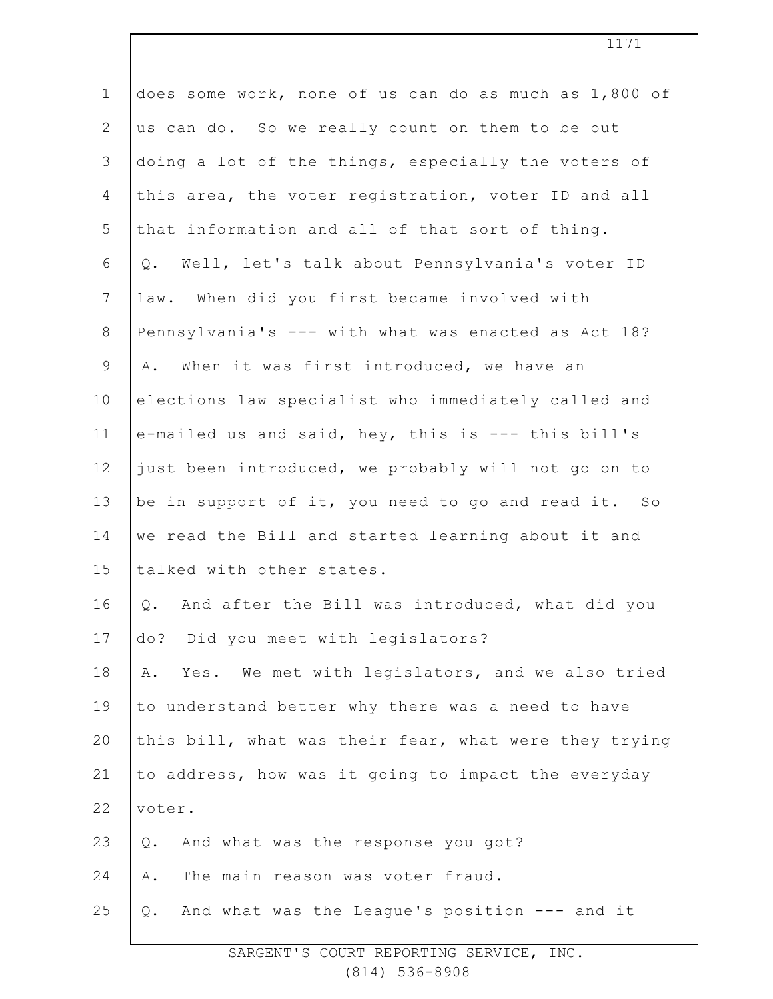| $\mathbf 1$    | does some work, none of us can do as much as 1,800 of            |
|----------------|------------------------------------------------------------------|
| $\mathbf{2}$   | us can do. So we really count on them to be out                  |
| 3              | doing a lot of the things, especially the voters of              |
| 4              | this area, the voter registration, voter ID and all              |
| 5              | that information and all of that sort of thing.                  |
| 6              | Well, let's talk about Pennsylvania's voter ID<br>Q.             |
| $7\phantom{.}$ | law. When did you first became involved with                     |
| $\,8\,$        | Pennsylvania's --- with what was enacted as Act 18?              |
| $\mathsf 9$    | When it was first introduced, we have an<br>Α.                   |
| 10             | elections law specialist who immediately called and              |
| 11             | e-mailed us and said, hey, this is --- this bill's               |
| 12             | just been introduced, we probably will not go on to              |
| 13             | be in support of it, you need to go and read it. So              |
| 14             | we read the Bill and started learning about it and               |
| 15             | talked with other states.                                        |
| 16             | And after the Bill was introduced, what did you<br>$\mathsf Q$ . |
| 17             | do? Did you meet with legislators?                               |
| 18             | Yes. We met with legislators, and we also tried<br>Α.            |
| 19             | to understand better why there was a need to have                |
| 20             | this bill, what was their fear, what were they trying            |
| 21             | to address, how was it going to impact the everyday              |
| 22             | voter.                                                           |
| 23             | And what was the response you got?<br>$Q$ .                      |
| 24             | The main reason was voter fraud.<br>Α.                           |
| 25             | And what was the League's position --- and it<br>Q.              |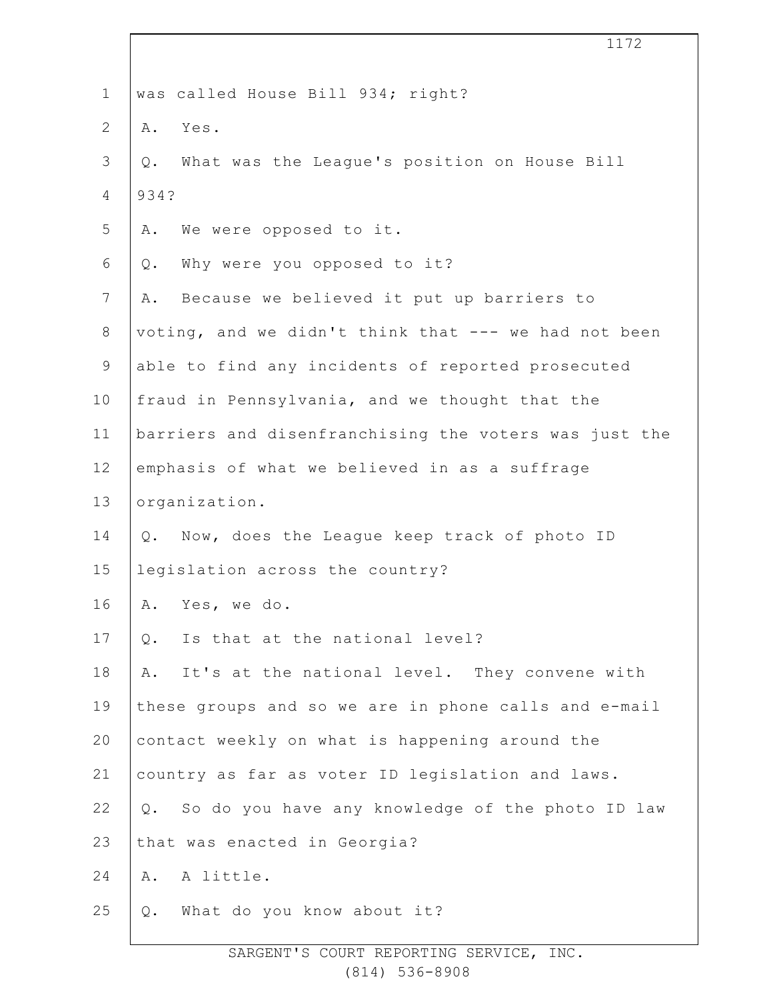|                | 1172                                                   |
|----------------|--------------------------------------------------------|
| $\mathbf 1$    | was called House Bill 934; right?                      |
| $\mathbf{2}$   | Yes.<br>Α.                                             |
| 3              | Q. What was the League's position on House Bill        |
| 4              | 934?                                                   |
| 5              | We were opposed to it.<br>Α.                           |
| 6              | Why were you opposed to it?<br>$Q$ .                   |
| $\overline{7}$ | Because we believed it put up barriers to<br>Α.        |
| $8\,$          | voting, and we didn't think that --- we had not been   |
| $\mathsf 9$    | able to find any incidents of reported prosecuted      |
| 10             | fraud in Pennsylvania, and we thought that the         |
| 11             | barriers and disenfranchising the voters was just the  |
| 12             | emphasis of what we believed in as a suffrage          |
| 13             | organization.                                          |
| 14             | Now, does the League keep track of photo ID<br>Q.      |
| 15             | legislation across the country?                        |
| 16             | Yes, we do.<br>Α.                                      |
| 17             | Is that at the national level?<br>Q.                   |
| 18             | It's at the national level. They convene with<br>Α.    |
| 19             | these groups and so we are in phone calls and e-mail   |
| 20             | contact weekly on what is happening around the         |
| 21             | country as far as voter ID legislation and laws.       |
| 22             | So do you have any knowledge of the photo ID law<br>Q. |
| 23             | that was enacted in Georgia?                           |
| 24             | A little.<br>Α.                                        |
| 25             | What do you know about it?<br>Q.                       |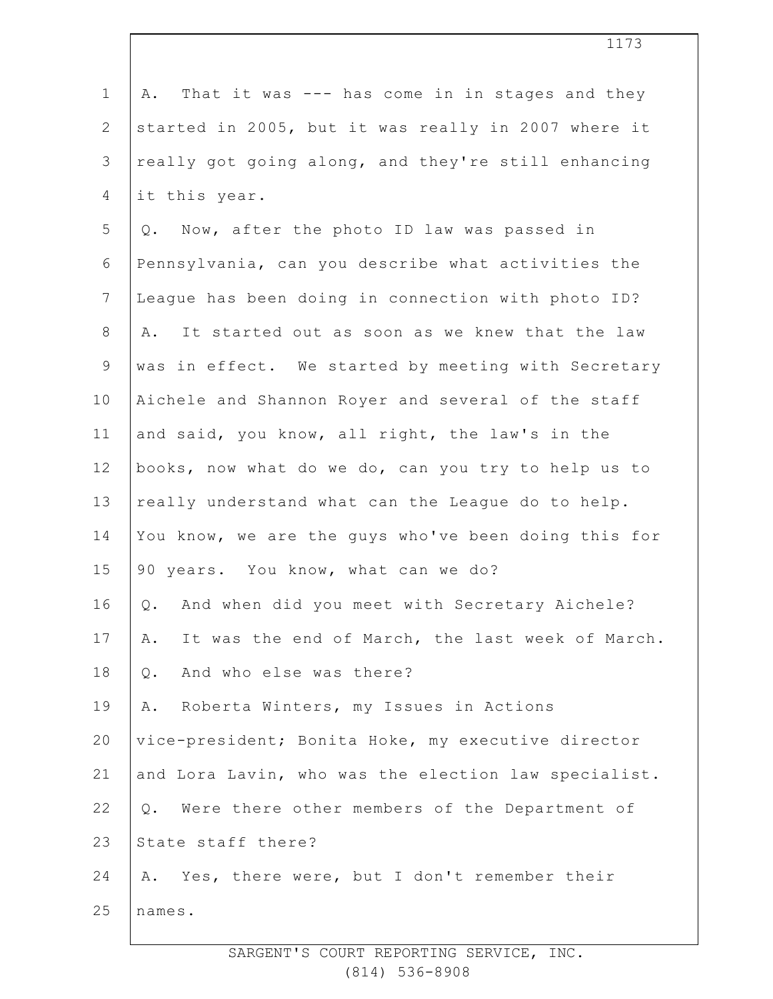1 2 3 4 5 6 7 8 9 10 11 12 13 14 15 16 17 18 19 20 21 22 23 24 25 A. That it was --- has come in in stages and they started in 2005, but it was really in 2007 where it really got going along, and they're still enhancing it this year. Q. Now, after the photo ID law was passed in Pennsylvania, can you describe what activities the League has been doing in connection with photo ID? A. It started out as soon as we knew that the law was in effect. We started by meeting with Secretary Aichele and Shannon Royer and several of the staff and said, you know, all right, the law's in the books, now what do we do, can you try to help us to really understand what can the League do to help. You know, we are the guys who've been doing this for 90 years. You know, what can we do? Q. And when did you meet with Secretary Aichele? A. It was the end of March, the last week of March. Q. And who else was there? A. Roberta Winters, my Issues in Actions vice-president; Bonita Hoke, my executive director and Lora Lavin, who was the election law specialist. Q. Were there other members of the Department of State staff there? A. Yes, there were, but I don't remember their names.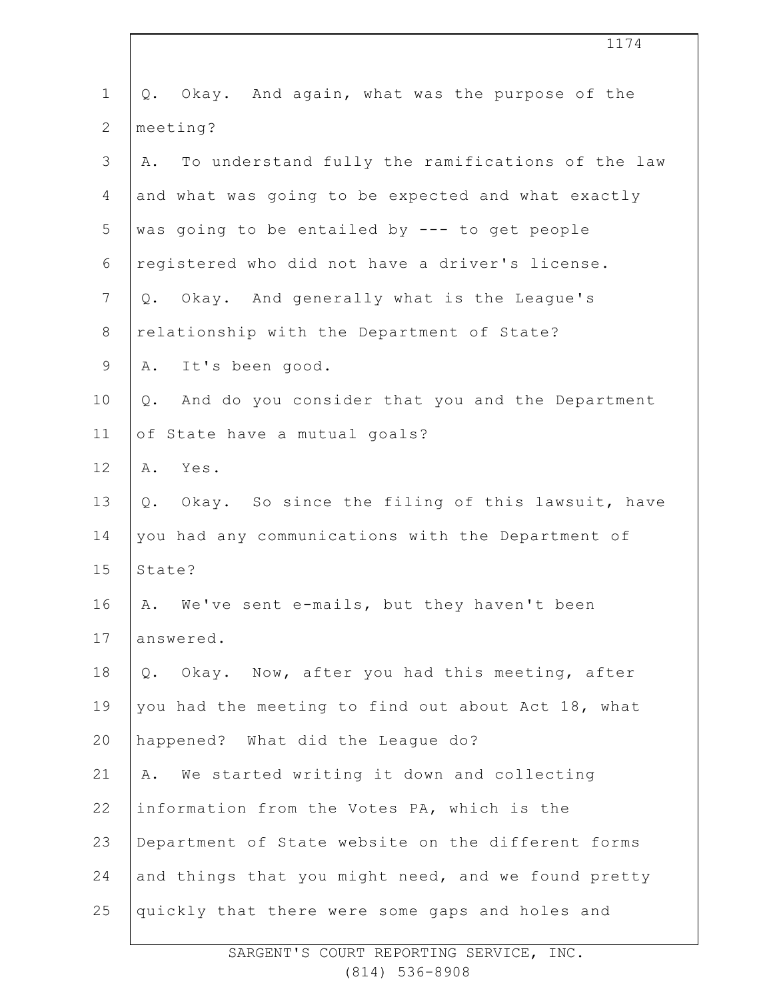|                | 1174                                                     |
|----------------|----------------------------------------------------------|
| $\mathbf 1$    | Q. Okay. And again, what was the purpose of the          |
| $\mathbf{2}$   | meeting?                                                 |
| 3              | To understand fully the ramifications of the law<br>Α.   |
| 4              | and what was going to be expected and what exactly       |
| 5              | was going to be entailed by --- to get people            |
| 6              | registered who did not have a driver's license.          |
| $\overline{7}$ | Q. Okay. And generally what is the League's              |
| $8\,$          | relationship with the Department of State?               |
| $\mathsf 9$    | A. It's been good.                                       |
| 10             | And do you consider that you and the Department<br>$Q$ . |
| 11             | of State have a mutual goals?                            |
| 12             | Yes.<br>Α.                                               |
| 13             | Q. Okay. So since the filing of this lawsuit, have       |
| 14             | you had any communications with the Department of        |
| 15             | State?                                                   |
| 16             | A. We've sent e-mails, but they haven't been             |
| 17             | answered.                                                |
| 18             | Okay. Now, after you had this meeting, after<br>Q.       |
| 19             | you had the meeting to find out about Act 18, what       |
| 20             | happened? What did the League do?                        |
| 21             | We started writing it down and collecting<br>Α.          |
| 22             | information from the Votes PA, which is the              |
| 23             | Department of State website on the different forms       |
| 24             | and things that you might need, and we found pretty      |
| 25             | quickly that there were some gaps and holes and          |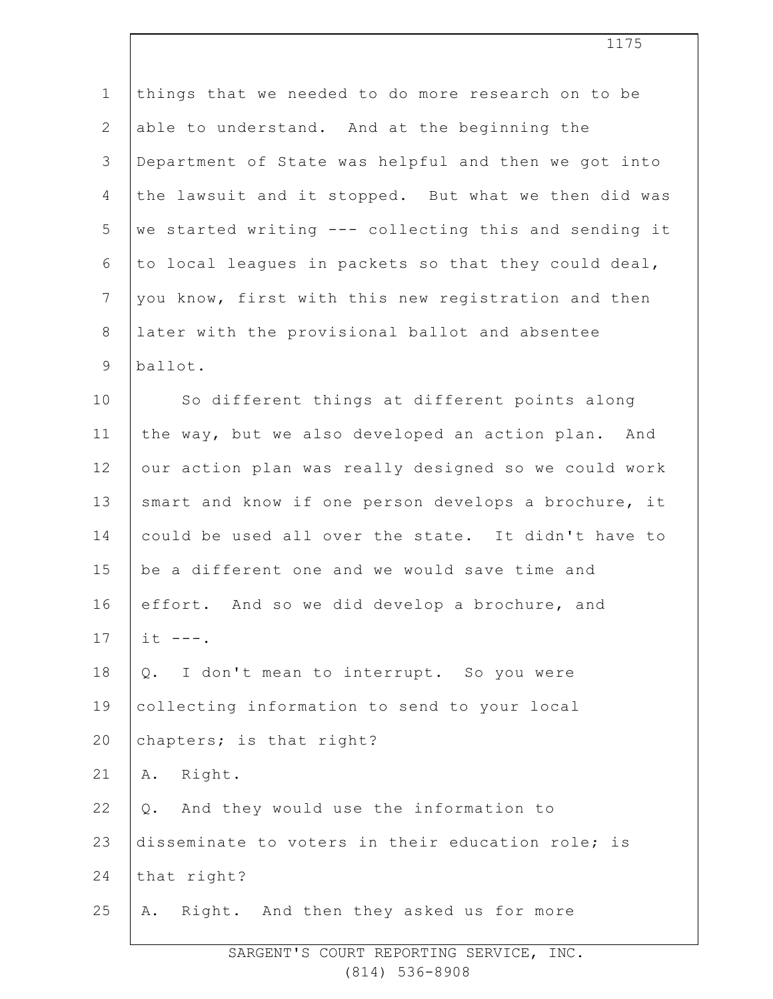| $\mathbf 1$    | things that we needed to do more research on to be    |
|----------------|-------------------------------------------------------|
| $\mathbf{2}$   | able to understand. And at the beginning the          |
| 3              | Department of State was helpful and then we got into  |
| 4              | the lawsuit and it stopped. But what we then did was  |
| 5              | we started writing --- collecting this and sending it |
| 6              | to local leagues in packets so that they could deal,  |
| $7\phantom{.}$ | you know, first with this new registration and then   |
| $\,8\,$        | later with the provisional ballot and absentee        |
| $\mathcal{G}$  | ballot.                                               |
| 10             | So different things at different points along         |
| 11             | the way, but we also developed an action plan. And    |
| 12             | our action plan was really designed so we could work  |
| 13             | smart and know if one person develops a brochure, it  |
| 14             | could be used all over the state. It didn't have to   |
| 15             | be a different one and we would save time and         |
| 16             | effort. And so we did develop a brochure, and         |
| 17             | $it$ $---$ .                                          |
| 18             | I don't mean to interrupt. So you were<br>Q.          |
| 19             | collecting information to send to your local          |
| 20             | chapters; is that right?                              |
| 21             | Right.<br>Α.                                          |
| 22             | And they would use the information to<br>Q.           |
| 23             | disseminate to voters in their education role; is     |
| 24             | that right?                                           |
| 25             | Right. And then they asked us for more<br>Α.          |
|                |                                                       |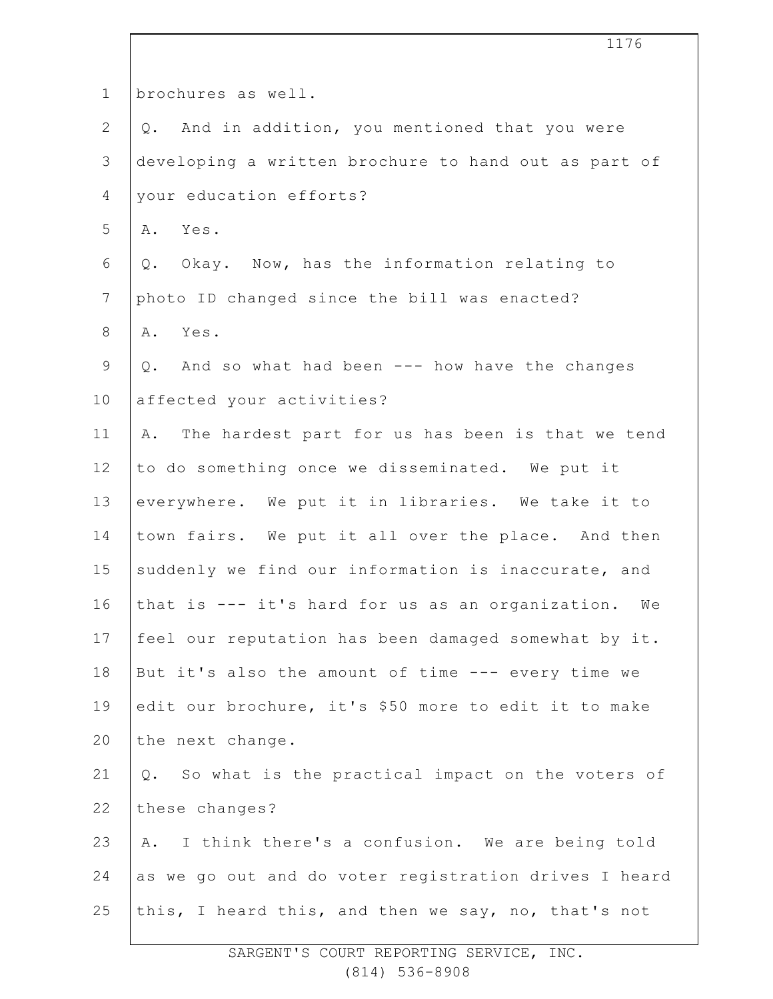| $\mathbf 1$    | brochures as well.                                     |
|----------------|--------------------------------------------------------|
| $\overline{2}$ | And in addition, you mentioned that you were<br>Q.     |
| 3              | developing a written brochure to hand out as part of   |
| 4              | your education efforts?                                |
| 5              | A. Yes.                                                |
| 6              | Okay. Now, has the information relating to<br>Q.       |
| $\overline{7}$ | photo ID changed since the bill was enacted?           |
| $8\,$          | A. Yes.                                                |
| $\mathsf 9$    | Q. And so what had been --- how have the changes       |
| 10             | affected your activities?                              |
| 11             | The hardest part for us has been is that we tend<br>Α. |
| 12             | to do something once we disseminated. We put it        |
| 13             | everywhere. We put it in libraries. We take it to      |
| 14             | town fairs. We put it all over the place. And then     |
| 15             | suddenly we find our information is inaccurate, and    |
| 16             | that is --- it's hard for us as an organization.<br>We |
| 17             | feel our reputation has been damaged somewhat by it.   |
| 18             | But it's also the amount of time --- every time we     |
| 19             | edit our brochure, it's \$50 more to edit it to make   |
| 20             | the next change.                                       |
| 21             | Q. So what is the practical impact on the voters of    |
| 22             | these changes?                                         |
| 23             | I think there's a confusion. We are being told<br>Α.   |
| 24             | as we go out and do voter registration drives I heard  |
| 25             | this, I heard this, and then we say, no, that's not    |
|                |                                                        |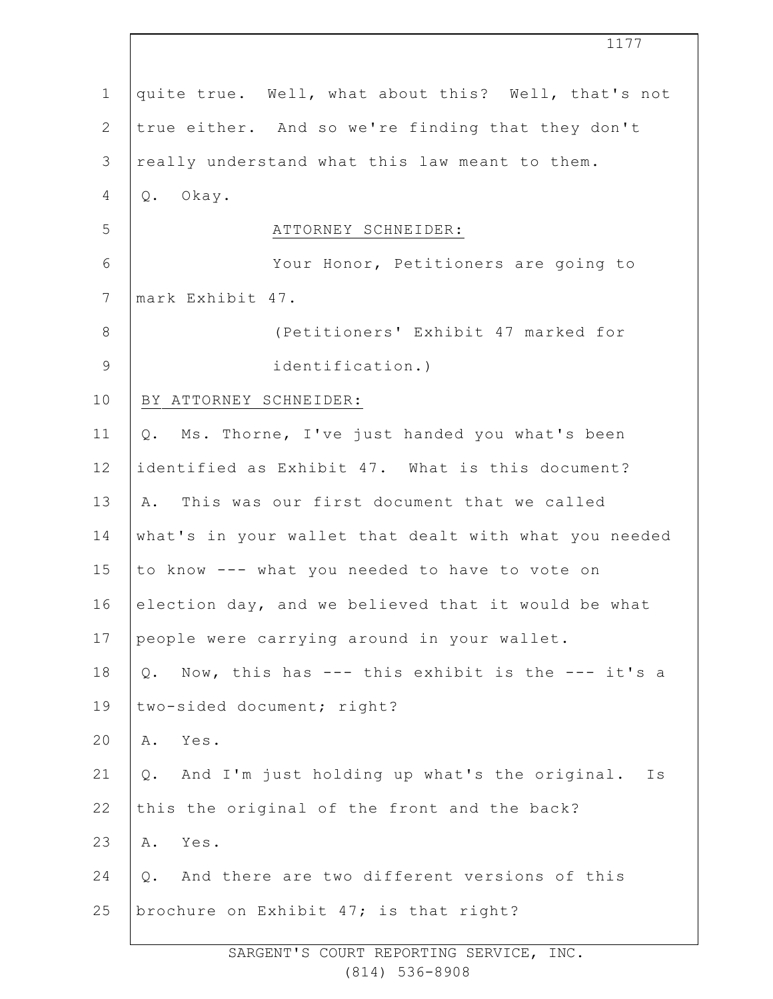|                | 1177                                                     |
|----------------|----------------------------------------------------------|
| $\mathbf 1$    | quite true. Well, what about this? Well, that's not      |
| $\mathbf{2}$   | true either. And so we're finding that they don't        |
| $\mathcal{S}$  | really understand what this law meant to them.           |
| 4              | Okay.<br>Q.                                              |
| 5              | ATTORNEY SCHNEIDER:                                      |
| $\epsilon$     | Your Honor, Petitioners are going to                     |
| $7\phantom{.}$ | mark Exhibit 47.                                         |
| $\,8\,$        | (Petitioners' Exhibit 47 marked for                      |
| $\mathsf 9$    | identification.)                                         |
| 10             | BY ATTORNEY SCHNEIDER:                                   |
| 11             | Q. Ms. Thorne, I've just handed you what's been          |
| 12             | identified as Exhibit 47. What is this document?         |
| 13             | A. This was our first document that we called            |
| 14             | what's in your wallet that dealt with what you needed    |
| 15             | to know --- what you needed to have to vote on           |
| 16             | election day, and we believed that it would be what      |
| 17             | people were carrying around in your wallet.              |
| 18             | Now, this has --- this exhibit is the --- it's a<br>Q.   |
| 19             | two-sided document; right?                               |
| 20             | Yes.<br>Α.                                               |
| 21             | And I'm just holding up what's the original.<br>Ιs<br>Q. |
| 22             | this the original of the front and the back?             |
| 23             | Yes.<br>Α.                                               |
| 24             | And there are two different versions of this<br>$Q$ .    |
| 25             | brochure on Exhibit 47; is that right?                   |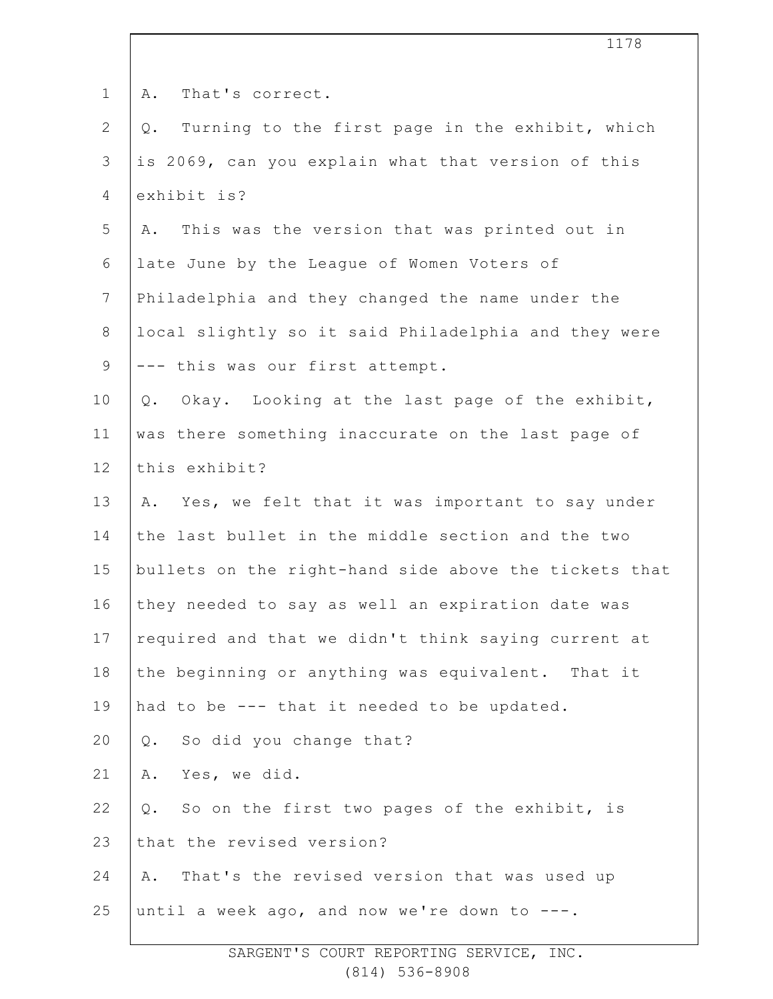| $\mathbf 1$    | That's correct.<br>Α.                                    |
|----------------|----------------------------------------------------------|
| $\overline{2}$ | Turning to the first page in the exhibit, which<br>$Q$ . |
| 3              | is 2069, can you explain what that version of this       |
| 4              | exhibit is?                                              |
| 5              | This was the version that was printed out in<br>Α.       |
| 6              | late June by the League of Women Voters of               |
| $7\phantom{.}$ | Philadelphia and they changed the name under the         |
| $8\,$          | local slightly so it said Philadelphia and they were     |
| $\mathsf 9$    | --- this was our first attempt.                          |
| 10             | Okay. Looking at the last page of the exhibit,<br>$Q$ .  |
| 11             | was there something inaccurate on the last page of       |
| 12             | this exhibit?                                            |
| 13             | A. Yes, we felt that it was important to say under       |
| 14             | the last bullet in the middle section and the two        |
| 15             | bullets on the right-hand side above the tickets that    |
| 16             | they needed to say as well an expiration date was        |
| 17             | required and that we didn't think saying current at      |
| 18             | the beginning or anything was equivalent. That it        |
| 19             | had to be --- that it needed to be updated.              |
| 20             | So did you change that?<br>Q.                            |
| 21             | Yes, we did.<br>Α.                                       |
| 22             | So on the first two pages of the exhibit, is<br>Q.       |
| 23             | that the revised version?                                |
| 24             | That's the revised version that was used up<br>Α.        |
| 25             | until a week ago, and now we're down to ---.             |
|                |                                                          |

SARGENT'S COURT REPORTING SERVICE, INC. (814) 536-8908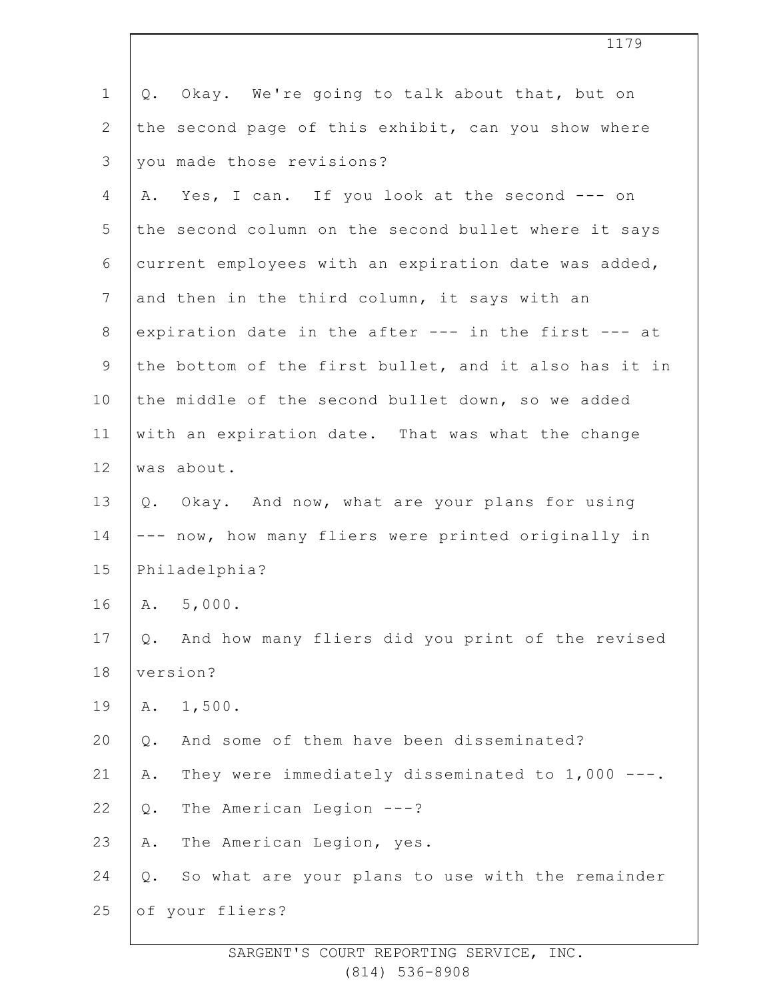| $\mathbf 1$    | Okay. We're going to talk about that, but on<br>Q.     |
|----------------|--------------------------------------------------------|
| $\overline{2}$ | the second page of this exhibit, can you show where    |
| 3              | you made those revisions?                              |
| 4              | Yes, I can. If you look at the second --- on<br>Α.     |
| 5              | the second column on the second bullet where it says   |
| 6              | current employees with an expiration date was added,   |
| $7\phantom{.}$ | and then in the third column, it says with an          |
| 8              | expiration date in the after --- in the first --- at   |
| 9              | the bottom of the first bullet, and it also has it in  |
| 10             | the middle of the second bullet down, so we added      |
| 11             | with an expiration date. That was what the change      |
| 12             | was about.                                             |
| 13             | Q. Okay. And now, what are your plans for using        |
| 14             | --- now, how many fliers were printed originally in    |
| 15             | Philadelphia?                                          |
| 16             | A. 5,000.                                              |
| 17             | And how many fliers did you print of the revised<br>Q. |
| 18             | version?                                               |
| 19             | 1,500.<br>Α.                                           |
| 20             | And some of them have been disseminated?<br>Q.         |
| 21             | They were immediately disseminated to 1,000 ---.<br>Α. |
| 22             | The American Legion ---?<br>Q.                         |
| 23             | The American Legion, yes.<br>Α.                        |
| 24             | So what are your plans to use with the remainder<br>Q. |
| 25             | of your fliers?                                        |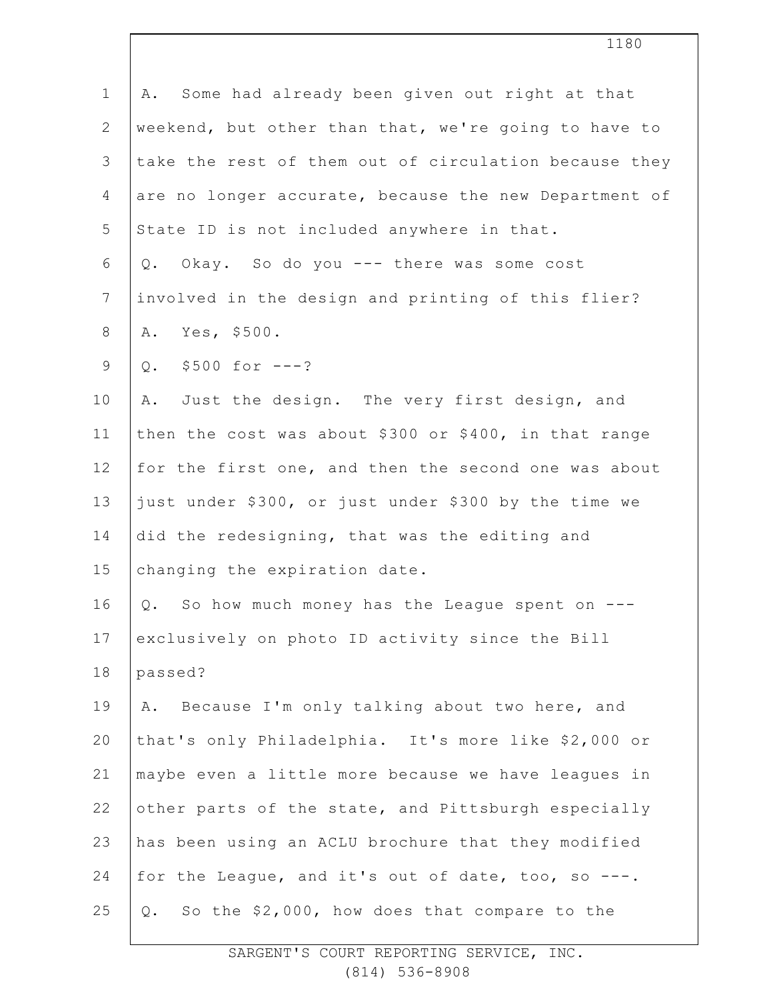| $1\,$          | Some had already been given out right at that<br>Α.   |
|----------------|-------------------------------------------------------|
| $\mathbf{2}$   | weekend, but other than that, we're going to have to  |
| 3              | take the rest of them out of circulation because they |
| 4              | are no longer accurate, because the new Department of |
| 5              | State ID is not included anywhere in that.            |
| 6              | Okay. So do you --- there was some cost<br>Q.         |
| $\overline{7}$ | involved in the design and printing of this flier?    |
| $\,8\,$        | Yes, \$500.<br>Α.                                     |
| $\mathsf 9$    | Q. $$500 for --?$                                     |
| 10             | Just the design. The very first design, and<br>Α.     |
| 11             | then the cost was about \$300 or \$400, in that range |
| 12             | for the first one, and then the second one was about  |
| 13             | just under \$300, or just under \$300 by the time we  |
| 14             | did the redesigning, that was the editing and         |
| 15             | changing the expiration date.                         |
| 16             | So how much money has the League spent on<br>Q.       |
| 17             | exclusively on photo ID activity since the Bill       |
| 18             | passed?                                               |
| 19             | Because I'm only talking about two here, and<br>Α.    |
| 20             | that's only Philadelphia. It's more like \$2,000 or   |
| 21             | maybe even a little more because we have leagues in   |
| 22             | other parts of the state, and Pittsburgh especially   |
| 23             | has been using an ACLU brochure that they modified    |
| 24             | for the League, and it's out of date, too, so ---.    |
| 25             | So the \$2,000, how does that compare to the<br>$Q$ . |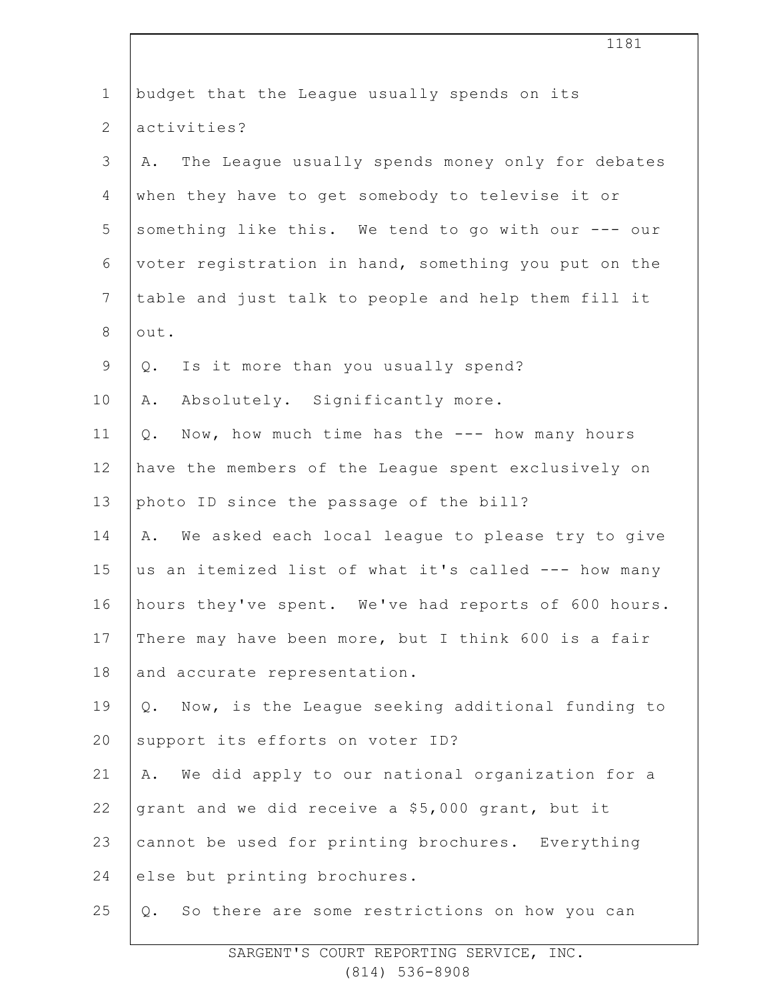| $\mathbf 1$    | budget that the League usually spends on its           |
|----------------|--------------------------------------------------------|
| $\mathbf{2}$   | activities?                                            |
| 3              | The League usually spends money only for debates<br>Α. |
| $\overline{4}$ | when they have to get somebody to televise it or       |
| 5              | something like this. We tend to go with our --- our    |
| 6              | voter registration in hand, something you put on the   |
| $\overline{7}$ | table and just talk to people and help them fill it    |
| $\,8\,$        | out.                                                   |
| $\mathcal{G}$  | Is it more than you usually spend?<br>Q.               |
| 10             | Absolutely. Significantly more.<br>Α.                  |
| 11             | Now, how much time has the --- how many hours<br>Q.    |
| 12             | have the members of the League spent exclusively on    |
| 13             | photo ID since the passage of the bill?                |
| 14             | We asked each local league to please try to give<br>Α. |
| 15             | us an itemized list of what it's called --- how many   |
| 16             | hours they've spent. We've had reports of 600 hours.   |
| 17             | There may have been more, but I think 600 is a fair    |
| 18             | and accurate representation.                           |
| 19             | Q. Now, is the League seeking additional funding to    |
| 20             | support its efforts on voter ID?                       |
| 21             | A. We did apply to our national organization for a     |
| 22             | grant and we did receive a \$5,000 grant, but it       |
| 23             | cannot be used for printing brochures. Everything      |
| 24             | else but printing brochures.                           |
| 25             | So there are some restrictions on how you can<br>Q.    |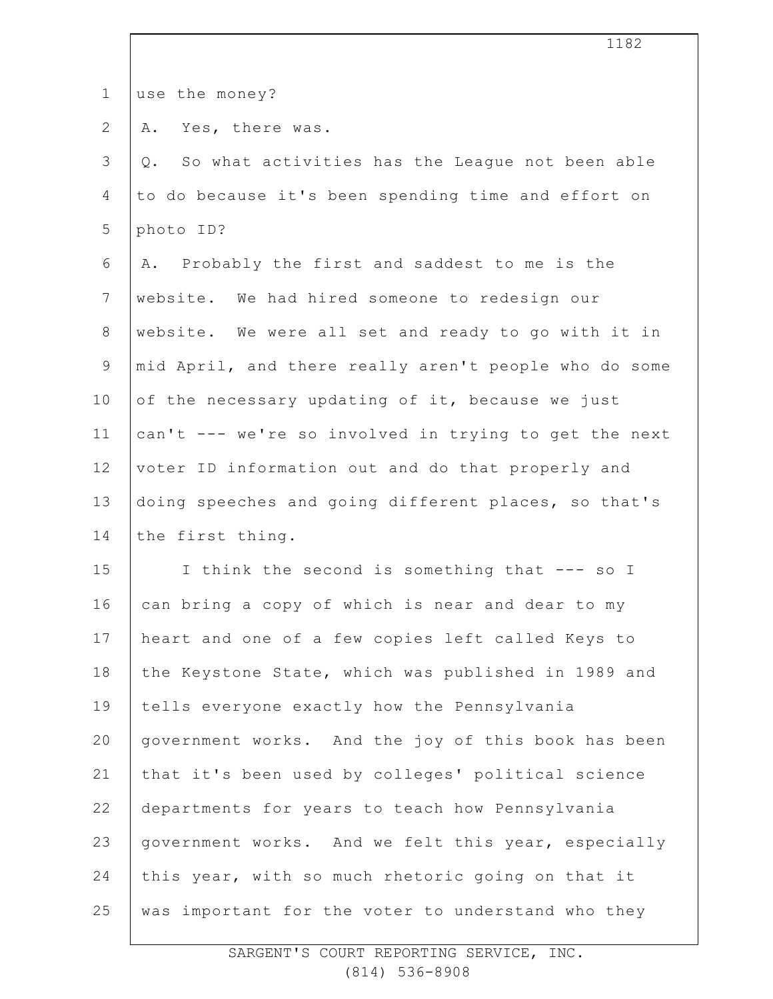|                | ᆂᆂᆼᄼ                                                     |
|----------------|----------------------------------------------------------|
| $\mathbf 1$    | use the money?                                           |
| $\overline{2}$ | Yes, there was.<br>Α.                                    |
| 3              | So what activities has the League not been able<br>$Q$ . |
| 4              | to do because it's been spending time and effort on      |
| 5              | photo ID?                                                |
| 6              | A. Probably the first and saddest to me is the           |
| $\overline{7}$ | website. We had hired someone to redesign our            |
| 8              | website. We were all set and ready to go with it in      |
| $\mathsf 9$    | mid April, and there really aren't people who do some    |
| 10             | of the necessary updating of it, because we just         |
| 11             | can't --- we're so involved in trying to get the next    |
| 12             | voter ID information out and do that properly and        |
| 13             | doing speeches and going different places, so that's     |
| 14             | the first thing.                                         |
| 15             | I think the second is something that --- so I            |
| 16             | can bring a copy of which is near and dear to my         |
| 17             | heart and one of a few copies left called Keys to        |
| 18             | the Keystone State, which was published in 1989 and      |
| 19             | tells everyone exactly how the Pennsylvania              |
| 20             | government works. And the joy of this book has been      |
| 21             | that it's been used by colleges' political science       |
| 22             | departments for years to teach how Pennsylvania          |
| 23             | government works. And we felt this year, especially      |
| 24             | this year, with so much rhetoric going on that it        |
| 25             | was important for the voter to understand who they       |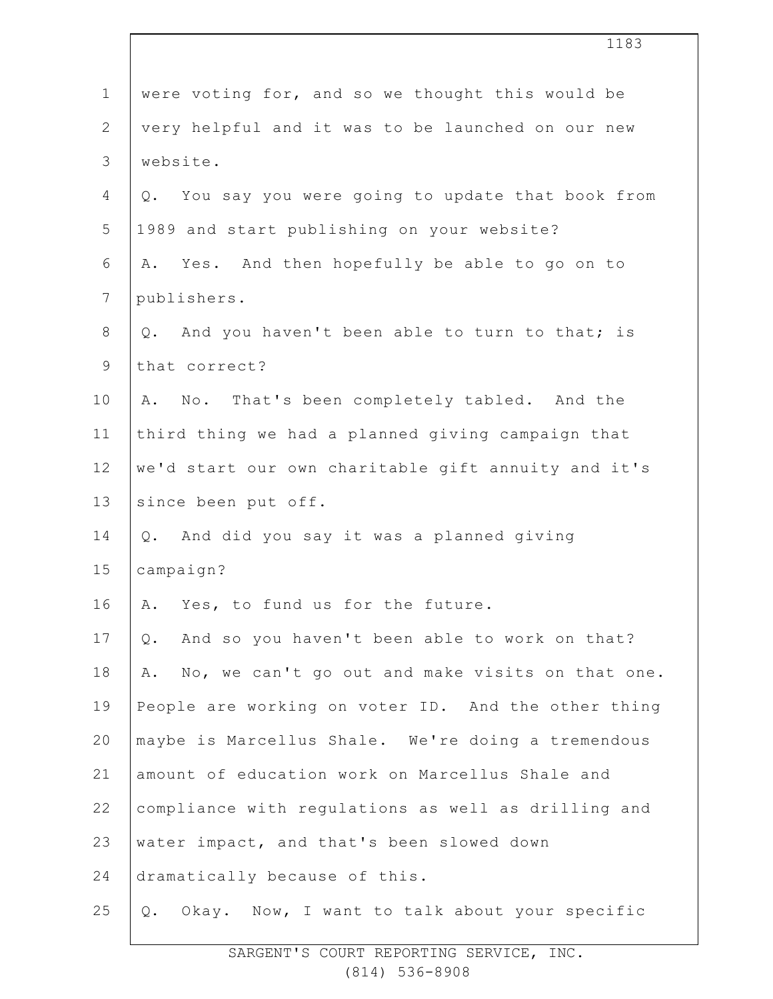|                | 1183                                                   |
|----------------|--------------------------------------------------------|
| $\mathbf 1$    | were voting for, and so we thought this would be       |
| $\mathbf{2}$   | very helpful and it was to be launched on our new      |
| $\mathcal{S}$  | website.                                               |
| $\overline{4}$ | You say you were going to update that book from<br>Q.  |
| 5              | 1989 and start publishing on your website?             |
| 6              | Yes. And then hopefully be able to go on to<br>Α.      |
| 7              | publishers.                                            |
| $8\,$          | And you haven't been able to turn to that; is<br>Q.    |
| $\mathsf 9$    | that correct?                                          |
| 10             | No. That's been completely tabled. And the<br>Α.       |
| 11             | third thing we had a planned giving campaign that      |
| 12             | we'd start our own charitable gift annuity and it's    |
| 13             | since been put off.                                    |
| 14             | And did you say it was a planned giving<br>Q.          |
| 15             | campaign?                                              |
| 16             | A. Yes, to fund us for the future.                     |
| 17             | And so you haven't been able to work on that?<br>$Q$ . |
| 18             | No, we can't go out and make visits on that one.<br>Α. |
| 19             | People are working on voter ID. And the other thing    |
| 20             | maybe is Marcellus Shale. We're doing a tremendous     |
| 21             | amount of education work on Marcellus Shale and        |
| 22             | compliance with regulations as well as drilling and    |
| 23             | water impact, and that's been slowed down              |
| 24             | dramatically because of this.                          |
| 25             | Okay. Now, I want to talk about your specific<br>Q.    |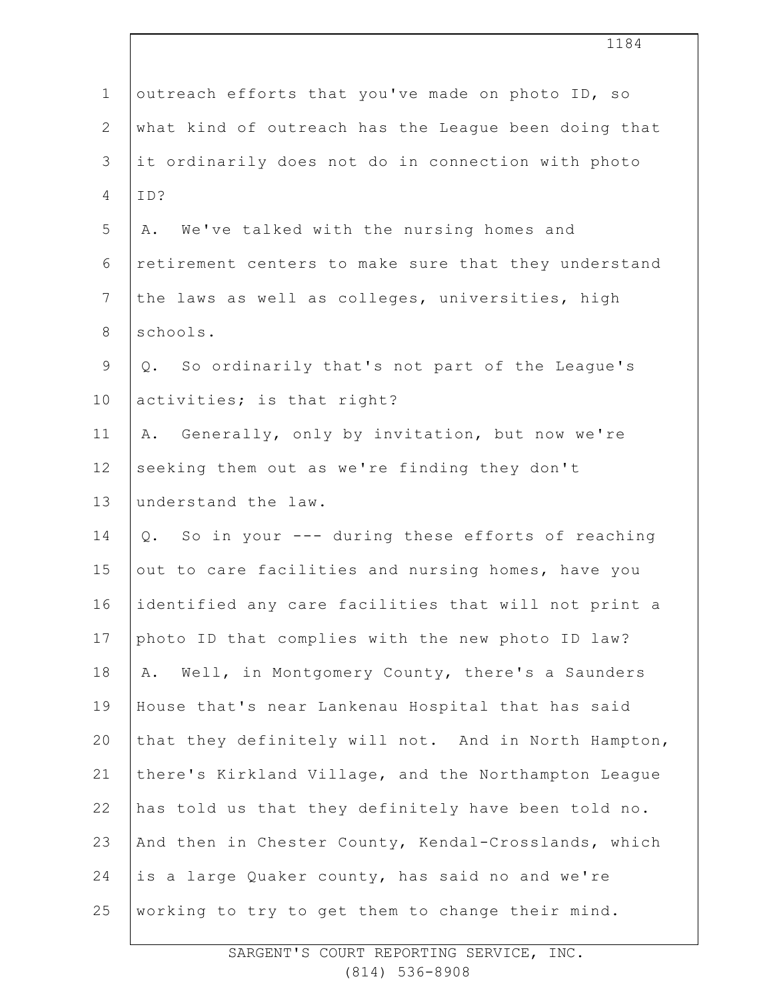|                | ᆂᆂᆼᆍ                                                 |
|----------------|------------------------------------------------------|
| $\mathbf 1$    | outreach efforts that you've made on photo ID, so    |
| $\overline{2}$ | what kind of outreach has the League been doing that |
| 3              | it ordinarily does not do in connection with photo   |
| 4              | ID?                                                  |
| 5              | We've talked with the nursing homes and<br>Α.        |
| 6              | retirement centers to make sure that they understand |
| $\overline{7}$ | the laws as well as colleges, universities, high     |
| 8              | schools.                                             |
| $\mathsf 9$    | Q. So ordinarily that's not part of the League's     |
| 10             | activities; is that right?                           |
| 11             | Generally, only by invitation, but now we're<br>Α.   |
| 12             | seeking them out as we're finding they don't         |
| 13             | understand the law.                                  |
| 14             | Q. So in your --- during these efforts of reaching   |
| 15             | out to care facilities and nursing homes, have you   |
| 16             | identified any care facilities that will not print a |
| 17             | photo ID that complies with the new photo ID law?    |
| 18             | Well, in Montgomery County, there's a Saunders<br>Α. |
| 19             | House that's near Lankenau Hospital that has said    |
| 20             | that they definitely will not. And in North Hampton, |
| 21             | there's Kirkland Village, and the Northampton League |
| 22             | has told us that they definitely have been told no.  |
| 23             | And then in Chester County, Kendal-Crosslands, which |
| 24             | is a large Quaker county, has said no and we're      |
| 25             | working to try to get them to change their mind.     |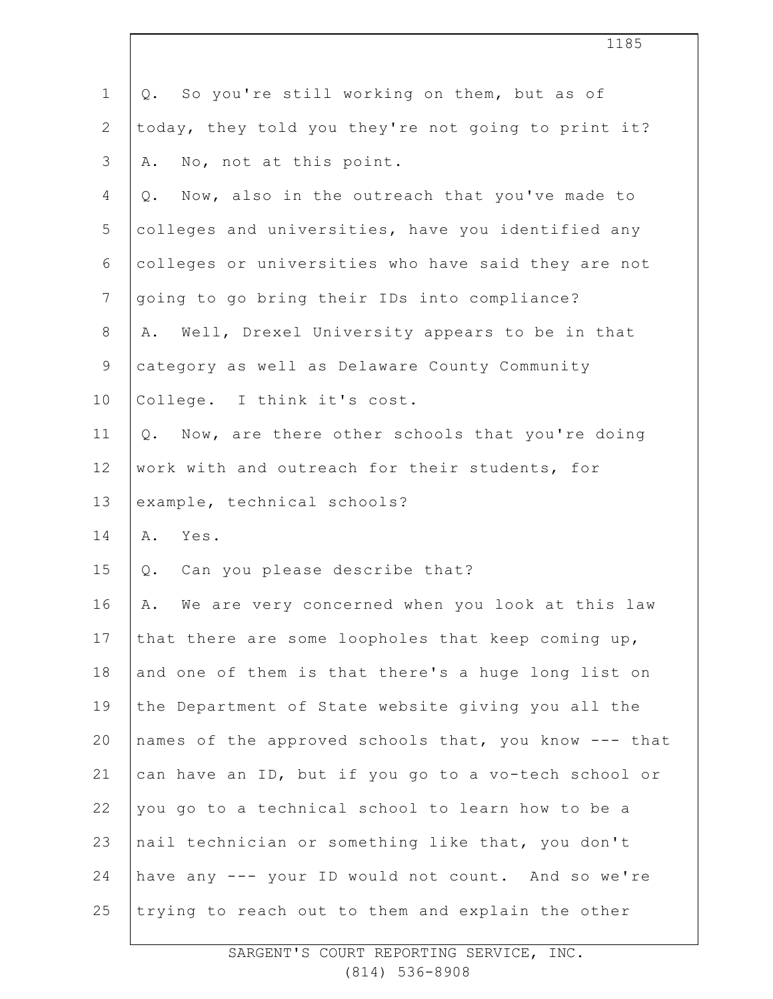| $\mathbf 1$  | So you're still working on them, but as of<br>Q.      |
|--------------|-------------------------------------------------------|
| $\mathbf{2}$ | today, they told you they're not going to print it?   |
| 3            | No, not at this point.<br>Α.                          |
| 4            | Now, also in the outreach that you've made to<br>Q.   |
| 5            | colleges and universities, have you identified any    |
| 6            | colleges or universities who have said they are not   |
| 7            | going to go bring their IDs into compliance?          |
| $8\,$        | Well, Drexel University appears to be in that<br>Α.   |
| $\mathsf 9$  | category as well as Delaware County Community         |
| 10           | College. I think it's cost.                           |
| 11           | Now, are there other schools that you're doing<br>Q.  |
| 12           | work with and outreach for their students, for        |
| 13           | example, technical schools?                           |
| 14           | Yes.<br>Α.                                            |
| 15           | Can you please describe that?<br>Q.                   |
| 16           | We are very concerned when you look at this law<br>Α. |
| 17           | that there are some loopholes that keep coming up,    |
| 18           | and one of them is that there's a huge long list on   |
| 19           | the Department of State website giving you all the    |
| 20           | names of the approved schools that, you know --- that |
| 21           | can have an ID, but if you go to a vo-tech school or  |
| 22           | you go to a technical school to learn how to be a     |
| 23           | nail technician or something like that, you don't     |
| 24           | have any --- your ID would not count. And so we're    |
| 25           | trying to reach out to them and explain the other     |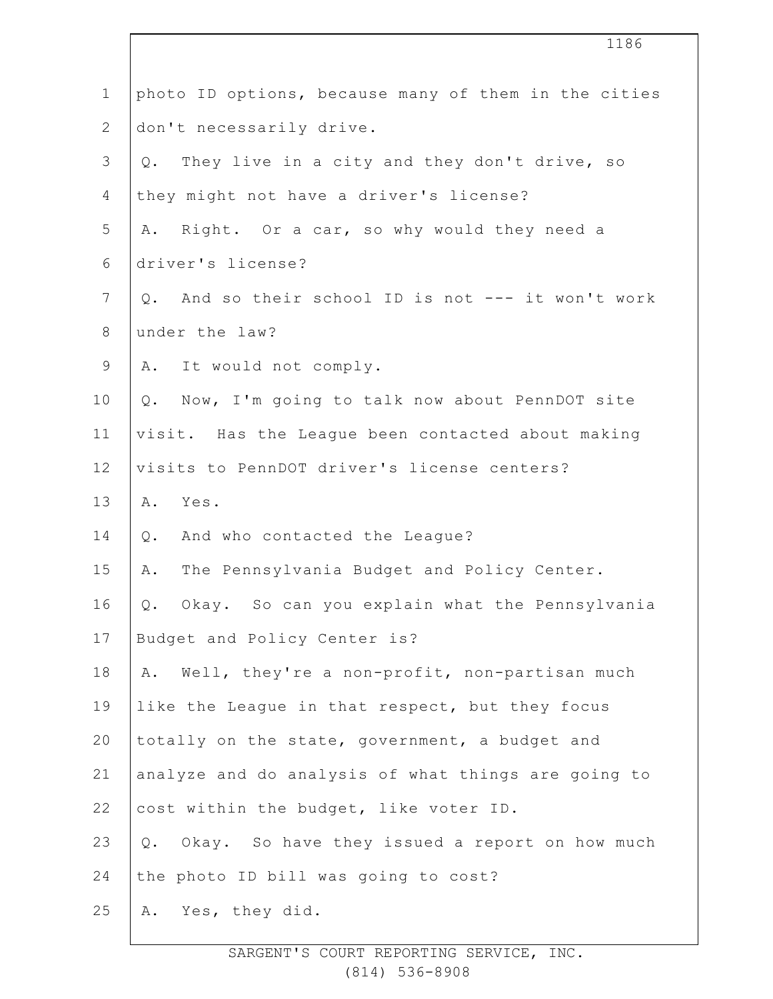|                | 1186                                                  |
|----------------|-------------------------------------------------------|
| $1\,$          | photo ID options, because many of them in the cities  |
| $\mathbf{2}$   | don't necessarily drive.                              |
| 3              | They live in a city and they don't drive, so<br>Q.    |
| 4              | they might not have a driver's license?               |
| 5              | Right. Or a car, so why would they need a<br>Α.       |
| 6              | driver's license?                                     |
| $7\phantom{.}$ | And so their school ID is not --- it won't work<br>Q. |
| $8\,$          | under the law?                                        |
| 9              | It would not comply.<br>A.                            |
| 10             | Now, I'm going to talk now about PennDOT site<br>Q.   |
| 11             | visit. Has the League been contacted about making     |
| 12             | visits to PennDOT driver's license centers?           |
| 13             | Yes.<br>Α.                                            |
| 14             | And who contacted the League?<br>Q.                   |
| 15             | The Pennsylvania Budget and Policy Center.<br>Α.      |
| 16             | Q. Okay. So can you explain what the Pennsylvania     |
| 17             | Budget and Policy Center is?                          |
| 18             | Well, they're a non-profit, non-partisan much<br>Α.   |
| 19             | like the League in that respect, but they focus       |
| 20             | totally on the state, government, a budget and        |
| 21             | analyze and do analysis of what things are going to   |
| 22             | cost within the budget, like voter ID.                |
| 23             | Okay. So have they issued a report on how much<br>Q.  |
| 24             | the photo ID bill was going to cost?                  |
| 25             | Yes, they did.<br>Α.                                  |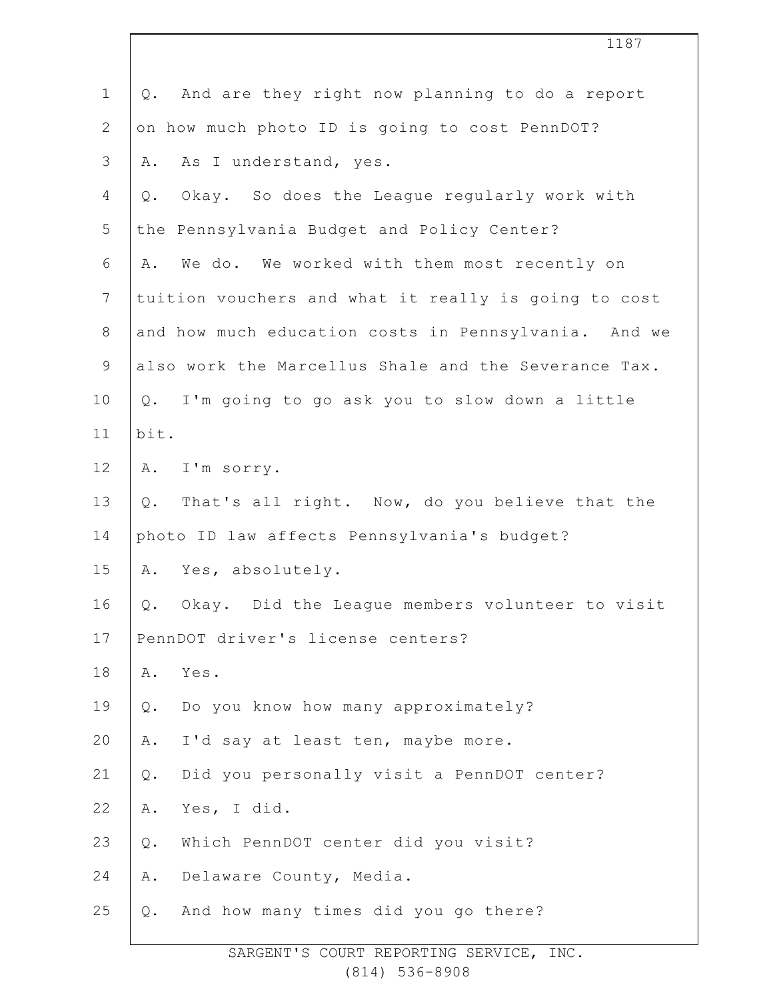|                | 1187                                                  |
|----------------|-------------------------------------------------------|
| $\mathbf 1$    | And are they right now planning to do a report<br>Q.  |
| $\mathbf{2}$   | on how much photo ID is going to cost PennDOT?        |
| 3              | As I understand, yes.<br>Α.                           |
| 4              | Okay. So does the League regularly work with<br>$Q$ . |
| 5              | the Pennsylvania Budget and Policy Center?            |
| 6              | We do. We worked with them most recently on<br>Α.     |
| $\overline{7}$ | tuition vouchers and what it really is going to cost  |
| $8\,$          | and how much education costs in Pennsylvania. And we  |
| $\mathsf 9$    | also work the Marcellus Shale and the Severance Tax.  |
| 10             | I'm going to go ask you to slow down a little<br>Q.   |
| 11             | bit.                                                  |
| 12             | I'm sorry.<br>Α.                                      |
| 13             | Q. That's all right. Now, do you believe that the     |
| 14             | photo ID law affects Pennsylvania's budget?           |
| 15             | Yes, absolutely.<br>Α.                                |
| 16             | Q. Okay. Did the League members volunteer to visit    |
| 17             | PennDOT driver's license centers?                     |
| 18             | Yes.<br>Α.                                            |
| 19             | Do you know how many approximately?<br>Q.             |
| 20             | I'd say at least ten, maybe more.<br>Α.               |
| 21             | Did you personally visit a PennDOT center?<br>Q.      |
| 22             | Yes, I did.<br>Α.                                     |
| 23             | Which PennDOT center did you visit?<br>$Q$ .          |
| 24             | Delaware County, Media.<br>Α.                         |
| 25             | And how many times did you go there?<br>Q.            |
|                |                                                       |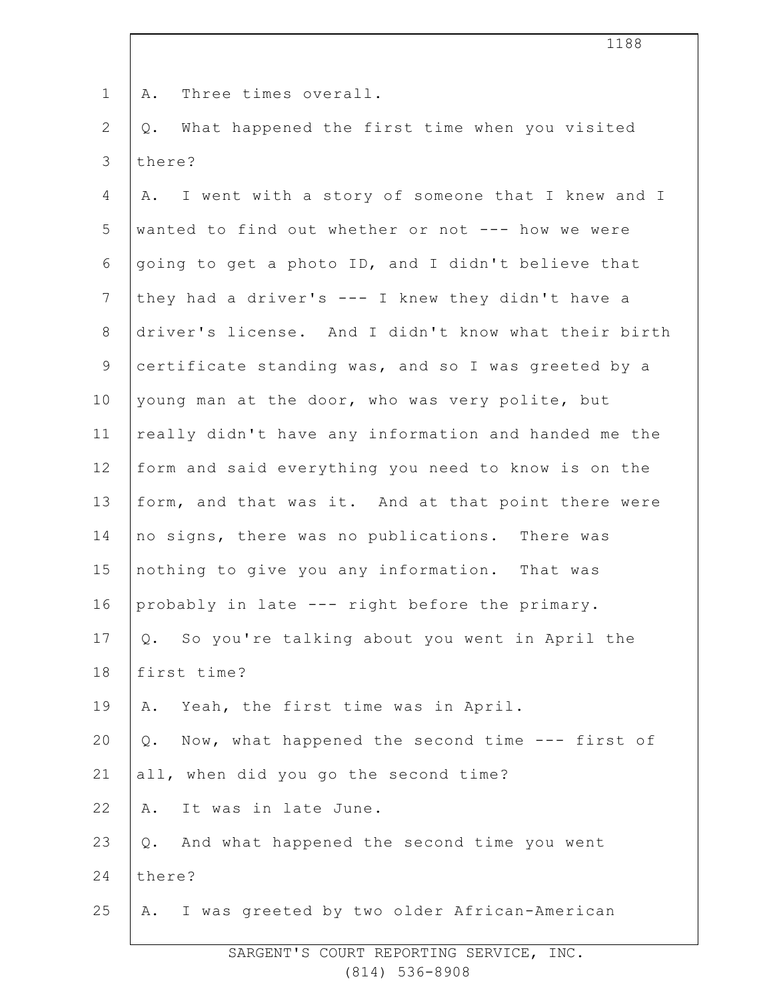A. Three times overall.

2 3 Q. What happened the first time when you visited there?

4 5 6 7 8 9 10 11 12 13 14 15 16 17 18 19 20 21 22 23 24 25 A. I went with a story of someone that I knew and I wanted to find out whether or not --- how we were going to get a photo ID, and I didn't believe that they had a driver's --- I knew they didn't have a driver's license. And I didn't know what their birth certificate standing was, and so I was greeted by a young man at the door, who was very polite, but really didn't have any information and handed me the form and said everything you need to know is on the form, and that was it. And at that point there were no signs, there was no publications. There was nothing to give you any information. That was probably in late --- right before the primary. Q. So you're talking about you went in April the first time? A. Yeah, the first time was in April. Q. Now, what happened the second time --- first of all, when did you go the second time? A. It was in late June. Q. And what happened the second time you went there? A. I was greeted by two older African-American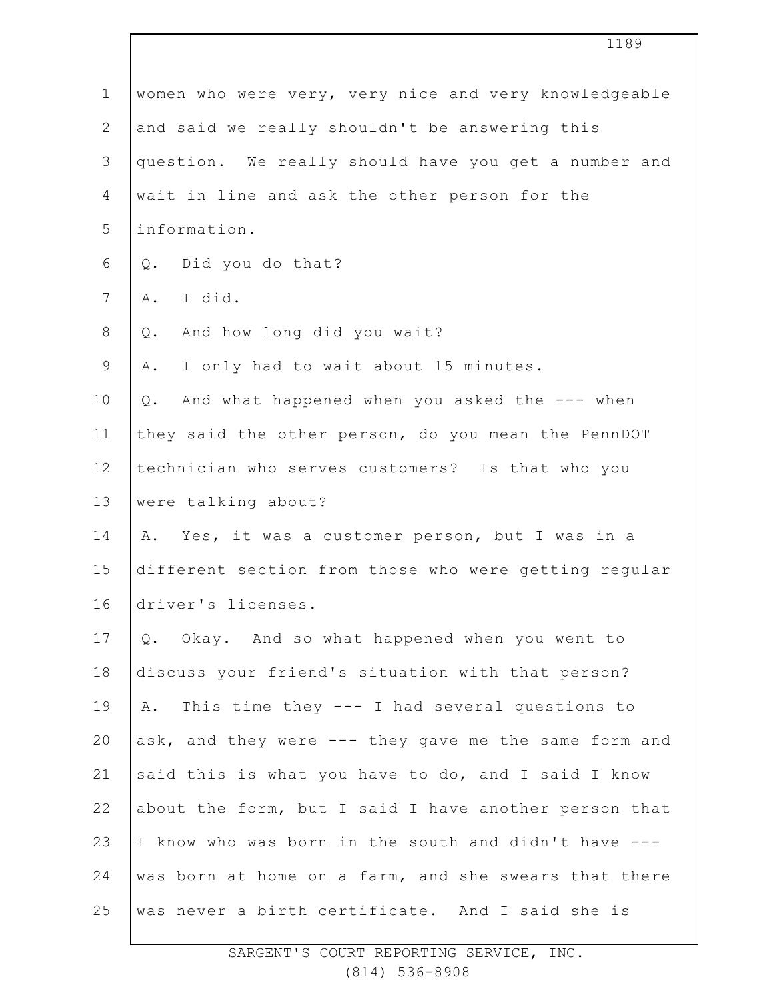|                | 1189                                                  |
|----------------|-------------------------------------------------------|
| $\mathbf 1$    | women who were very, very nice and very knowledgeable |
| $\mathbf{2}$   | and said we really shouldn't be answering this        |
| 3              | question. We really should have you get a number and  |
| 4              | wait in line and ask the other person for the         |
| 5              | information.                                          |
| 6              | Did you do that?<br>$Q$ .                             |
| $\overline{7}$ | I did.<br>Α.                                          |
| $8\,$          | And how long did you wait?<br>Q.                      |
| $\mathsf 9$    | I only had to wait about 15 minutes.<br>Α.            |
| 10             | And what happened when you asked the --- when<br>Q.   |
| 11             | they said the other person, do you mean the PennDOT   |
| 12             | technician who serves customers? Is that who you      |
| 13             | were talking about?                                   |
| 14             | A. Yes, it was a customer person, but I was in a      |
| 15             | different section from those who were getting regular |
| 16             | driver's licenses.                                    |
| 17             | Q. Okay. And so what happened when you went to        |
| 18             | discuss your friend's situation with that person?     |
| 19             | A. This time they --- I had several questions to      |
| 20             | ask, and they were --- they gave me the same form and |
| 21             | said this is what you have to do, and I said I know   |
| 22             | about the form, but I said I have another person that |
| 23             | I know who was born in the south and didn't have ---  |
| 24             | was born at home on a farm, and she swears that there |
| 25             | was never a birth certificate. And I said she is      |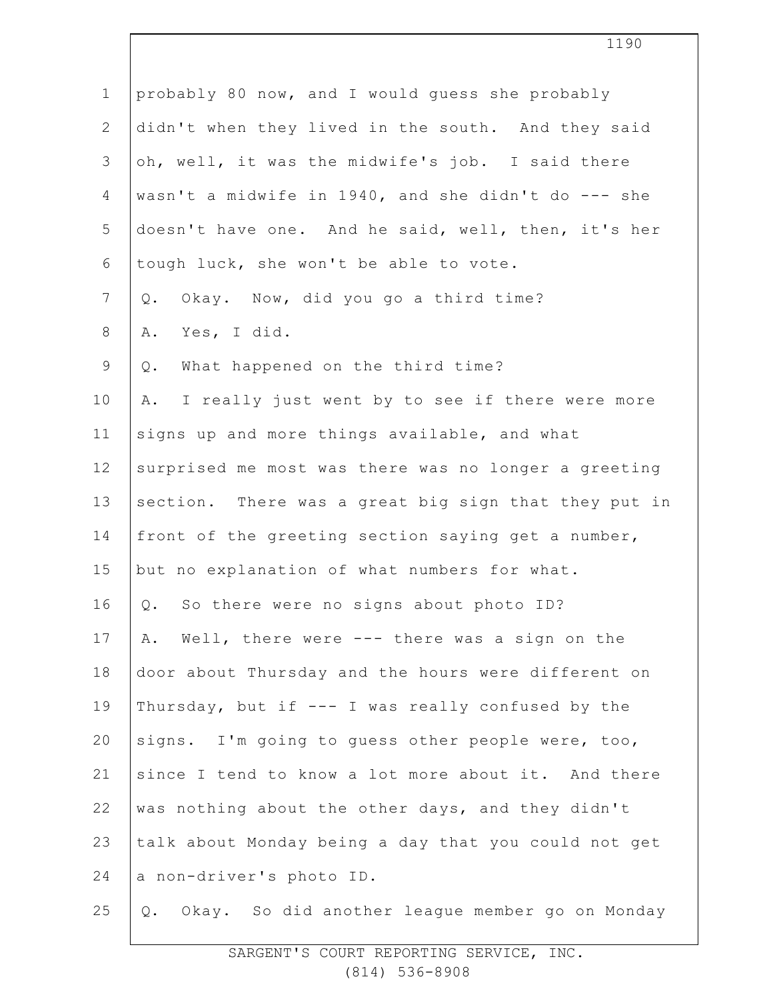| $\mathbf 1$    | probably 80 now, and I would guess she probably       |
|----------------|-------------------------------------------------------|
| $\mathbf{2}$   | didn't when they lived in the south. And they said    |
| 3              | oh, well, it was the midwife's job. I said there      |
| 4              | wasn't a midwife in 1940, and she didn't do --- she   |
| 5              | doesn't have one. And he said, well, then, it's her   |
| 6              | tough luck, she won't be able to vote.                |
| $7\phantom{.}$ | Okay. Now, did you go a third time?<br>$Q$ .          |
| $8\,$          | Yes, I did.<br>Α.                                     |
| $\mathsf 9$    | What happened on the third time?<br>$Q$ .             |
| 10             | I really just went by to see if there were more<br>Α. |
| 11             | signs up and more things available, and what          |
| 12             | surprised me most was there was no longer a greeting  |
| 13             | section. There was a great big sign that they put in  |
| 14             | front of the greeting section saying get a number,    |
| 15             | but no explanation of what numbers for what.          |
| 16             | Q. So there were no signs about photo ID?             |
| 17             | Well, there were --- there was a sign on the<br>Α.    |
| 18             | door about Thursday and the hours were different on   |
| 19             | Thursday, but if --- I was really confused by the     |
| 20             | signs. I'm going to guess other people were, too,     |
| 21             | since I tend to know a lot more about it. And there   |
| 22             | was nothing about the other days, and they didn't     |
| 23             | talk about Monday being a day that you could not get  |
| 24             | a non-driver's photo ID.                              |
| 25             | Okay. So did another league member go on Monday<br>Q. |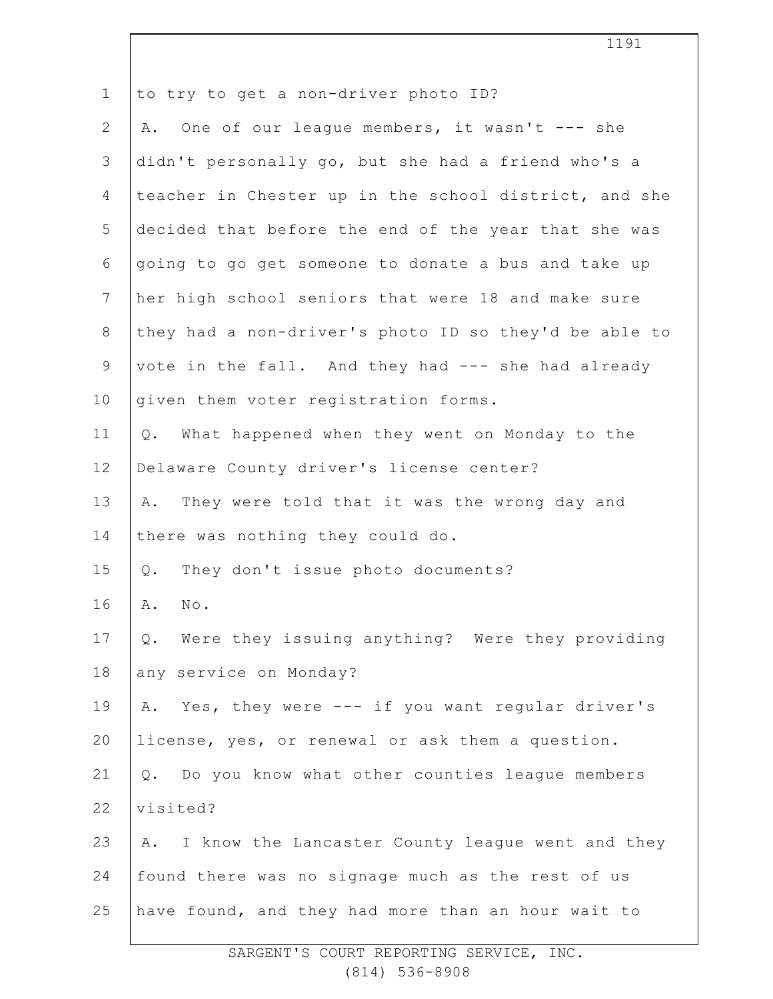|                | 1191                                                   |
|----------------|--------------------------------------------------------|
| $\mathbf 1$    | to try to get a non-driver photo ID?                   |
| $\overline{2}$ | One of our league members, it wasn't --- she<br>Α.     |
| 3              | didn't personally go, but she had a friend who's a     |
| 4              | teacher in Chester up in the school district, and she  |
| 5              | decided that before the end of the year that she was   |
| 6              | going to go get someone to donate a bus and take up    |
| $7\phantom{.}$ | her high school seniors that were 18 and make sure     |
| 8              | they had a non-driver's photo ID so they'd be able to  |
| $\mathsf 9$    | vote in the fall. And they had --- she had already     |
| 10             | given them voter registration forms.                   |
| 11             | What happened when they went on Monday to the<br>Q.    |
| 12             | Delaware County driver's license center?               |
| 13             | They were told that it was the wrong day and<br>Α.     |
| 14             | there was nothing they could do.                       |
| 15             | They don't issue photo documents?<br>Q.                |
| 16             | Α.<br>No.                                              |
| 17             | Were they issuing anything? Were they providing<br>Q.  |
| 18             | any service on Monday?                                 |
| 19             | A. Yes, they were --- if you want regular driver's     |
| 20             | license, yes, or renewal or ask them a question.       |
| 21             | Q. Do you know what other counties league members      |
| 22             | visited?                                               |
| 23             | I know the Lancaster County league went and they<br>Α. |
| 24             | found there was no signage much as the rest of us      |
| 25             | have found, and they had more than an hour wait to     |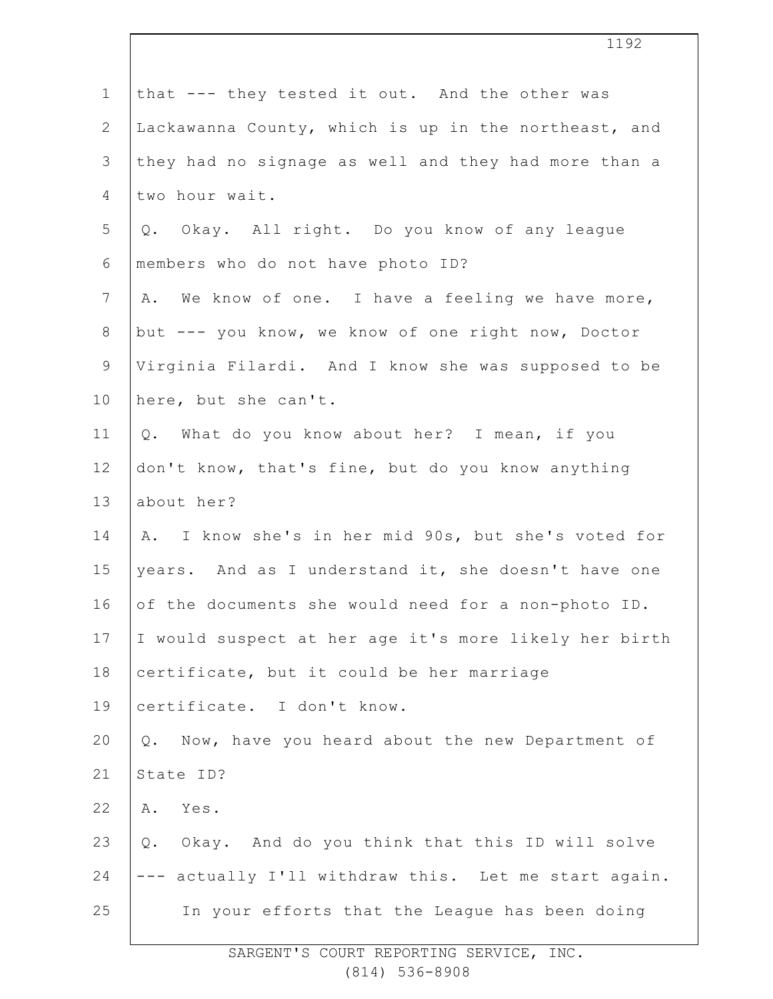| $\mathbf 1$  | that --- they tested it out. And the other was        |
|--------------|-------------------------------------------------------|
| $\mathbf{2}$ | Lackawanna County, which is up in the northeast, and  |
| 3            | they had no signage as well and they had more than a  |
| 4            | two hour wait.                                        |
| 5            | Q. Okay. All right. Do you know of any league         |
| 6            | members who do not have photo ID?                     |
| 7            | A. We know of one. I have a feeling we have more,     |
| $8\,$        | but --- you know, we know of one right now, Doctor    |
| 9            | Virginia Filardi. And I know she was supposed to be   |
| 10           | here, but she can't.                                  |
| 11           | Q. What do you know about her? I mean, if you         |
| 12           | don't know, that's fine, but do you know anything     |
| 13           | about her?                                            |
| 14           | A. I know she's in her mid 90s, but she's voted for   |
| 15           | years. And as I understand it, she doesn't have one   |
| 16           | of the documents she would need for a non-photo ID.   |
| 17           | I would suspect at her age it's more likely her birth |
| 18           | certificate, but it could be her marriage             |
| 19           | certificate. I don't know.                            |
| 20           | Now, have you heard about the new Department of<br>Q. |
| 21           | State ID?                                             |
| 22           | Yes.<br>Α.                                            |
| 23           | Okay. And do you think that this ID will solve<br>Q.  |
| 24           | --- actually I'll withdraw this. Let me start again.  |
| 25           | In your efforts that the League has been doing        |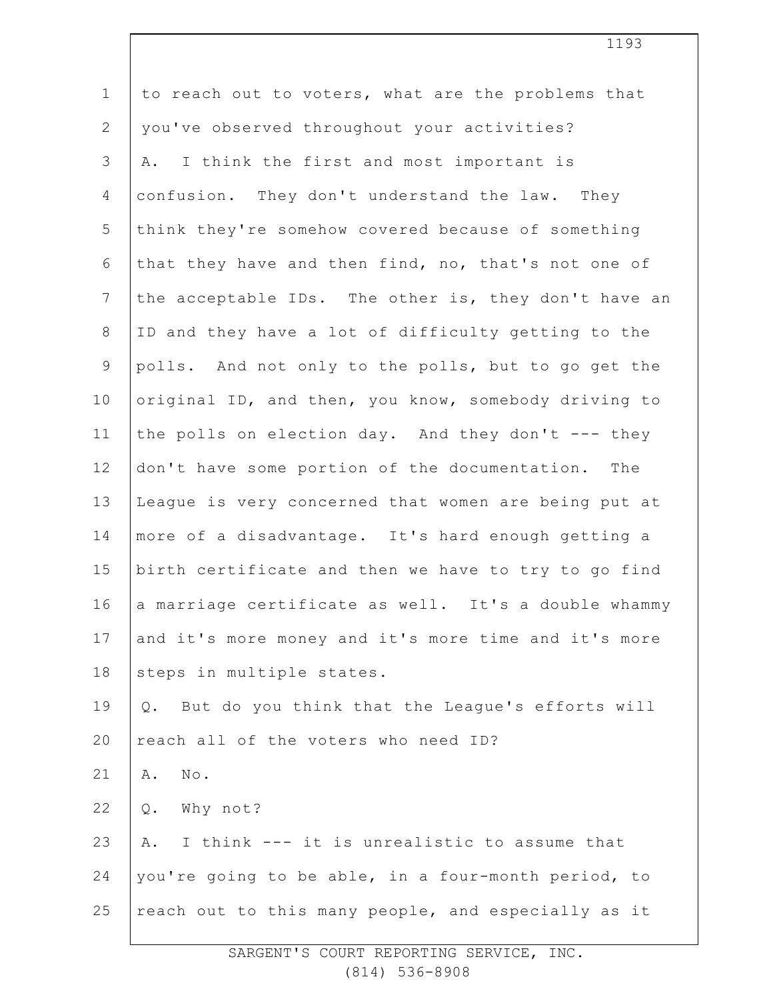| $\mathbf 1$  | to reach out to voters, what are the problems that   |
|--------------|------------------------------------------------------|
| $\mathbf{2}$ | you've observed throughout your activities?          |
| 3            | I think the first and most important is<br>Α.        |
| 4            | confusion. They don't understand the law. They       |
| 5            | think they're somehow covered because of something   |
| 6            | that they have and then find, no, that's not one of  |
| 7            | the acceptable IDs. The other is, they don't have an |
| $\,8\,$      | ID and they have a lot of difficulty getting to the  |
| $\mathsf 9$  | polls. And not only to the polls, but to go get the  |
| 10           | original ID, and then, you know, somebody driving to |
| 11           | the polls on election day. And they don't --- they   |
| 12           | don't have some portion of the documentation.<br>The |
| 13           | League is very concerned that women are being put at |
| 14           | more of a disadvantage. It's hard enough getting a   |
| 15           | birth certificate and then we have to try to go find |
| 16           | a marriage certificate as well. It's a double whammy |
| 17           | and it's more money and it's more time and it's more |
| 18           | steps in multiple states.                            |
| 19           | Q. But do you think that the League's efforts will   |
| 20           | reach all of the voters who need ID?                 |
| 21           | Α.<br>No.                                            |
| 22           | Why not?<br>$Q$ .                                    |
| 23           | I think --- it is unrealistic to assume that<br>Α.   |
| 24           | you're going to be able, in a four-month period, to  |
| 25           | reach out to this many people, and especially as it  |
|              |                                                      |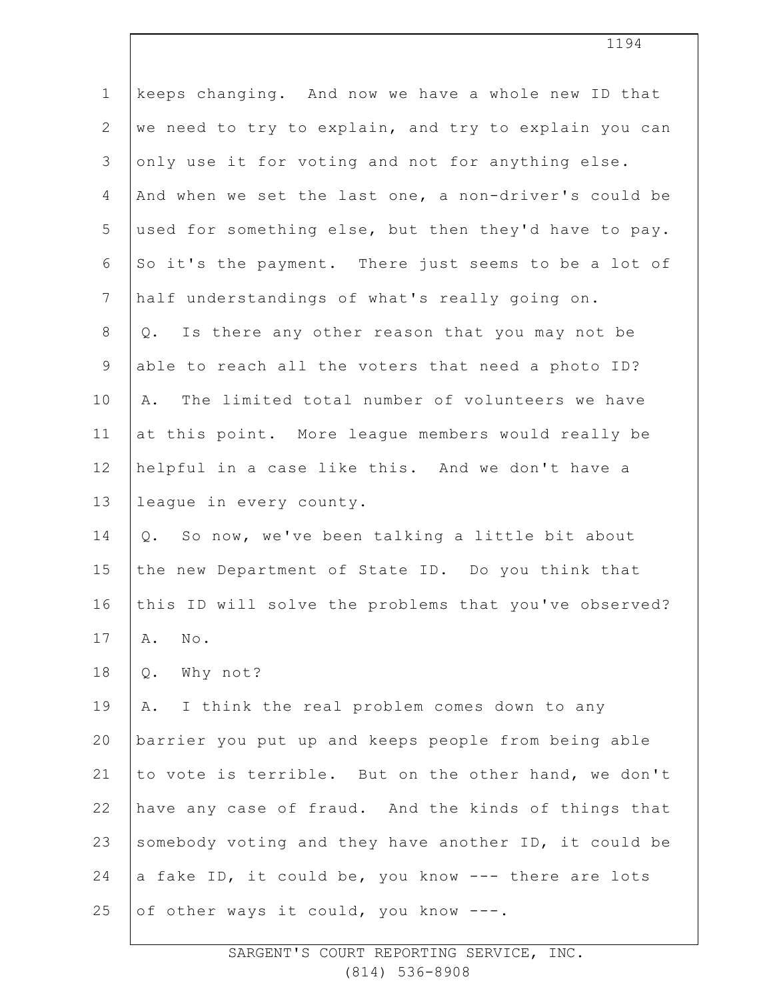| $\mathbf 1$    | keeps changing. And now we have a whole new ID that   |  |  |  |
|----------------|-------------------------------------------------------|--|--|--|
| $\mathbf{2}$   | we need to try to explain, and try to explain you can |  |  |  |
| $\mathfrak{Z}$ | only use it for voting and not for anything else.     |  |  |  |
| $\overline{4}$ | And when we set the last one, a non-driver's could be |  |  |  |
| 5              | used for something else, but then they'd have to pay. |  |  |  |
| 6              | So it's the payment. There just seems to be a lot of  |  |  |  |
| $\overline{7}$ | half understandings of what's really going on.        |  |  |  |
| $8\,$          | Is there any other reason that you may not be<br>Q.   |  |  |  |
| $\mathsf 9$    | able to reach all the voters that need a photo ID?    |  |  |  |
| 10             | The limited total number of volunteers we have<br>Α.  |  |  |  |
| 11             | at this point. More league members would really be    |  |  |  |
| 12             | helpful in a case like this. And we don't have a      |  |  |  |
| 13             | league in every county.                               |  |  |  |
| 14             | So now, we've been talking a little bit about<br>Q.   |  |  |  |
| 15             | the new Department of State ID. Do you think that     |  |  |  |
| 16             | this ID will solve the problems that you've observed? |  |  |  |
| 17             | No.<br>Α.                                             |  |  |  |
| 18             | Why not?<br>Q.                                        |  |  |  |
| 19             | I think the real problem comes down to any<br>Α.      |  |  |  |
| 20             | barrier you put up and keeps people from being able   |  |  |  |
| 21             | to vote is terrible. But on the other hand, we don't  |  |  |  |
| 22             | have any case of fraud. And the kinds of things that  |  |  |  |
| 23             | somebody voting and they have another ID, it could be |  |  |  |
| 24             | a fake ID, it could be, you know --- there are lots   |  |  |  |
| 25             | of other ways it could, you know ---.                 |  |  |  |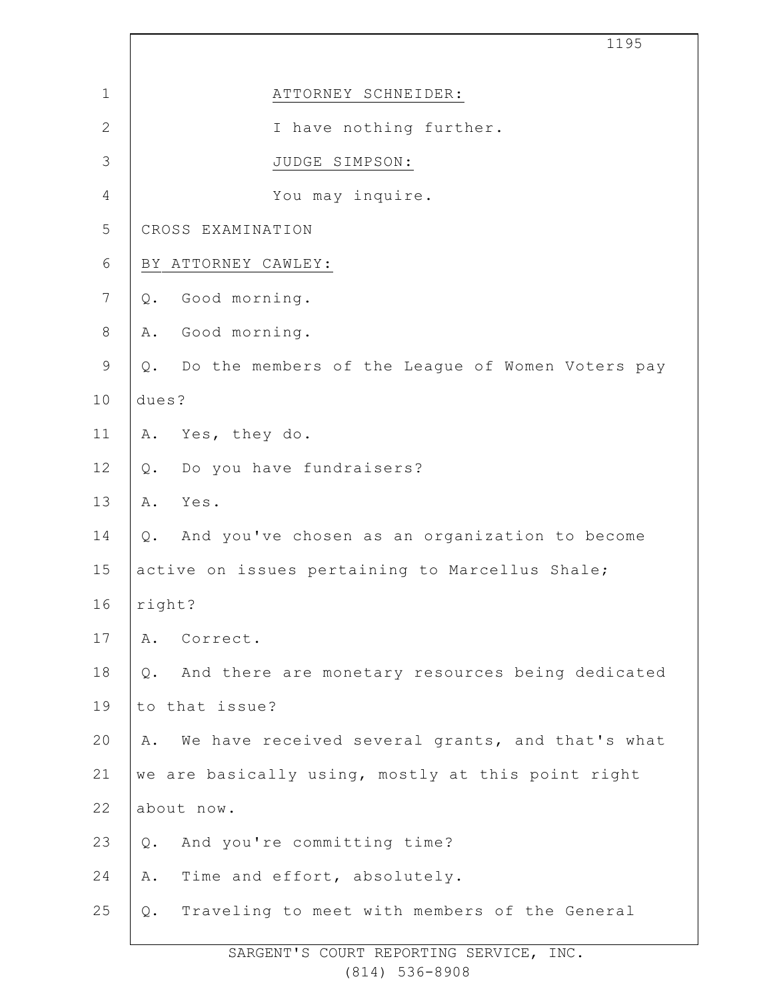|                | 1195                                                      |  |  |  |
|----------------|-----------------------------------------------------------|--|--|--|
| $\mathbf 1$    | ATTORNEY SCHNEIDER:                                       |  |  |  |
| $\mathbf{2}$   | I have nothing further.                                   |  |  |  |
| 3              | JUDGE SIMPSON:                                            |  |  |  |
| $\overline{4}$ | You may inquire.                                          |  |  |  |
| 5              | CROSS EXAMINATION                                         |  |  |  |
| 6              | BY ATTORNEY CAWLEY:                                       |  |  |  |
| $\overline{7}$ | Good morning.<br>$Q$ .                                    |  |  |  |
| $\,8\,$        | Good morning.<br>Α.                                       |  |  |  |
| $\mathsf 9$    | Q. Do the members of the League of Women Voters pay       |  |  |  |
| 10             | dues?                                                     |  |  |  |
| 11             | Yes, they do.<br>Α.                                       |  |  |  |
| 12             | Do you have fundraisers?<br>Q.                            |  |  |  |
| 13             | Yes.<br>Α.                                                |  |  |  |
| 14             | And you've chosen as an organization to become<br>$Q$ .   |  |  |  |
| 15             | active on issues pertaining to Marcellus Shale;           |  |  |  |
| 16             | right?                                                    |  |  |  |
| 17             | Correct.<br>Α.                                            |  |  |  |
| 18             | And there are monetary resources being dedicated<br>$Q$ . |  |  |  |
| 19             | to that issue?                                            |  |  |  |
| 20             | We have received several grants, and that's what<br>Α.    |  |  |  |
| 21             | we are basically using, mostly at this point right        |  |  |  |
| 22             | about now.                                                |  |  |  |
| 23             | And you're committing time?<br>Q.                         |  |  |  |
| 24             | Time and effort, absolutely.<br>Α.                        |  |  |  |
| 25             | Traveling to meet with members of the General<br>Q.       |  |  |  |

Ī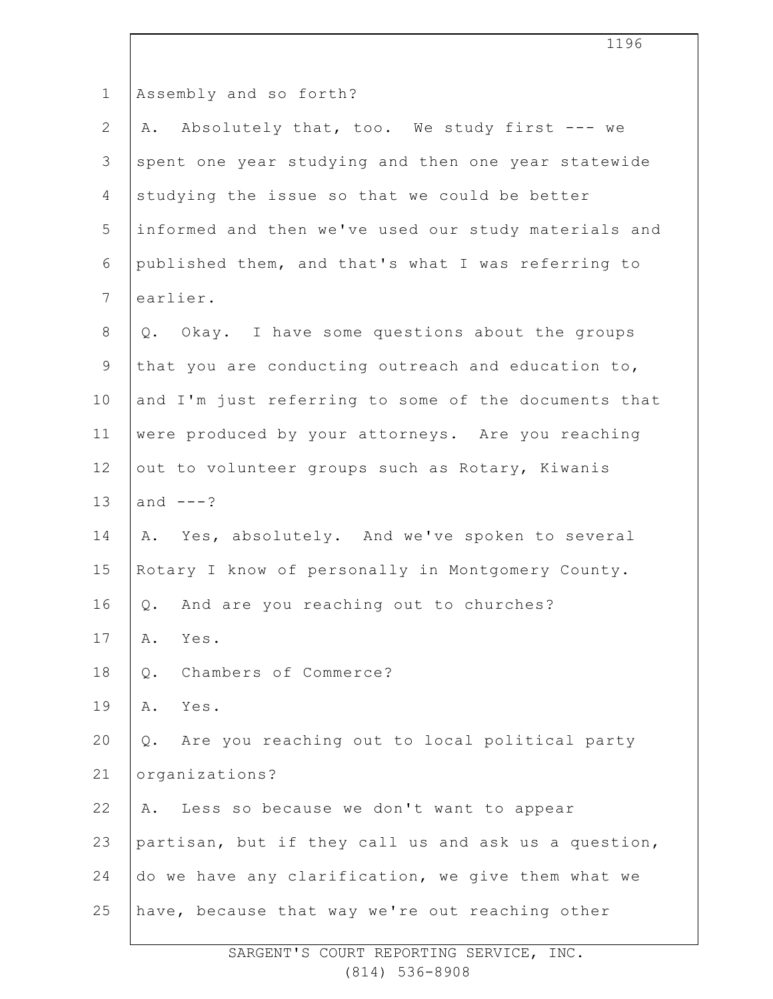|                | エエンロ                                                 |  |  |
|----------------|------------------------------------------------------|--|--|
| $\mathbf 1$    | Assembly and so forth?                               |  |  |
| $\mathbf{2}$   | A. Absolutely that, too. We study first --- we       |  |  |
| 3              | spent one year studying and then one year statewide  |  |  |
| $\overline{4}$ | studying the issue so that we could be better        |  |  |
| 5              | informed and then we've used our study materials and |  |  |
| 6              | published them, and that's what I was referring to   |  |  |
| $7\phantom{.}$ | earlier.                                             |  |  |
| $8\,$          | Q. Okay. I have some questions about the groups      |  |  |
| $\mathsf 9$    | that you are conducting outreach and education to,   |  |  |
| 10             | and I'm just referring to some of the documents that |  |  |
| 11             | were produced by your attorneys. Are you reaching    |  |  |
| 12             | out to volunteer groups such as Rotary, Kiwanis      |  |  |
| 13             | and $---?$                                           |  |  |
| 14             | A. Yes, absolutely. And we've spoken to several      |  |  |
| 15             | Rotary I know of personally in Montgomery County.    |  |  |
| 16             | And are you reaching out to churches?<br>Q.          |  |  |
| 17             | Yes.<br>Α.                                           |  |  |
| 18             | Chambers of Commerce?<br>Q.                          |  |  |
| 19             | Yes.<br>Α.                                           |  |  |
| 20             | Q. Are you reaching out to local political party     |  |  |
| 21             | organizations?                                       |  |  |
| 22             | Less so because we don't want to appear<br>Α.        |  |  |
| 23             | partisan, but if they call us and ask us a question, |  |  |
| 24             | do we have any clarification, we give them what we   |  |  |
| 25             | have, because that way we're out reaching other      |  |  |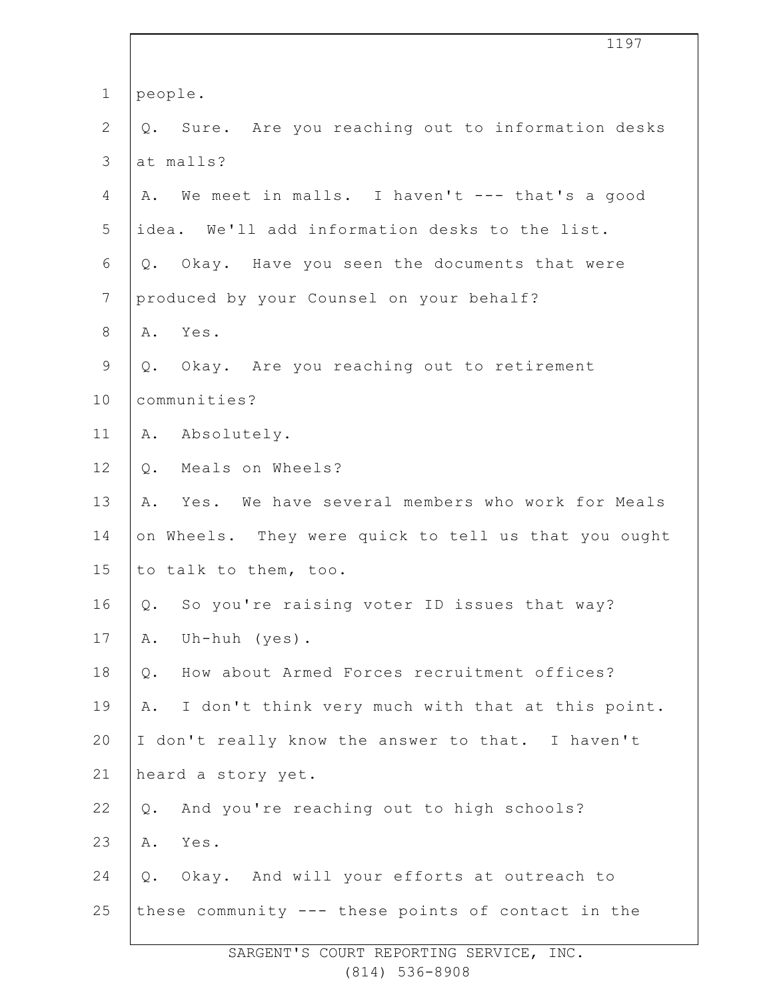|                | 1197                                                   |  |  |
|----------------|--------------------------------------------------------|--|--|
| $\mathbf 1$    | people.                                                |  |  |
| $\overline{2}$ | Sure. Are you reaching out to information desks<br>Q.  |  |  |
| $\mathfrak{Z}$ | at malls?                                              |  |  |
| 4              | We meet in malls. I haven't --- that's a good<br>Α.    |  |  |
| 5              | idea. We'll add information desks to the list.         |  |  |
| 6              | Okay. Have you seen the documents that were<br>$Q$ .   |  |  |
| $\overline{7}$ | produced by your Counsel on your behalf?               |  |  |
| $8\,$          | Yes.<br>Α.                                             |  |  |
| $\mathsf 9$    | Q. Okay. Are you reaching out to retirement            |  |  |
| 10             | communities?                                           |  |  |
| 11             | A. Absolutely.                                         |  |  |
| 12             | Meals on Wheels?<br>$Q$ .                              |  |  |
| 13             | Yes. We have several members who work for Meals<br>Α.  |  |  |
| 14             | on Wheels. They were quick to tell us that you ought   |  |  |
| 15             | to talk to them, too.                                  |  |  |
| 16             | So you're raising voter ID issues that way?<br>Q.      |  |  |
| 17             | Uh-huh $(yes)$ .<br>Α.                                 |  |  |
| 18             | How about Armed Forces recruitment offices?<br>$Q$ .   |  |  |
| 19             | I don't think very much with that at this point.<br>Α. |  |  |
| 20             | I don't really know the answer to that. I haven't      |  |  |
| 21             | heard a story yet.                                     |  |  |
| 22             | And you're reaching out to high schools?<br>Q.         |  |  |
| 23             | Yes.<br>Α.                                             |  |  |
| 24             | Okay. And will your efforts at outreach to<br>Q.       |  |  |
| 25             | these community --- these points of contact in the     |  |  |
|                |                                                        |  |  |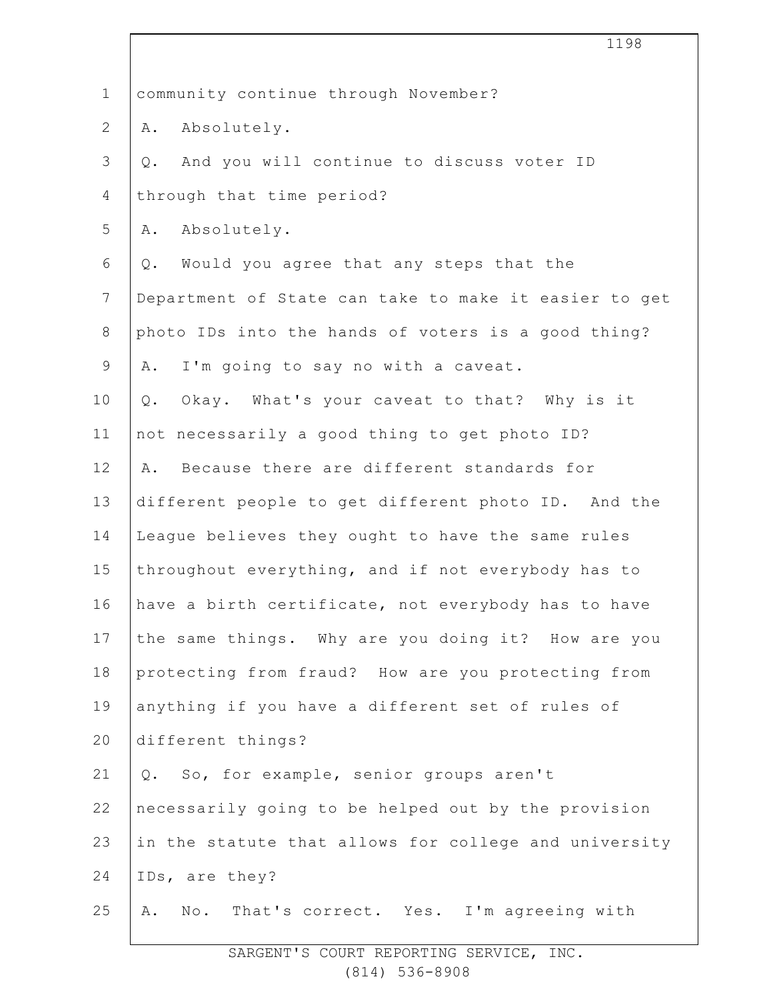| $\mathbf 1$    | community continue through November?                  |  |  |
|----------------|-------------------------------------------------------|--|--|
| $\overline{2}$ | A. Absolutely.                                        |  |  |
| 3              | And you will continue to discuss voter ID<br>$Q$ .    |  |  |
| $\overline{4}$ | through that time period?                             |  |  |
| 5              | Absolutely.<br>Α.                                     |  |  |
| 6              | Would you agree that any steps that the<br>Q.         |  |  |
| $\overline{7}$ | Department of State can take to make it easier to get |  |  |
| 8              | photo IDs into the hands of voters is a good thing?   |  |  |
| 9              | I'm going to say no with a caveat.<br>Α.              |  |  |
| 10             | Okay. What's your caveat to that? Why is it<br>$Q$ .  |  |  |
| 11             | not necessarily a good thing to get photo ID?         |  |  |
| 12             | Because there are different standards for<br>Α.       |  |  |
| 13             | different people to get different photo ID. And the   |  |  |
| 14             | League believes they ought to have the same rules     |  |  |
| 15             | throughout everything, and if not everybody has to    |  |  |
| 16             | have a birth certificate, not everybody has to have   |  |  |
| 17             | the same things. Why are you doing it? How are you    |  |  |
| 18             | protecting from fraud? How are you protecting from    |  |  |
| 19             | anything if you have a different set of rules of      |  |  |
| 20             | different things?                                     |  |  |
| 21             | Q. So, for example, senior groups aren't              |  |  |
| 22             | necessarily going to be helped out by the provision   |  |  |
| 23             | in the statute that allows for college and university |  |  |
| 24             | IDs, are they?                                        |  |  |
| 25             | No. That's correct. Yes. I'm agreeing with<br>Α.      |  |  |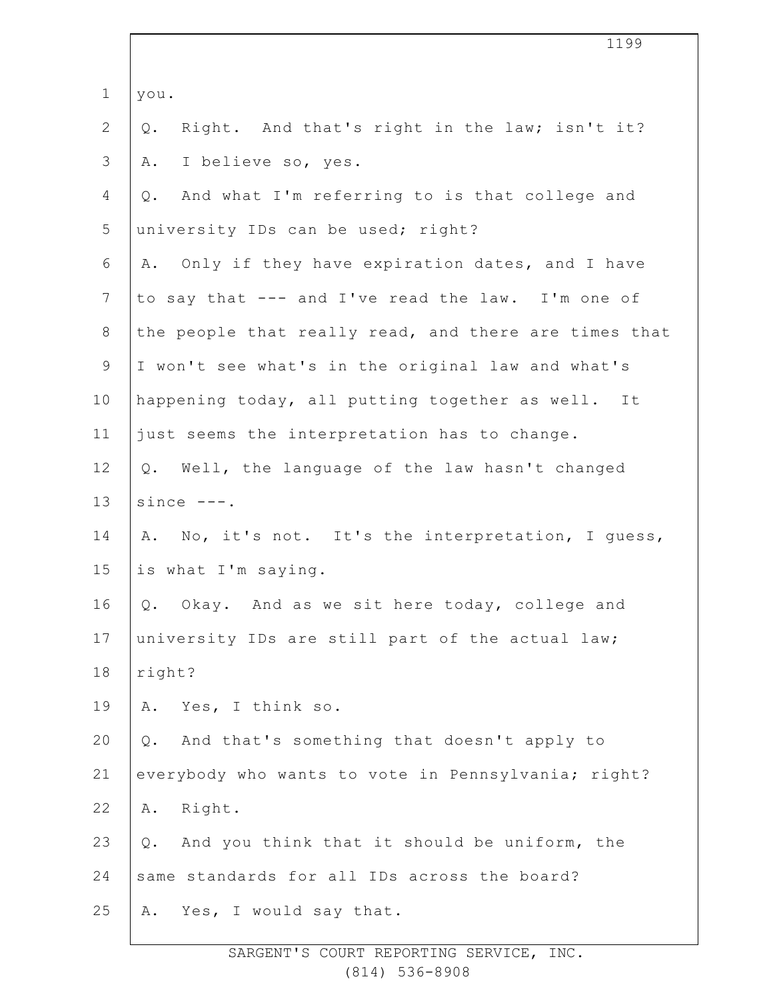|                | 1199                                                   |  |  |  |
|----------------|--------------------------------------------------------|--|--|--|
| $\mathbf 1$    | you.                                                   |  |  |  |
| $\overline{2}$ | Right. And that's right in the law; isn't it?<br>$Q$ . |  |  |  |
| 3              | I believe so, yes.<br>Α.                               |  |  |  |
| 4              | And what I'm referring to is that college and<br>$Q$ . |  |  |  |
| 5              | university IDs can be used; right?                     |  |  |  |
| 6              | Only if they have expiration dates, and I have<br>Α.   |  |  |  |
| $\overline{7}$ | to say that --- and I've read the law. I'm one of      |  |  |  |
| $8\,$          | the people that really read, and there are times that  |  |  |  |
| $\mathsf 9$    | I won't see what's in the original law and what's      |  |  |  |
| 10             | happening today, all putting together as well. It      |  |  |  |
| 11             | just seems the interpretation has to change.           |  |  |  |
| 12             | Q. Well, the language of the law hasn't changed        |  |  |  |
| 13             | since $---$ .                                          |  |  |  |
| 14             | No, it's not. It's the interpretation, I quess,<br>Α.  |  |  |  |
| 15             | is what I'm saying.                                    |  |  |  |
| 16             | Okay. And as we sit here today, college and<br>Q.      |  |  |  |
| 17             | university IDs are still part of the actual law;       |  |  |  |
| 18             | right?                                                 |  |  |  |
| 19             | Yes, I think so.<br>Α.                                 |  |  |  |
| 20             | And that's something that doesn't apply to<br>$Q$ .    |  |  |  |
| 21             | everybody who wants to vote in Pennsylvania; right?    |  |  |  |
| 22             | Right.<br>Α.                                           |  |  |  |
| 23             | And you think that it should be uniform, the<br>Q.     |  |  |  |
| 24             | same standards for all IDs across the board?           |  |  |  |
| 25             | Yes, I would say that.<br>Α.                           |  |  |  |
|                |                                                        |  |  |  |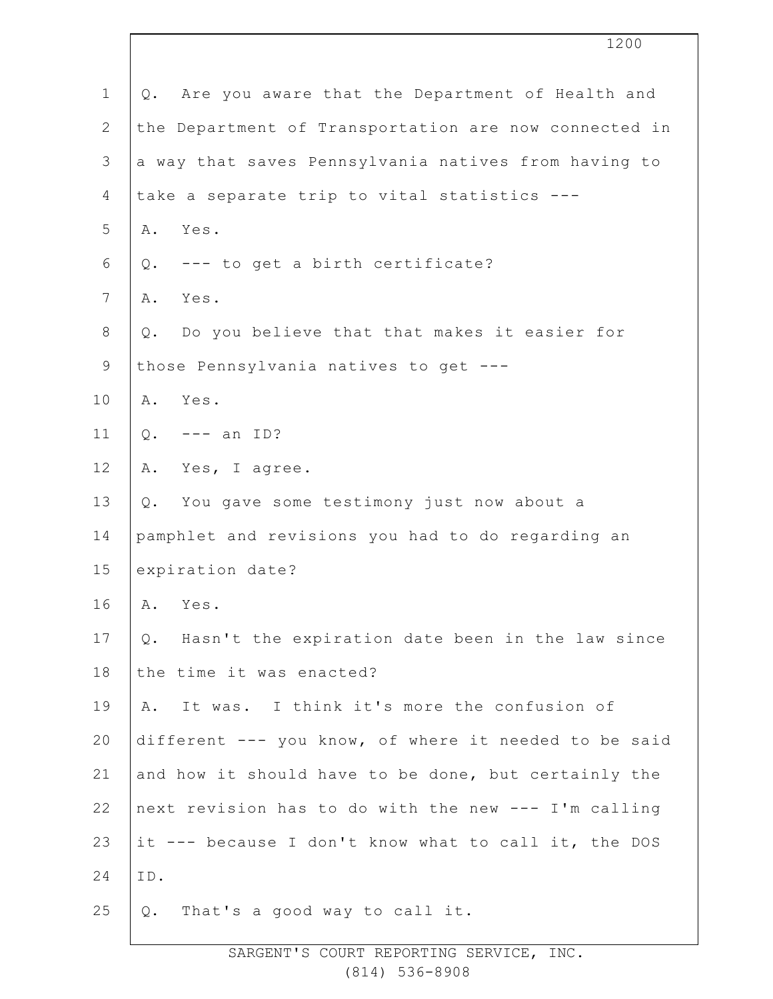|                | 1200                                                      |  |  |  |
|----------------|-----------------------------------------------------------|--|--|--|
| $\mathbf{1}$   | Are you aware that the Department of Health and<br>Q.     |  |  |  |
| $\mathbf{2}$   | the Department of Transportation are now connected in     |  |  |  |
| 3              | a way that saves Pennsylvania natives from having to      |  |  |  |
| 4              | take a separate trip to vital statistics ---              |  |  |  |
| 5              | A. Yes.                                                   |  |  |  |
| 6              | Q. --- to get a birth certificate?                        |  |  |  |
| $7\phantom{.}$ | Yes.<br>Α.                                                |  |  |  |
| 8              | Do you believe that that makes it easier for<br>$Q$ .     |  |  |  |
| $\mathsf 9$    | those Pennsylvania natives to get ---                     |  |  |  |
| 10             | Yes.<br>Α.                                                |  |  |  |
| 11             | $Q$ .<br>$---$ an ID?                                     |  |  |  |
| 12             | Yes, I agree.<br>Α.                                       |  |  |  |
| 13             | You gave some testimony just now about a<br>Q.            |  |  |  |
| 14             | pamphlet and revisions you had to do regarding an         |  |  |  |
| 15             | expiration date?                                          |  |  |  |
| 16             | Α.<br>Yes.                                                |  |  |  |
| 17             | Hasn't the expiration date been in the law since<br>$Q$ . |  |  |  |
| 18             | the time it was enacted?                                  |  |  |  |
| 19             | It was. I think it's more the confusion of<br>Α.          |  |  |  |
| 20             | different --- you know, of where it needed to be said     |  |  |  |
| 21             | and how it should have to be done, but certainly the      |  |  |  |
| 22             | next revision has to do with the new --- I'm calling      |  |  |  |
| 23             | it --- because I don't know what to call it, the DOS      |  |  |  |
| 24             | ID.                                                       |  |  |  |
| 25             | That's a good way to call it.<br>Q.                       |  |  |  |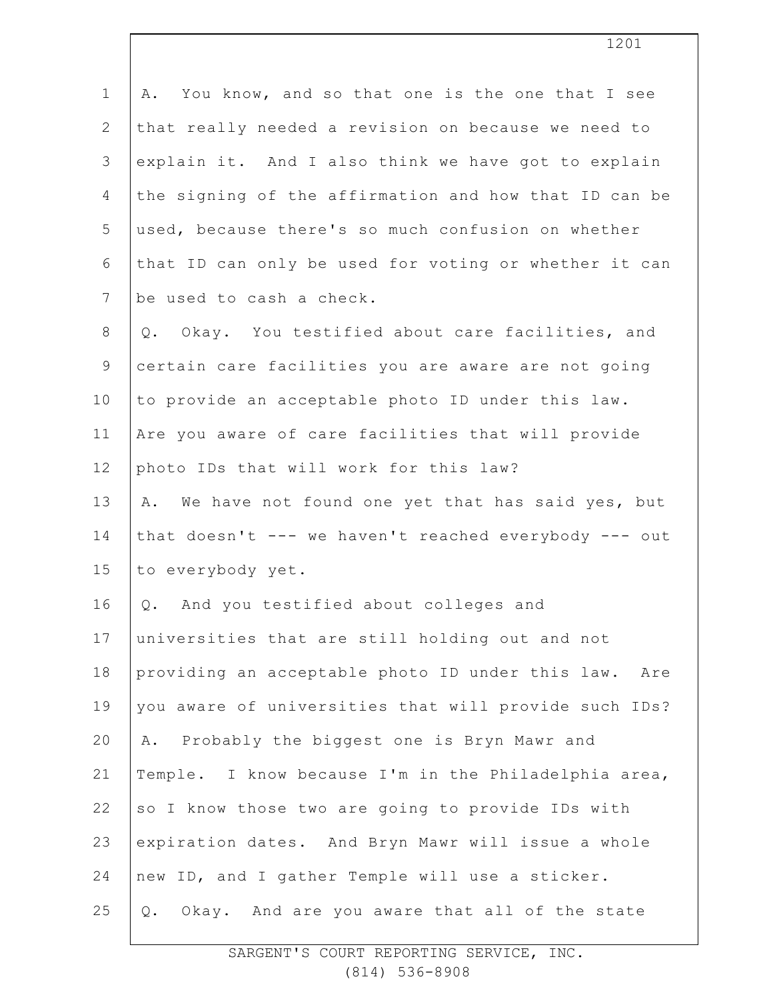| $\mathbf 1$    | You know, and so that one is the one that I see<br>Α.  |  |  |  |
|----------------|--------------------------------------------------------|--|--|--|
| $\overline{2}$ | that really needed a revision on because we need to    |  |  |  |
| 3              | explain it. And I also think we have got to explain    |  |  |  |
| $\overline{4}$ | the signing of the affirmation and how that ID can be  |  |  |  |
| 5              | used, because there's so much confusion on whether     |  |  |  |
| 6              | that ID can only be used for voting or whether it can  |  |  |  |
| $7\phantom{.}$ | be used to cash a check.                               |  |  |  |
| $8\,$          | Q. Okay. You testified about care facilities, and      |  |  |  |
| 9              | certain care facilities you are aware are not going    |  |  |  |
| 10             | to provide an acceptable photo ID under this law.      |  |  |  |
| 11             | Are you aware of care facilities that will provide     |  |  |  |
| 12             | photo IDs that will work for this law?                 |  |  |  |
| 13             | A. We have not found one yet that has said yes, but    |  |  |  |
| 14             | that doesn't --- we haven't reached everybody --- out  |  |  |  |
| 15             | to everybody yet.                                      |  |  |  |
| 16             | And you testified about colleges and<br>Q.             |  |  |  |
| 17             | universities that are still holding out and not        |  |  |  |
| 18             | providing an acceptable photo ID under this law. Are   |  |  |  |
| 19             | you aware of universities that will provide such IDs?  |  |  |  |
| 20             | Probably the biggest one is Bryn Mawr and<br>Α.        |  |  |  |
| 21             | Temple. I know because I'm in the Philadelphia area,   |  |  |  |
| 22             | so I know those two are going to provide IDs with      |  |  |  |
| 23             | expiration dates. And Bryn Mawr will issue a whole     |  |  |  |
| 24             | new ID, and I gather Temple will use a sticker.        |  |  |  |
| 25             | Okay. And are you aware that all of the state<br>$Q$ . |  |  |  |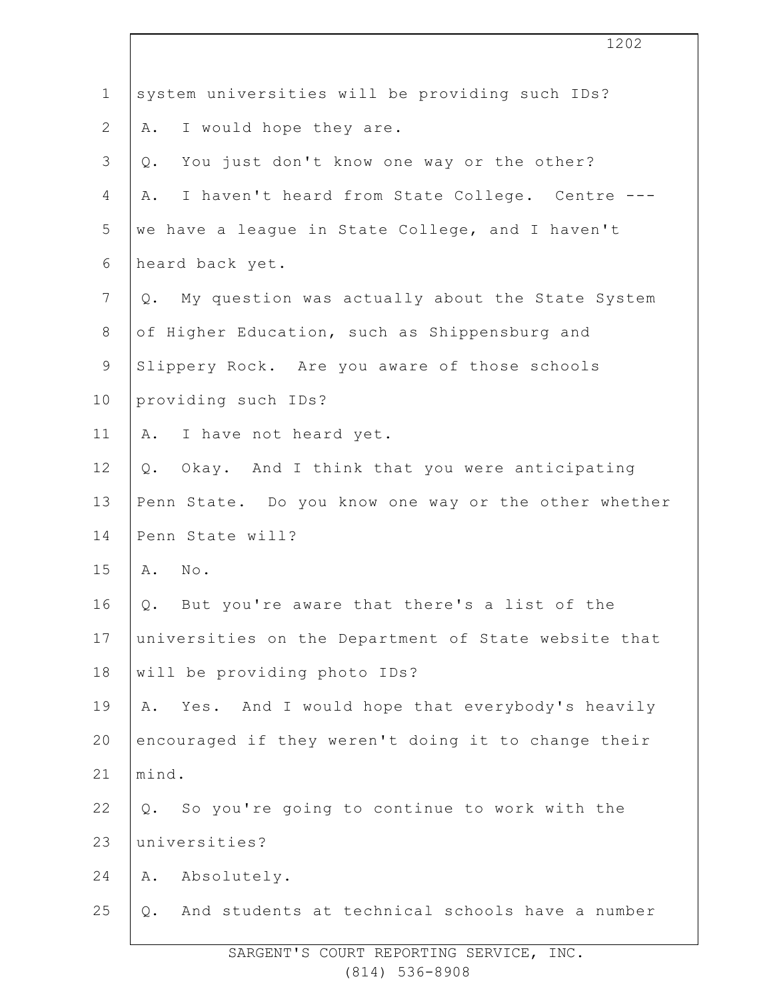| $\mathbf 1$      | system universities will be providing such IDs?          |  |  |
|------------------|----------------------------------------------------------|--|--|
| $\mathbf{2}$     | I would hope they are.<br>Α.                             |  |  |
| 3                | You just don't know one way or the other?<br>Q.          |  |  |
| 4                | I haven't heard from State College. Centre ---<br>Α.     |  |  |
| 5                | we have a league in State College, and I haven't         |  |  |
| 6                | heard back yet.                                          |  |  |
| $\boldsymbol{7}$ | My question was actually about the State System<br>$Q$ . |  |  |
| $\,8\,$          | of Higher Education, such as Shippensburg and            |  |  |
| $\mathsf 9$      | Slippery Rock. Are you aware of those schools            |  |  |
| 10               | providing such IDs?                                      |  |  |
| 11               | I have not heard yet.<br>Α.                              |  |  |
| 12               | Q. Okay. And I think that you were anticipating          |  |  |
| 13               | Penn State. Do you know one way or the other whether     |  |  |
| 14               | Penn State will?                                         |  |  |
| 15               | A. No.                                                   |  |  |
| 16               | But you're aware that there's a list of the<br>Q.        |  |  |
| 17               | universities on the Department of State website that     |  |  |
| 18               | will be providing photo IDs?                             |  |  |
| 19               | Yes. And I would hope that everybody's heavily<br>Α.     |  |  |
| 20               | encouraged if they weren't doing it to change their      |  |  |
| 21               | mind.                                                    |  |  |
| 22               | So you're going to continue to work with the<br>Q.       |  |  |
| 23               | universities?                                            |  |  |
| 24               | Absolutely.<br>Α.                                        |  |  |
| 25               | And students at technical schools have a number<br>Q.    |  |  |
|                  |                                                          |  |  |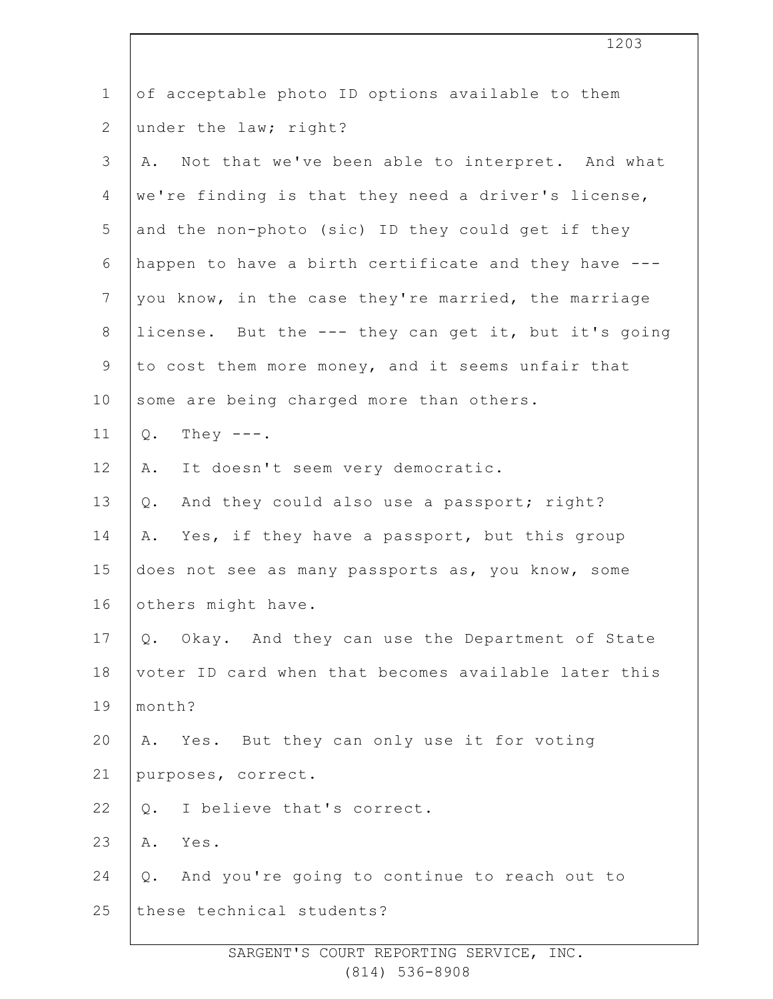| $\mathbf 1$    | of acceptable photo ID options available to them      |  |  |  |
|----------------|-------------------------------------------------------|--|--|--|
| $\overline{2}$ | under the law; right?                                 |  |  |  |
| 3              | Not that we've been able to interpret. And what<br>Α. |  |  |  |
| 4              | we're finding is that they need a driver's license,   |  |  |  |
| 5              | and the non-photo (sic) ID they could get if they     |  |  |  |
| 6              | happen to have a birth certificate and they have ---  |  |  |  |
| $7\phantom{.}$ | you know, in the case they're married, the marriage   |  |  |  |
| $8\,$          | license. But the --- they can get it, but it's going  |  |  |  |
| 9              | to cost them more money, and it seems unfair that     |  |  |  |
| 10             | some are being charged more than others.              |  |  |  |
| 11             | $Q$ .<br>They $---$ .                                 |  |  |  |
| 12             | It doesn't seem very democratic.<br>Α.                |  |  |  |
| 13             | And they could also use a passport; right?<br>Q.      |  |  |  |
| 14             | Yes, if they have a passport, but this group<br>Α.    |  |  |  |
| 15             | does not see as many passports as, you know, some     |  |  |  |
| 16             | others might have.                                    |  |  |  |
| 17             | Q. Okay. And they can use the Department of State     |  |  |  |
| 18             | voter ID card when that becomes available later this  |  |  |  |
| 19             | month?                                                |  |  |  |
| 20             | Yes. But they can only use it for voting<br>Α.        |  |  |  |
| 21             | purposes, correct.                                    |  |  |  |
| 22             | I believe that's correct.<br>$Q$ .                    |  |  |  |
| 23             | Yes.<br>Α.                                            |  |  |  |
| 24             | And you're going to continue to reach out to<br>Q.    |  |  |  |
| 25             | these technical students?                             |  |  |  |
|                |                                                       |  |  |  |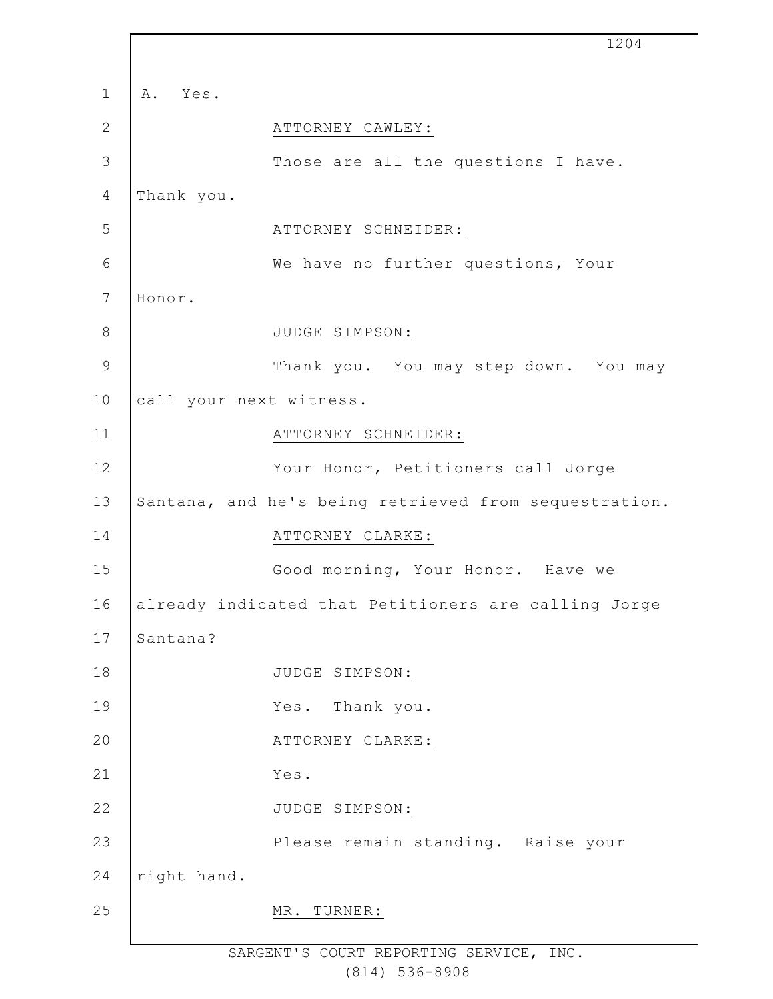|                |                         | 1204                                                  |
|----------------|-------------------------|-------------------------------------------------------|
| $\mathbf{1}$   | A. Yes.                 |                                                       |
| $\mathbf{2}$   |                         | ATTORNEY CAWLEY:                                      |
| 3              |                         | Those are all the questions I have.                   |
| $\overline{4}$ | Thank you.              |                                                       |
| 5              |                         | ATTORNEY SCHNEIDER:                                   |
| 6              |                         | We have no further questions, Your                    |
| 7              | Honor.                  |                                                       |
| $\,8\,$        |                         | JUDGE SIMPSON:                                        |
| $\mathcal{G}$  |                         | Thank you. You may step down. You may                 |
| 10             | call your next witness. |                                                       |
| 11             |                         | ATTORNEY SCHNEIDER:                                   |
| 12             |                         | Your Honor, Petitioners call Jorge                    |
| 13             |                         | Santana, and he's being retrieved from sequestration. |
| 14             |                         | ATTORNEY CLARKE:                                      |
| 15             |                         | Good morning, Your Honor. Have we                     |
| 16             |                         | already indicated that Petitioners are calling Jorge  |
| 17             | Santana?                |                                                       |
| 18             |                         | JUDGE SIMPSON:                                        |
| 19             |                         | Thank you.<br>Yes.                                    |
| 20             |                         | ATTORNEY CLARKE:                                      |
| 21             |                         | Yes.                                                  |
| 22             |                         | JUDGE SIMPSON:                                        |
| 23             |                         | Please remain standing. Raise your                    |
| 24             | right hand.             |                                                       |
| 25             |                         | MR.<br>TURNER:                                        |
|                |                         |                                                       |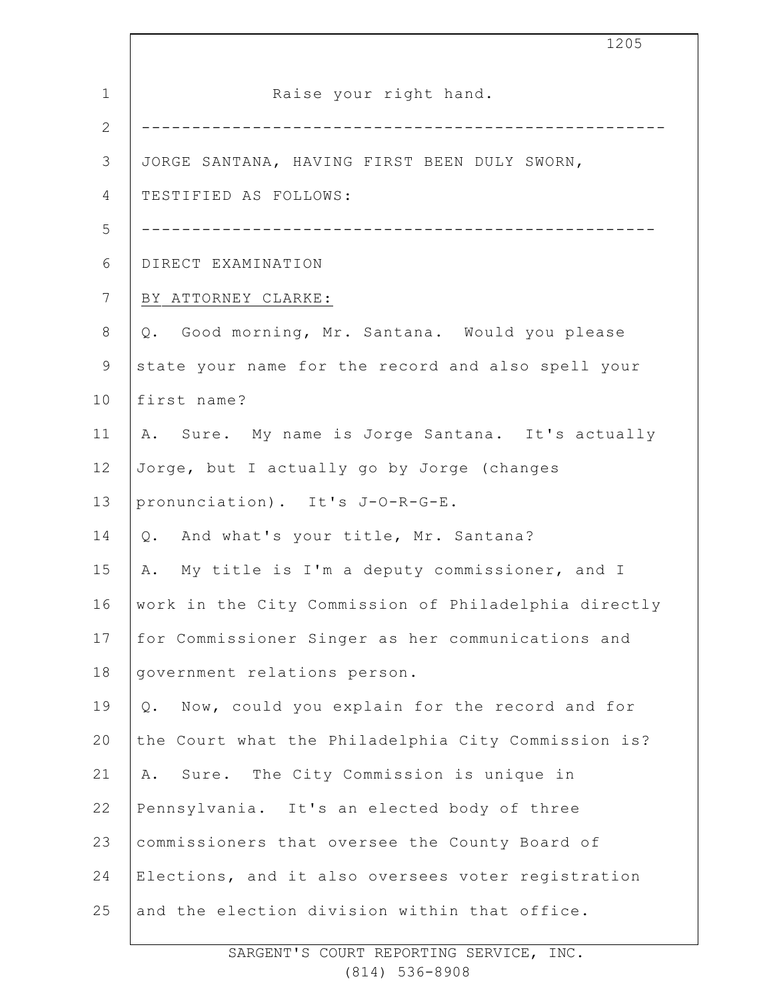|              | 1205                                                   |  |  |  |
|--------------|--------------------------------------------------------|--|--|--|
| $\mathbf 1$  | Raise your right hand.                                 |  |  |  |
| $\mathbf{2}$ |                                                        |  |  |  |
| 3            | JORGE SANTANA, HAVING FIRST BEEN DULY SWORN,           |  |  |  |
| 4            | TESTIFIED AS FOLLOWS:                                  |  |  |  |
| 5            | ----------------------------                           |  |  |  |
| 6            | DIRECT EXAMINATION                                     |  |  |  |
| 7            | BY ATTORNEY CLARKE:                                    |  |  |  |
| $\,8\,$      | Q. Good morning, Mr. Santana. Would you please         |  |  |  |
| 9            | state your name for the record and also spell your     |  |  |  |
| 10           | first name?                                            |  |  |  |
| 11           | A. Sure. My name is Jorge Santana. It's actually       |  |  |  |
| 12           | Jorge, but I actually go by Jorge (changes             |  |  |  |
| 13           | pronunciation). It's J-O-R-G-E.                        |  |  |  |
| 14           | Q. And what's your title, Mr. Santana?                 |  |  |  |
| 15           | A. My title is I'm a deputy commissioner, and I        |  |  |  |
| 16           | work in the City Commission of Philadelphia directly   |  |  |  |
| 17           | for Commissioner Singer as her communications and      |  |  |  |
| 18           | government relations person.                           |  |  |  |
| 19           | Now, could you explain for the record and for<br>$Q$ . |  |  |  |
| 20           | the Court what the Philadelphia City Commission is?    |  |  |  |
| 21           | Sure. The City Commission is unique in<br>Α.           |  |  |  |
| 22           | Pennsylvania. It's an elected body of three            |  |  |  |
| 23           | commissioners that oversee the County Board of         |  |  |  |
| 24           | Elections, and it also oversees voter registration     |  |  |  |
| 25           | and the election division within that office.          |  |  |  |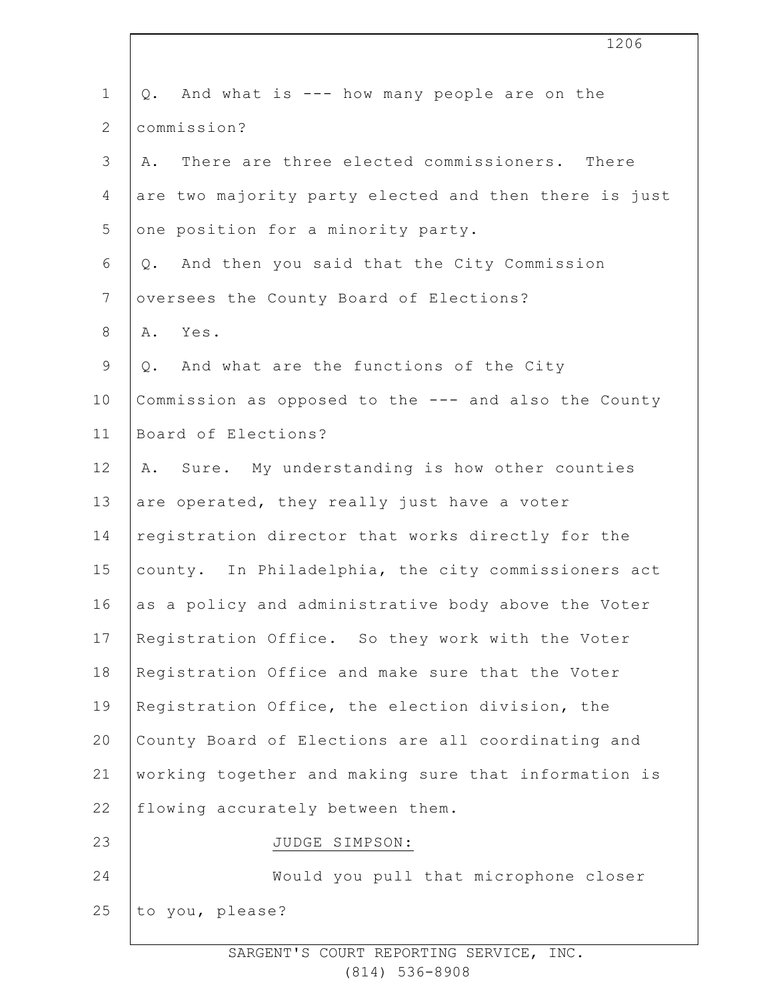| $\mathbf 1$    | And what is --- how many people are on the<br>Q.      |
|----------------|-------------------------------------------------------|
| $\overline{2}$ | commission?                                           |
| 3              | There are three elected commissioners. There<br>Α.    |
| $\overline{4}$ | are two majority party elected and then there is just |
| 5              | one position for a minority party.                    |
| 6              | And then you said that the City Commission<br>Q.      |
| $\overline{7}$ | oversees the County Board of Elections?               |
| $8\,$          | Yes.<br>Α.                                            |
| $\mathsf 9$    | And what are the functions of the City<br>Q.          |
| 10             | Commission as opposed to the --- and also the County  |
| 11             | Board of Elections?                                   |
| 12             | Sure. My understanding is how other counties<br>Α.    |
| 13             | are operated, they really just have a voter           |
| 14             | registration director that works directly for the     |
| 15             | county. In Philadelphia, the city commissioners act   |
| 16             | as a policy and administrative body above the Voter   |
| 17             | Registration Office. So they work with the Voter      |
| 18             | Registration Office and make sure that the Voter      |
| 19             | Registration Office, the election division, the       |
| 20             | County Board of Elections are all coordinating and    |
| 21             | working together and making sure that information is  |
| 22             | flowing accurately between them.                      |
| 23             | JUDGE SIMPSON:                                        |
| 24             | Would you pull that microphone closer                 |
| 25             | to you, please?                                       |
|                |                                                       |

1206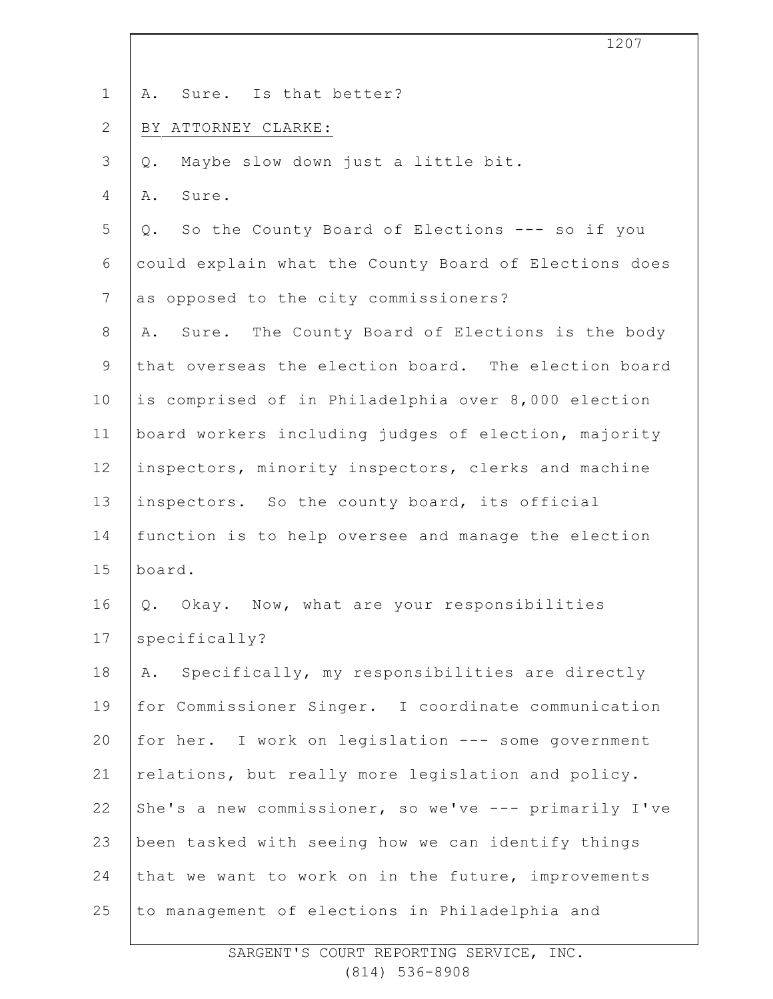|                | 1207                                                  |
|----------------|-------------------------------------------------------|
| $\mathbf 1$    | Sure. Is that better?<br>Α.                           |
| $\mathbf{2}$   | BY ATTORNEY CLARKE:                                   |
|                |                                                       |
| 3              | Maybe slow down just a little bit.<br>$Q$ .           |
| 4              | Sure.<br>Α.                                           |
| 5              | So the County Board of Elections --- so if you<br>Q.  |
| 6              | could explain what the County Board of Elections does |
| $\overline{7}$ | as opposed to the city commissioners?                 |
| 8              | Sure. The County Board of Elections is the body<br>Α. |
| $\mathsf 9$    | that overseas the election board. The election board  |
| 10             | is comprised of in Philadelphia over 8,000 election   |
| 11             | board workers including judges of election, majority  |
| 12             | inspectors, minority inspectors, clerks and machine   |
| 13             | inspectors. So the county board, its official         |
| 14             | function is to help oversee and manage the election   |
| 15             | board.                                                |
| 16             | Okay. Now, what are your responsibilities<br>Q.       |
| 17             | specifically?                                         |
| 18             | Specifically, my responsibilities are directly<br>Α.  |
| 19             | for Commissioner Singer. I coordinate communication   |
| 20             | for her. I work on legislation --- some government    |
| 21             | relations, but really more legislation and policy.    |
| 22             | She's a new commissioner, so we've --- primarily I've |
| 23             | been tasked with seeing how we can identify things    |
| 24             | that we want to work on in the future, improvements   |
| 25             | to management of elections in Philadelphia and        |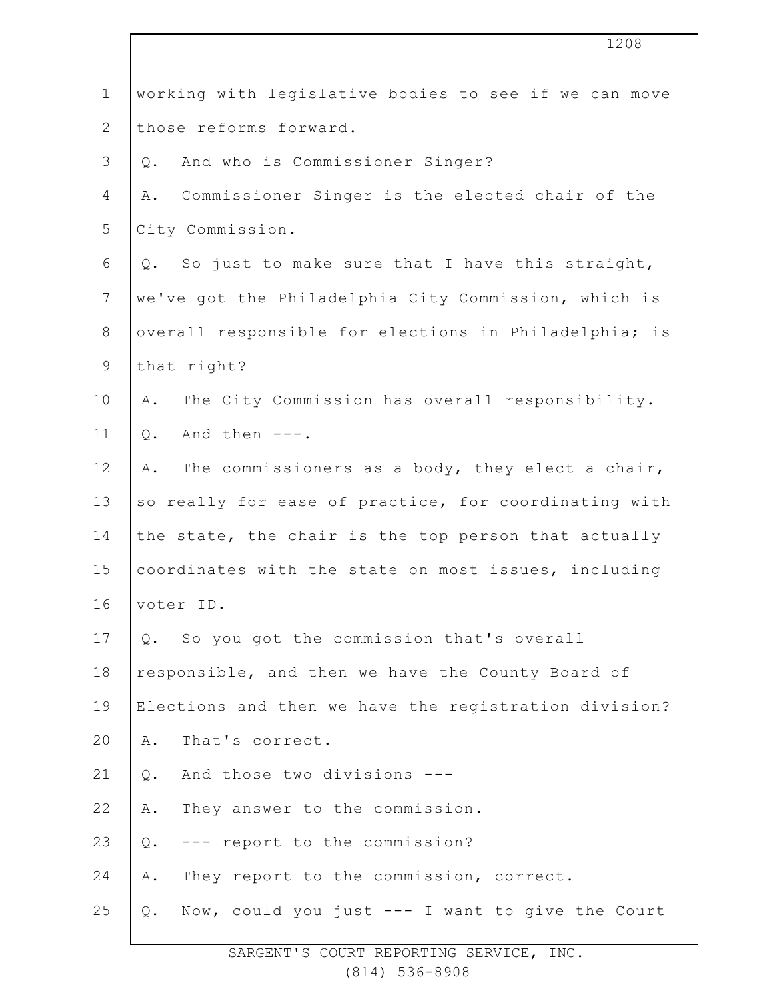|                | 1208                                                   |
|----------------|--------------------------------------------------------|
| $\mathbf 1$    | working with legislative bodies to see if we can move  |
| $\mathbf{2}$   | those reforms forward.                                 |
| 3              | And who is Commissioner Singer?<br>$Q$ .               |
| 4              | Commissioner Singer is the elected chair of the<br>Α.  |
| 5              | City Commission.                                       |
| $\sqrt{6}$     | Q. So just to make sure that I have this straight,     |
| $7\phantom{.}$ | we've got the Philadelphia City Commission, which is   |
| $8\,$          | overall responsible for elections in Philadelphia; is  |
| $\mathsf 9$    | that right?                                            |
| 10             | The City Commission has overall responsibility.<br>Α.  |
| 11             | And then $---$ .<br>$Q$ .                              |
| 12             | The commissioners as a body, they elect a chair,<br>Α. |
| 13             | so really for ease of practice, for coordinating with  |
| 14             | the state, the chair is the top person that actually   |
| 15             | coordinates with the state on most issues, including   |
| 16             | voter ID.                                              |
| 17             | Q. So you got the commission that's overall            |
| 18             | responsible, and then we have the County Board of      |
| 19             | Elections and then we have the registration division?  |
| 20             | That's correct.<br>Α.                                  |
| 21             | And those two divisions ---<br>$Q$ .                   |
| 22             | They answer to the commission.<br>Α.                   |
| 23             | --- report to the commission?<br>Q.                    |
| 24             | They report to the commission, correct.<br>Α.          |
| 25             | Now, could you just --- I want to give the Court<br>Q. |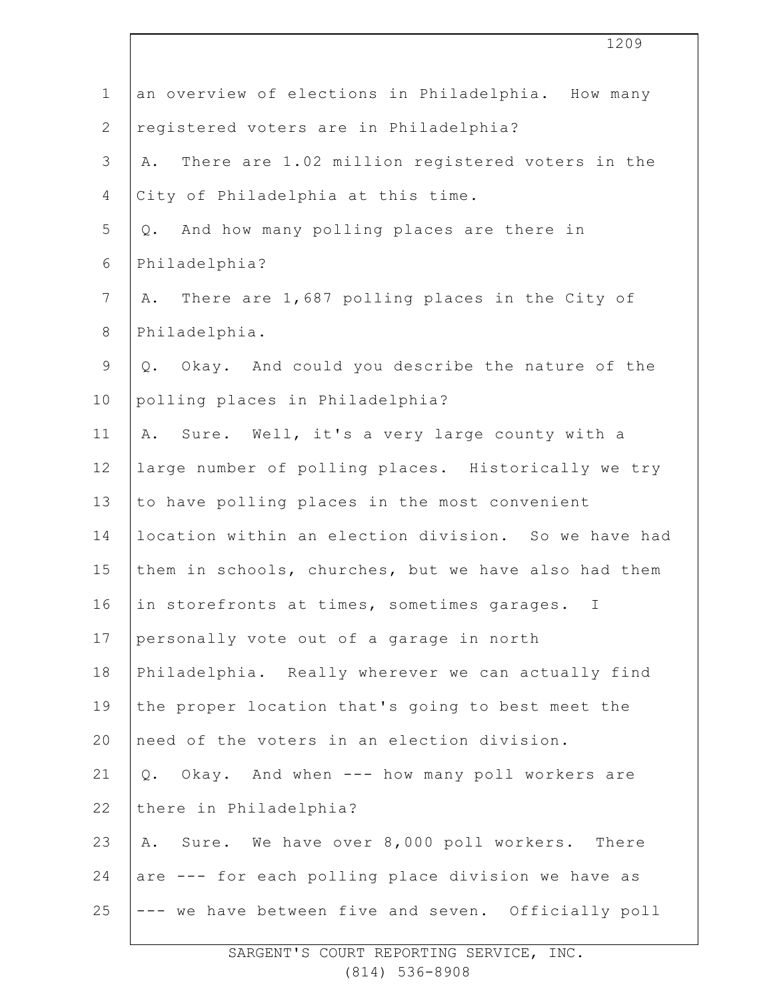|                | 1209                                                                               |
|----------------|------------------------------------------------------------------------------------|
| $\mathbf{1}$   | an overview of elections in Philadelphia. How many                                 |
| $\mathbf{2}$   | registered voters are in Philadelphia?                                             |
| 3              | There are 1.02 million registered voters in the<br>Α.                              |
| 4              | City of Philadelphia at this time.                                                 |
| 5              | Q. And how many polling places are there in                                        |
| 6              | Philadelphia?                                                                      |
| $\overline{7}$ | There are 1,687 polling places in the City of<br>Α.                                |
| $8\,$          | Philadelphia.                                                                      |
| $\mathsf 9$    | Q. Okay. And could you describe the nature of the                                  |
| 10             | polling places in Philadelphia?                                                    |
| 11             | Sure. Well, it's a very large county with a<br>Α.                                  |
| 12             | large number of polling places. Historically we try                                |
| 13             | to have polling places in the most convenient                                      |
| 14             | location within an election division. So we have had                               |
| 15             | them in schools, churches, but we have also had them                               |
| 16             | in storefronts at times, sometimes garages. I<br><b>Contract Contract Contract</b> |
| 17             | personally vote out of a garage in north                                           |
| 18             | Philadelphia. Really wherever we can actually find                                 |
| 19             | the proper location that's going to best meet the                                  |
| 20             | need of the voters in an election division.                                        |
| 21             | Q. Okay. And when --- how many poll workers are                                    |
| 22             | there in Philadelphia?                                                             |
| 23             | Sure. We have over 8,000 poll workers. There<br>Α.                                 |
| 24             | are --- for each polling place division we have as                                 |
| 25             | --- we have between five and seven. Officially poll                                |

 $\overline{\phantom{a}}$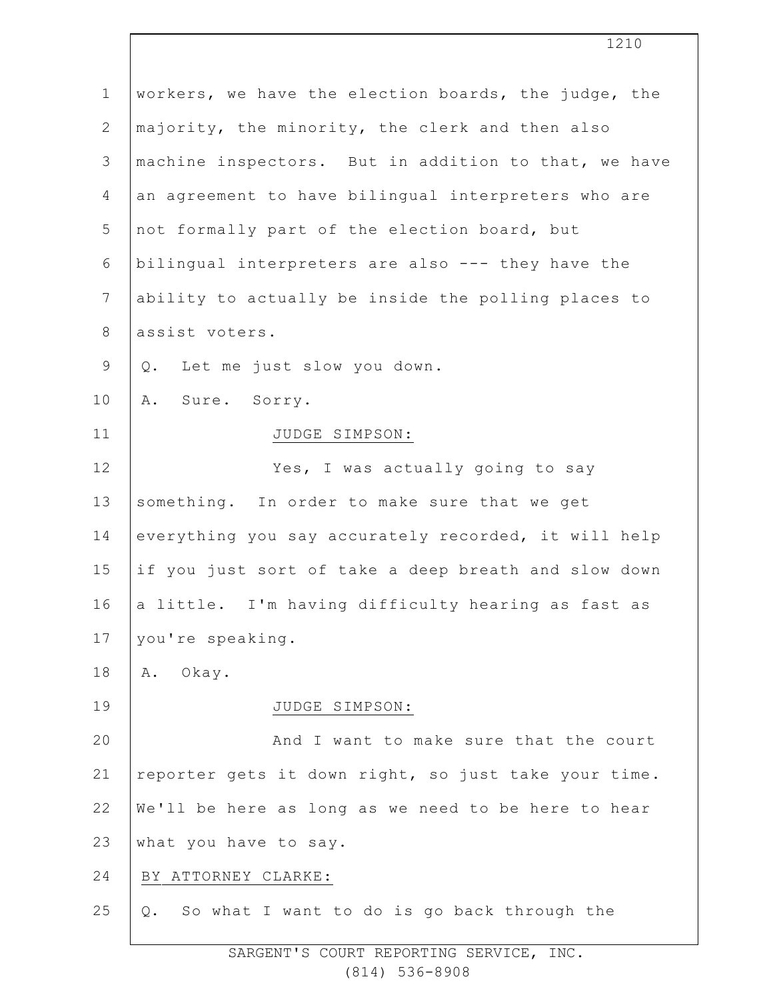| workers, we have the election boards, the judge, the |
|------------------------------------------------------|
| majority, the minority, the clerk and then also      |
| machine inspectors. But in addition to that, we have |
| an agreement to have bilingual interpreters who are  |
| not formally part of the election board, but         |
| bilingual interpreters are also --- they have the    |
| ability to actually be inside the polling places to  |
| assist voters.                                       |
| Let me just slow you down.<br>Q.                     |
| Sure. Sorry.<br>Α.                                   |
| JUDGE SIMPSON:                                       |
| Yes, I was actually going to say                     |
| something. In order to make sure that we get         |
| everything you say accurately recorded, it will help |
| if you just sort of take a deep breath and slow down |
| a little. I'm having difficulty hearing as fast as   |
| you're speaking.                                     |
| Okay.<br>Α.                                          |
| JUDGE SIMPSON:                                       |
| And I want to make sure that the court               |
| reporter gets it down right, so just take your time. |
| We'll be here as long as we need to be here to hear  |
| what you have to say.                                |
| BY ATTORNEY CLARKE:                                  |
| So what I want to do is go back through the<br>Q.    |
|                                                      |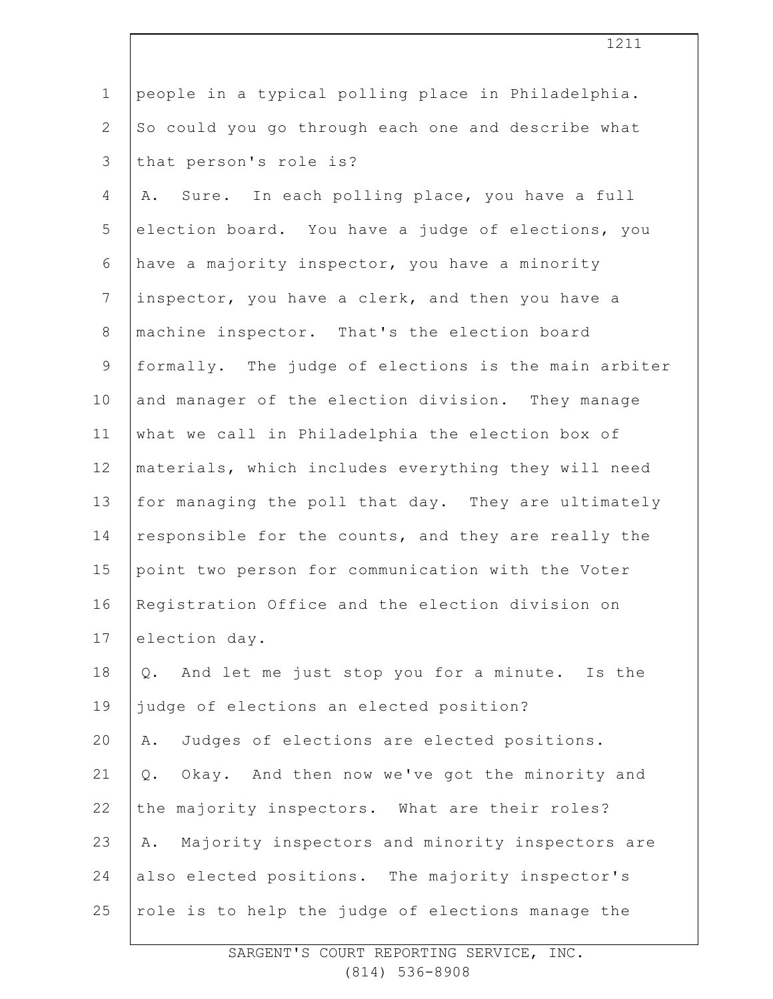|                | ⊥∠⊥⊥                                                   |
|----------------|--------------------------------------------------------|
| $\mathbf{1}$   | people in a typical polling place in Philadelphia.     |
| $\mathbf{2}$   | So could you go through each one and describe what     |
| $\mathfrak{Z}$ | that person's role is?                                 |
| 4              | Sure. In each polling place, you have a full<br>Α.     |
| 5              | election board. You have a judge of elections, you     |
| 6              | have a majority inspector, you have a minority         |
| $\overline{7}$ | inspector, you have a clerk, and then you have a       |
| $8\,$          | machine inspector. That's the election board           |
| 9              | formally. The judge of elections is the main arbiter   |
| 10             | and manager of the election division. They manage      |
| 11             | what we call in Philadelphia the election box of       |
| 12             | materials, which includes everything they will need    |
| 13             | for managing the poll that day. They are ultimately    |
| 14             | responsible for the counts, and they are really the    |
| 15             | point two person for communication with the Voter      |
| 16             | Registration Office and the election division on       |
| 17             | election day.                                          |
| 18             | Q. And let me just stop you for a minute. Is the       |
| 19             | judge of elections an elected position?                |
| 20             | Judges of elections are elected positions.<br>Α.       |
| 21             | Okay. And then now we've got the minority and<br>$Q$ . |
| 22             | the majority inspectors. What are their roles?         |
| 23             | Majority inspectors and minority inspectors are<br>Α.  |
| 24             | also elected positions. The majority inspector's       |
| 25             | role is to help the judge of elections manage the      |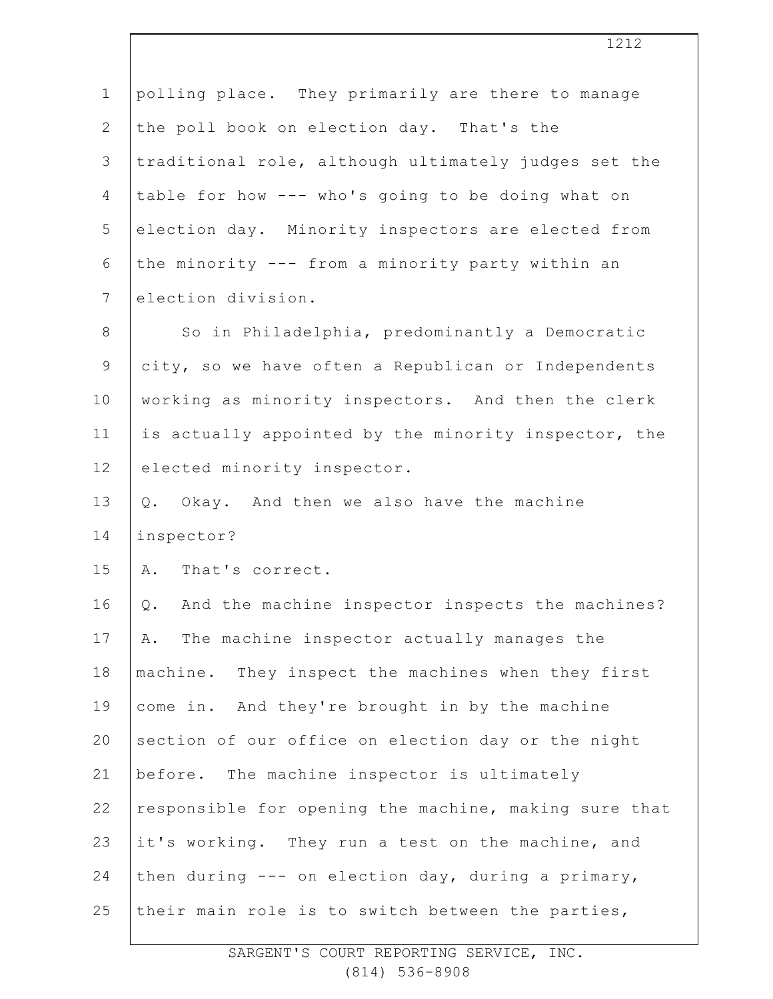| $\mathbf 1$    | polling place. They primarily are there to manage      |
|----------------|--------------------------------------------------------|
| $\mathbf{2}$   | the poll book on election day. That's the              |
| 3              | traditional role, although ultimately judges set the   |
| 4              | table for how --- who's going to be doing what on      |
| 5              | election day. Minority inspectors are elected from     |
| 6              | the minority --- from a minority party within an       |
| $7\phantom{.}$ | election division.                                     |
| $8\,$          | So in Philadelphia, predominantly a Democratic         |
| 9              | city, so we have often a Republican or Independents    |
| 10             | working as minority inspectors. And then the clerk     |
| 11             | is actually appointed by the minority inspector, the   |
| 12             | elected minority inspector.                            |
| 13             | Okay. And then we also have the machine<br>Q.          |
| 14             | inspector?                                             |
| 15             | A. That's correct.                                     |
| 16             | And the machine inspector inspects the machines?<br>Q. |
| 17             | The machine inspector actually manages the<br>Α.       |
| 18             | machine. They inspect the machines when they first     |
| 19             | come in. And they're brought in by the machine         |
| 20             | section of our office on election day or the night     |
| 21             | before. The machine inspector is ultimately            |
| 22             | responsible for opening the machine, making sure that  |
| 23             | it's working. They run a test on the machine, and      |
| 24             | then during --- on election day, during a primary,     |
| 25             | their main role is to switch between the parties,      |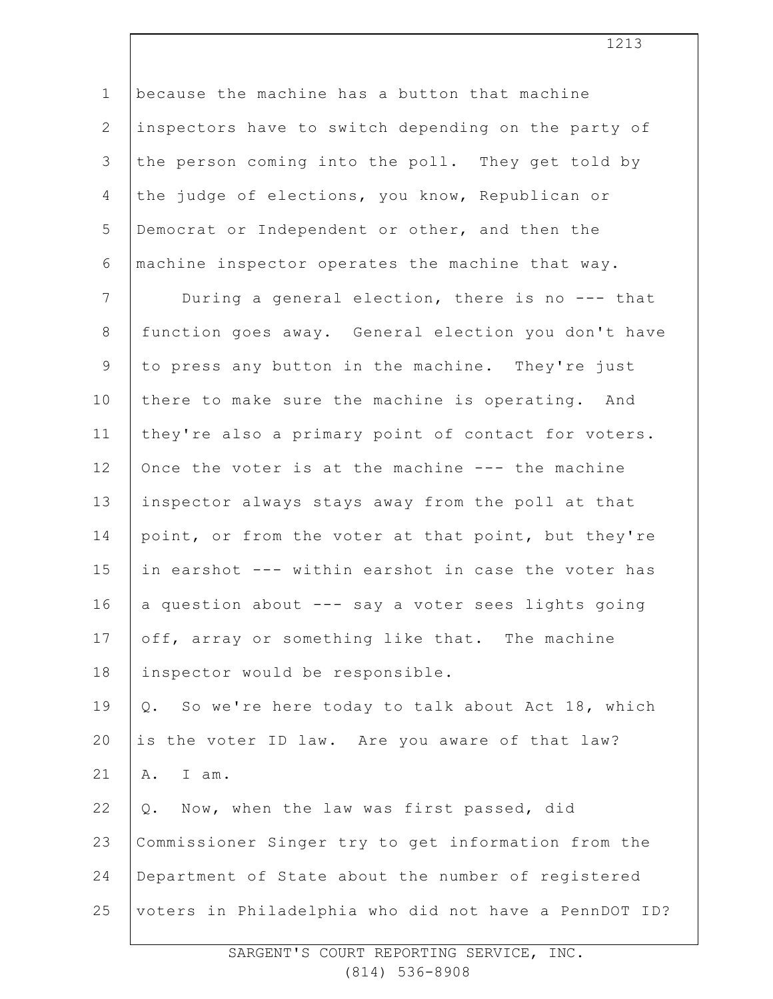| $\mathbf 1$    | because the machine has a button that machine         |
|----------------|-------------------------------------------------------|
| $\overline{2}$ | inspectors have to switch depending on the party of   |
| 3              | the person coming into the poll. They get told by     |
| $\overline{4}$ | the judge of elections, you know, Republican or       |
| 5              | Democrat or Independent or other, and then the        |
| 6              | machine inspector operates the machine that way.      |
| 7              | During a general election, there is no --- that       |
| $\,8\,$        | function goes away. General election you don't have   |
| $\mathsf 9$    | to press any button in the machine. They're just      |
| 10             | there to make sure the machine is operating. And      |
| 11             | they're also a primary point of contact for voters.   |
| 12             | Once the voter is at the machine --- the machine      |
| 13             | inspector always stays away from the poll at that     |
| 14             | point, or from the voter at that point, but they're   |
| 15             | in earshot --- within earshot in case the voter has   |
| 16             | a question about --- say a voter sees lights going    |
| 17             | off, array or something like that. The machine        |
| 18             | inspector would be responsible.                       |
| 19             | So we're here today to talk about Act 18, which<br>Q. |
| 20             | is the voter ID law. Are you aware of that law?       |
| 21             | A.<br>I am.                                           |
| 22             | Now, when the law was first passed, did<br>Q.         |
| 23             | Commissioner Singer try to get information from the   |
| 24             | Department of State about the number of registered    |
| 25             | voters in Philadelphia who did not have a PennDOT ID? |
|                |                                                       |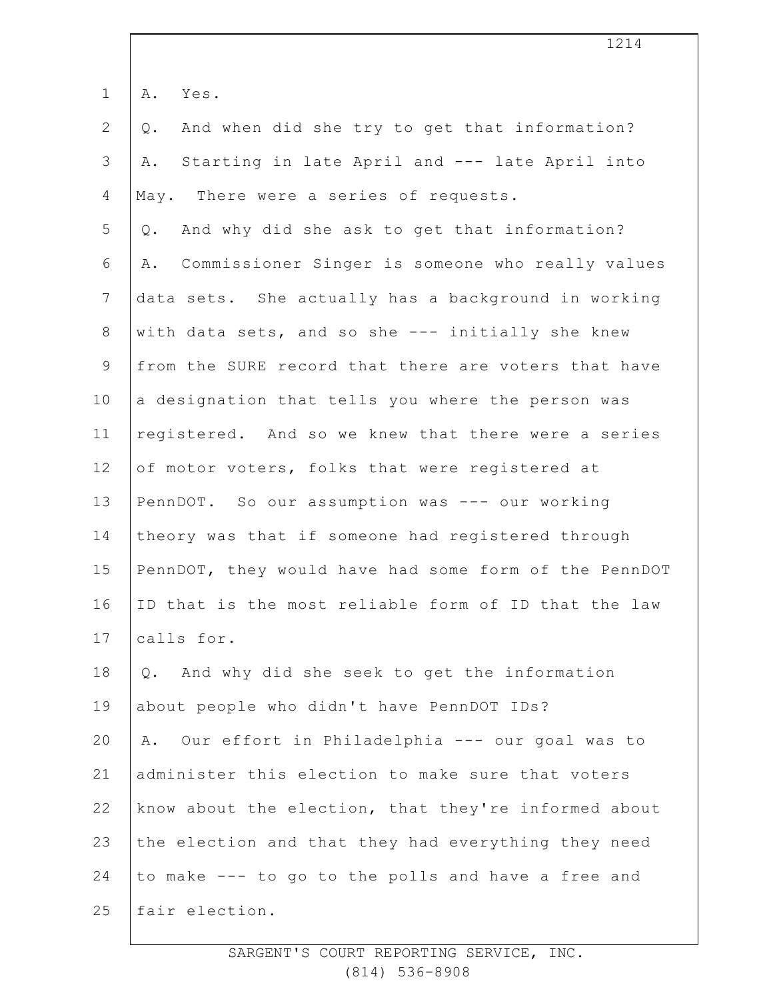| $\mathbf 1$    | Α.<br>Yes.                                             |
|----------------|--------------------------------------------------------|
| $\mathbf{2}$   | And when did she try to get that information?<br>$Q$ . |
| 3              | Starting in late April and --- late April into<br>Α.   |
| 4              | May. There were a series of requests.                  |
| 5              | And why did she ask to get that information?<br>Q.     |
| 6              | Commissioner Singer is someone who really values<br>Α. |
| $7\phantom{.}$ | data sets. She actually has a background in working    |
| $8\,$          | with data sets, and so she --- initially she knew      |
| $\mathsf 9$    | from the SURE record that there are voters that have   |
| 10             | a designation that tells you where the person was      |
| 11             | registered. And so we knew that there were a series    |
| 12             | of motor voters, folks that were registered at         |
| 13             | PennDOT. So our assumption was --- our working         |
| 14             | theory was that if someone had registered through      |
| 15             | PennDOT, they would have had some form of the PennDOT  |
| 16             | ID that is the most reliable form of ID that the law   |
| 17             | calls for.                                             |
| 18             | And why did she seek to get the information<br>Q.      |
| 19             | about people who didn't have PennDOT IDs?              |
| 20             | Our effort in Philadelphia --- our goal was to<br>Α.   |
| 21             | administer this election to make sure that voters      |
| 22             | know about the election, that they're informed about   |
| 23             | the election and that they had everything they need    |
| 24             | to make --- to go to the polls and have a free and     |
| 25             | fair election.                                         |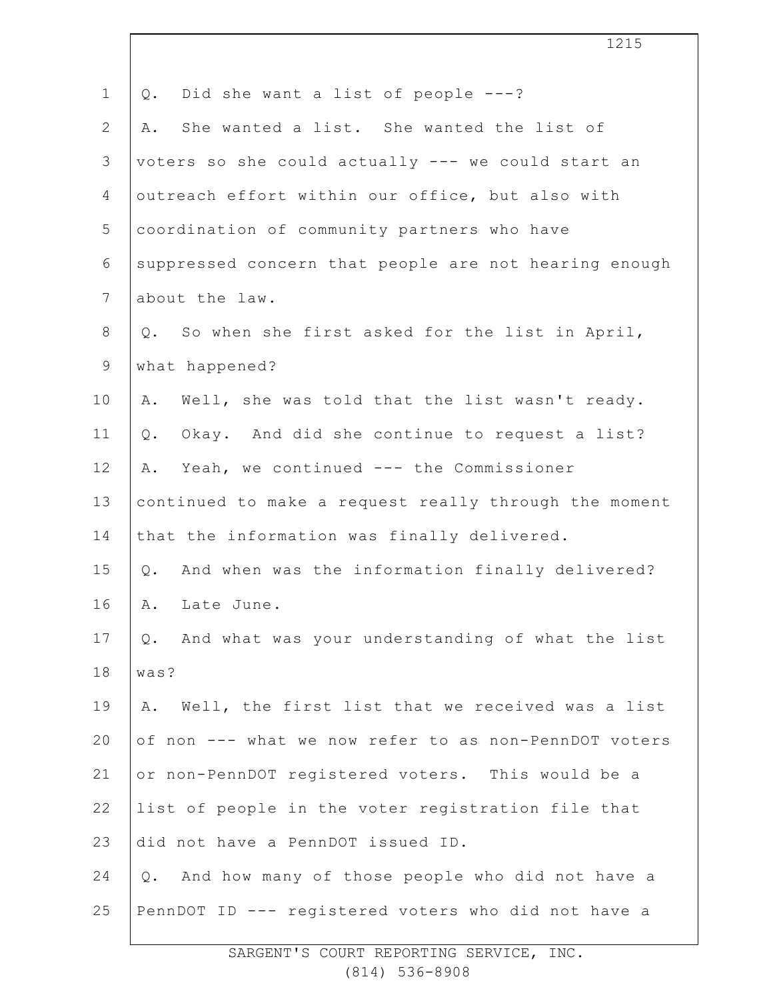|                | 1215                                                   |
|----------------|--------------------------------------------------------|
| $\mathbf 1$    | Did she want a list of people ---?<br>$Q$ .            |
| $\overline{2}$ | She wanted a list. She wanted the list of<br>Α.        |
| 3              | voters so she could actually --- we could start an     |
| 4              | outreach effort within our office, but also with       |
| 5              | coordination of community partners who have            |
| 6              | suppressed concern that people are not hearing enough  |
| $7\phantom{.}$ | about the law.                                         |
| 8              | Q. So when she first asked for the list in April,      |
| $\mathsf 9$    | what happened?                                         |
| 10             | Well, she was told that the list wasn't ready.<br>Α.   |
| 11             | Okay. And did she continue to request a list?<br>Q.    |
| 12             | A. Yeah, we continued --- the Commissioner             |
| 13             | continued to make a request really through the moment  |
| 14             | that the information was finally delivered.            |
| 15             | Q. And when was the information finally delivered?     |
| 16             | Α.<br>Late June.                                       |
| 17             | And what was your understanding of what the list<br>Q. |
| 18             | was?                                                   |
| 19             | Well, the first list that we received was a list<br>Α. |
| 20             | of non --- what we now refer to as non-PennDOT voters  |
| 21             | or non-PennDOT registered voters. This would be a      |
| 22             | list of people in the voter registration file that     |
| 23             | did not have a PennDOT issued ID.                      |
| 24             | And how many of those people who did not have a<br>Q.  |
| 25             | PennDOT ID --- registered voters who did not have a    |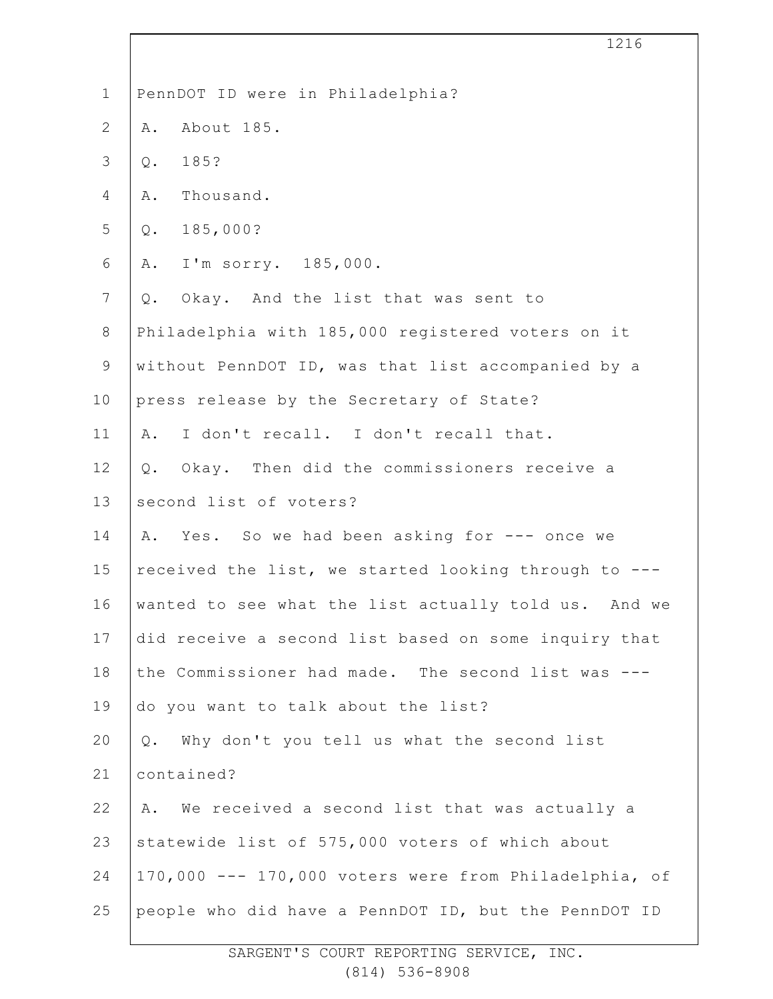| 1216                                                  |
|-------------------------------------------------------|
| PennDOT ID were in Philadelphia?                      |
| About 185.<br>Α.                                      |
| 185?<br>Q.                                            |
| Thousand.<br>A.                                       |
| 185,000?<br>$Q$ .                                     |
| A. I'm sorry. 185,000.                                |
| Q. Okay. And the list that was sent to                |
| Philadelphia with 185,000 registered voters on it     |
| without PennDOT ID, was that list accompanied by a    |
| press release by the Secretary of State?              |
| I don't recall. I don't recall that.<br>Α.            |
| Q. Okay. Then did the commissioners receive a         |
| second list of voters?                                |
| Yes. So we had been asking for --- once we<br>Α.      |
| received the list, we started looking through to ---  |
| wanted to see what the list actually told us. And we  |
| did receive a second list based on some inquiry that  |
| the Commissioner had made. The second list was ---    |
| do you want to talk about the list?                   |
| Why don't you tell us what the second list<br>$Q$ .   |
| contained?                                            |
| A. We received a second list that was actually a      |
| statewide list of 575,000 voters of which about       |
| 170,000 --- 170,000 voters were from Philadelphia, of |
| people who did have a PennDOT ID, but the PennDOT ID  |
|                                                       |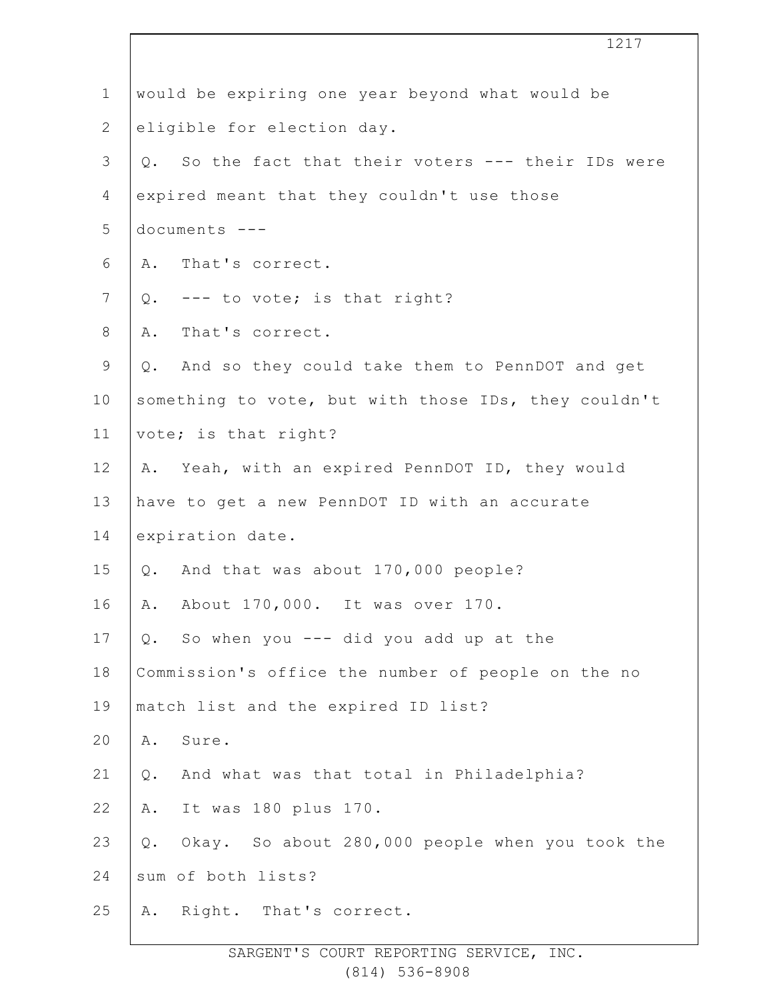|                | 1217                                                  |
|----------------|-------------------------------------------------------|
| $\mathbf 1$    | would be expiring one year beyond what would be       |
| $\overline{2}$ | eligible for election day.                            |
| 3              | Q. So the fact that their voters --- their IDs were   |
| 4              | expired meant that they couldn't use those            |
| 5              | documents ---                                         |
| 6              | That's correct.<br>Α.                                 |
| $\overline{7}$ | Q. --- to vote; is that right?                        |
| $8\,$          | That's correct.<br>Α.                                 |
| $\mathsf 9$    | Q. And so they could take them to PennDOT and get     |
| 10             | something to vote, but with those IDs, they couldn't  |
| 11             | vote; is that right?                                  |
| 12             | A. Yeah, with an expired PennDOT ID, they would       |
| 13             | have to get a new PennDOT ID with an accurate         |
| 14             | expiration date.                                      |
| 15             | Q. And that was about 170,000 people?                 |
| 16             | About 170,000. It was over 170.<br>Α.                 |
| 17             | So when you --- did you add up at the<br>$Q$ .        |
| 18             | Commission's office the number of people on the no    |
| 19             | match list and the expired ID list?                   |
| 20             | Sure.<br>Α.                                           |
| 21             | And what was that total in Philadelphia?<br>$Q$ .     |
| 22             | It was 180 plus 170.<br>Α.                            |
| 23             | Okay. So about 280,000 people when you took the<br>Q. |
| 24             | sum of both lists?                                    |
| 25             | Right. That's correct.<br>Α.                          |
|                |                                                       |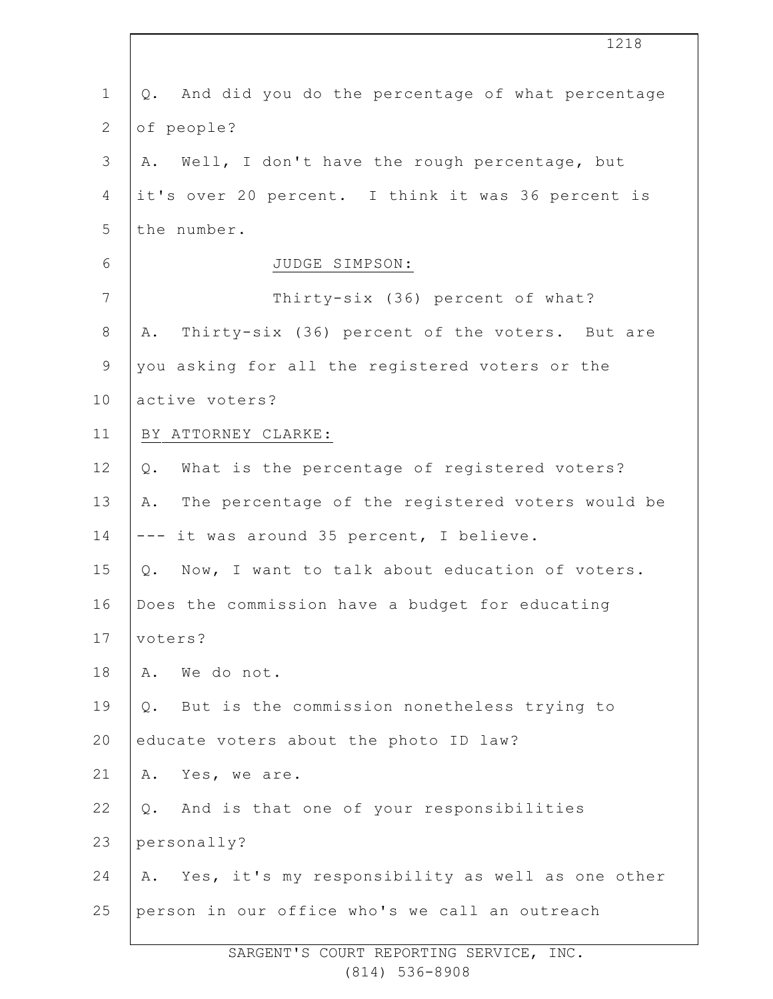|                | 1218                                                   |
|----------------|--------------------------------------------------------|
| $\mathbf 1$    | And did you do the percentage of what percentage<br>Q. |
| $\overline{2}$ | of people?                                             |
| 3              | Well, I don't have the rough percentage, but<br>Α.     |
| 4              | it's over 20 percent. I think it was 36 percent is     |
| 5              | the number.                                            |
| 6              | JUDGE SIMPSON:                                         |
| $\overline{7}$ | Thirty-six (36) percent of what?                       |
| $\,8\,$        | Thirty-six (36) percent of the voters. But are<br>Α.   |
| $\mathsf 9$    | you asking for all the registered voters or the        |
| 10             | active voters?                                         |
| 11             | BY ATTORNEY CLARKE:                                    |
| 12             | What is the percentage of registered voters?<br>$Q$ .  |
| 13             | The percentage of the registered voters would be<br>Α. |
| 14             | --- it was around 35 percent, I believe.               |
| 15             | Now, I want to talk about education of voters.<br>Q.   |
| 16             | Does the commission have a budget for educating        |
| 17             | voters?                                                |
| 18             | We do not.<br>Α.                                       |
| 19             | But is the commission nonetheless trying to<br>Q.      |
| 20             | educate voters about the photo ID law?                 |
| 21             | Yes, we are.<br>Α.                                     |
| 22             | And is that one of your responsibilities<br>Q.         |
| 23             | personally?                                            |
| 24             | Yes, it's my responsibility as well as one other<br>Α. |
| 25             | person in our office who's we call an outreach         |
|                |                                                        |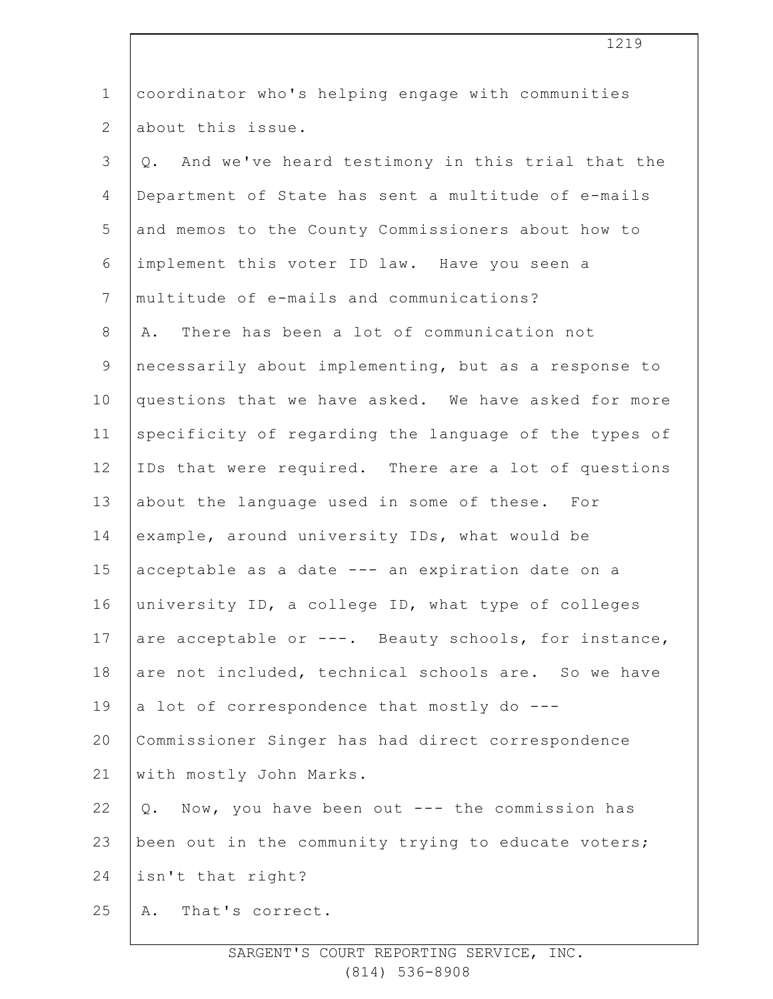| $\mathbf 1$    | coordinator who's helping engage with communities      |
|----------------|--------------------------------------------------------|
| $\overline{2}$ | about this issue.                                      |
| 3              | And we've heard testimony in this trial that the<br>Q. |
| 4              | Department of State has sent a multitude of e-mails    |
| 5              | and memos to the County Commissioners about how to     |
| 6              | implement this voter ID law. Have you seen a           |
| $\overline{7}$ | multitude of e-mails and communications?               |
| $8\,$          | There has been a lot of communication not<br>Α.        |
| $\overline{9}$ | necessarily about implementing, but as a response to   |
| 10             | questions that we have asked. We have asked for more   |
| 11             | specificity of regarding the language of the types of  |
| 12             | IDs that were required. There are a lot of questions   |
| 13             | about the language used in some of these. For          |
| 14             | example, around university IDs, what would be          |
| 15             | acceptable as a date --- an expiration date on a       |
| 16             | university ID, a college ID, what type of colleges     |
| 17             | are acceptable or ---. Beauty schools, for instance,   |
| 18             | are not included, technical schools are. So we have    |
| 19             | a lot of correspondence that mostly do ---             |
| 20             | Commissioner Singer has had direct correspondence      |
| 21             | with mostly John Marks.                                |
| 22             | Q. Now, you have been out --- the commission has       |
| 23             | been out in the community trying to educate voters;    |
| 24             | isn't that right?                                      |
| 25             | That's correct.<br>Α.                                  |
|                |                                                        |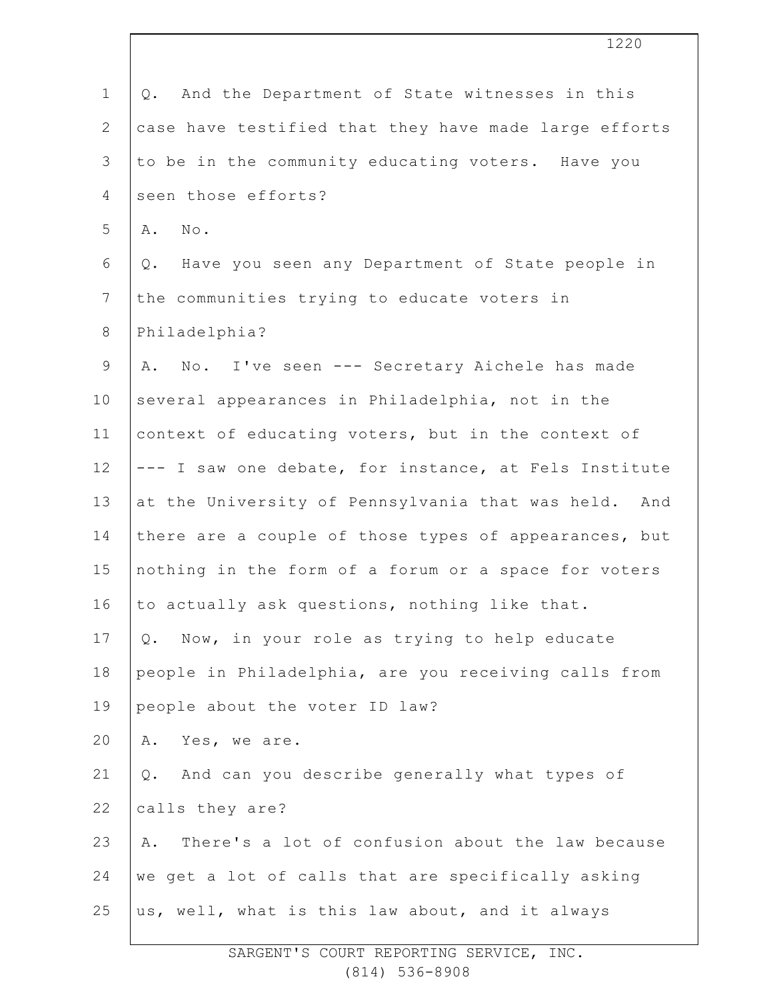| $\mathbf{1}$    | And the Department of State witnesses in this<br>Q.    |
|-----------------|--------------------------------------------------------|
| $\mathbf{2}$    | case have testified that they have made large efforts  |
| 3               | to be in the community educating voters. Have you      |
| $\overline{4}$  | seen those efforts?                                    |
| 5               | A. No.                                                 |
| 6               | Have you seen any Department of State people in<br>Q.  |
| $7\phantom{.0}$ | the communities trying to educate voters in            |
| 8               | Philadelphia?                                          |
| $\mathsf 9$     | No. I've seen --- Secretary Aichele has made<br>Α.     |
| 10              | several appearances in Philadelphia, not in the        |
| 11              | context of educating voters, but in the context of     |
| 12              | --- I saw one debate, for instance, at Fels Institute  |
| 13              | at the University of Pennsylvania that was held. And   |
| 14              | there are a couple of those types of appearances, but  |
| 15              | nothing in the form of a forum or a space for voters   |
| 16              | to actually ask questions, nothing like that.          |
| 17              | Now, in your role as trying to help educate<br>Q.      |
| 18              | people in Philadelphia, are you receiving calls from   |
| 19              | people about the voter ID law?                         |
| 20              | Yes, we are.<br>Α.                                     |
| 21              | And can you describe generally what types of<br>Q.     |
| 22              | calls they are?                                        |
| 23              | There's a lot of confusion about the law because<br>Α. |
| 24              | we get a lot of calls that are specifically asking     |
| 25              | us, well, what is this law about, and it always        |
|                 |                                                        |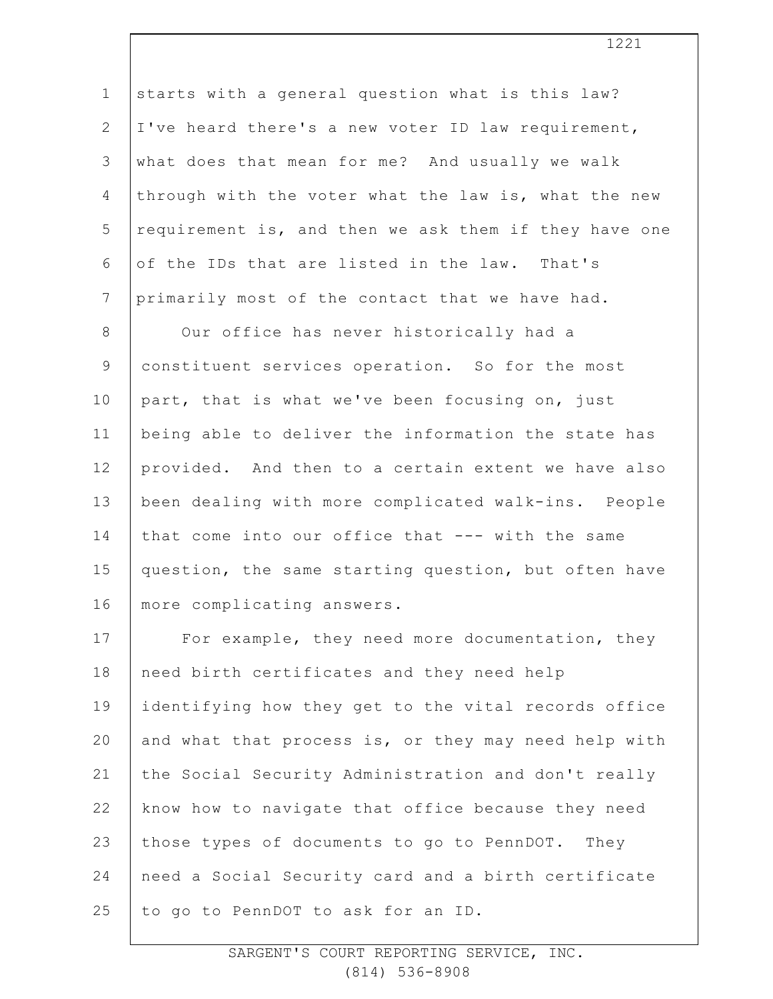| $\mathbf 1$     | starts with a general question what is this law?      |
|-----------------|-------------------------------------------------------|
| $\mathbf{2}$    | I've heard there's a new voter ID law requirement,    |
| 3               | what does that mean for me? And usually we walk       |
| 4               | through with the voter what the law is, what the new  |
| 5               | requirement is, and then we ask them if they have one |
| 6               | of the IDs that are listed in the law. That's         |
| $7\phantom{.0}$ | primarily most of the contact that we have had.       |
| 8               | Our office has never historically had a               |
| $\mathsf 9$     | constituent services operation. So for the most       |
| 10              | part, that is what we've been focusing on, just       |
| 11              | being able to deliver the information the state has   |
| 12              | provided. And then to a certain extent we have also   |
| 13              | been dealing with more complicated walk-ins. People   |
| 14              | that come into our office that --- with the same      |
| 15              | question, the same starting question, but often have  |
| 16              | more complicating answers.                            |
| 17              | For example, they need more documentation, they       |
| 18              | need birth certificates and they need help            |
| 19              | identifying how they get to the vital records office  |
| 20              | and what that process is, or they may need help with  |
| 21              | the Social Security Administration and don't really   |
| 22              | know how to navigate that office because they need    |
| 23              | those types of documents to go to PennDOT. They       |
| 24              | need a Social Security card and a birth certificate   |
| 25              | to go to PennDOT to ask for an ID.                    |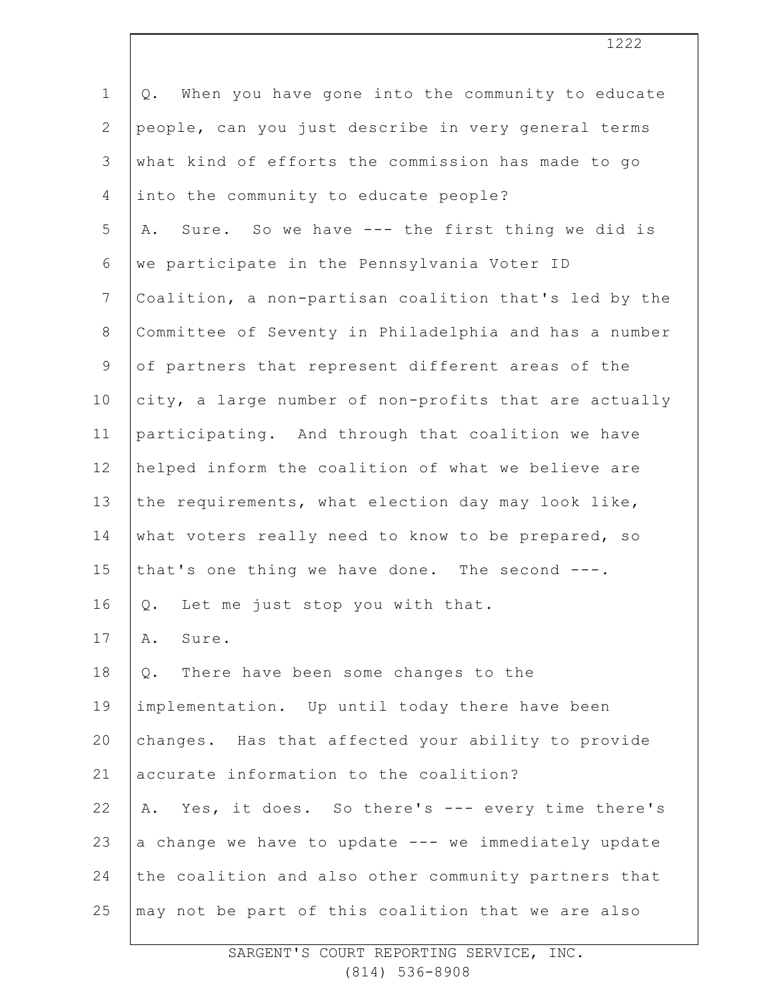| When you have gone into the community to educate<br>Q. |
|--------------------------------------------------------|
| people, can you just describe in very general terms    |
| what kind of efforts the commission has made to go     |
| into the community to educate people?                  |
| Sure. So we have --- the first thing we did is<br>Α.   |
| we participate in the Pennsylvania Voter ID            |
| Coalition, a non-partisan coalition that's led by the  |
| Committee of Seventy in Philadelphia and has a number  |
| of partners that represent different areas of the      |
| city, a large number of non-profits that are actually  |
| participating. And through that coalition we have      |
| helped inform the coalition of what we believe are     |
| the requirements, what election day may look like,     |
| what voters really need to know to be prepared, so     |
| that's one thing we have done. The second ---.         |
| Let me just stop you with that.<br>Q.                  |
| Sure.<br>Α.                                            |
| There have been some changes to the<br>$Q$ .           |
| implementation. Up until today there have been         |
| changes. Has that affected your ability to provide     |
| accurate information to the coalition?                 |
| Yes, it does. So there's --- every time there's<br>Α.  |
| a change we have to update --- we immediately update   |
| the coalition and also other community partners that   |
| may not be part of this coalition that we are also     |
|                                                        |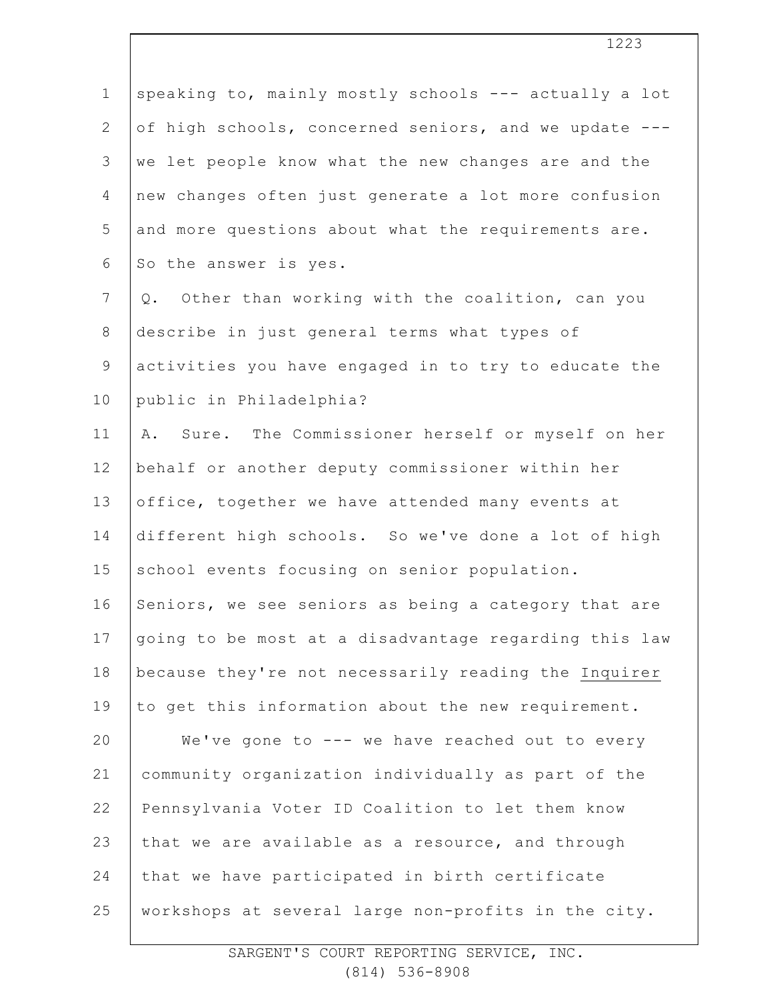| $\mathbf 1$    | speaking to, mainly mostly schools --- actually a lot |
|----------------|-------------------------------------------------------|
| $\overline{2}$ | of high schools, concerned seniors, and we update --- |
| 3              | we let people know what the new changes are and the   |
| 4              | new changes often just generate a lot more confusion  |
| 5              | and more questions about what the requirements are.   |
| 6              | So the answer is yes.                                 |
| $7\phantom{.}$ | Other than working with the coalition, can you<br>Q.  |
| 8              | describe in just general terms what types of          |
| 9              | activities you have engaged in to try to educate the  |
| 10             | public in Philadelphia?                               |
| 11             | Sure. The Commissioner herself or myself on her<br>Α. |
| 12             | behalf or another deputy commissioner within her      |
| 13             | office, together we have attended many events at      |
| 14             | different high schools. So we've done a lot of high   |
| 15             | school events focusing on senior population.          |
| 16             | Seniors, we see seniors as being a category that are  |
| 17             | going to be most at a disadvantage regarding this law |
| 18             | because they're not necessarily reading the Inquirer  |
| 19             | to get this information about the new requirement.    |
| 20             | We've gone to --- we have reached out to every        |
| 21             | community organization individually as part of the    |
| 22             | Pennsylvania Voter ID Coalition to let them know      |
| 23             | that we are available as a resource, and through      |
| 24             | that we have participated in birth certificate        |
| 25             | workshops at several large non-profits in the city.   |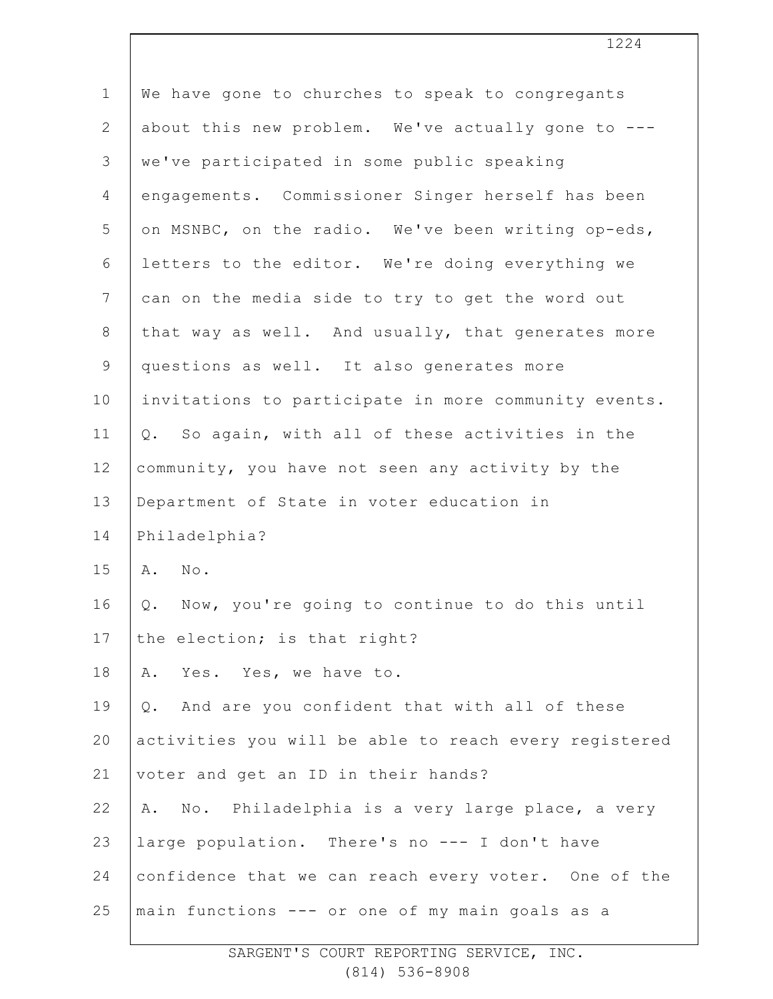| We have gone to churches to speak to congregants      |
|-------------------------------------------------------|
| about this new problem. We've actually gone to ---    |
| we've participated in some public speaking            |
| engagements. Commissioner Singer herself has been     |
| on MSNBC, on the radio. We've been writing op-eds,    |
| letters to the editor. We're doing everything we      |
| can on the media side to try to get the word out      |
| that way as well. And usually, that generates more    |
| questions as well. It also generates more             |
| invitations to participate in more community events.  |
| Q. So again, with all of these activities in the      |
| community, you have not seen any activity by the      |
| Department of State in voter education in             |
| Philadelphia?                                         |
| A. No.                                                |
| Now, you're going to continue to do this until<br>Q.  |
| the election; is that right?                          |
| Yes. Yes, we have to.<br>Α.                           |
| And are you confident that with all of these<br>Q.    |
| activities you will be able to reach every registered |
| voter and get an ID in their hands?                   |
| No. Philadelphia is a very large place, a very<br>Α.  |
| large population. There's no --- I don't have         |
| confidence that we can reach every voter. One of the  |
| main functions --- or one of my main goals as a       |
|                                                       |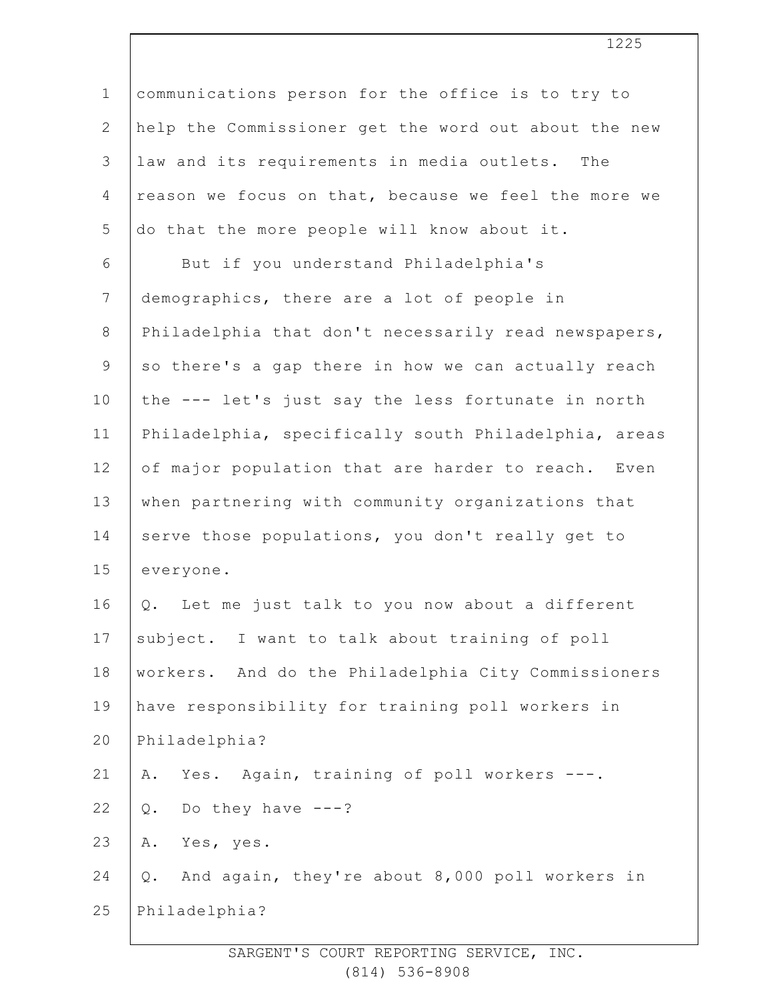| $\mathbf 1$    | communications person for the office is to try to       |
|----------------|---------------------------------------------------------|
| $\overline{2}$ | help the Commissioner get the word out about the new    |
| 3              | law and its requirements in media outlets. The          |
| $\overline{4}$ | reason we focus on that, because we feel the more we    |
| 5              | do that the more people will know about it.             |
| 6              | But if you understand Philadelphia's                    |
| $\overline{7}$ | demographics, there are a lot of people in              |
| $8\,$          | Philadelphia that don't necessarily read newspapers,    |
| 9              | so there's a gap there in how we can actually reach     |
| 10             | the --- let's just say the less fortunate in north      |
| 11             | Philadelphia, specifically south Philadelphia, areas    |
| 12             | of major population that are harder to reach. Even      |
| 13             | when partnering with community organizations that       |
| 14             | serve those populations, you don't really get to        |
| 15             | everyone.                                               |
| 16             | Let me just talk to you now about a different<br>Q.     |
| 17             | subject. I want to talk about training of poll          |
| 18             | workers. And do the Philadelphia City Commissioners     |
| 19             | have responsibility for training poll workers in        |
| 20             | Philadelphia?                                           |
| 21             | Yes. Again, training of poll workers ---.<br>Α.         |
| 22             | Do they have $---?$<br>Q.                               |
| 23             | Yes, yes.<br>Α.                                         |
| 24             | And again, they're about 8,000 poll workers in<br>$Q$ . |
| 25             | Philadelphia?                                           |
|                |                                                         |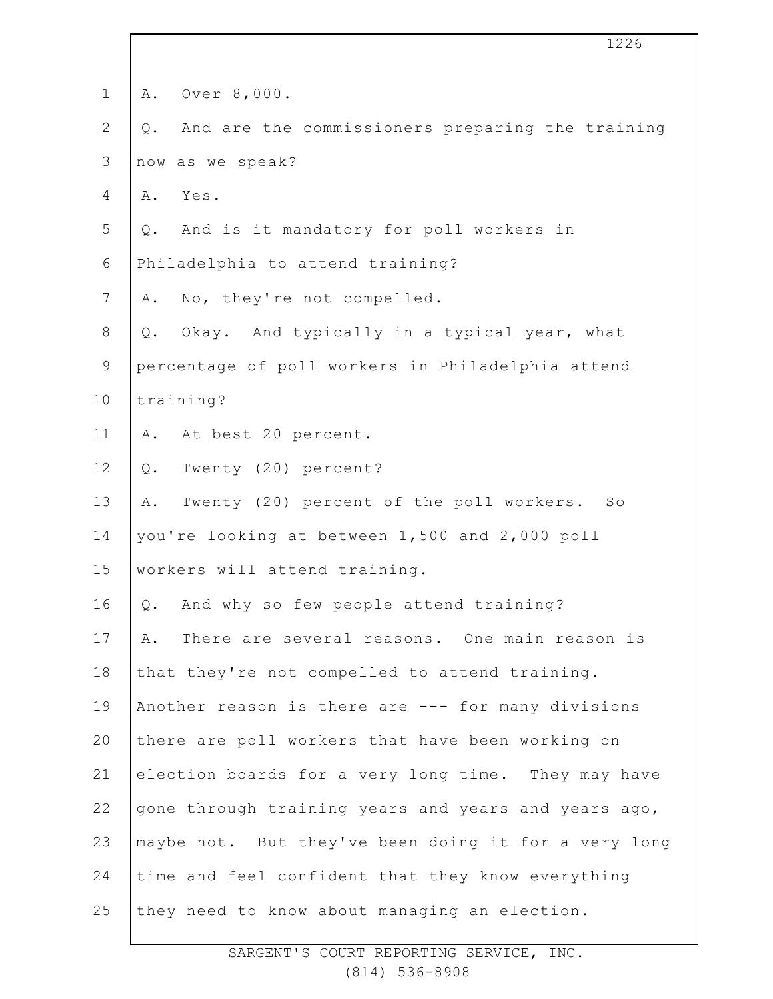|                | 1226                                                      |
|----------------|-----------------------------------------------------------|
| $\mathbf 1$    | Over 8,000.<br>Α.                                         |
| $\mathbf{2}$   | And are the commissioners preparing the training<br>$Q$ . |
| $\mathfrak{Z}$ | now as we speak?                                          |
| 4              | Yes.<br>Α.                                                |
| 5              | And is it mandatory for poll workers in<br>Q.             |
| 6              | Philadelphia to attend training?                          |
| $7\phantom{.}$ | No, they're not compelled.<br>Α.                          |
| $8\,$          | Okay. And typically in a typical year, what<br>$Q$ .      |
| $\mathsf 9$    | percentage of poll workers in Philadelphia attend         |
| 10             | training?                                                 |
| 11             | At best 20 percent.<br>Α.                                 |
| 12             | Twenty (20) percent?<br>$Q$ .                             |
| 13             | Twenty (20) percent of the poll workers. So<br>Α.         |
| 14             | you're looking at between 1,500 and 2,000 poll            |
| 15             | workers will attend training.                             |
| 16             | And why so few people attend training?<br>Q.              |
| 17             | There are several reasons. One main reason is<br>Α.       |
| 18             | that they're not compelled to attend training.            |
| 19             | Another reason is there are --- for many divisions        |
| 20             | there are poll workers that have been working on          |
| 21             | election boards for a very long time. They may have       |
| 22             | gone through training years and years and years ago,      |
| 23             | maybe not. But they've been doing it for a very long      |
| 24             | time and feel confident that they know everything         |
| 25             | they need to know about managing an election.             |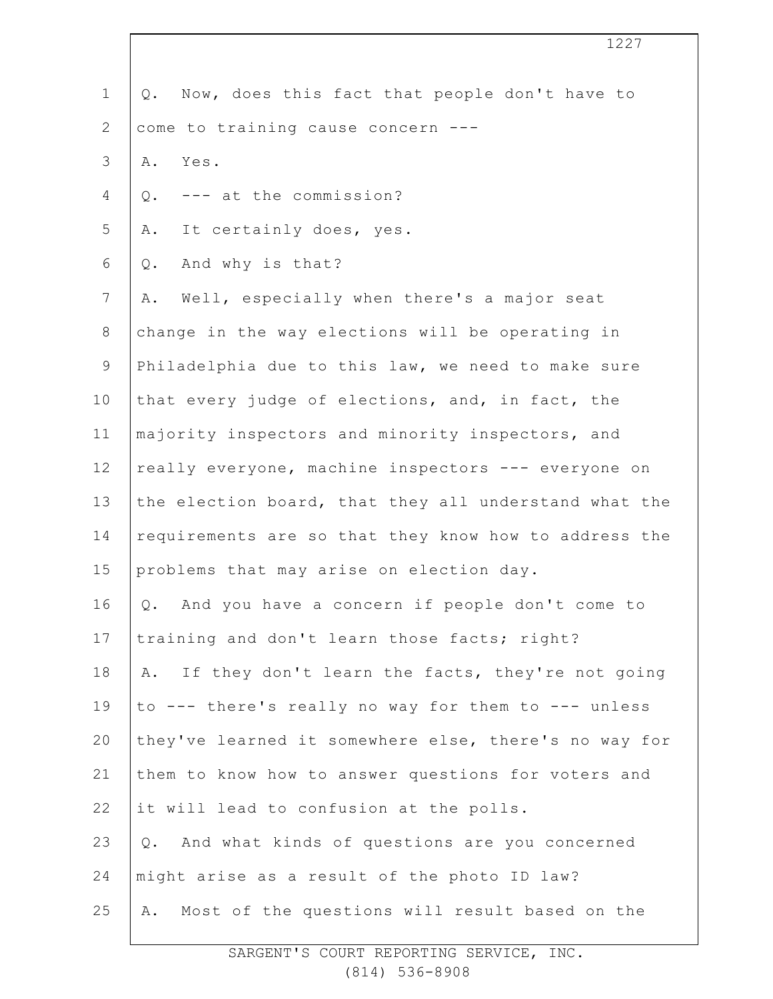| $\mathbf 1$     | Now, does this fact that people don't have to<br>Q.    |
|-----------------|--------------------------------------------------------|
| $\mathbf{2}$    | come to training cause concern ---                     |
| 3               | Α.<br>Yes.                                             |
| $\overline{4}$  | --- at the commission?<br>Q.                           |
| 5               | It certainly does, yes.<br>Α.                          |
| 6               | And why is that?<br>Q.                                 |
| $7\phantom{.0}$ | Well, especially when there's a major seat<br>Α.       |
| $\,8\,$         | change in the way elections will be operating in       |
| $\mathsf 9$     | Philadelphia due to this law, we need to make sure     |
| 10              | that every judge of elections, and, in fact, the       |
| 11              | majority inspectors and minority inspectors, and       |
| 12              | really everyone, machine inspectors --- everyone on    |
| 13              | the election board, that they all understand what the  |
| 14              | requirements are so that they know how to address the  |
| 15              | problems that may arise on election day.               |
| 16              | And you have a concern if people don't come to<br>Q.   |
| 17              | training and don't learn those facts; right?           |
| 18              | A. If they don't learn the facts, they're not going    |
| 19              | to --- there's really no way for them to --- unless    |
| 20              | they've learned it somewhere else, there's no way for  |
| 21              | them to know how to answer questions for voters and    |
| 22              | it will lead to confusion at the polls.                |
| 23              | And what kinds of questions are you concerned<br>$Q$ . |
| 24              | might arise as a result of the photo ID law?           |
| 25              | Most of the questions will result based on the<br>Α.   |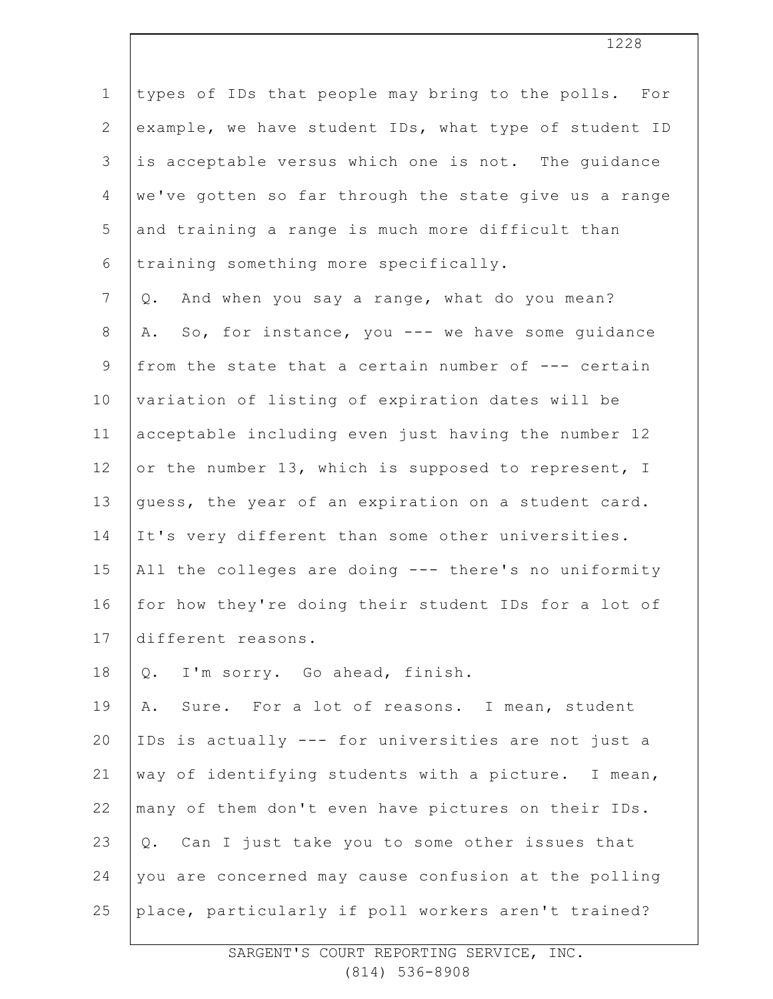1 2 3 4 5 6 7 8 9 10 11 12 13 14 15 16 17 18 19 20 21 22 23 24 25 types of IDs that people may bring to the polls. For example, we have student IDs, what type of student ID is acceptable versus which one is not. The guidance we've gotten so far through the state give us a range and training a range is much more difficult than training something more specifically. Q. And when you say a range, what do you mean? A. So, for instance, you --- we have some guidance from the state that a certain number of --- certain variation of listing of expiration dates will be acceptable including even just having the number 12 or the number 13, which is supposed to represent, I guess, the year of an expiration on a student card. It's very different than some other universities. All the colleges are doing --- there's no uniformity for how they're doing their student IDs for a lot of different reasons. Q. I'm sorry. Go ahead, finish. A. Sure. For a lot of reasons. I mean, student IDs is actually --- for universities are not just a way of identifying students with a picture. I mean, many of them don't even have pictures on their IDs. Q. Can I just take you to some other issues that you are concerned may cause confusion at the polling place, particularly if poll workers aren't trained?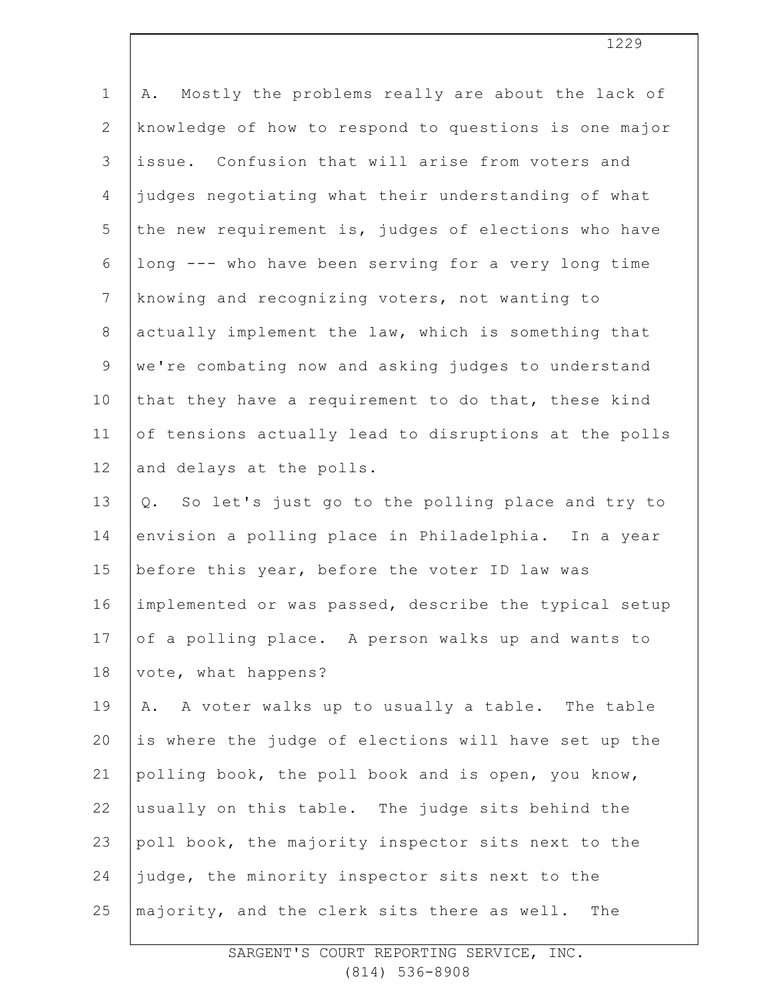| $\mathbf 1$    | Mostly the problems really are about the lack of<br>Α. |
|----------------|--------------------------------------------------------|
| $\mathbf{2}$   | knowledge of how to respond to questions is one major  |
| 3              | issue. Confusion that will arise from voters and       |
| 4              | judges negotiating what their understanding of what    |
| 5              | the new requirement is, judges of elections who have   |
| 6              | long --- who have been serving for a very long time    |
| $7\phantom{.}$ | knowing and recognizing voters, not wanting to         |
| $8\,$          | actually implement the law, which is something that    |
| $\mathsf 9$    | we're combating now and asking judges to understand    |
| 10             | that they have a requirement to do that, these kind    |
| 11             | of tensions actually lead to disruptions at the polls  |
| 12             | and delays at the polls.                               |
| 13             | So let's just go to the polling place and try to<br>Q. |
| 14             | envision a polling place in Philadelphia. In a year    |
| 15             | before this year, before the voter ID law was          |
| 16             | implemented or was passed, describe the typical setup  |
| 17             | of a polling place. A person walks up and wants to     |
| 18             | vote, what happens?                                    |
| 19             | A voter walks up to usually a table. The table<br>Α.   |
| 20             | is where the judge of elections will have set up the   |
| 21             | polling book, the poll book and is open, you know,     |
| 22             | usually on this table. The judge sits behind the       |
| 23             | poll book, the majority inspector sits next to the     |
| 24             | judge, the minority inspector sits next to the         |
| 25             | majority, and the clerk sits there as well.<br>The     |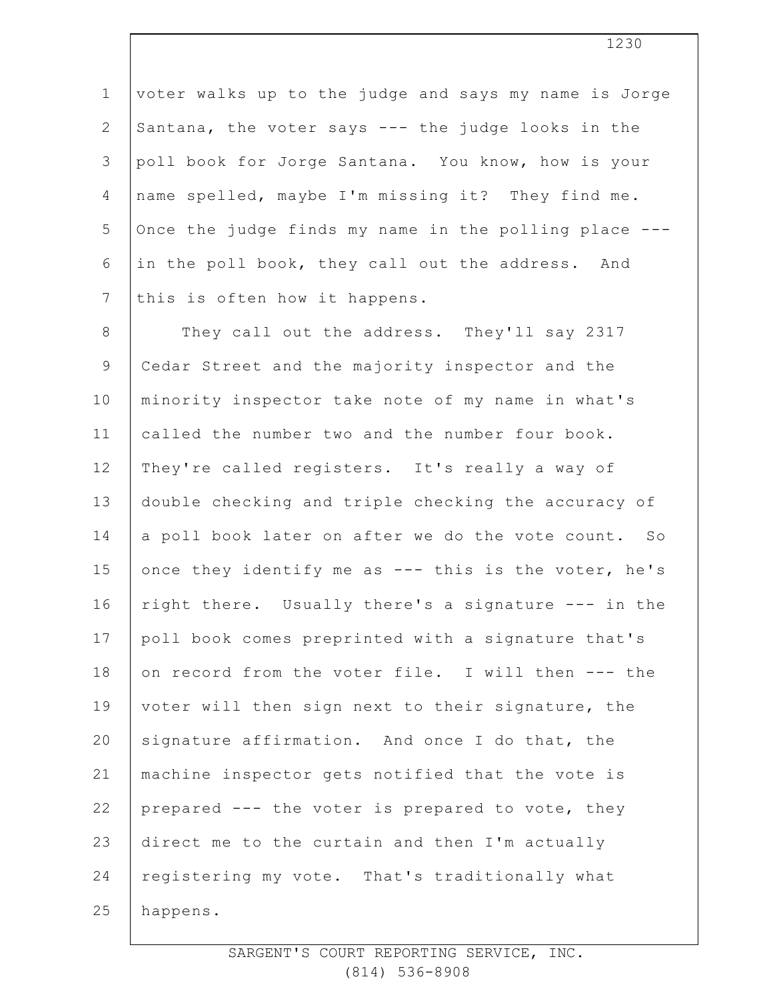1 2 3 4 5 6 7 voter walks up to the judge and says my name is Jorge Santana, the voter says --- the judge looks in the poll book for Jorge Santana. You know, how is your name spelled, maybe I'm missing it? They find me. Once the judge finds my name in the polling place -- in the poll book, they call out the address. And this is often how it happens.

8 9 10 11 12 13 14 15 16 17 18 19 20 21 22 23 24 25 They call out the address. They'll say 2317 Cedar Street and the majority inspector and the minority inspector take note of my name in what's called the number two and the number four book. They're called registers. It's really a way of double checking and triple checking the accuracy of a poll book later on after we do the vote count. So once they identify me as --- this is the voter, he's right there. Usually there's a signature --- in the poll book comes preprinted with a signature that's on record from the voter file. I will then --- the voter will then sign next to their signature, the signature affirmation. And once I do that, the machine inspector gets notified that the vote is prepared --- the voter is prepared to vote, they direct me to the curtain and then I'm actually registering my vote. That's traditionally what happens.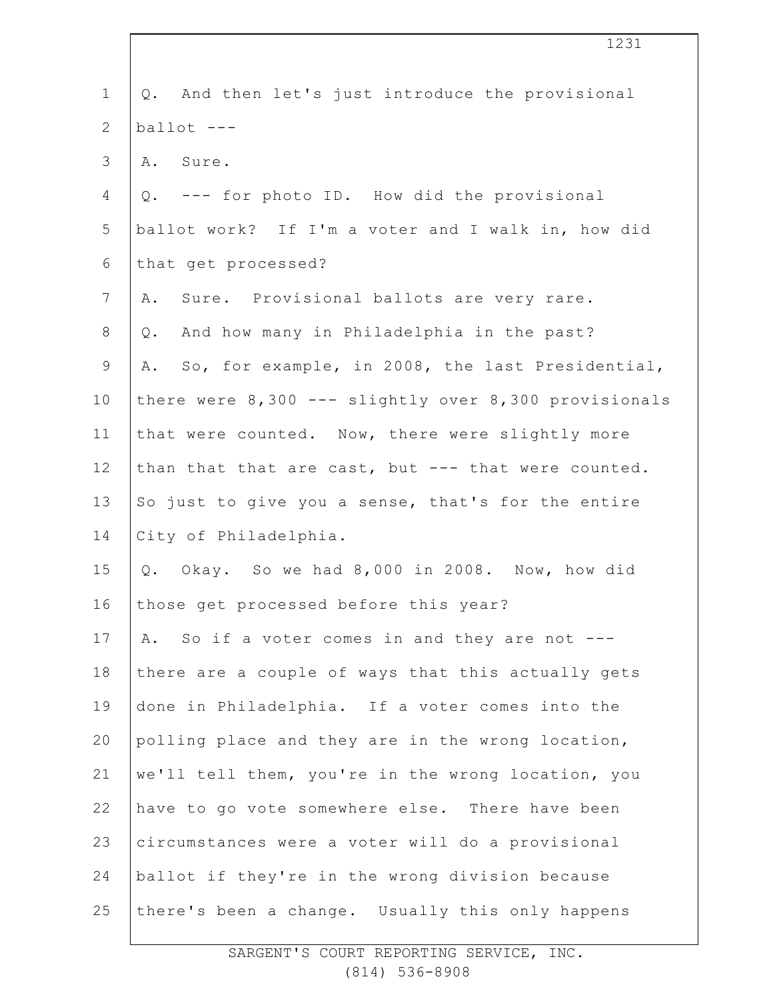| $\mathbf 1$  | And then let's just introduce the provisional<br>Q.       |
|--------------|-----------------------------------------------------------|
| $\mathbf{2}$ | ballot ---                                                |
| 3            | A. Sure.                                                  |
| 4            | Q. --- for photo ID. How did the provisional              |
| 5            | ballot work? If I'm a voter and I walk in, how did        |
| 6            | that get processed?                                       |
| 7            | Sure. Provisional ballots are very rare.<br>Α.            |
| 8            | And how many in Philadelphia in the past?<br>Q.           |
| $\mathsf 9$  | A. So, for example, in 2008, the last Presidential,       |
| 10           | there were $8,300$ --- slightly over $8,300$ provisionals |
| 11           | that were counted. Now, there were slightly more          |
| 12           | than that that are cast, but --- that were counted.       |
| 13           | So just to give you a sense, that's for the entire        |
| 14           | City of Philadelphia.                                     |
| 15           | Okay. So we had 8,000 in 2008. Now, how did<br>Q.         |
| 16           | those get processed before this year?                     |
| 17           | So if a voter comes in and they are not ---<br>Α.         |
| 18           | there are a couple of ways that this actually gets        |
| 19           | done in Philadelphia. If a voter comes into the           |
| 20           | polling place and they are in the wrong location,         |
| 21           | we'll tell them, you're in the wrong location, you        |
| 22           | have to go vote somewhere else. There have been           |
| 23           | circumstances were a voter will do a provisional          |
| 24           | ballot if they're in the wrong division because           |
| 25           | there's been a change. Usually this only happens          |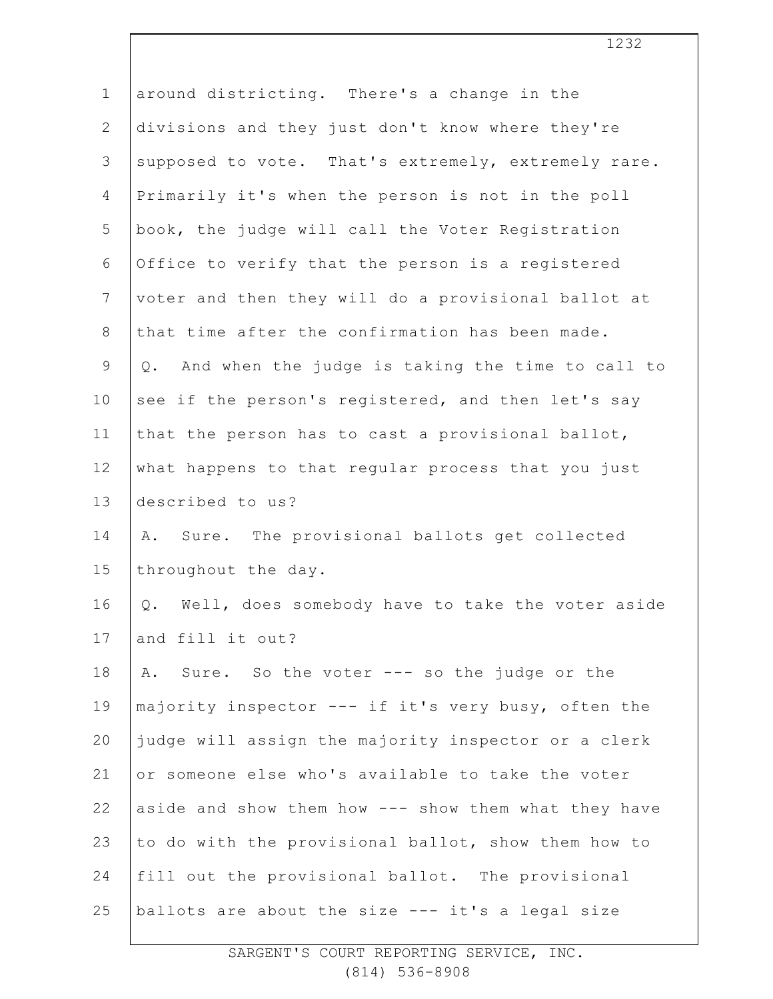| $\mathbf 1$    | around districting. There's a change in the            |
|----------------|--------------------------------------------------------|
| $\mathbf{2}$   | divisions and they just don't know where they're       |
| 3              | supposed to vote. That's extremely, extremely rare.    |
| $\overline{4}$ | Primarily it's when the person is not in the poll      |
| 5              | book, the judge will call the Voter Registration       |
| 6              | Office to verify that the person is a registered       |
| $7\phantom{.}$ | voter and then they will do a provisional ballot at    |
| $\,8\,$        | that time after the confirmation has been made.        |
| $\mathsf 9$    | And when the judge is taking the time to call to<br>Q. |
| 10             | see if the person's registered, and then let's say     |
| 11             | that the person has to cast a provisional ballot,      |
| 12             | what happens to that regular process that you just     |
| 13             | described to us?                                       |
| 14             | Sure. The provisional ballots get collected<br>Α.      |
| 15             | throughout the day.                                    |
| 16             | Well, does somebody have to take the voter aside<br>Q. |
| 17             | and fill it out?                                       |
| 18             | Sure. So the voter --- so the judge or the<br>Α.       |
| 19             | majority inspector --- if it's very busy, often the    |
| 20             | judge will assign the majority inspector or a clerk    |
| 21             | or someone else who's available to take the voter      |
| 22             | aside and show them how --- show them what they have   |
| 23             | to do with the provisional ballot, show them how to    |
| 24             | fill out the provisional ballot. The provisional       |
| 25             | ballots are about the size --- it's a legal size       |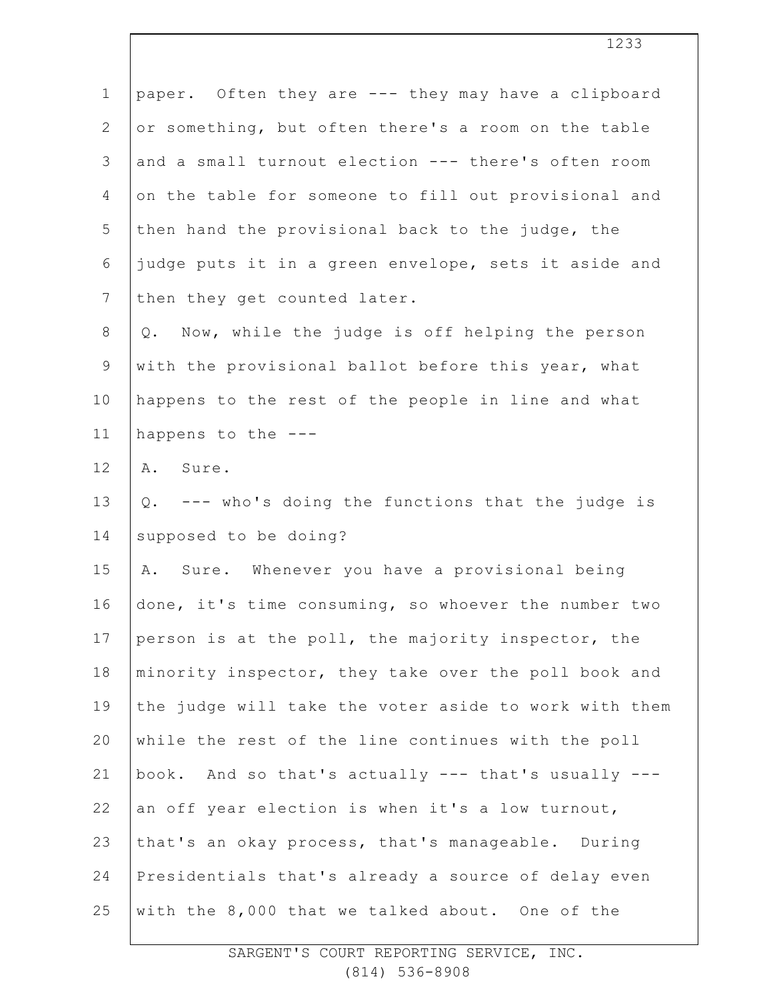| $\mathbf 1$    | paper. Often they are --- they may have a clipboard   |
|----------------|-------------------------------------------------------|
| $\mathbf{2}$   | or something, but often there's a room on the table   |
| 3              | and a small turnout election --- there's often room   |
| 4              | on the table for someone to fill out provisional and  |
| 5              | then hand the provisional back to the judge, the      |
| 6              | judge puts it in a green envelope, sets it aside and  |
| $7\phantom{.}$ | then they get counted later.                          |
| $8\,$          | Q. Now, while the judge is off helping the person     |
| $\mathsf 9$    | with the provisional ballot before this year, what    |
| 10             | happens to the rest of the people in line and what    |
| 11             | happens to the ---                                    |
| 12             | A. Sure.                                              |
| 13             | Q. --- who's doing the functions that the judge is    |
| 14             | supposed to be doing?                                 |
| 15             | A. Sure. Whenever you have a provisional being        |
| 16             | done, it's time consuming, so whoever the number two  |
| 17             | person is at the poll, the majority inspector, the    |
| 18             | minority inspector, they take over the poll book and  |
| 19             | the judge will take the voter aside to work with them |
| 20             | while the rest of the line continues with the poll    |
| 21             | book. And so that's actually --- that's usually ---   |
| 22             | an off year election is when it's a low turnout,      |
| 23             | that's an okay process, that's manageable. During     |
| 24             | Presidentials that's already a source of delay even   |
| 25             | with the 8,000 that we talked about. One of the       |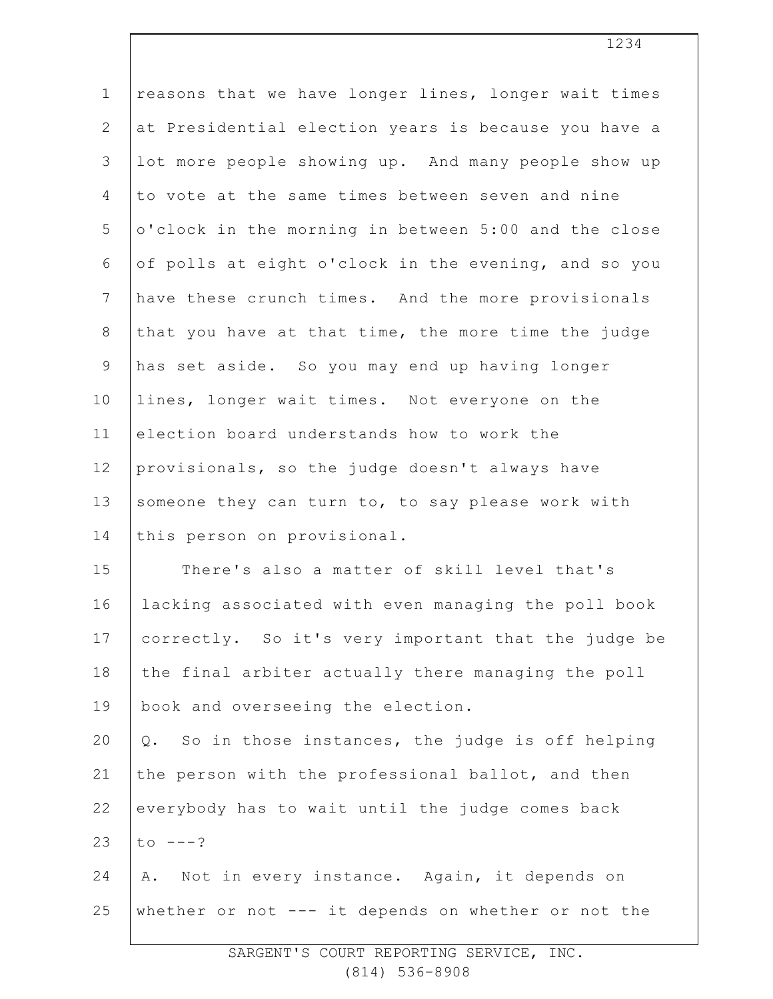| $\mathbf 1$     | reasons that we have longer lines, longer wait times  |
|-----------------|-------------------------------------------------------|
| $\mathbf{2}$    | at Presidential election years is because you have a  |
| 3               | lot more people showing up. And many people show up   |
| 4               | to vote at the same times between seven and nine      |
| 5               | o'clock in the morning in between 5:00 and the close  |
| 6               | of polls at eight o'clock in the evening, and so you  |
| $7\phantom{.0}$ | have these crunch times. And the more provisionals    |
| $8\,$           | that you have at that time, the more time the judge   |
| $\mathsf 9$     | has set aside. So you may end up having longer        |
| 10              | lines, longer wait times. Not everyone on the         |
| 11              | election board understands how to work the            |
| 12              | provisionals, so the judge doesn't always have        |
| 13              | someone they can turn to, to say please work with     |
| 14              | this person on provisional.                           |
| 15              | There's also a matter of skill level that's           |
| 16              | lacking associated with even managing the poll book   |
| 17              | correctly. So it's very important that the judge be   |
| 18              | the final arbiter actually there managing the poll    |
| 19              | book and overseeing the election.                     |
| 20              | So in those instances, the judge is off helping<br>Q. |
| 21              | the person with the professional ballot, and then     |
| 22              | everybody has to wait until the judge comes back      |
| 23              | $to ---?$                                             |
| 24              | Not in every instance. Again, it depends on<br>Α.     |
| 25              | whether or not --- it depends on whether or not the   |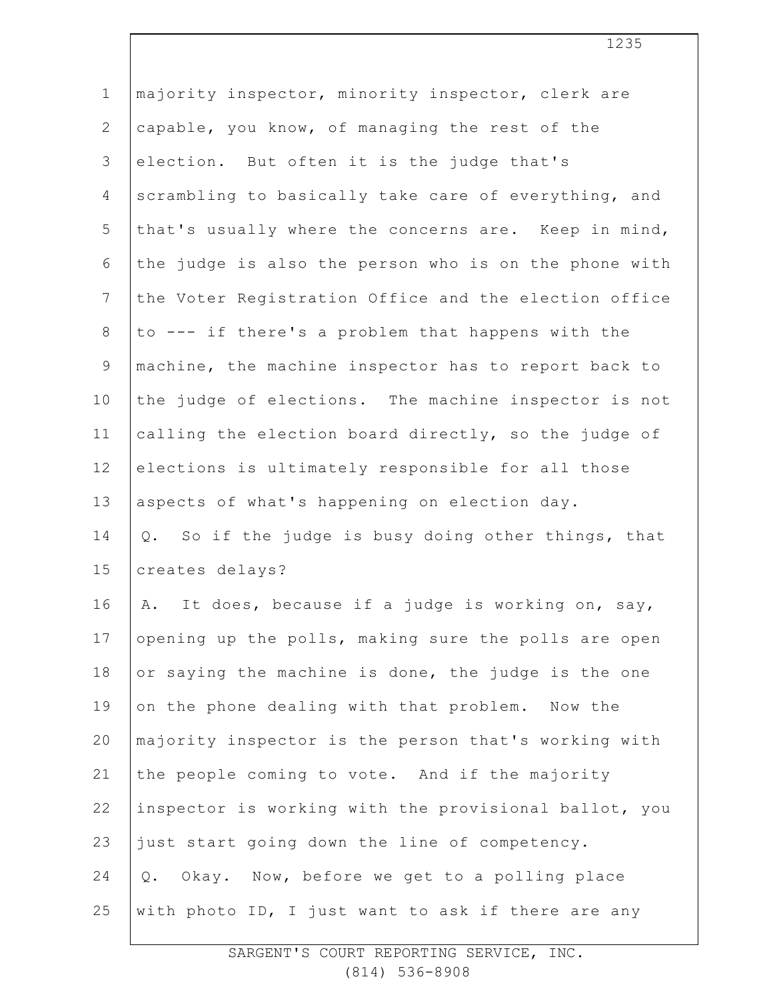| $\mathbf 1$    | majority inspector, minority inspector, clerk are     |
|----------------|-------------------------------------------------------|
| $\overline{2}$ | capable, you know, of managing the rest of the        |
| 3              | election. But often it is the judge that's            |
| $\overline{4}$ | scrambling to basically take care of everything, and  |
| 5              | that's usually where the concerns are. Keep in mind,  |
| $6\,$          | the judge is also the person who is on the phone with |
| $7\phantom{.}$ | the Voter Registration Office and the election office |
| $8\,$          | to --- if there's a problem that happens with the     |
| $\mathcal{G}$  | machine, the machine inspector has to report back to  |
| 10             | the judge of elections. The machine inspector is not  |
| 11             | calling the election board directly, so the judge of  |
| 12             | elections is ultimately responsible for all those     |
| 13             | aspects of what's happening on election day.          |
| 14             | Q. So if the judge is busy doing other things, that   |
| 15             | creates delays?                                       |
| 16             | It does, because if a judge is working on, say,<br>Α. |
| 17             | opening up the polls, making sure the polls are open  |
| 18             | or saying the machine is done, the judge is the one   |
| 19             | on the phone dealing with that problem. Now the       |
| 20             | majority inspector is the person that's working with  |
| 21             | the people coming to vote. And if the majority        |
| 22             | inspector is working with the provisional ballot, you |
| 23             | just start going down the line of competency.         |
| 24             | $Q$ .<br>Okay. Now, before we get to a polling place  |
| 25             | with photo ID, I just want to ask if there are any    |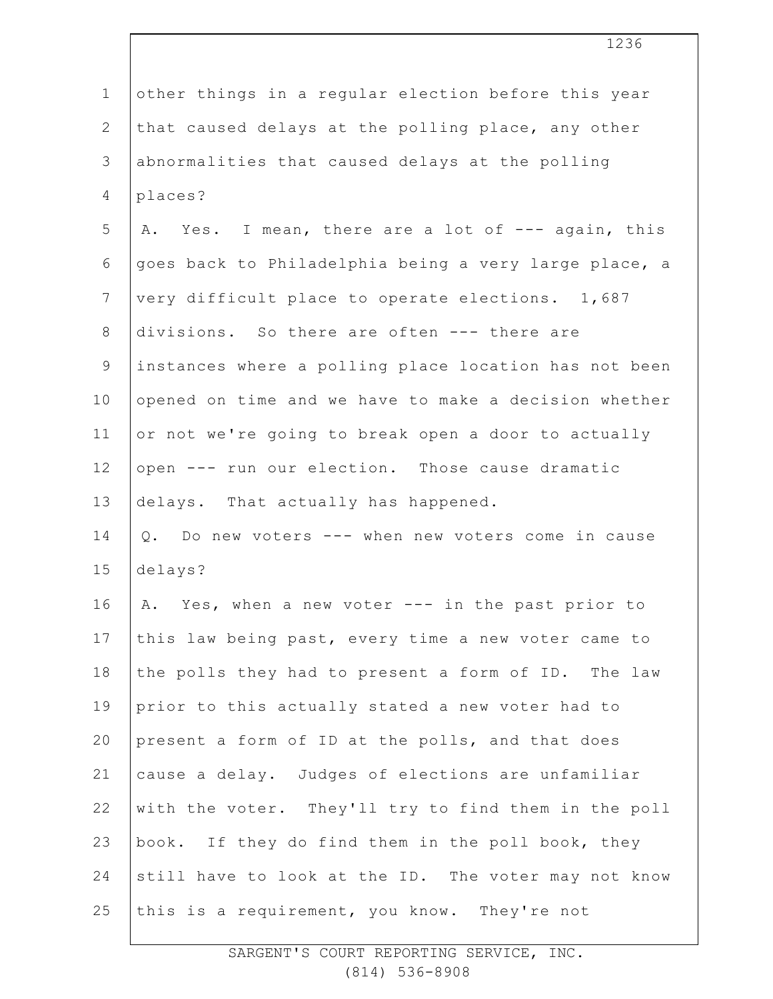| $\mathbf 1$    | other things in a regular election before this year   |
|----------------|-------------------------------------------------------|
| $\overline{2}$ | that caused delays at the polling place, any other    |
| 3              | abnormalities that caused delays at the polling       |
| 4              | places?                                               |
| 5              | A. Yes. I mean, there are a lot of --- again, this    |
| 6              | goes back to Philadelphia being a very large place, a |
| $7\phantom{.}$ | very difficult place to operate elections. 1,687      |
| $8\,$          | divisions. So there are often --- there are           |
| $\mathsf 9$    | instances where a polling place location has not been |
| 10             | opened on time and we have to make a decision whether |
| 11             | or not we're going to break open a door to actually   |
| 12             | open --- run our election. Those cause dramatic       |
| 13             | delays. That actually has happened.                   |
| 14             | Q. Do new voters --- when new voters come in cause    |
| 15             | delays?                                               |
| 16             | A. Yes, when a new voter --- in the past prior to     |
| 17             | this law being past, every time a new voter came to   |
| 18             | the polls they had to present a form of ID. The law   |
| 19             | prior to this actually stated a new voter had to      |
| 20             | present a form of ID at the polls, and that does      |
| 21             | cause a delay. Judges of elections are unfamiliar     |
| 22             | with the voter. They'll try to find them in the poll  |
| 23             | book. If they do find them in the poll book, they     |
| 24             | still have to look at the ID. The voter may not know  |
| 25             | this is a requirement, you know. They're not          |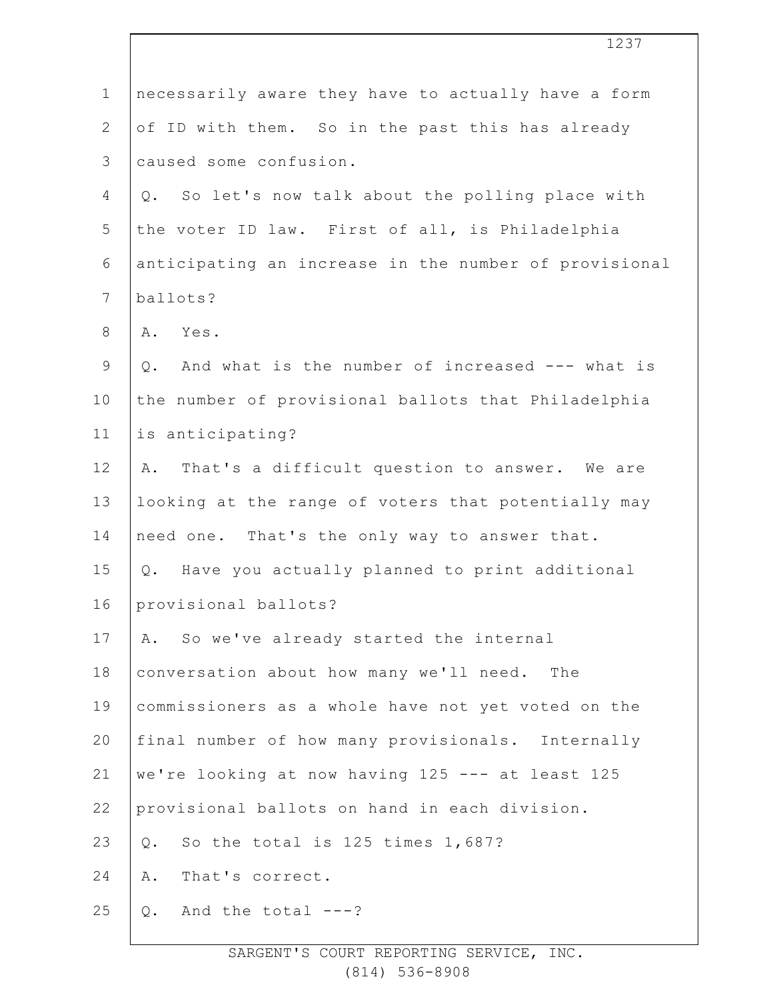|                | 1237                                                  |
|----------------|-------------------------------------------------------|
| $\mathbf 1$    | necessarily aware they have to actually have a form   |
| $\overline{2}$ | of ID with them. So in the past this has already      |
| $\mathsf 3$    | caused some confusion.                                |
| 4              | So let's now talk about the polling place with<br>Q.  |
| 5              | the voter ID law. First of all, is Philadelphia       |
| $\sqrt{6}$     | anticipating an increase in the number of provisional |
| $7\phantom{.}$ | ballots?                                              |
| $8\,$          | Yes.<br>Α.                                            |
| $\mathsf 9$    | And what is the number of increased --- what is<br>Q. |
| 10             | the number of provisional ballots that Philadelphia   |
| 11             | is anticipating?                                      |
| 12             | That's a difficult question to answer. We are<br>Α.   |
| 13             | looking at the range of voters that potentially may   |
| 14             | need one. That's the only way to answer that.         |
| 15             | Q. Have you actually planned to print additional      |
| 16             | provisional ballots?                                  |
| 17             | So we've already started the internal<br>Α.           |
| 18             | conversation about how many we'll need.<br>The        |
| 19             | commissioners as a whole have not yet voted on the    |
| 20             | final number of how many provisionals. Internally     |
| 21             | we're looking at now having 125 --- at least 125      |
| 22             | provisional ballots on hand in each division.         |
| 23             | So the total is 125 times 1,687?<br>Q.                |
| 24             | That's correct.<br>Α.                                 |
| 25             | And the total $---?$<br>Q.                            |
|                |                                                       |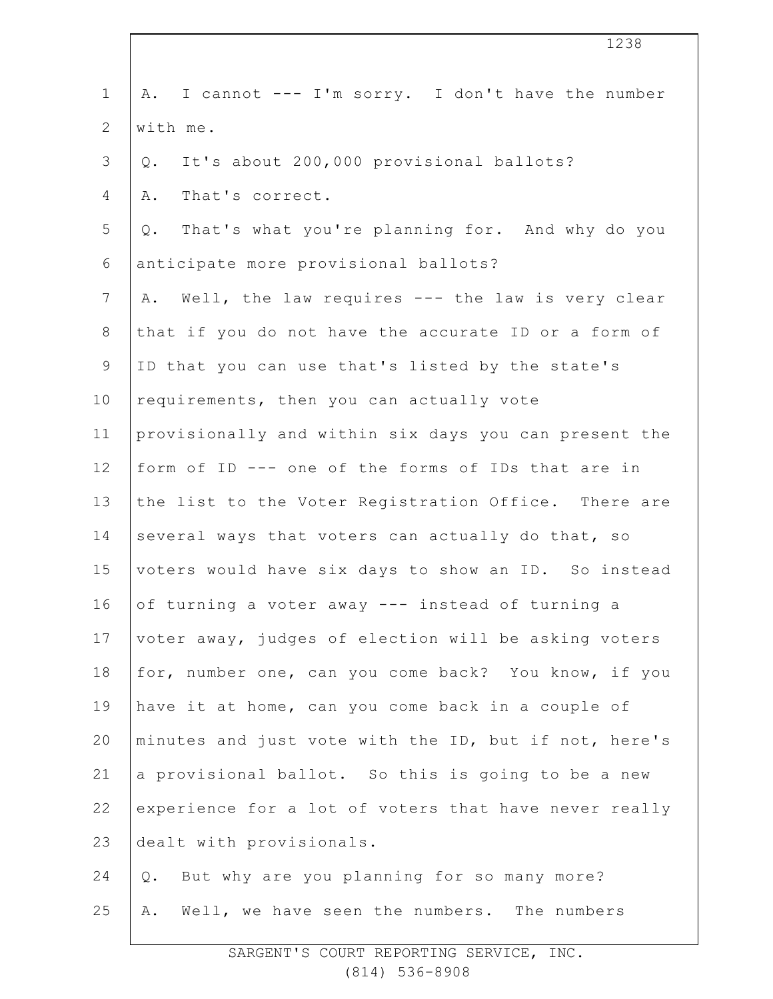1 2 3 4 5 6 7 8 9 10 11 12 13 14 15 16 17 18 19 20 21 22 23 24 25 A. I cannot --- I'm sorry. I don't have the number with me. Q. It's about 200,000 provisional ballots? A. That's correct. Q. That's what you're planning for. And why do you anticipate more provisional ballots? A. Well, the law requires --- the law is very clear that if you do not have the accurate ID or a form of ID that you can use that's listed by the state's requirements, then you can actually vote provisionally and within six days you can present the form of ID --- one of the forms of IDs that are in the list to the Voter Registration Office. There are several ways that voters can actually do that, so voters would have six days to show an ID. So instead of turning a voter away --- instead of turning a voter away, judges of election will be asking voters for, number one, can you come back? You know, if you have it at home, can you come back in a couple of minutes and just vote with the ID, but if not, here's a provisional ballot. So this is going to be a new experience for a lot of voters that have never really dealt with provisionals. Q. But why are you planning for so many more? A. Well, we have seen the numbers. The numbers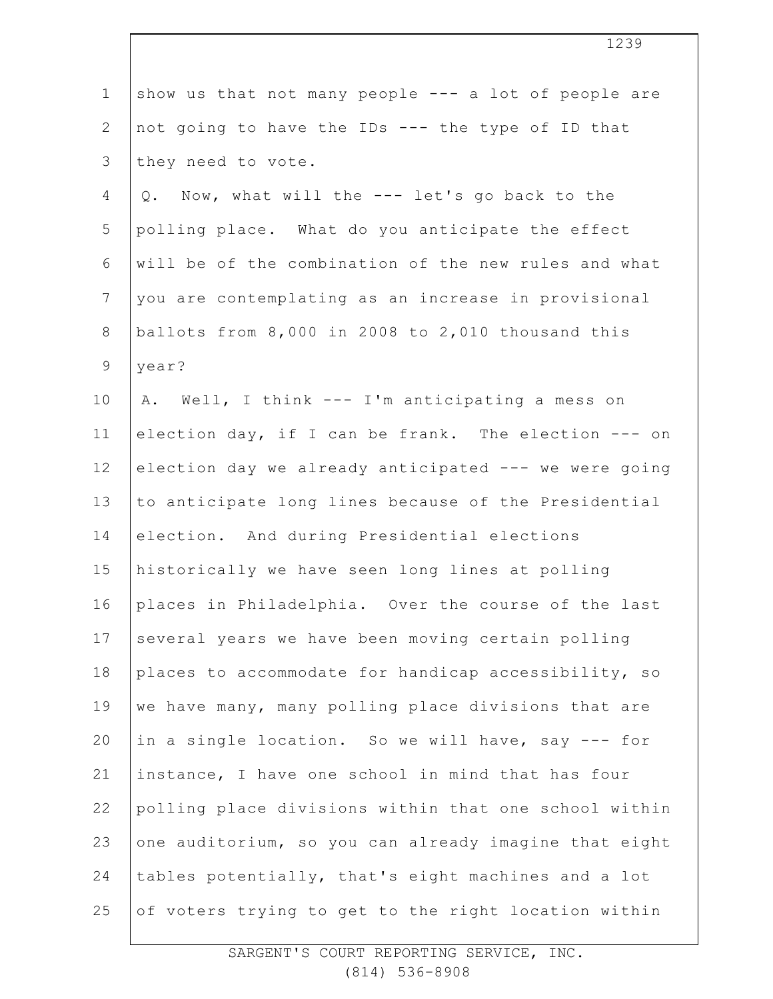| $\mathbf 1$    | show us that not many people --- a lot of people are  |
|----------------|-------------------------------------------------------|
| $\mathbf{2}$   | not going to have the IDs --- the type of ID that     |
| 3              | they need to vote.                                    |
| 4              | Now, what will the --- let's go back to the<br>$Q$ .  |
| 5              | polling place. What do you anticipate the effect      |
| 6              | will be of the combination of the new rules and what  |
| $7\phantom{.}$ | you are contemplating as an increase in provisional   |
| $8\,$          | ballots from 8,000 in 2008 to 2,010 thousand this     |
| $\mathcal{G}$  | year?                                                 |
| 10             | Well, I think --- I'm anticipating a mess on<br>Α.    |
| 11             | election day, if I can be frank. The election --- on  |
| 12             | election day we already anticipated --- we were going |
| 13             | to anticipate long lines because of the Presidential  |
| 14             | election. And during Presidential elections           |
| 15             | historically we have seen long lines at polling       |
| 16             | places in Philadelphia. Over the course of the last   |
| 17             | several years we have been moving certain polling     |
| 18             | places to accommodate for handicap accessibility, so  |
| 19             | we have many, many polling place divisions that are   |
| 20             | in a single location. So we will have, say --- for    |
| 21             | instance, I have one school in mind that has four     |
| 22             | polling place divisions within that one school within |
| 23             | one auditorium, so you can already imagine that eight |
| 24             | tables potentially, that's eight machines and a lot   |
| 25             | of voters trying to get to the right location within  |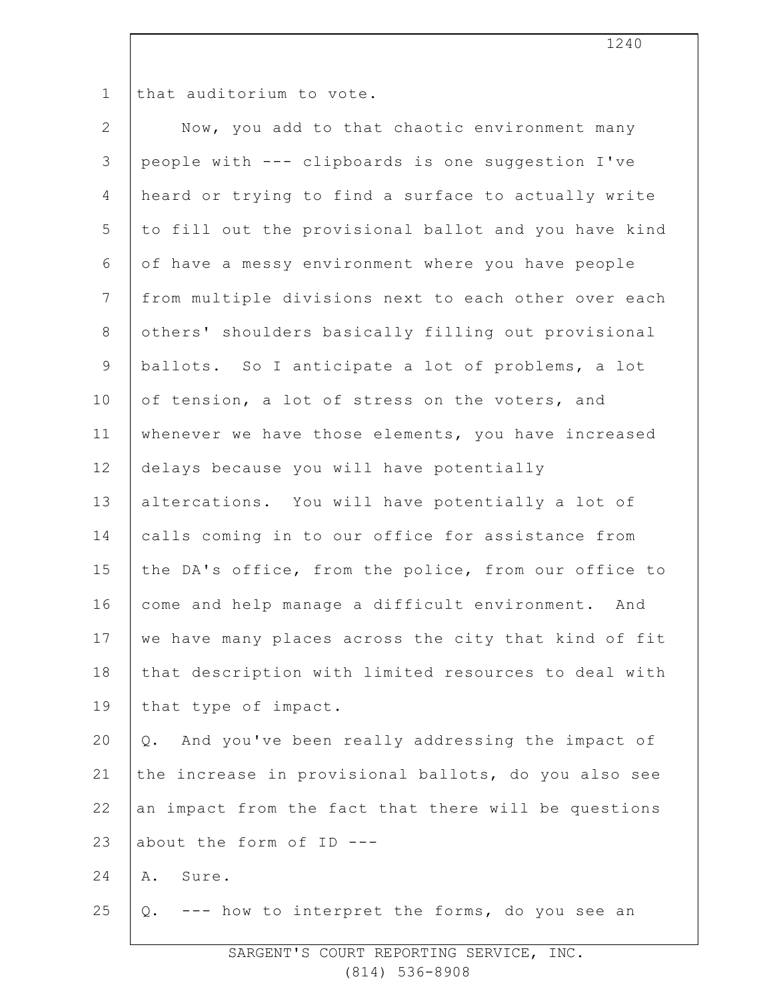1

that auditorium to vote.

| $\mathbf{2}$   | Now, you add to that chaotic environment many         |
|----------------|-------------------------------------------------------|
| $\mathfrak{Z}$ | people with --- clipboards is one suggestion I've     |
| $\overline{4}$ | heard or trying to find a surface to actually write   |
| 5              | to fill out the provisional ballot and you have kind  |
| 6              | of have a messy environment where you have people     |
| $7\phantom{.}$ | from multiple divisions next to each other over each  |
| $\,8\,$        | others' shoulders basically filling out provisional   |
| $\mathsf 9$    | ballots. So I anticipate a lot of problems, a lot     |
| 10             | of tension, a lot of stress on the voters, and        |
| 11             | whenever we have those elements, you have increased   |
| 12             | delays because you will have potentially              |
| 13             | altercations. You will have potentially a lot of      |
| 14             | calls coming in to our office for assistance from     |
| 15             | the DA's office, from the police, from our office to  |
| 16             | come and help manage a difficult environment. And     |
| 17             | we have many places across the city that kind of fit  |
| 18             | that description with limited resources to deal with  |
| 19             | that type of impact.                                  |
| 20             | And you've been really addressing the impact of<br>Q. |
| 21             | the increase in provisional ballots, do you also see  |
| 22             | an impact from the fact that there will be questions  |
| 23             | about the form of ID ---                              |
| 24             | Α.<br>Sure.                                           |
| 25             | Q. --- how to interpret the forms, do you see an      |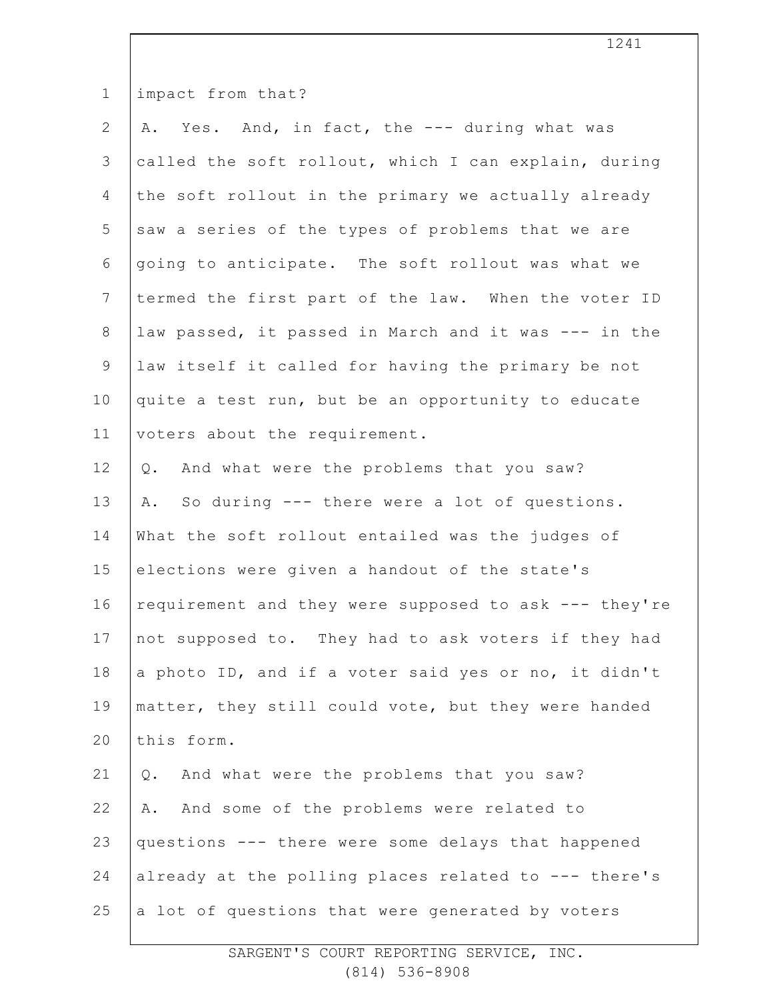| $\mathbf 1$     | impact from that?                                     |
|-----------------|-------------------------------------------------------|
| $\mathbf{2}$    | A. Yes. And, in fact, the --- during what was         |
| 3               | called the soft rollout, which I can explain, during  |
| 4               | the soft rollout in the primary we actually already   |
| 5               | saw a series of the types of problems that we are     |
| 6               | going to anticipate. The soft rollout was what we     |
| $7\phantom{.0}$ | termed the first part of the law. When the voter ID   |
| $8\,$           | law passed, it passed in March and it was --- in the  |
| 9               | law itself it called for having the primary be not    |
| 10              | quite a test run, but be an opportunity to educate    |
| 11              | voters about the requirement.                         |
| 12              | And what were the problems that you saw?<br>Q.        |
| 13              | So during --- there were a lot of questions.<br>Α.    |
| 14              | What the soft rollout entailed was the judges of      |
| 15              | elections were given a handout of the state's         |
| 16              | requirement and they were supposed to ask --- they're |
| 17              | not supposed to. They had to ask voters if they had   |
| 18              | a photo ID, and if a voter said yes or no, it didn't  |
| 19              | matter, they still could vote, but they were handed   |
| 20              | this form.                                            |
| 21              | And what were the problems that you saw?<br>Q.        |
| 22              | And some of the problems were related to<br>Α.        |
| 23              | questions --- there were some delays that happened    |
| 24              | already at the polling places related to --- there's  |
| 25              | a lot of questions that were generated by voters      |
|                 |                                                       |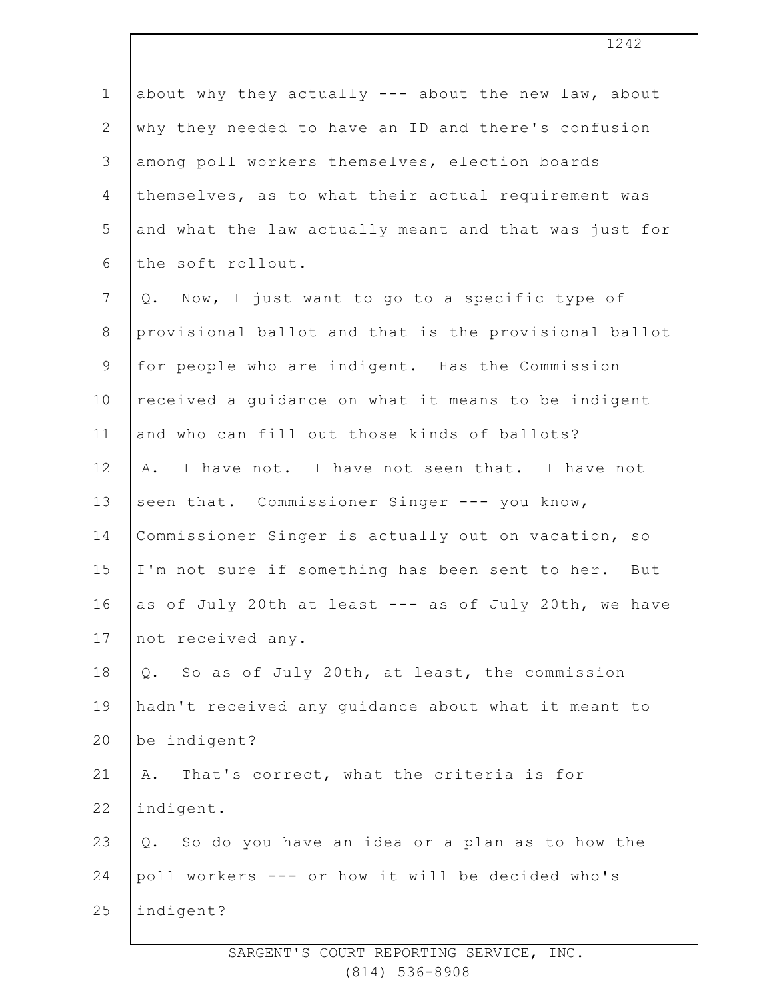1 2 3 4 5 6 7 8 9 10 11 12 13 14 15 16 17 18 19 20 21 22 23 24 25 about why they actually --- about the new law, about why they needed to have an ID and there's confusion among poll workers themselves, election boards themselves, as to what their actual requirement was and what the law actually meant and that was just for the soft rollout. Q. Now, I just want to go to a specific type of provisional ballot and that is the provisional ballot for people who are indigent. Has the Commission received a guidance on what it means to be indigent and who can fill out those kinds of ballots? A. I have not. I have not seen that. I have not seen that. Commissioner Singer --- you know, Commissioner Singer is actually out on vacation, so I'm not sure if something has been sent to her. But as of July 20th at least --- as of July 20th, we have not received any. Q. So as of July 20th, at least, the commission hadn't received any guidance about what it meant to be indigent? A. That's correct, what the criteria is for indigent. Q. So do you have an idea or a plan as to how the poll workers --- or how it will be decided who's indigent?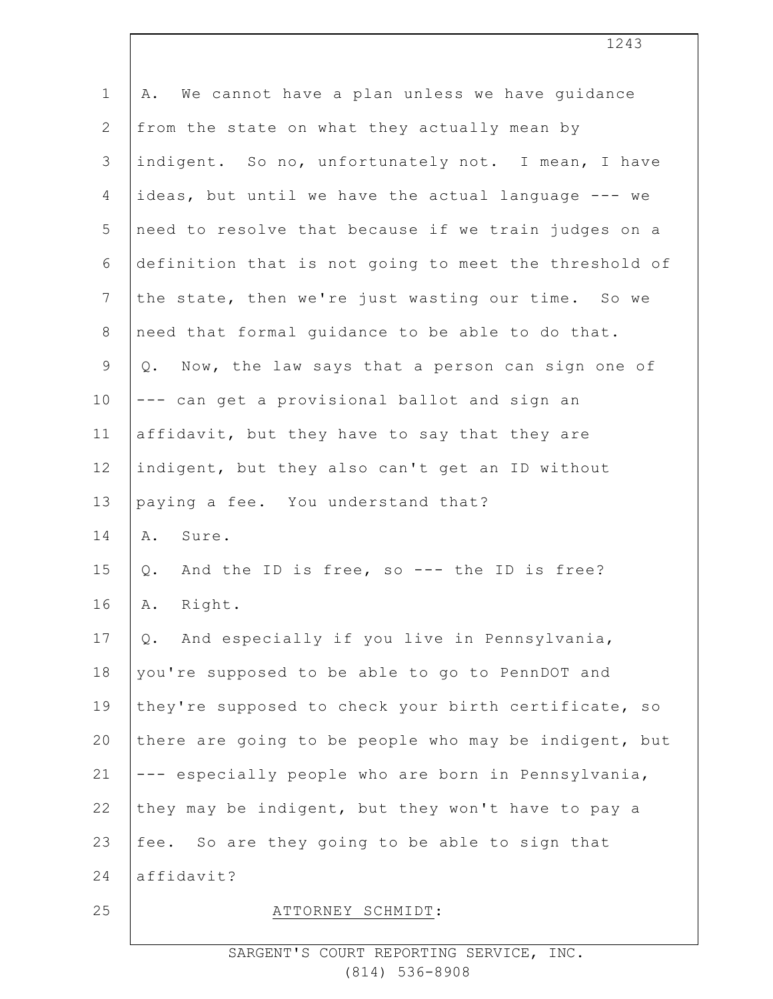| $\mathbf 1$    | We cannot have a plan unless we have guidance<br>Α.   |
|----------------|-------------------------------------------------------|
|                |                                                       |
| 2              | from the state on what they actually mean by          |
| $\mathfrak{Z}$ | indigent. So no, unfortunately not. I mean, I have    |
| 4              | ideas, but until we have the actual language --- we   |
| 5              | need to resolve that because if we train judges on a  |
| 6              | definition that is not going to meet the threshold of |
| 7              | the state, then we're just wasting our time. So we    |
| $8\,$          | need that formal quidance to be able to do that.      |
| $\mathsf 9$    | Q. Now, the law says that a person can sign one of    |
| 10             | --- can get a provisional ballot and sign an          |
| 11             | affidavit, but they have to say that they are         |
| 12             | indigent, but they also can't get an ID without       |
| 13             | paying a fee. You understand that?                    |
| 14             | Sure.<br>Α.                                           |
| 15             | And the ID is free, so --- the ID is free?<br>$Q$ .   |
| 16             | Right.<br>Α.                                          |
| 17             | And especially if you live in Pennsylvania,<br>$Q$ .  |
| 18             | you're supposed to be able to go to PennDOT and       |
| 19             | they're supposed to check your birth certificate, so  |
| 20             | there are going to be people who may be indigent, but |
| 21             | --- especially people who are born in Pennsylvania,   |
| 22             | they may be indigent, but they won't have to pay a    |
| 23             | fee. So are they going to be able to sign that        |
| 24             | affidavit?                                            |
| 25             | ATTORNEY SCHMIDT:                                     |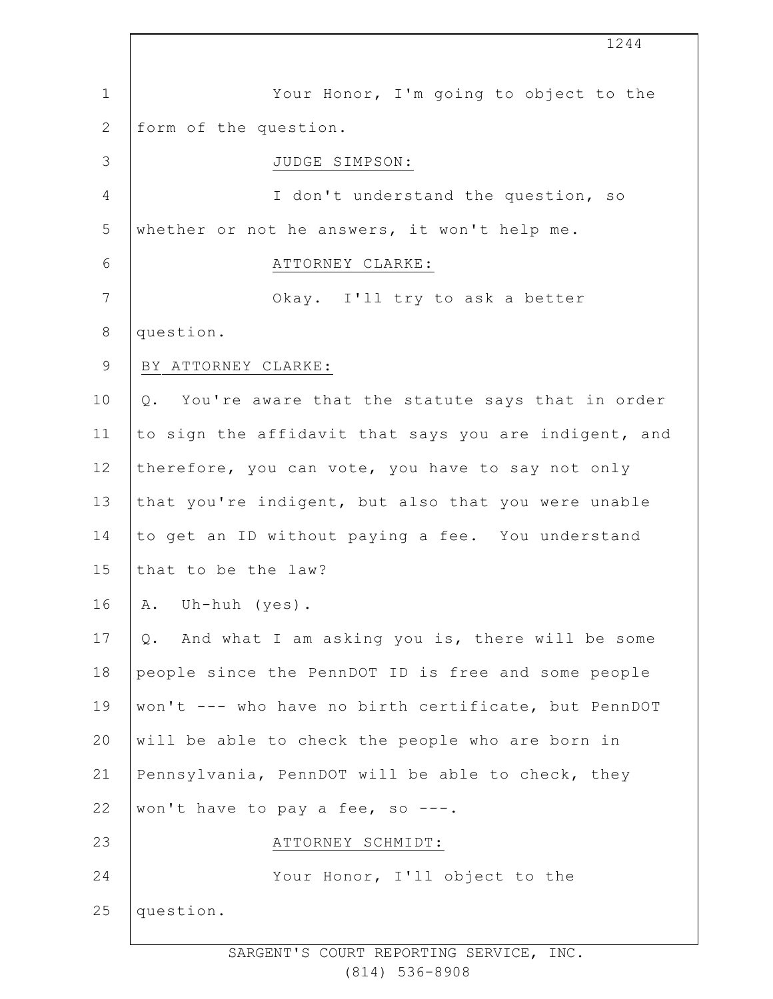|                | 1244                                                  |
|----------------|-------------------------------------------------------|
| $\mathbf 1$    | Your Honor, I'm going to object to the                |
| $\mathbf{2}$   | form of the question.                                 |
| 3              | JUDGE SIMPSON:                                        |
| $\overline{4}$ | I don't understand the question, so                   |
| 5              | whether or not he answers, it won't help me.          |
| 6              | ATTORNEY CLARKE:                                      |
| 7              | Okay. I'll try to ask a better                        |
| $\,8\,$        | question.                                             |
| $\mathsf 9$    | BY ATTORNEY CLARKE:                                   |
| 10             | Q. You're aware that the statute says that in order   |
| 11             | to sign the affidavit that says you are indigent, and |
| 12             | therefore, you can vote, you have to say not only     |
| 13             | that you're indigent, but also that you were unable   |
| 14             | to get an ID without paying a fee. You understand     |
| 15             | that to be the law?                                   |
| 16             | Uh-huh (yes).<br>Α.                                   |
| 17             | Q. And what I am asking you is, there will be some    |
| 18             | people since the PennDOT ID is free and some people   |
| 19             | won't --- who have no birth certificate, but PennDOT  |
| 20             | will be able to check the people who are born in      |
| 21             | Pennsylvania, PennDOT will be able to check, they     |
| 22             | won't have to pay a fee, so ---.                      |
| 23             | ATTORNEY SCHMIDT:                                     |
| 24             | Your Honor, I'll object to the                        |
| 25             | question.                                             |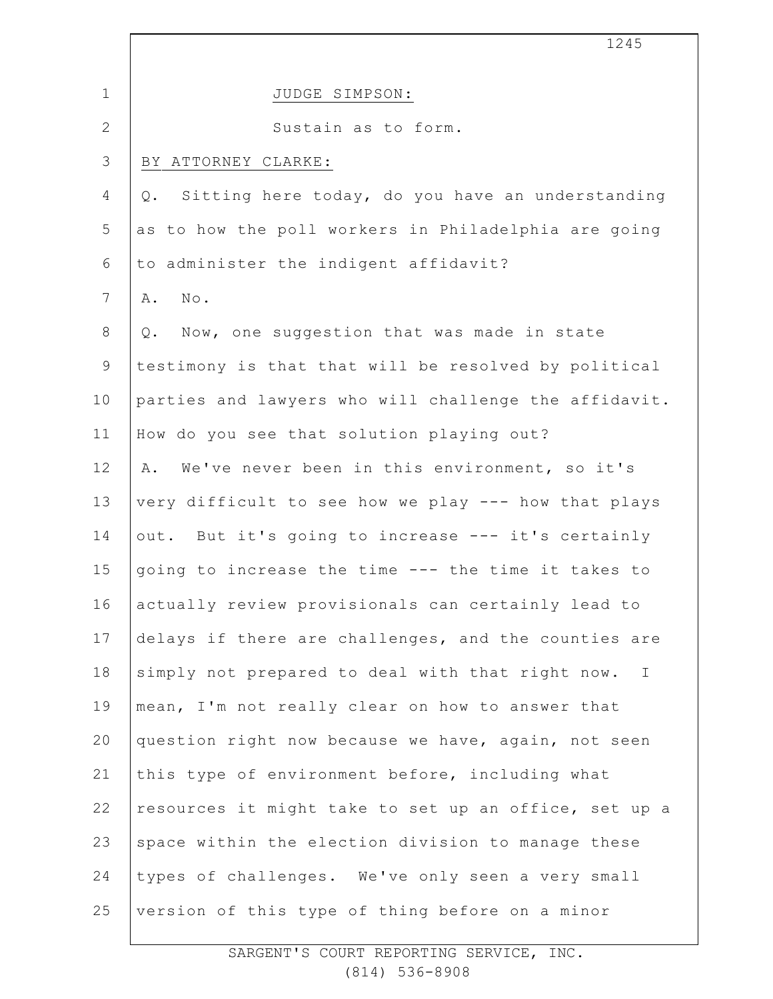|                 | 1245                                                             |
|-----------------|------------------------------------------------------------------|
| $\mathbf 1$     | JUDGE SIMPSON:                                                   |
| $\mathbf{2}$    | Sustain as to form.                                              |
| 3               | BY ATTORNEY CLARKE:                                              |
| 4               | Sitting here today, do you have an understanding<br>$Q$ .        |
| 5               | as to how the poll workers in Philadelphia are going             |
| 6               | to administer the indigent affidavit?                            |
| $7\phantom{.0}$ | $\texttt{No}$ .<br>Α.                                            |
| $8\,$           | Now, one suggestion that was made in state<br>Q.                 |
| $\mathsf 9$     | testimony is that that will be resolved by political             |
| 10              | parties and lawyers who will challenge the affidavit.            |
| 11              | How do you see that solution playing out?                        |
| 12              | We've never been in this environment, so it's<br>Α.              |
| 13              | very difficult to see how we play --- how that plays             |
| 14              | out. But it's going to increase --- it's certainly               |
| 15              | going to increase the time --- the time it takes to              |
| 16              | actually review provisionals can certainly lead to               |
| 17              | delays if there are challenges, and the counties are             |
| 18              | simply not prepared to deal with that right now.<br>$\mathbb{I}$ |
| 19              | mean, I'm not really clear on how to answer that                 |
| 20              | question right now because we have, again, not seen              |
| 21              | this type of environment before, including what                  |
| 22              | resources it might take to set up an office, set up a            |
| 23              | space within the election division to manage these               |
| 24              | types of challenges. We've only seen a very small                |
| 25              | version of this type of thing before on a minor                  |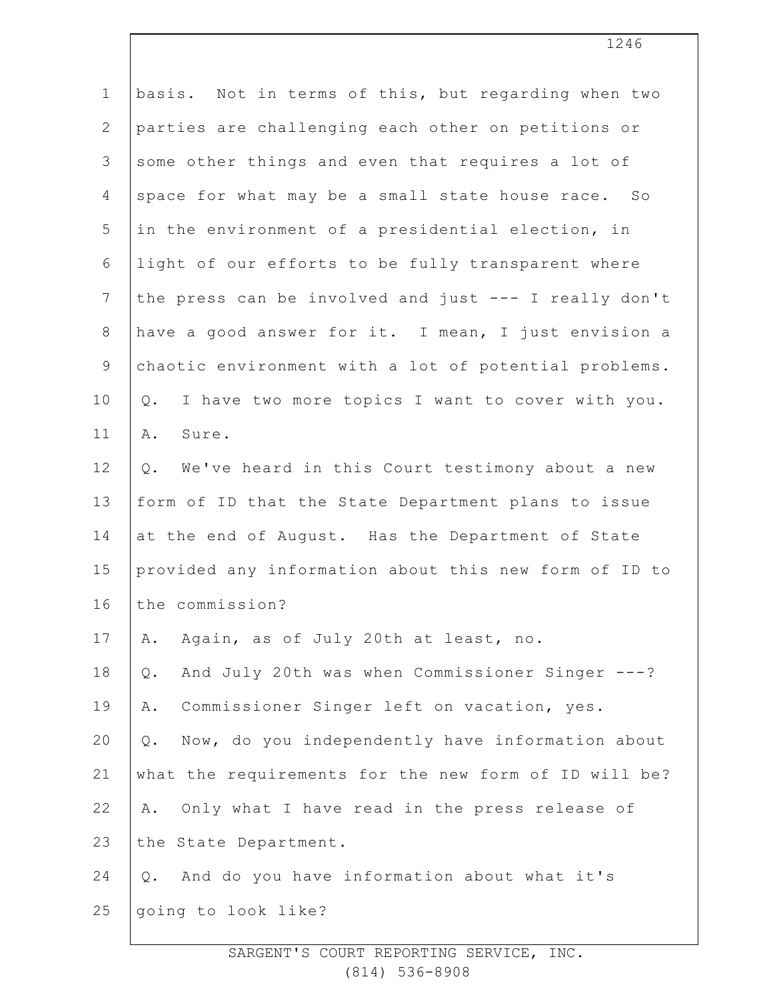| $\mathbf 1$    | basis. Not in terms of this, but regarding when two       |
|----------------|-----------------------------------------------------------|
| $\overline{2}$ | parties are challenging each other on petitions or        |
| 3              | some other things and even that requires a lot of         |
| $\overline{4}$ | space for what may be a small state house race. So        |
| 5              | in the environment of a presidential election, in         |
| 6              | light of our efforts to be fully transparent where        |
| 7              | the press can be involved and just --- I really don't     |
| $8\,$          | have a good answer for it. I mean, I just envision a      |
| $\mathsf 9$    | chaotic environment with a lot of potential problems.     |
| 10             | I have two more topics I want to cover with you.<br>$Q$ . |
| 11             | Sure.<br>Α.                                               |
| 12             | We've heard in this Court testimony about a new<br>Q.     |
| 13             | form of ID that the State Department plans to issue       |
| 14             | at the end of August. Has the Department of State         |
| 15             | provided any information about this new form of ID to     |
| 16             | the commission?                                           |
| 17             | Again, as of July 20th at least, no.<br>Α.                |
| 18             | And July 20th was when Commissioner Singer ---?<br>$Q$ .  |
| 19             | Commissioner Singer left on vacation, yes.<br>Α.          |
| 20             | Now, do you independently have information about<br>Q.    |
| 21             | what the requirements for the new form of ID will be?     |
| 22             | Only what I have read in the press release of<br>Α.       |
| 23             | the State Department.                                     |
| 24             | And do you have information about what it's<br>Q.         |
| 25             | going to look like?                                       |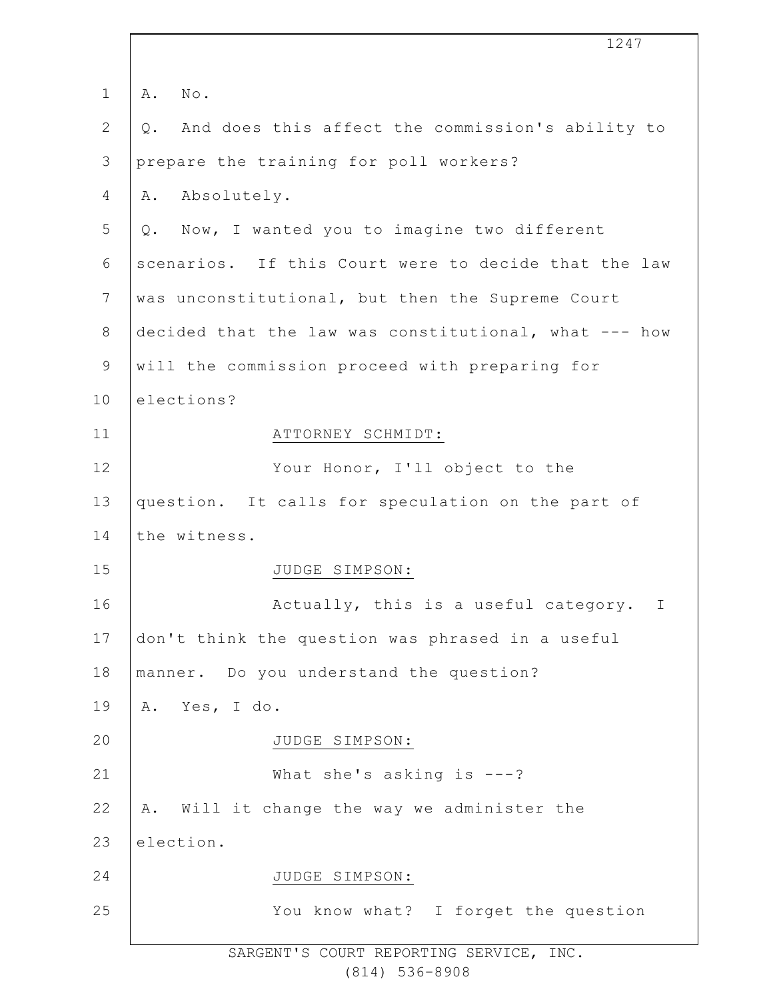|                 | 1247                                                   |
|-----------------|--------------------------------------------------------|
| $\mathbf{1}$    | No.<br>Α.                                              |
| 2               | And does this affect the commission's ability to<br>Q. |
| $\mathcal{S}$   | prepare the training for poll workers?                 |
| 4               | Absolutely.<br>Α.                                      |
| 5               | Q. Now, I wanted you to imagine two different          |
| 6               | scenarios. If this Court were to decide that the law   |
| $7\phantom{.0}$ | was unconstitutional, but then the Supreme Court       |
| 8               | decided that the law was constitutional, what --- how  |
| $\mathsf 9$     | will the commission proceed with preparing for         |
| 10              | elections?                                             |
| 11              | ATTORNEY SCHMIDT:                                      |
| 12              | Your Honor, I'll object to the                         |
| 13              | question. It calls for speculation on the part of      |
| 14              | the witness.                                           |
| 15              | JUDGE SIMPSON:                                         |
| 16              | Actually, this is a useful category.<br>Ι              |
| 17              | don't think the question was phrased in a useful       |
| 18              | manner. Do you understand the question?                |
| 19              | A. Yes, I do.                                          |
| 20              | JUDGE SIMPSON:                                         |
| 21              | What she's asking is $---?$                            |
| 22              | Will it change the way we administer the<br>Α.         |
| 23              | election.                                              |
| 24              | JUDGE SIMPSON:                                         |
| 25              | You know what? I forget the question                   |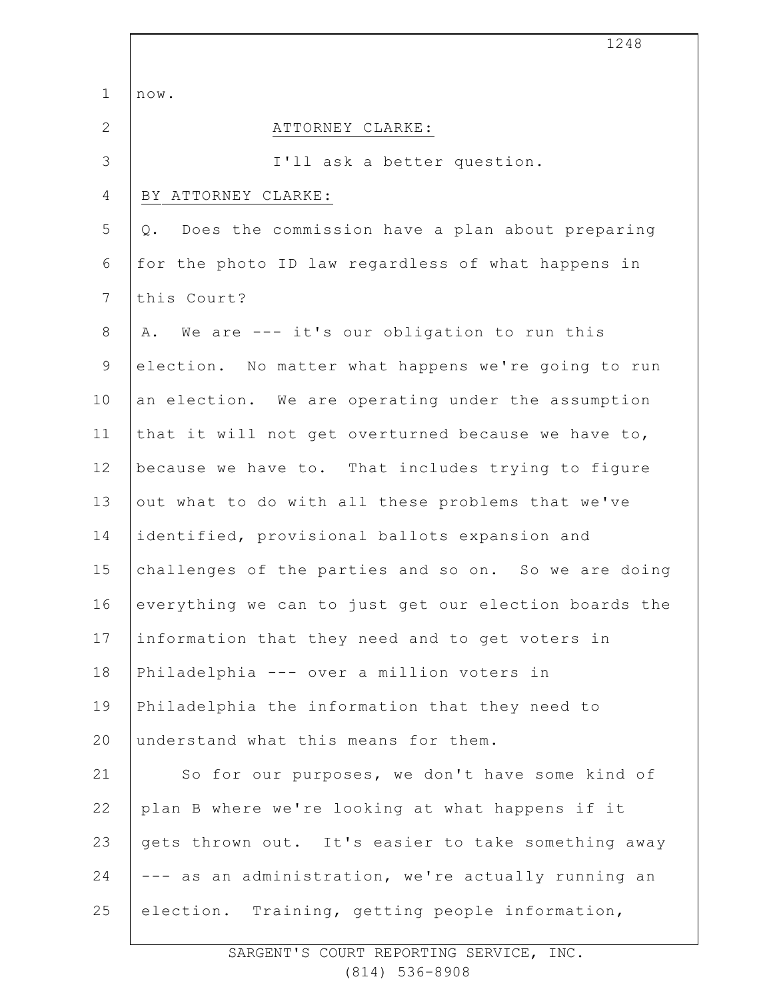|                | 1248                                                  |
|----------------|-------------------------------------------------------|
| $\mathbf 1$    | now.                                                  |
| $\mathbf{2}$   | ATTORNEY CLARKE:                                      |
| 3              | I'll ask a better question.                           |
| 4              | BY ATTORNEY CLARKE:                                   |
| 5              | Does the commission have a plan about preparing<br>Q. |
| 6              | for the photo ID law regardless of what happens in    |
| $7\phantom{.}$ | this Court?                                           |
| $8\,$          | We are --- it's our obligation to run this<br>Α.      |
| 9              | election. No matter what happens we're going to run   |
| 10             | an election. We are operating under the assumption    |
| 11             | that it will not get overturned because we have to,   |
| 12             | because we have to. That includes trying to figure    |
| 13             | out what to do with all these problems that we've     |
| 14             | identified, provisional ballots expansion and         |
| 15             | challenges of the parties and so on. So we are doing  |
| 16             | everything we can to just get our election boards the |
| 17             | information that they need and to get voters in       |
| 18             | Philadelphia --- over a million voters in             |
| 19             | Philadelphia the information that they need to        |
| 20             | understand what this means for them.                  |
| 21             | So for our purposes, we don't have some kind of       |
| 22             | plan B where we're looking at what happens if it      |
| 23             | gets thrown out. It's easier to take something away   |
| 24             | --- as an administration, we're actually running an   |
| 25             | election. Training, getting people information,       |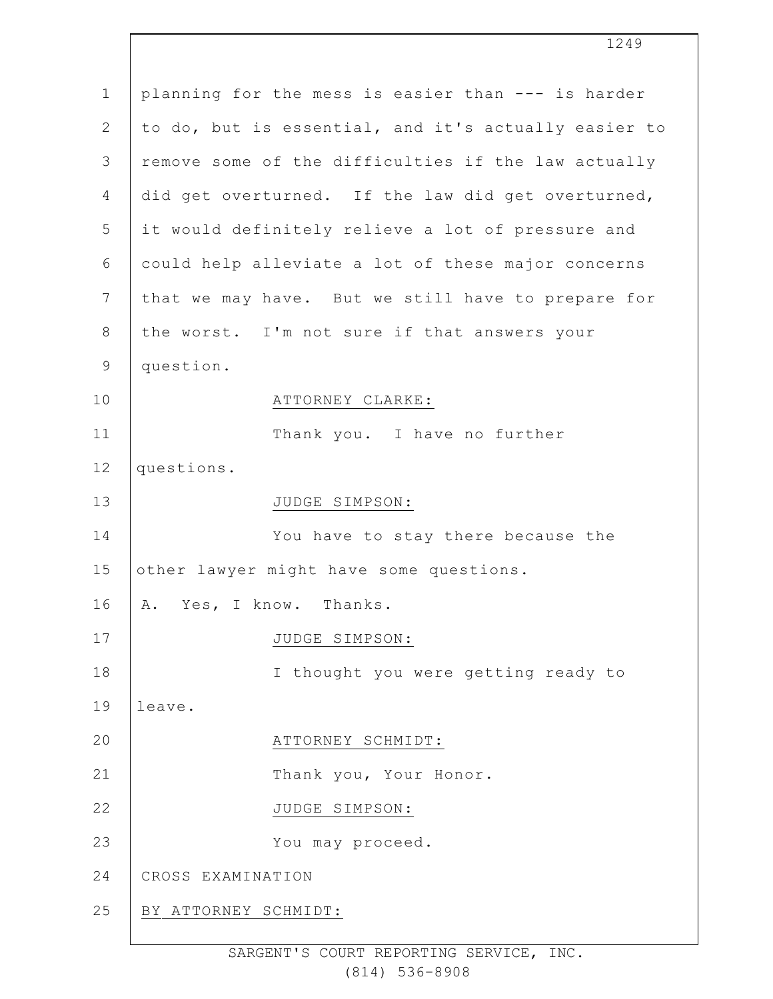| $\mathbf 1$    | planning for the mess is easier than --- is harder   |
|----------------|------------------------------------------------------|
| $\mathbf{2}$   | to do, but is essential, and it's actually easier to |
| $\mathcal{S}$  | remove some of the difficulties if the law actually  |
| $\overline{4}$ | did get overturned. If the law did get overturned,   |
| 5              | it would definitely relieve a lot of pressure and    |
| 6              | could help alleviate a lot of these major concerns   |
| 7              | that we may have. But we still have to prepare for   |
| $8\,$          | the worst. I'm not sure if that answers your         |
| $\mathsf 9$    | question.                                            |
| 10             | ATTORNEY CLARKE:                                     |
| 11             | Thank you. I have no further                         |
| 12             | questions.                                           |
| 13             | JUDGE SIMPSON:                                       |
| 14             | You have to stay there because the                   |
| 15             | other lawyer might have some questions.              |
| 16             | A. Yes, I know. Thanks.                              |
| 17             | JUDGE SIMPSON:                                       |
| 18             | I thought you were getting ready to                  |
| 19             | leave.                                               |
| 20             | ATTORNEY SCHMIDT:                                    |
| 21             | Thank you, Your Honor.                               |
| 22             | JUDGE SIMPSON:                                       |
| 23             | You may proceed.                                     |
| 24             | CROSS EXAMINATION                                    |
| 25             | BY ATTORNEY SCHMIDT:                                 |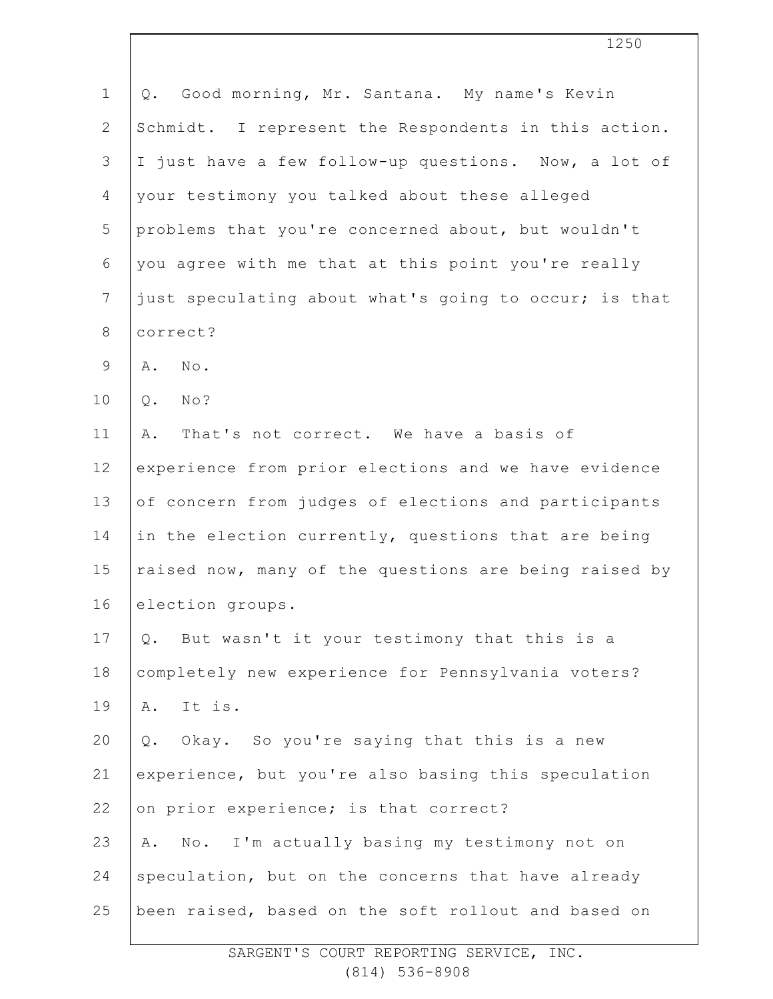| $\mathbf{1}$   | Good morning, Mr. Santana. My name's Kevin<br>Q.      |
|----------------|-------------------------------------------------------|
| $\mathbf{2}$   | Schmidt. I represent the Respondents in this action.  |
| 3              | I just have a few follow-up questions. Now, a lot of  |
| $\overline{4}$ | your testimony you talked about these alleged         |
| 5              | problems that you're concerned about, but wouldn't    |
| 6              | you agree with me that at this point you're really    |
| $\overline{7}$ | just speculating about what's going to occur; is that |
| $\,8\,$        | correct?                                              |
| $\overline{9}$ | $\mbox{No}$ .<br>Α.                                   |
| 10             | $Q$ .<br>No?                                          |
| 11             | That's not correct. We have a basis of<br>Α.          |
| 12             | experience from prior elections and we have evidence  |
| 13             | of concern from judges of elections and participants  |
| 14             | in the election currently, questions that are being   |
| 15             | raised now, many of the questions are being raised by |
| 16             | election groups.                                      |
| 17             | Q. But wasn't it your testimony that this is a        |
| 18             | completely new experience for Pennsylvania voters?    |
| 19             | It is.<br>Α.                                          |
| 20             | Q. Okay. So you're saying that this is a new          |
| 21             | experience, but you're also basing this speculation   |
| 22             | on prior experience; is that correct?                 |
| 23             | No. I'm actually basing my testimony not on<br>Α.     |
| 24             | speculation, but on the concerns that have already    |
| 25             | been raised, based on the soft rollout and based on   |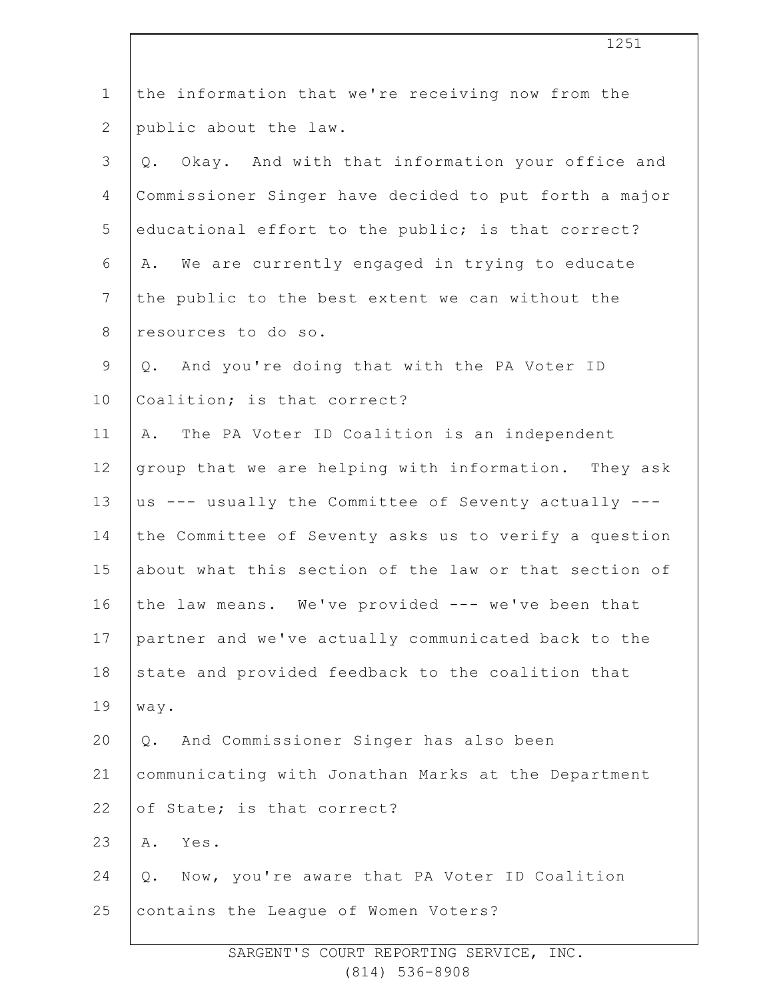| $\mathbf 1$    | the information that we're receiving now from the     |
|----------------|-------------------------------------------------------|
| $\mathbf{2}$   | public about the law.                                 |
| 3              | Okay. And with that information your office and<br>Q. |
| 4              | Commissioner Singer have decided to put forth a major |
| 5              | educational effort to the public; is that correct?    |
| 6              | We are currently engaged in trying to educate<br>Α.   |
| $\overline{7}$ | the public to the best extent we can without the      |
| $8\,$          | resources to do so.                                   |
| $\mathsf 9$    | And you're doing that with the PA Voter ID<br>Q.      |
| 10             | Coalition; is that correct?                           |
| 11             | The PA Voter ID Coalition is an independent<br>Α.     |
| 12             | group that we are helping with information. They ask  |
| 13             | us --- usually the Committee of Seventy actually ---  |
| 14             | the Committee of Seventy asks us to verify a question |
| 15             | about what this section of the law or that section of |
| 16             | the law means. We've provided --- we've been that     |
| 17             | partner and we've actually communicated back to the   |
| 18             | state and provided feedback to the coalition that     |
| 19             | way.                                                  |
| 20             | And Commissioner Singer has also been<br>Q.           |
| 21             | communicating with Jonathan Marks at the Department   |
| 22             | of State; is that correct?                            |
| 23             | Yes.<br>Α.                                            |
| 24             | Now, you're aware that PA Voter ID Coalition<br>Q.    |
| 25             | contains the League of Women Voters?                  |
|                |                                                       |

1251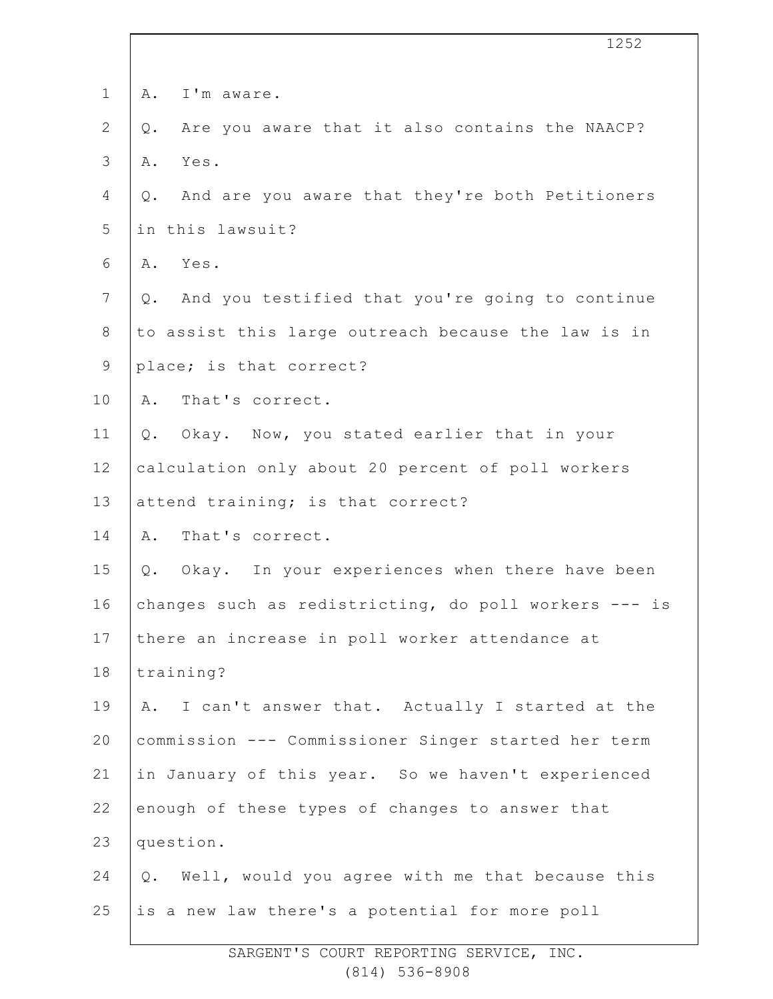|                | 1252                                                     |
|----------------|----------------------------------------------------------|
| $\mathbf 1$    | I'm aware.<br>Α.                                         |
| $\overline{2}$ | Are you aware that it also contains the NAACP?<br>Q.     |
| 3              | Yes.<br>Α.                                               |
| 4              | And are you aware that they're both Petitioners<br>Q.    |
| 5              | in this lawsuit?                                         |
| 6              | Yes.<br>Α.                                               |
| $\overline{7}$ | And you testified that you're going to continue<br>$Q$ . |
| $\,8\,$        | to assist this large outreach because the law is in      |
| $\mathsf 9$    | place; is that correct?                                  |
| 10             | That's correct.<br>Α.                                    |
| 11             | Okay. Now, you stated earlier that in your<br>Q.         |
| 12             | calculation only about 20 percent of poll workers        |
| 13             | attend training; is that correct?                        |
| 14             | That's correct.<br>Α.                                    |
| 15             | Okay. In your experiences when there have been<br>Q.     |
| 16             | changes such as redistricting, do poll workers --- is    |
| 17             | there an increase in poll worker attendance at           |
| 18             | training?                                                |
| 19             | I can't answer that. Actually I started at the<br>Α.     |
| 20             | commission --- Commissioner Singer started her term      |
| 21             | in January of this year. So we haven't experienced       |
| 22             | enough of these types of changes to answer that          |
| 23             | question.                                                |
| 24             | Well, would you agree with me that because this<br>Q.    |
| 25             | is a new law there's a potential for more poll           |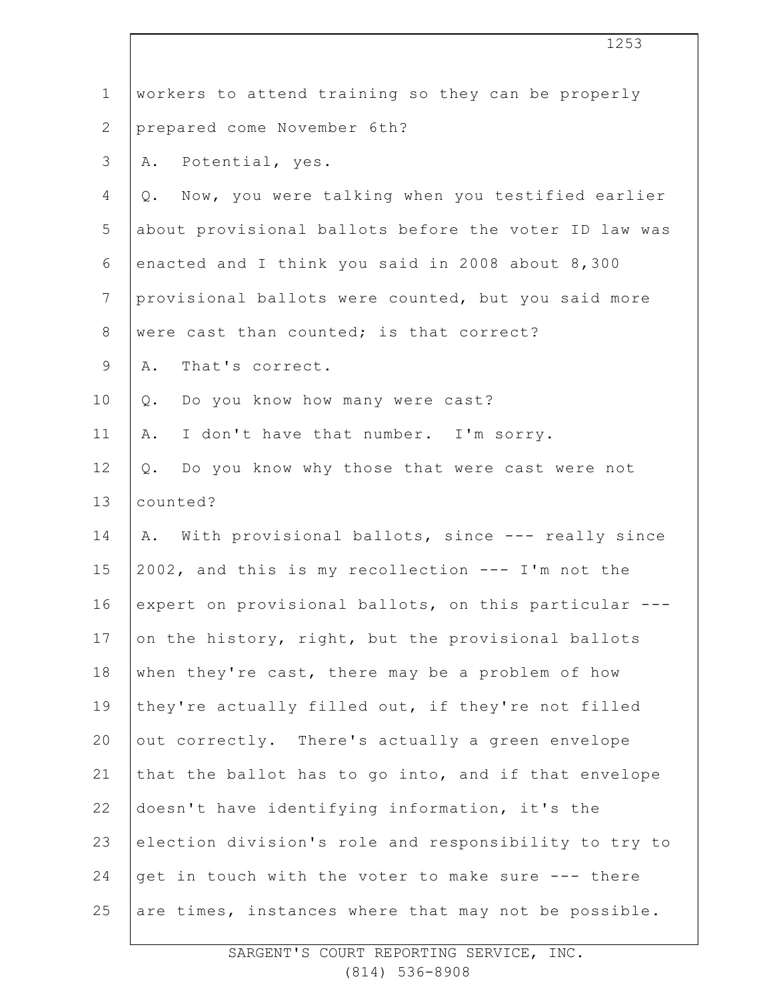|                | 1253                                                   |
|----------------|--------------------------------------------------------|
| $\mathbf 1$    | workers to attend training so they can be properly     |
| $\mathbf{2}$   | prepared come November 6th?                            |
| 3              | Potential, yes.<br>Α.                                  |
| 4              | Now, you were talking when you testified earlier<br>Q. |
| 5              | about provisional ballots before the voter ID law was  |
| 6              | enacted and I think you said in 2008 about 8,300       |
| $7\phantom{.}$ | provisional ballots were counted, but you said more    |
| $8\,$          | were cast than counted; is that correct?               |
| 9              | That's correct.<br>Α.                                  |
| 10             | Do you know how many were cast?<br>Q.                  |
| 11             | I don't have that number. I'm sorry.<br>Α.             |
| 12             | Do you know why those that were cast were not<br>Q.    |
| 13             | counted?                                               |
| 14             | With provisional ballots, since --- really since<br>Α. |
| 15             | 2002, and this is my recollection --- I'm not the      |
| 16             | expert on provisional ballots, on this particular ---  |
| 17             | on the history, right, but the provisional ballots     |
| 18             | when they're cast, there may be a problem of how       |
| 19             | they're actually filled out, if they're not filled     |
| 20             | out correctly. There's actually a green envelope       |
| 21             | that the ballot has to go into, and if that envelope   |
| 22             | doesn't have identifying information, it's the         |
| 23             | election division's role and responsibility to try to  |
| 24             | get in touch with the voter to make sure --- there     |
| 25             | are times, instances where that may not be possible.   |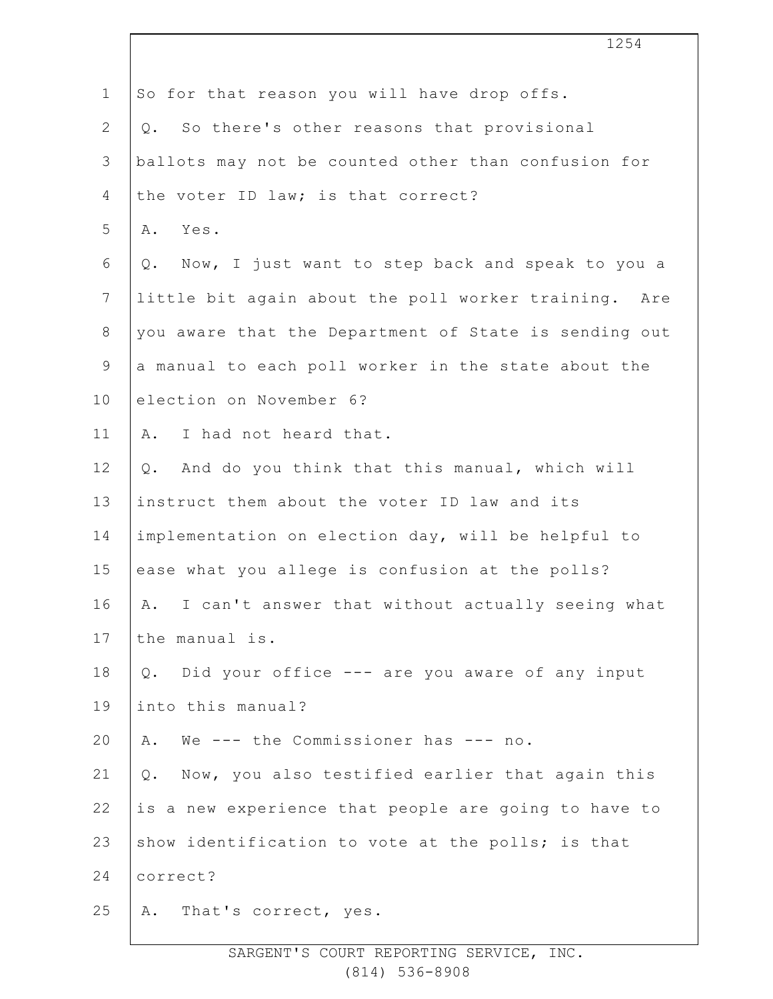|                | 1254                                                    |
|----------------|---------------------------------------------------------|
| $\mathbf 1$    | So for that reason you will have drop offs.             |
| $\mathbf{2}$   | So there's other reasons that provisional<br>Q.         |
| 3              | ballots may not be counted other than confusion for     |
| 4              | the voter ID law; is that correct?                      |
| 5              | Α.<br>Yes.                                              |
| 6              | Now, I just want to step back and speak to you a<br>Q.  |
| $7\phantom{.}$ | little bit again about the poll worker training. Are    |
| $8\,$          | you aware that the Department of State is sending out   |
| $\mathsf 9$    | a manual to each poll worker in the state about the     |
| 10             | election on November 6?                                 |
| 11             | I had not heard that.<br>Α.                             |
| 12             | And do you think that this manual, which will<br>Q.     |
| 13             | instruct them about the voter ID law and its            |
| 14             | implementation on election day, will be helpful to      |
| 15             | ease what you allege is confusion at the polls?         |
| 16             | I can't answer that without actually seeing what<br>Α.  |
| 17             | the manual is.                                          |
| 18             | Did your office --- are you aware of any input<br>$Q$ . |
| 19             | into this manual?                                       |
| 20             | We --- the Commissioner has --- no.<br>Α.               |
| 21             | Now, you also testified earlier that again this<br>Q.   |
| 22             | is a new experience that people are going to have to    |
| 23             | show identification to vote at the polls; is that       |
| 24             | correct?                                                |
| 25             | A. That's correct, yes.                                 |
|                |                                                         |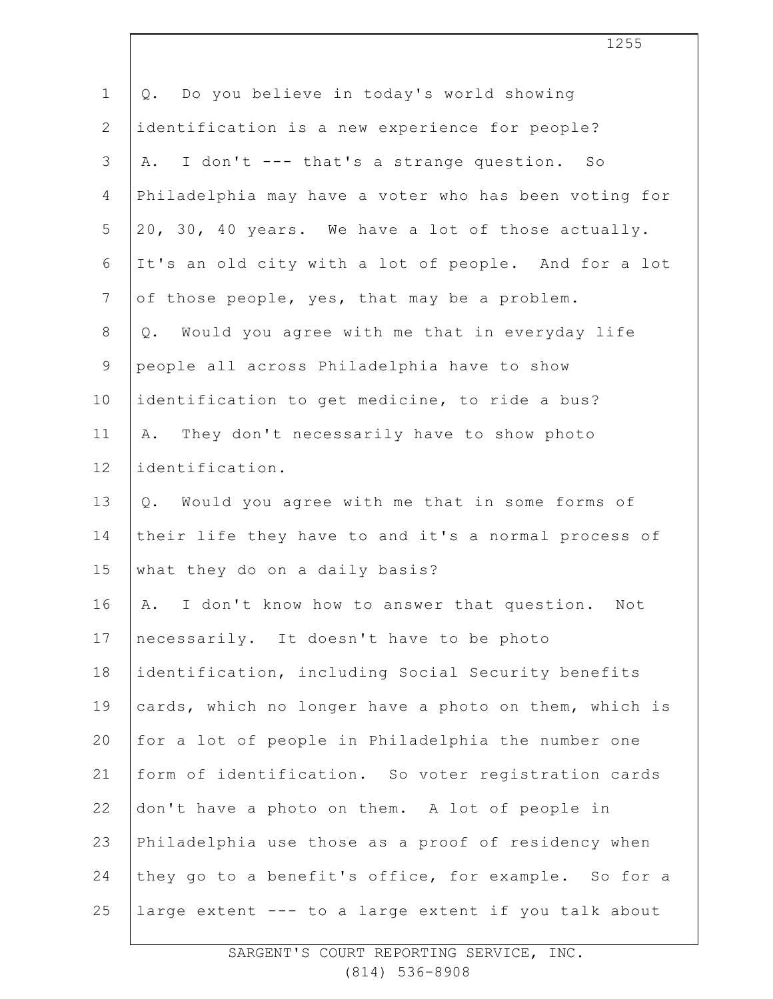| $\mathbf 1$    | Do you believe in today's world showing<br>Q.          |
|----------------|--------------------------------------------------------|
| $\mathbf{2}$   | identification is a new experience for people?         |
| 3              | I don't --- that's a strange question. So<br>Α.        |
| $\overline{4}$ | Philadelphia may have a voter who has been voting for  |
| 5              | 20, 30, 40 years. We have a lot of those actually.     |
| 6              | It's an old city with a lot of people. And for a lot   |
| $7\phantom{.}$ | of those people, yes, that may be a problem.           |
| $8\,$          | Would you agree with me that in everyday life<br>Q.    |
| $\mathsf 9$    | people all across Philadelphia have to show            |
| 10             | identification to get medicine, to ride a bus?         |
| 11             | They don't necessarily have to show photo<br>Α.        |
| 12             | identification.                                        |
| 13             | Would you agree with me that in some forms of<br>Q.    |
| 14             | their life they have to and it's a normal process of   |
| 15             | what they do on a daily basis?                         |
| 16             | I don't know how to answer that question.<br>Α.<br>Not |
| 17             | necessarily. It doesn't have to be photo               |
| 18             | identification, including Social Security benefits     |
| 19             | cards, which no longer have a photo on them, which is  |
| 20             | for a lot of people in Philadelphia the number one     |
| 21             | form of identification. So voter registration cards    |
| 22             | don't have a photo on them. A lot of people in         |
| 23             | Philadelphia use those as a proof of residency when    |
| 24             | they go to a benefit's office, for example. So for a   |
| 25             | large extent --- to a large extent if you talk about   |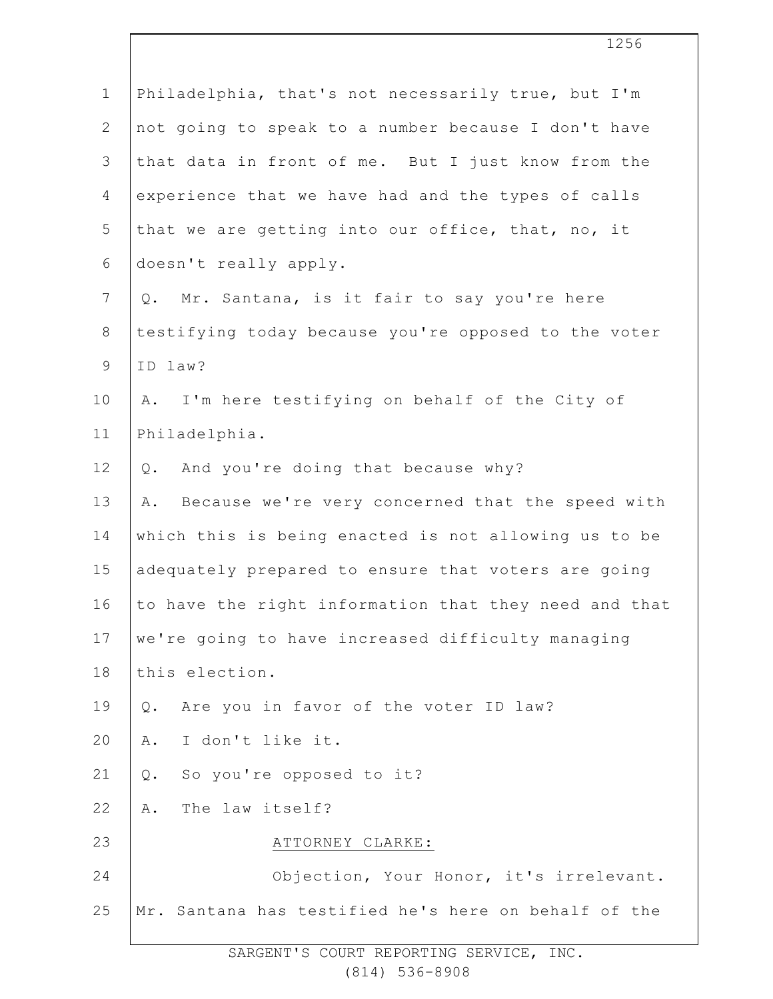| $\mathbf 1$  | Philadelphia, that's not necessarily true, but I'm     |
|--------------|--------------------------------------------------------|
| $\mathbf{2}$ | not going to speak to a number because I don't have    |
| 3            | that data in front of me. But I just know from the     |
| 4            | experience that we have had and the types of calls     |
| 5            | that we are getting into our office, that, no, it      |
| 6            | doesn't really apply.                                  |
| 7            | Mr. Santana, is it fair to say you're here<br>Q.       |
| $8\,$        | testifying today because you're opposed to the voter   |
| $\mathsf 9$  | ID law?                                                |
| 10           | I'm here testifying on behalf of the City of<br>Α.     |
| 11           | Philadelphia.                                          |
| 12           | And you're doing that because why?<br>$Q$ .            |
| 13           | Because we're very concerned that the speed with<br>Α. |
| 14           | which this is being enacted is not allowing us to be   |
| 15           | adequately prepared to ensure that voters are going    |
| 16           | to have the right information that they need and that  |
| 17           | we're going to have increased difficulty managing      |
| 18           | this election.                                         |
| 19           | Are you in favor of the voter ID law?<br>$Q$ .         |
| 20           | I don't like it.<br>Α.                                 |
| 21           | So you're opposed to it?<br>$Q$ .                      |
| 22           | The law itself?<br>Α.                                  |
| 23           | ATTORNEY CLARKE:                                       |
| 24           | Objection, Your Honor, it's irrelevant.                |
| 25           | Mr. Santana has testified he's here on behalf of the   |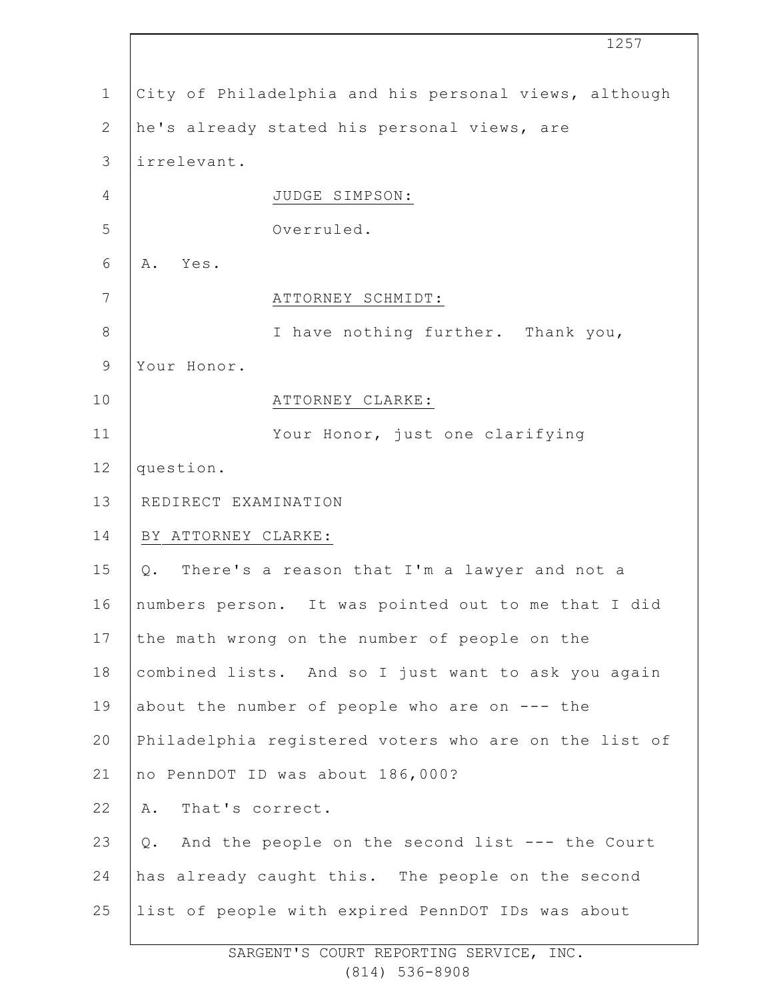|                | 1257                                                  |
|----------------|-------------------------------------------------------|
| $\mathbf 1$    | City of Philadelphia and his personal views, although |
| $\mathbf{2}$   | he's already stated his personal views, are           |
| 3              | irrelevant.                                           |
| $\overline{4}$ | JUDGE SIMPSON:                                        |
| 5              | Overruled.                                            |
| 6              | Yes.<br>Α.                                            |
| 7              | ATTORNEY SCHMIDT:                                     |
| $\,8\,$        | I have nothing further. Thank you,                    |
| $\mathsf 9$    | Your Honor.                                           |
| 10             | ATTORNEY CLARKE:                                      |
| 11             | Your Honor, just one clarifying                       |
| 12             | question.                                             |
| 13             | REDIRECT EXAMINATION                                  |
| 14             | BY ATTORNEY CLARKE:                                   |
| 15             | Q. There's a reason that I'm a lawyer and not a       |
| 16             | numbers person. It was pointed out to me that I did   |
| 17             | the math wrong on the number of people on the         |
| 18             | combined lists. And so I just want to ask you again   |
| 19             | about the number of people who are on $---$ the       |
| 20             | Philadelphia registered voters who are on the list of |
| 21             | no PennDOT ID was about 186,000?                      |
| 22             | That's correct.<br>Α.                                 |
| 23             | And the people on the second list --- the Court<br>Q. |
| 24             | has already caught this. The people on the second     |
| 25             | list of people with expired PennDOT IDs was about     |
|                |                                                       |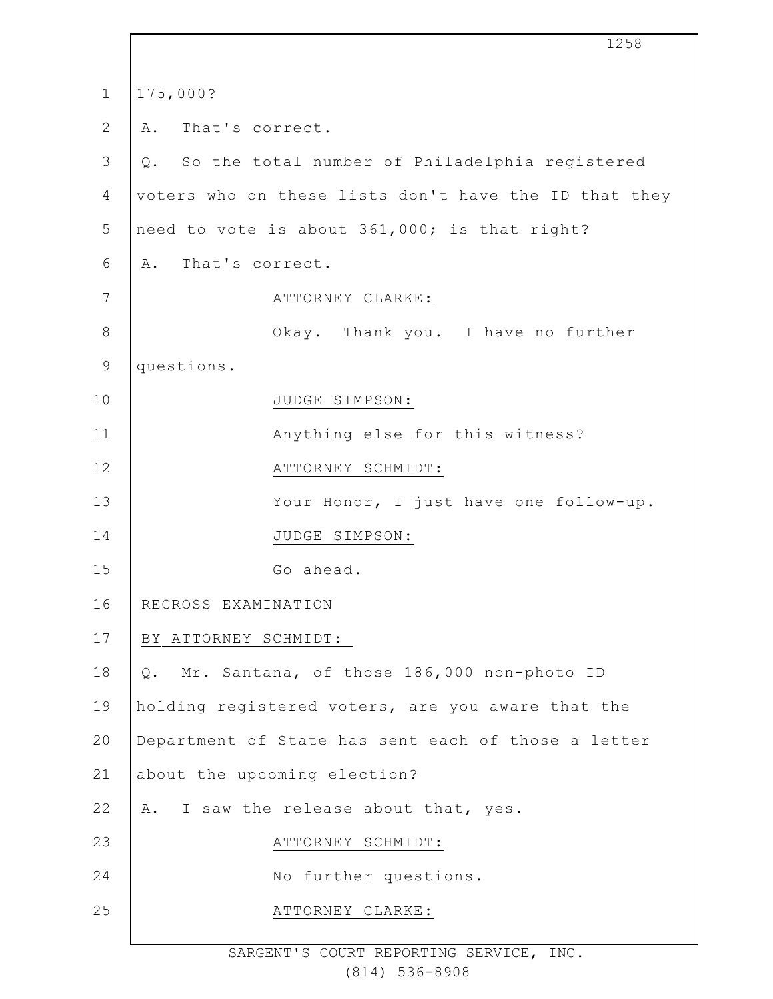|                | 1258                                                  |
|----------------|-------------------------------------------------------|
| $\mathbf 1$    | 175,000?                                              |
| $\mathbf{2}$   | That's correct.<br>Α.                                 |
| $\mathcal{S}$  | Q. So the total number of Philadelphia registered     |
| 4              | voters who on these lists don't have the ID that they |
| 5              | need to vote is about 361,000; is that right?         |
| 6              | That's correct.<br>Α.                                 |
| $7\phantom{.}$ | ATTORNEY CLARKE:                                      |
| $\,8\,$        | Okay. Thank you. I have no further                    |
| $\mathsf 9$    | questions.                                            |
| 10             | JUDGE SIMPSON:                                        |
| 11             | Anything else for this witness?                       |
| 12             | ATTORNEY SCHMIDT:                                     |
| 13             | Your Honor, I just have one follow-up.                |
| 14             | JUDGE SIMPSON:                                        |
| 15             | Go ahead.                                             |
| 16             | RECROSS EXAMINATION                                   |
| 17             | BY ATTORNEY SCHMIDT:                                  |
| 18             | Q. Mr. Santana, of those 186,000 non-photo ID         |
| 19             | holding registered voters, are you aware that the     |
| 20             | Department of State has sent each of those a letter   |
| 21             | about the upcoming election?                          |
| 22             | A. I saw the release about that, yes.                 |
| 23             | ATTORNEY SCHMIDT:                                     |
| 24             | No further questions.                                 |
| 25             | ATTORNEY CLARKE:                                      |
|                |                                                       |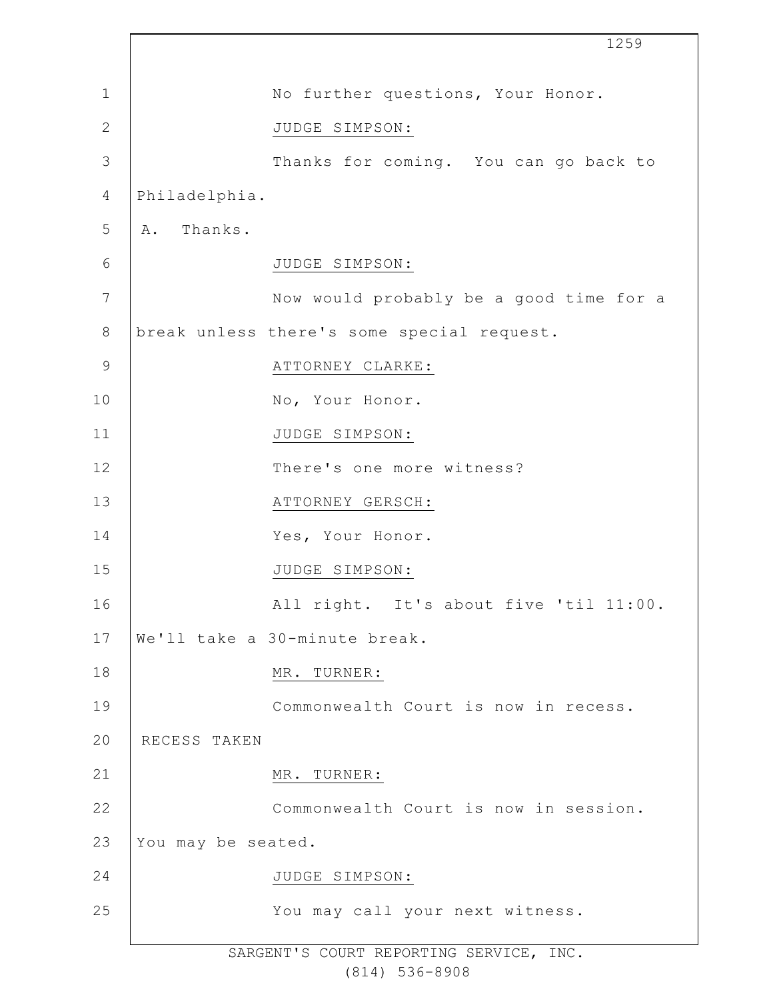|             |                    | 1259                                       |
|-------------|--------------------|--------------------------------------------|
| 1           |                    | No further questions, Your Honor.          |
| 2           |                    | JUDGE SIMPSON:                             |
| 3           |                    | Thanks for coming. You can go back to      |
| 4           | Philadelphia.      |                                            |
| 5           | A. Thanks.         |                                            |
| 6           |                    | JUDGE SIMPSON:                             |
| 7           |                    | Now would probably be a good time for a    |
| $\,8\,$     |                    | break unless there's some special request. |
| $\mathsf 9$ |                    | ATTORNEY CLARKE:                           |
| 10          |                    | No, Your Honor.                            |
| 11          |                    | JUDGE SIMPSON:                             |
| 12          |                    | There's one more witness?                  |
| 13          |                    | ATTORNEY GERSCH:                           |
| 14          |                    | Yes, Your Honor.                           |
| 15          |                    | JUDGE SIMPSON:                             |
| 16          |                    | All right. It's about five 'til 11:00.     |
| 17          |                    | We'll take a 30-minute break.              |
| 18          |                    | MR. TURNER:                                |
| 19          |                    | Commonwealth Court is now in recess.       |
| 20          | RECESS TAKEN       |                                            |
| 21          |                    | MR.<br>TURNER:                             |
| 22          |                    | Commonwealth Court is now in session.      |
| 23          | You may be seated. |                                            |
| 24          |                    | JUDGE SIMPSON:                             |
| 25          |                    | You may call your next witness.            |
|             |                    |                                            |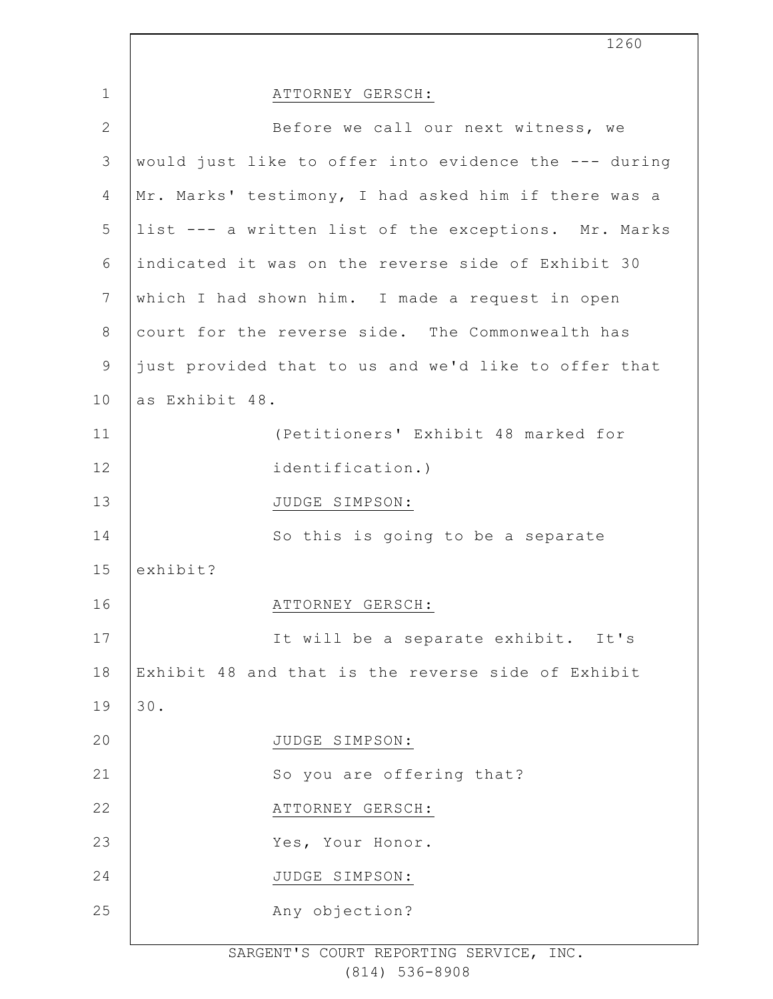|              | 1260                                                  |
|--------------|-------------------------------------------------------|
| $\mathbf{1}$ | ATTORNEY GERSCH:                                      |
| $\mathbf{2}$ | Before we call our next witness, we                   |
| 3            | would just like to offer into evidence the --- during |
| 4            | Mr. Marks' testimony, I had asked him if there was a  |
| 5            | list --- a written list of the exceptions. Mr. Marks  |
| 6            | indicated it was on the reverse side of Exhibit 30    |
| 7            | which I had shown him. I made a request in open       |
| $8\,$        | court for the reverse side. The Commonwealth has      |
| $\mathsf 9$  | just provided that to us and we'd like to offer that  |
| 10           | as Exhibit 48.                                        |
| 11           | (Petitioners' Exhibit 48 marked for                   |
| 12           | identification.)                                      |
| 13           | JUDGE SIMPSON:                                        |
| 14           | So this is going to be a separate                     |
| 15           | exhibit?                                              |
| 16           | ATTORNEY GERSCH:                                      |
| 17           | It will be a separate exhibit. It's                   |
| 18           | Exhibit 48 and that is the reverse side of Exhibit    |
| 19           | 30.                                                   |
| 20           | JUDGE SIMPSON:                                        |
| 21           | So you are offering that?                             |
| 22           | ATTORNEY GERSCH:                                      |
| 23           | Yes, Your Honor.                                      |
| 24           | JUDGE SIMPSON:                                        |
| 25           | Any objection?                                        |
|              |                                                       |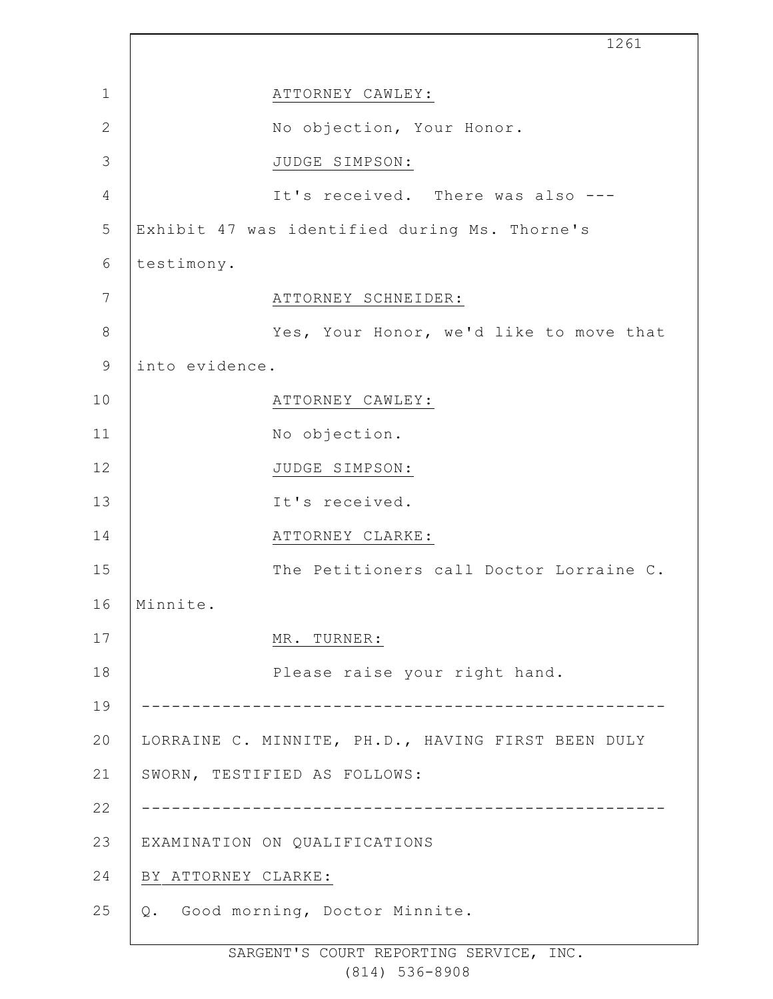|                | 1261                                               |
|----------------|----------------------------------------------------|
| $\mathbf{1}$   | ATTORNEY CAWLEY:                                   |
| $\mathbf{2}$   | No objection, Your Honor.                          |
| 3              | JUDGE SIMPSON:                                     |
| $\overline{4}$ | It's received. There was also ---                  |
| 5              | Exhibit 47 was identified during Ms. Thorne's      |
| 6              | testimony.                                         |
| 7              | ATTORNEY SCHNEIDER:                                |
| $\,8\,$        | Yes, Your Honor, we'd like to move that            |
| $\mathsf 9$    | into evidence.                                     |
| 10             | ATTORNEY CAWLEY:                                   |
| 11             | No objection.                                      |
| 12             | JUDGE SIMPSON:                                     |
| 13             | It's received.                                     |
| 14             | ATTORNEY CLARKE:                                   |
| 15             | The Petitioners call Doctor Lorraine C.            |
| 16             | Minnite.                                           |
| 17             | MR. TURNER:                                        |
| 18             | Please raise your right hand.                      |
| 19             |                                                    |
| 20             | LORRAINE C. MINNITE, PH.D., HAVING FIRST BEEN DULY |
| 21             | SWORN, TESTIFIED AS FOLLOWS:                       |
| 22             |                                                    |
| 23             | EXAMINATION ON QUALIFICATIONS                      |
| 24             | BY ATTORNEY CLARKE:                                |
| 25             | Good morning, Doctor Minnite.<br>Q.                |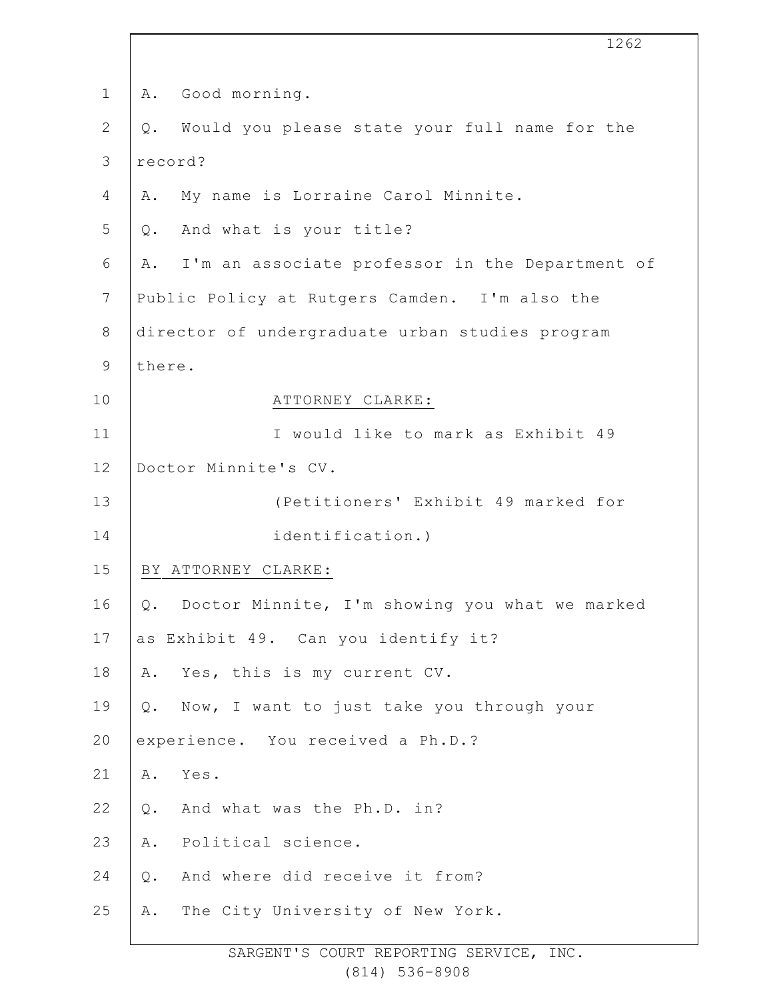|                | 1262                                                   |
|----------------|--------------------------------------------------------|
| $\mathbf 1$    | Good morning.<br>Α.                                    |
| $\mathbf{2}$   | Would you please state your full name for the<br>$Q$ . |
| 3              | record?                                                |
| $\overline{4}$ | My name is Lorraine Carol Minnite.<br>Α.               |
| 5              | Q. And what is your title?                             |
| 6              | I'm an associate professor in the Department of<br>Α.  |
| $7\phantom{.}$ | Public Policy at Rutgers Camden. I'm also the          |
| $\,8\,$        | director of undergraduate urban studies program        |
| $\mathsf 9$    | there.                                                 |
| 10             | ATTORNEY CLARKE:                                       |
| 11             | I would like to mark as Exhibit 49                     |
| 12             | Doctor Minnite's CV.                                   |
| 13             | (Petitioners' Exhibit 49 marked for                    |
| 14             | identification.)                                       |
| 15             | BY ATTORNEY CLARKE:                                    |
| 16             | Q. Doctor Minnite, I'm showing you what we marked      |
| 17             | as Exhibit 49. Can you identify it?                    |
| 18             | Yes, this is my current CV.<br>Α.                      |
| 19             | Now, I want to just take you through your<br>Q.        |
| 20             | experience. You received a Ph.D.?                      |
| 21             | Yes.<br>Α.                                             |
| 22             | And what was the Ph.D. in?<br>$Q$ .                    |
| 23             | Political science.<br>Α.                               |
| 24             | And where did receive it from?<br>$Q$ .                |
| 25             | The City University of New York.<br>Α.                 |
|                |                                                        |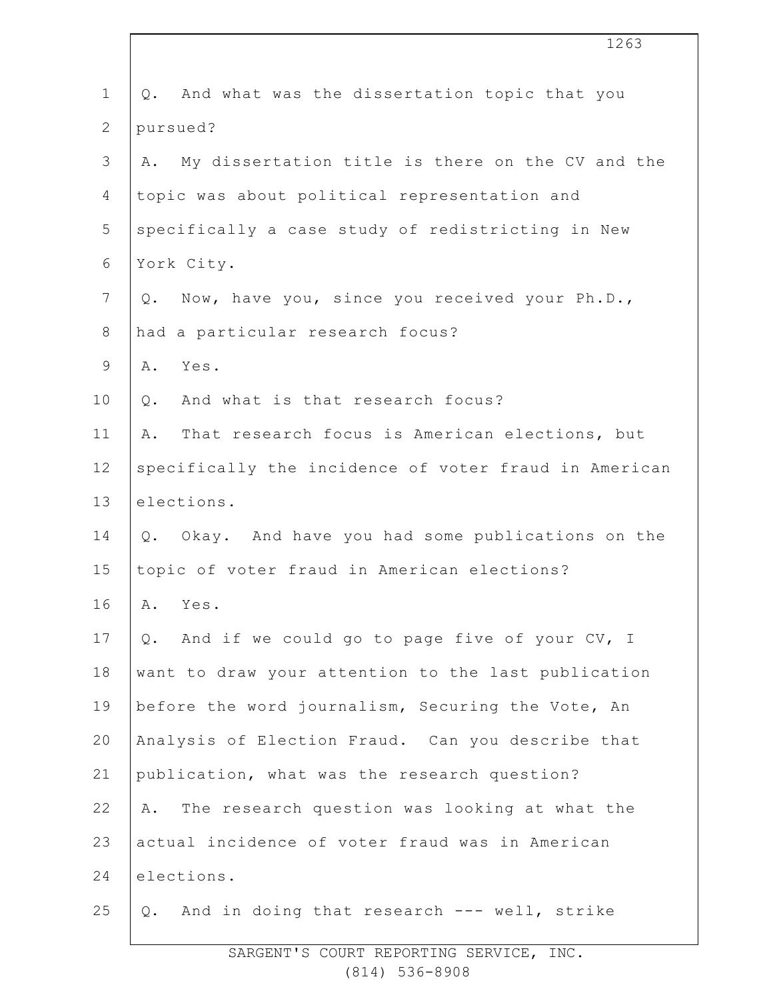| $\mathbf 1$     | And what was the dissertation topic that you<br>Q.     |
|-----------------|--------------------------------------------------------|
| $\mathbf{2}$    | pursued?                                               |
| $\mathfrak{Z}$  | My dissertation title is there on the CV and the<br>Α. |
| 4               | topic was about political representation and           |
| 5               | specifically a case study of redistricting in New      |
| 6               | York City.                                             |
| $7\phantom{.0}$ | Now, have you, since you received your Ph.D.,<br>Q.    |
| 8               | had a particular research focus?                       |
| $\mathsf 9$     | Yes.<br>Α.                                             |
| 10              | And what is that research focus?<br>Q.                 |
| 11              | That research focus is American elections, but<br>Α.   |
| 12              | specifically the incidence of voter fraud in American  |
| 13              | elections.                                             |
| 14              | Q. Okay. And have you had some publications on the     |
| 15              | topic of voter fraud in American elections?            |
| 16              | A. Yes.                                                |
| 17              | And if we could go to page five of your CV, I<br>Q.    |
| 18              | want to draw your attention to the last publication    |
| 19              | before the word journalism, Securing the Vote, An      |
| 20              | Analysis of Election Fraud. Can you describe that      |
| 21              | publication, what was the research question?           |
| 22              | The research question was looking at what the<br>Α.    |
| 23              | actual incidence of voter fraud was in American        |
| 24              | elections.                                             |
| 25              | And in doing that research --- well, strike<br>Q.      |

1263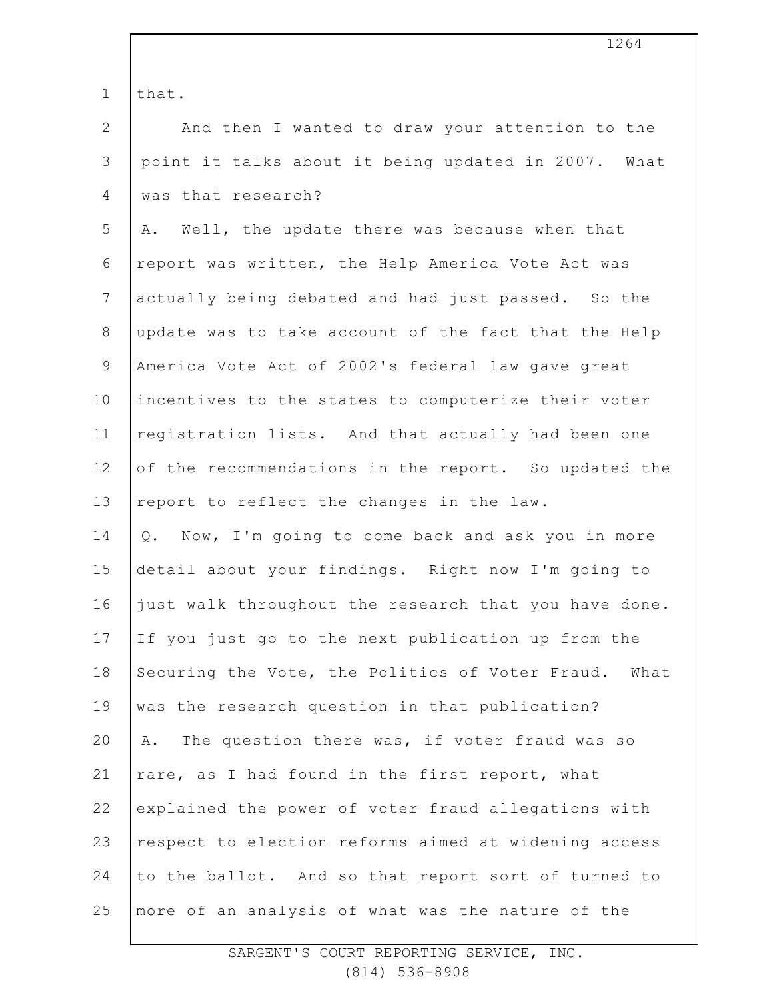1 that.

| $\overline{2}$ | And then I wanted to draw your attention to the       |
|----------------|-------------------------------------------------------|
| $\mathsf 3$    | point it talks about it being updated in 2007. What   |
| $\overline{4}$ | was that research?                                    |
| 5              | A. Well, the update there was because when that       |
| 6              | report was written, the Help America Vote Act was     |
| $\overline{7}$ | actually being debated and had just passed. So the    |
| $8\,$          | update was to take account of the fact that the Help  |
| $\mathsf 9$    | America Vote Act of 2002's federal law gave great     |
| 10             | incentives to the states to computerize their voter   |
| 11             | registration lists. And that actually had been one    |
| 12             | of the recommendations in the report. So updated the  |
| 13             | report to reflect the changes in the law.             |
| 14             | Now, I'm going to come back and ask you in more<br>Q. |
| 15             | detail about your findings. Right now I'm going to    |
| 16             | just walk throughout the research that you have done. |
| 17             | If you just go to the next publication up from the    |
| 18             | Securing the Vote, the Politics of Voter Fraud. What  |
| 19             | was the research question in that publication?        |
| 20             | The question there was, if voter fraud was so<br>Α.   |
| 21             | rare, as I had found in the first report, what        |
| 22             | explained the power of voter fraud allegations with   |
| 23             | respect to election reforms aimed at widening access  |
| 24             | to the ballot. And so that report sort of turned to   |
| 25             | more of an analysis of what was the nature of the     |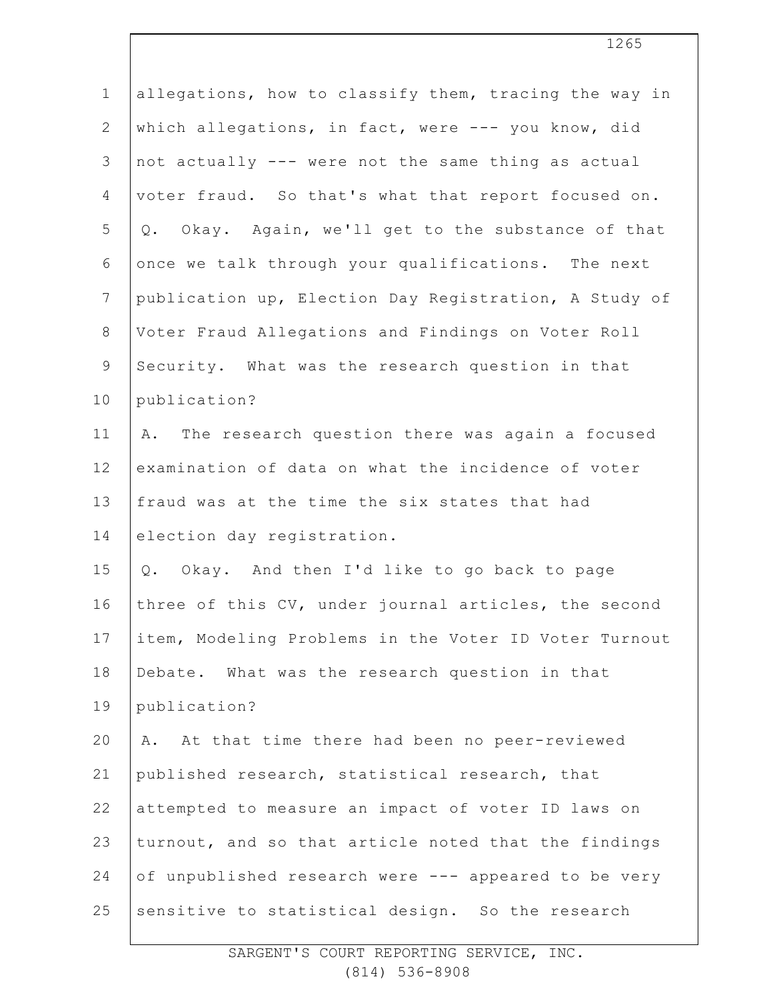| $\mathbf 1$    | allegations, how to classify them, tracing the way in |
|----------------|-------------------------------------------------------|
| $\mathbf{2}$   | which allegations, in fact, were --- you know, did    |
| $\mathfrak{Z}$ | not actually --- were not the same thing as actual    |
| 4              | voter fraud. So that's what that report focused on.   |
| 5              | Q. Okay. Again, we'll get to the substance of that    |
| 6              | once we talk through your qualifications. The next    |
| $\overline{7}$ | publication up, Election Day Registration, A Study of |
| $8\,$          | Voter Fraud Allegations and Findings on Voter Roll    |
| $\mathsf 9$    | Security. What was the research question in that      |
| 10             | publication?                                          |
| 11             | The research question there was again a focused<br>Α. |
| 12             | examination of data on what the incidence of voter    |
| 13             | fraud was at the time the six states that had         |
| 14             | election day registration.                            |
| 15             | Q. Okay. And then I'd like to go back to page         |
| 16             | three of this CV, under journal articles, the second  |
| 17             | item, Modeling Problems in the Voter ID Voter Turnout |
| 18             | Debate. What was the research question in that        |
| 19             | publication?                                          |
| 20             | At that time there had been no peer-reviewed<br>Α.    |
| 21             | published research, statistical research, that        |
| 22             | attempted to measure an impact of voter ID laws on    |
| 23             | turnout, and so that article noted that the findings  |
| 24             | of unpublished research were --- appeared to be very  |
| 25             | sensitive to statistical design. So the research      |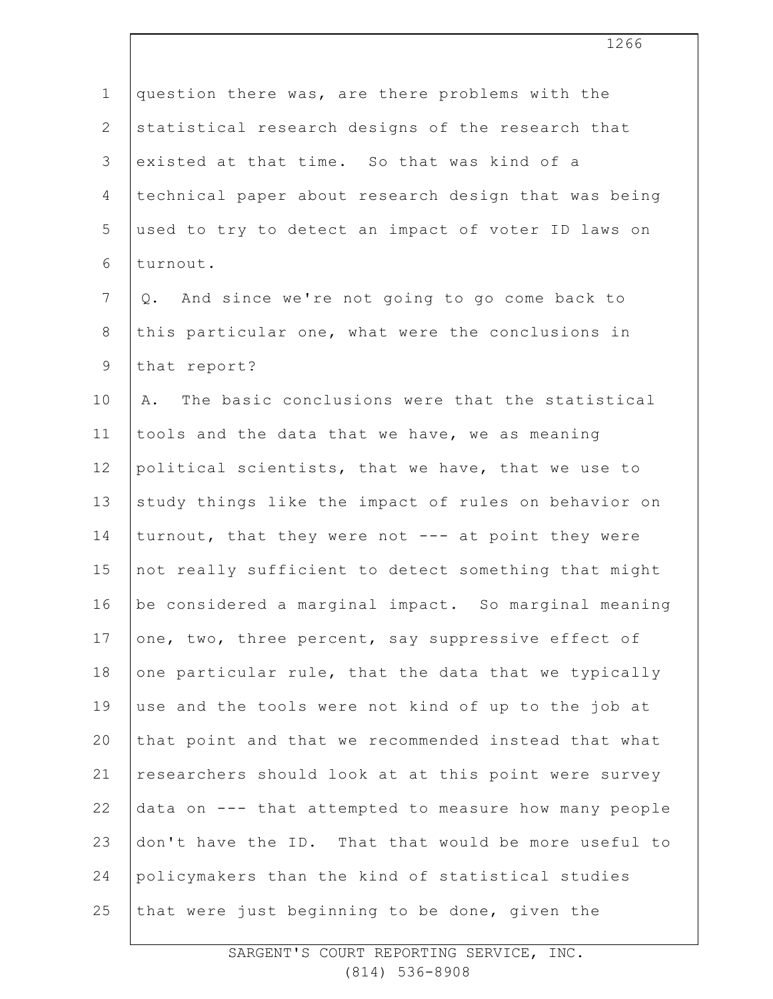| $\mathbf 1$    | question there was, are there problems with the       |
|----------------|-------------------------------------------------------|
| $\mathbf{2}$   | statistical research designs of the research that     |
| 3              | existed at that time. So that was kind of a           |
| 4              | technical paper about research design that was being  |
| 5              | used to try to detect an impact of voter ID laws on   |
| 6              | turnout.                                              |
| $7\phantom{.}$ | And since we're not going to go come back to<br>Q.    |
| $\,8\,$        | this particular one, what were the conclusions in     |
| $\overline{9}$ | that report?                                          |
| 10             | The basic conclusions were that the statistical<br>Α. |
| 11             | tools and the data that we have, we as meaning        |
| 12             | political scientists, that we have, that we use to    |
| 13             | study things like the impact of rules on behavior on  |
| 14             | turnout, that they were not --- at point they were    |
| 15             | not really sufficient to detect something that might  |
| 16             | be considered a marginal impact. So marginal meaning  |
| 17             | one, two, three percent, say suppressive effect of    |
| 18             | one particular rule, that the data that we typically  |
| 19             | use and the tools were not kind of up to the job at   |
| 20             | that point and that we recommended instead that what  |
| 21             | researchers should look at at this point were survey  |
| 22             | data on --- that attempted to measure how many people |
| 23             | don't have the ID. That that would be more useful to  |
| 24             | policymakers than the kind of statistical studies     |
| 25             | that were just beginning to be done, given the        |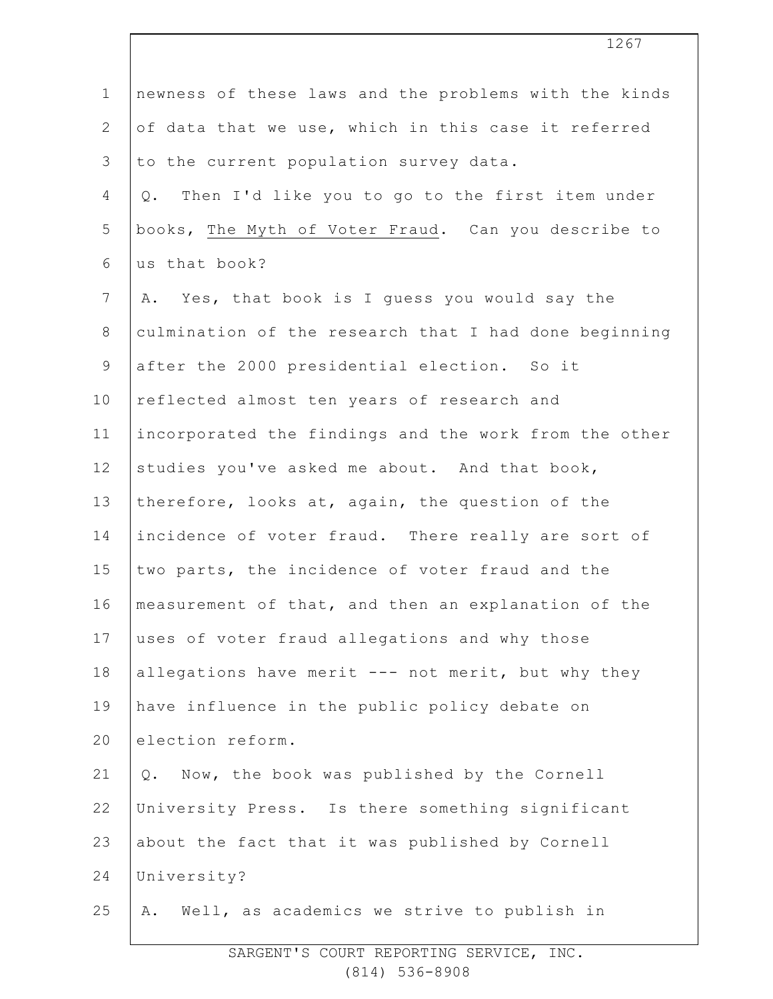| $\mathbf 1$    | newness of these laws and the problems with the kinds |
|----------------|-------------------------------------------------------|
| $\overline{2}$ | of data that we use, which in this case it referred   |
| 3              | to the current population survey data.                |
| 4              | Then I'd like you to go to the first item under<br>Q. |
| 5              | books, The Myth of Voter Fraud. Can you describe to   |
| 6              | us that book?                                         |
| $7\phantom{.}$ | A. Yes, that book is I guess you would say the        |
| $8\,$          | culmination of the research that I had done beginning |
| $\mathsf 9$    | after the 2000 presidential election. So it           |
| 10             | reflected almost ten years of research and            |
| 11             | incorporated the findings and the work from the other |
| 12             | studies you've asked me about. And that book,         |
| 13             | therefore, looks at, again, the question of the       |
| 14             | incidence of voter fraud. There really are sort of    |
| 15             | two parts, the incidence of voter fraud and the       |
| 16             | measurement of that, and then an explanation of the   |
| 17             | uses of voter fraud allegations and why those         |
| 18             | allegations have merit --- not merit, but why they    |
| 19             | have influence in the public policy debate on         |
| 20             | election reform.                                      |
| 21             | Now, the book was published by the Cornell<br>$Q$ .   |
| 22             | University Press. Is there something significant      |
| 23             | about the fact that it was published by Cornell       |
| 24             | University?                                           |
| 25             | Well, as academics we strive to publish in<br>Α.      |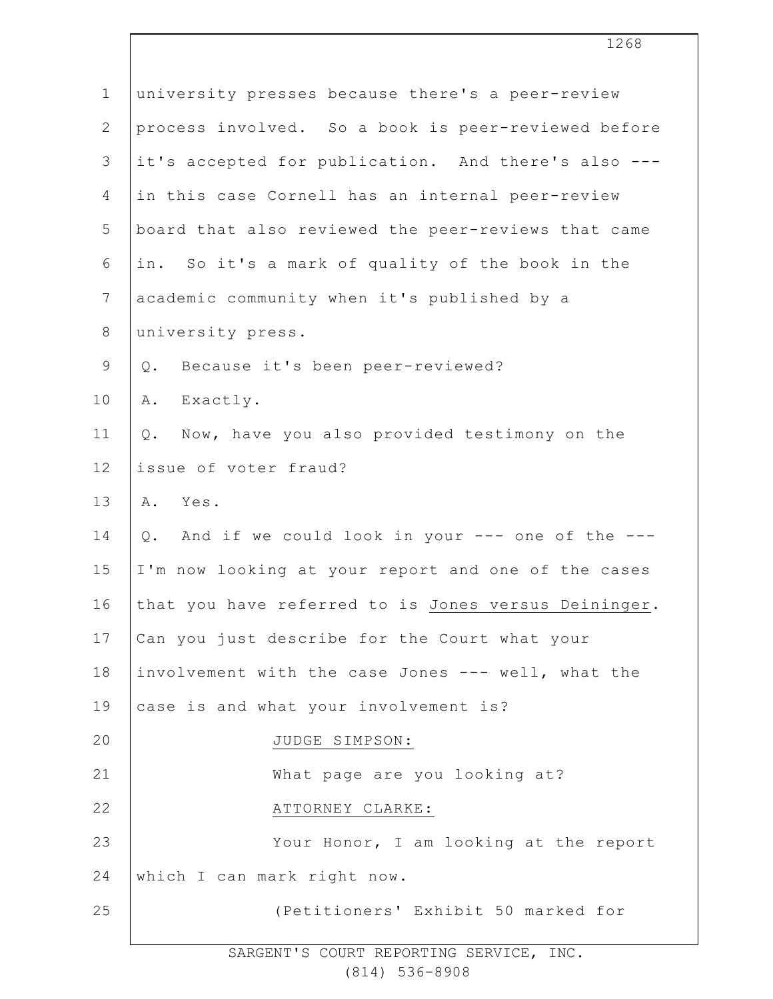| $\mathbf 1$     | university presses because there's a peer-review      |
|-----------------|-------------------------------------------------------|
| $\mathbf{2}$    | process involved. So a book is peer-reviewed before   |
| $\mathfrak{Z}$  | it's accepted for publication. And there's also ---   |
| 4               | in this case Cornell has an internal peer-review      |
| 5               | board that also reviewed the peer-reviews that came   |
| 6               | in. So it's a mark of quality of the book in the      |
| $7\phantom{.0}$ | academic community when it's published by a           |
| $\,8\,$         | university press.                                     |
| $\mathsf 9$     | Q. Because it's been peer-reviewed?                   |
| 10              | Exactly.<br>Α.                                        |
| 11              | Now, have you also provided testimony on the<br>$Q$ . |
| 12              | issue of voter fraud?                                 |
| 13              | A. Yes.                                               |
| 14              | Q. And if we could look in your --- one of the ---    |
| 15              | I'm now looking at your report and one of the cases   |
| 16              | that you have referred to is Jones versus Deininger.  |
| 17              | Can you just describe for the Court what your         |
| 18              | involvement with the case Jones --- well, what the    |
| 19              | case is and what your involvement is?                 |
| 20              | JUDGE SIMPSON:                                        |
| 21              | What page are you looking at?                         |
| 22              | ATTORNEY CLARKE:                                      |
| 23              | Your Honor, I am looking at the report                |
| 24              | which I can mark right now.                           |
| 25              | (Petitioners' Exhibit 50 marked for                   |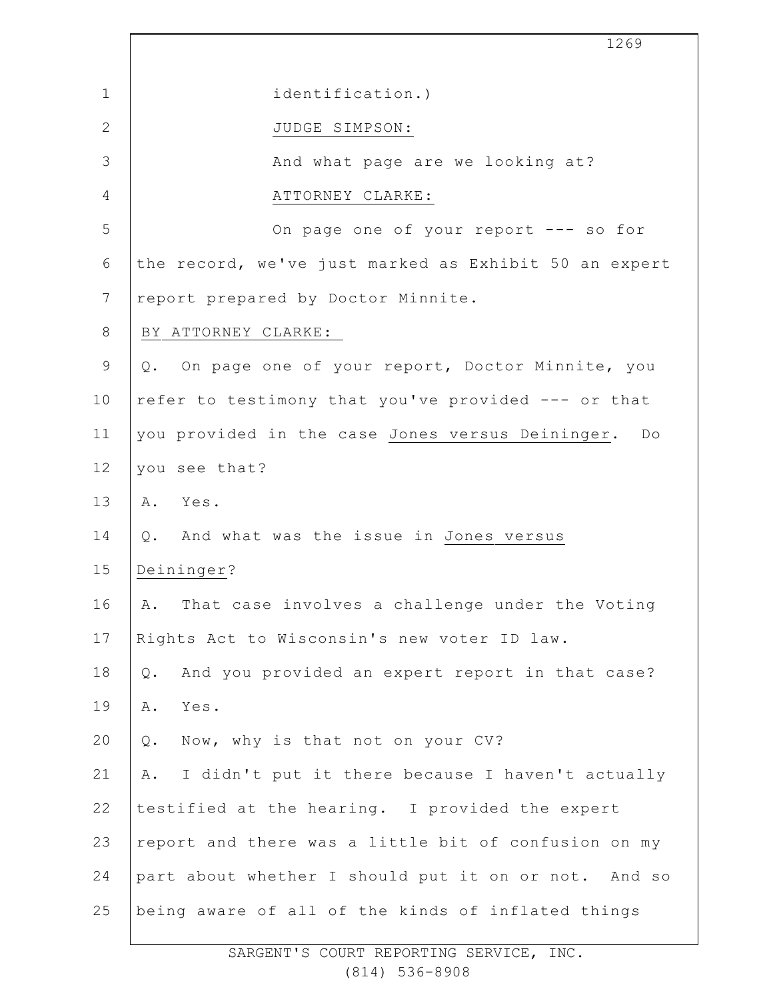|                | 1269                                                   |
|----------------|--------------------------------------------------------|
| $\mathbf 1$    | identification.)                                       |
| $\mathbf{2}$   | JUDGE SIMPSON:                                         |
| 3              | And what page are we looking at?                       |
| 4              | ATTORNEY CLARKE:                                       |
| 5              | On page one of your report --- so for                  |
| 6              | the record, we've just marked as Exhibit 50 an expert  |
| $\overline{7}$ | report prepared by Doctor Minnite.                     |
| $8\,$          | BY ATTORNEY CLARKE:                                    |
| 9              | Q. On page one of your report, Doctor Minnite, you     |
| 10             | refer to testimony that you've provided --- or that    |
| 11             | you provided in the case Jones versus Deininger. Do    |
| 12             | you see that?                                          |
| 13             | A. Yes.                                                |
| 14             | Q. And what was the issue in Jones versus              |
| 15             | Deininger?                                             |
| 16             | That case involves a challenge under the Voting<br>Α.  |
| 17             | Rights Act to Wisconsin's new voter ID law.            |
| 18             | And you provided an expert report in that case?<br>Q.  |
| 19             | Α.<br>Yes.                                             |
| 20             | Now, why is that not on your CV?<br>$Q$ .              |
| 21             | I didn't put it there because I haven't actually<br>Α. |
| 22             | testified at the hearing. I provided the expert        |
| 23             | report and there was a little bit of confusion on my   |
| 24             | part about whether I should put it on or not. And so   |
| 25             | being aware of all of the kinds of inflated things     |

 $\Gamma$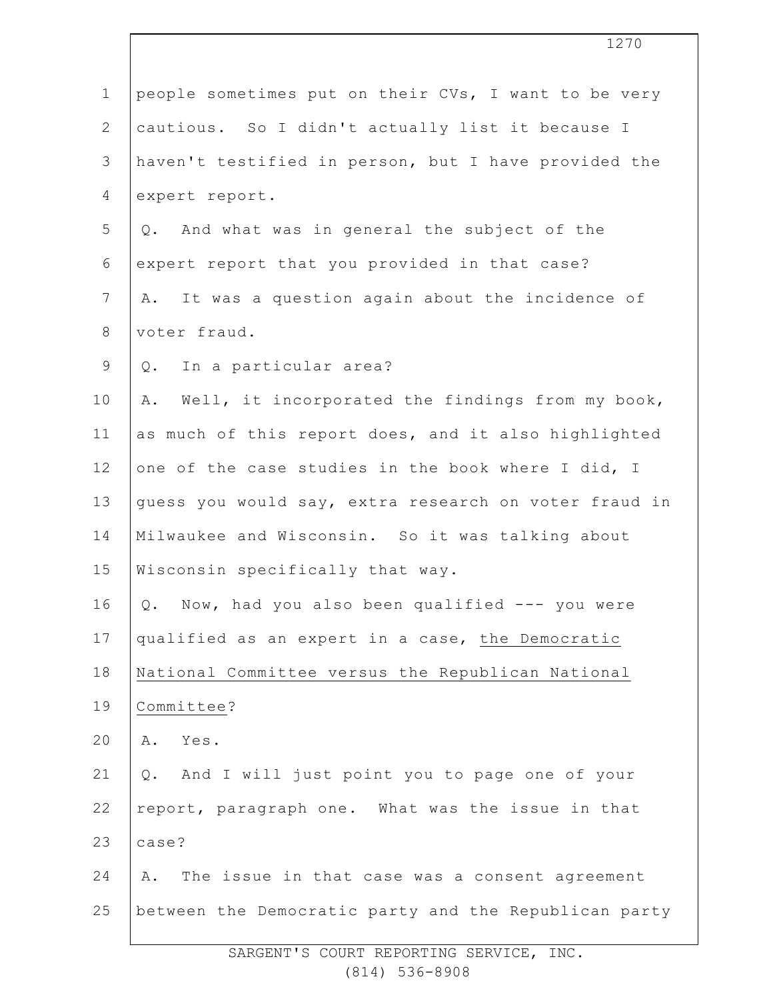| $\mathbf 1$    | people sometimes put on their CVs, I want to be very   |
|----------------|--------------------------------------------------------|
| $\overline{2}$ | cautious. So I didn't actually list it because I       |
| 3              | haven't testified in person, but I have provided the   |
| 4              | expert report.                                         |
| 5              | Q. And what was in general the subject of the          |
| 6              | expert report that you provided in that case?          |
| $\overline{7}$ | It was a question again about the incidence of<br>Α.   |
| $8\,$          | voter fraud.                                           |
| $\mathsf 9$    | Q. In a particular area?                               |
| 10             | Well, it incorporated the findings from my book,<br>Α. |
| 11             | as much of this report does, and it also highlighted   |
| 12             | one of the case studies in the book where I did, I     |
| 13             | guess you would say, extra research on voter fraud in  |
| 14             | Milwaukee and Wisconsin. So it was talking about       |
| 15             | Wisconsin specifically that way.                       |
| 16             | Now, had you also been qualified $---$ you were<br>Q.  |
| 17             | qualified as an expert in a case, the Democratic       |
| 18             | National Committee versus the Republican National      |
| 19             | Committee?                                             |
| 20             | Yes.<br>Α.                                             |
| 21             | Q. And I will just point you to page one of your       |
| 22             | report, paragraph one. What was the issue in that      |
| 23             | case?                                                  |
| 24             | The issue in that case was a consent agreement<br>Α.   |
| 25             | between the Democratic party and the Republican party  |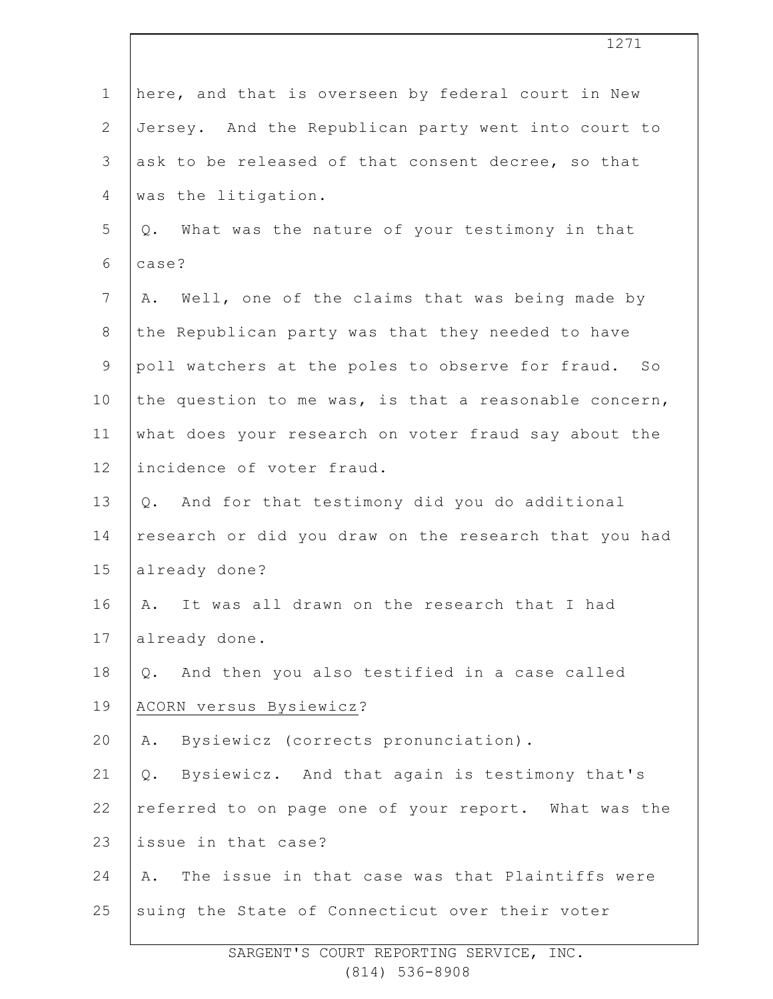|                | 1271                                                  |
|----------------|-------------------------------------------------------|
| $\mathbf 1$    | here, and that is overseen by federal court in New    |
| $\mathbf{2}$   | Jersey. And the Republican party went into court to   |
| 3              | ask to be released of that consent decree, so that    |
| 4              | was the litigation.                                   |
| 5              | Q. What was the nature of your testimony in that      |
| 6              | case?                                                 |
| $\overline{7}$ | Well, one of the claims that was being made by<br>Α.  |
| 8              | the Republican party was that they needed to have     |
| $\mathsf 9$    | poll watchers at the poles to observe for fraud. So   |
| 10             | the question to me was, is that a reasonable concern, |
| 11             | what does your research on voter fraud say about the  |
| 12             | incidence of voter fraud.                             |
| 13             | Q. And for that testimony did you do additional       |
| 14             | research or did you draw on the research that you had |
| 15             | already done?                                         |
| 16             | It was all drawn on the research that I had<br>Α.     |
| 17             | already done.                                         |
| 18             | And then you also testified in a case called<br>Q.    |
| 19             | ACORN versus Bysiewicz?                               |
| 20             | Bysiewicz (corrects pronunciation).<br>Α.             |
| 21             | Bysiewicz. And that again is testimony that's<br>Q.   |
| 22             | referred to on page one of your report. What was the  |
| 23             | issue in that case?                                   |
| 24             | The issue in that case was that Plaintiffs were<br>Α. |
| 25             | suing the State of Connecticut over their voter       |
|                |                                                       |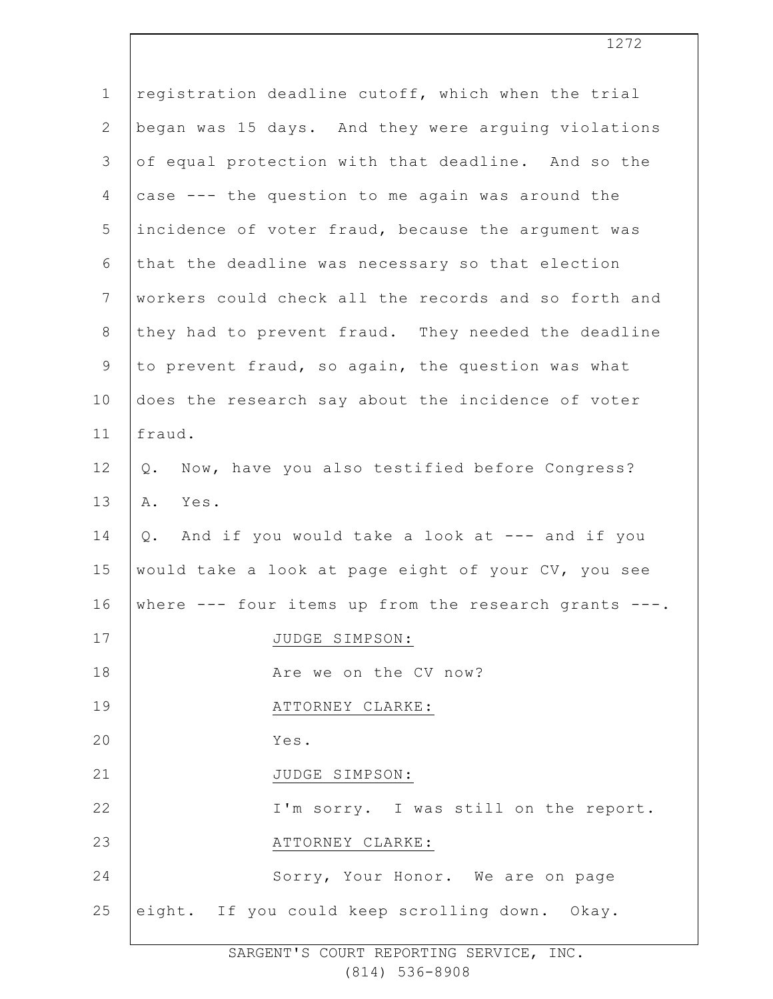| $\mathbf 1$    | registration deadline cutoff, which when the trial    |
|----------------|-------------------------------------------------------|
| $\mathbf{2}$   | began was 15 days. And they were arguing violations   |
| 3              | of equal protection with that deadline. And so the    |
| 4              | case --- the question to me again was around the      |
| 5              | incidence of voter fraud, because the argument was    |
| 6              | that the deadline was necessary so that election      |
| $7\phantom{.}$ | workers could check all the records and so forth and  |
| $8\,$          | they had to prevent fraud. They needed the deadline   |
| $\mathsf 9$    | to prevent fraud, so again, the question was what     |
| 10             | does the research say about the incidence of voter    |
| 11             | fraud.                                                |
| 12             | Now, have you also testified before Congress?<br>Q.   |
| 13             | Yes.<br>Α.                                            |
| 14             | And if you would take a look at --- and if you<br>Q.  |
| 15             | would take a look at page eight of your CV, you see   |
| 16             | where --- four items up from the research grants ---. |
| 17             | JUDGE SIMPSON:                                        |
| 18             | Are we on the CV now?                                 |
| 19             | ATTORNEY CLARKE:                                      |
| 20             | Yes.                                                  |
| 21             | JUDGE SIMPSON:                                        |
| 22             | I'm sorry. I was still on the report.                 |
| 23             | ATTORNEY CLARKE:                                      |
| 24             | Sorry, Your Honor. We are on page                     |
| 25             | eight. If you could keep scrolling down. Okay.        |
|                |                                                       |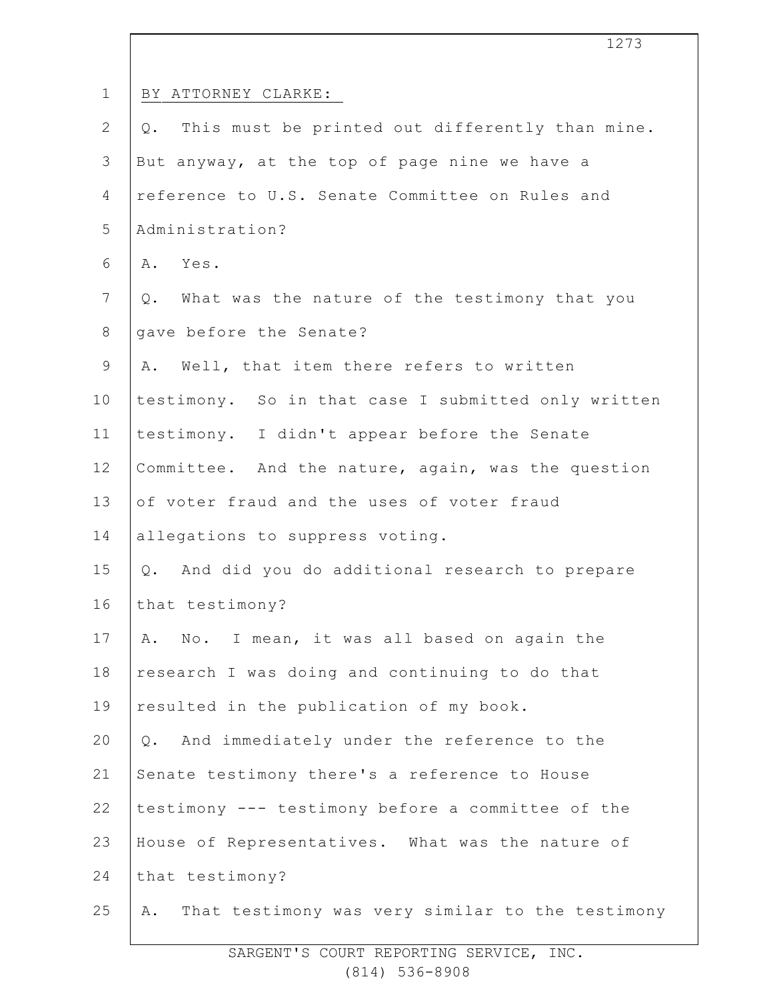|                | 1273                                                   |
|----------------|--------------------------------------------------------|
| $\mathbf{1}$   | BY ATTORNEY CLARKE:                                    |
| $\mathbf{2}$   | This must be printed out differently than mine.<br>Q.  |
| 3              | But anyway, at the top of page nine we have a          |
| 4              | reference to U.S. Senate Committee on Rules and        |
| 5              | Administration?                                        |
| 6              | A. Yes.                                                |
| $7\phantom{.}$ | Q. What was the nature of the testimony that you       |
| $8\,$          | gave before the Senate?                                |
| $\mathsf 9$    | A. Well, that item there refers to written             |
| 10             | testimony. So in that case I submitted only written    |
| 11             | testimony. I didn't appear before the Senate           |
| 12             | Committee. And the nature, again, was the question     |
| 13             | of voter fraud and the uses of voter fraud             |
| 14             | allegations to suppress voting.                        |
| 15             | And did you do additional research to prepare<br>$Q$ . |
| 16             | that testimony?                                        |
| 17             | A. No. I mean, it was all based on again the           |
| 18             | research I was doing and continuing to do that         |
| 19             | resulted in the publication of my book.                |
| 20             | And immediately under the reference to the<br>Q.       |
| 21             | Senate testimony there's a reference to House          |
| 22             | testimony --- testimony before a committee of the      |
| 23             | House of Representatives. What was the nature of       |
| 24             | that testimony?                                        |
| 25             | That testimony was very similar to the testimony<br>Α. |
|                |                                                        |

 $\overline{\phantom{a}}$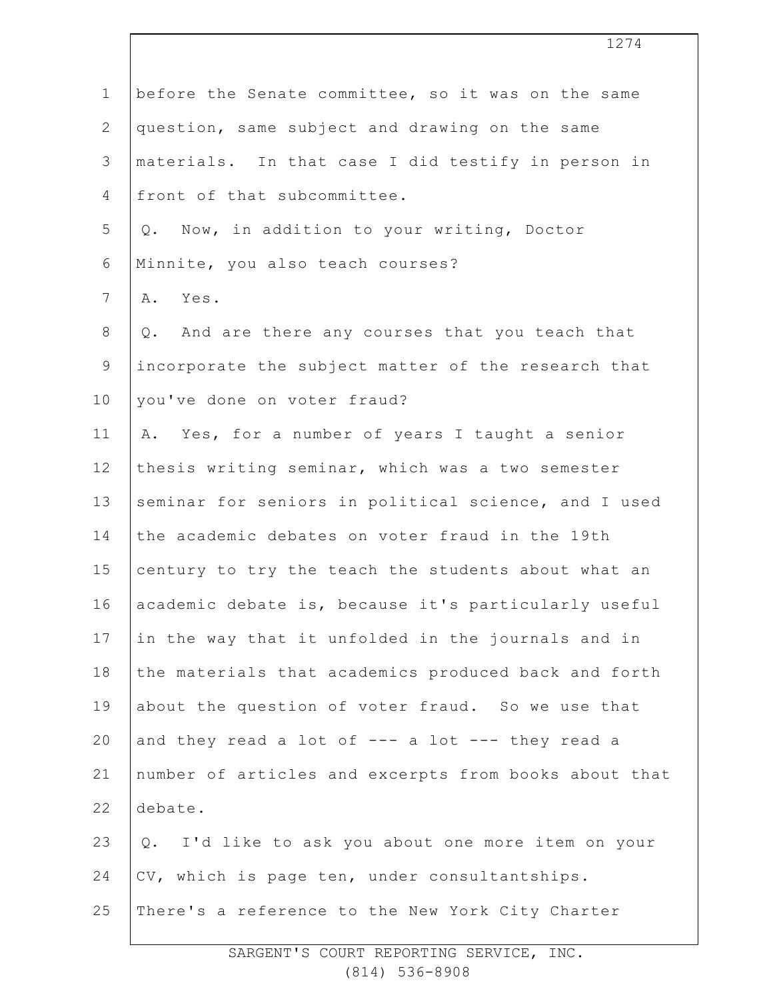| $\mathbf 1$    | before the Senate committee, so it was on the same    |
|----------------|-------------------------------------------------------|
| $\mathbf{2}$   | question, same subject and drawing on the same        |
| $\mathfrak{Z}$ | materials. In that case I did testify in person in    |
| 4              | front of that subcommittee.                           |
| 5              | Q. Now, in addition to your writing, Doctor           |
| 6              | Minnite, you also teach courses?                      |
| 7              | Yes.<br>Α.                                            |
| $8\,$          | And are there any courses that you teach that<br>Q.   |
| $\mathsf 9$    | incorporate the subject matter of the research that   |
| 10             | you've done on voter fraud?                           |
| 11             | Yes, for a number of years I taught a senior<br>Α.    |
| 12             | thesis writing seminar, which was a two semester      |
| 13             | seminar for seniors in political science, and I used  |
| 14             | the academic debates on voter fraud in the 19th       |
| 15             | century to try the teach the students about what an   |
| 16             | academic debate is, because it's particularly useful  |
| 17             | in the way that it unfolded in the journals and in    |
| 18             | the materials that academics produced back and forth  |
| 19             | about the question of voter fraud. So we use that     |
| 20             | and they read a lot of --- a lot --- they read a      |
| 21             | number of articles and excerpts from books about that |
| 22             | debate.                                               |
| 23             | I'd like to ask you about one more item on your<br>Q. |
| 24             | CV, which is page ten, under consultantships.         |
| 25             | There's a reference to the New York City Charter      |
|                |                                                       |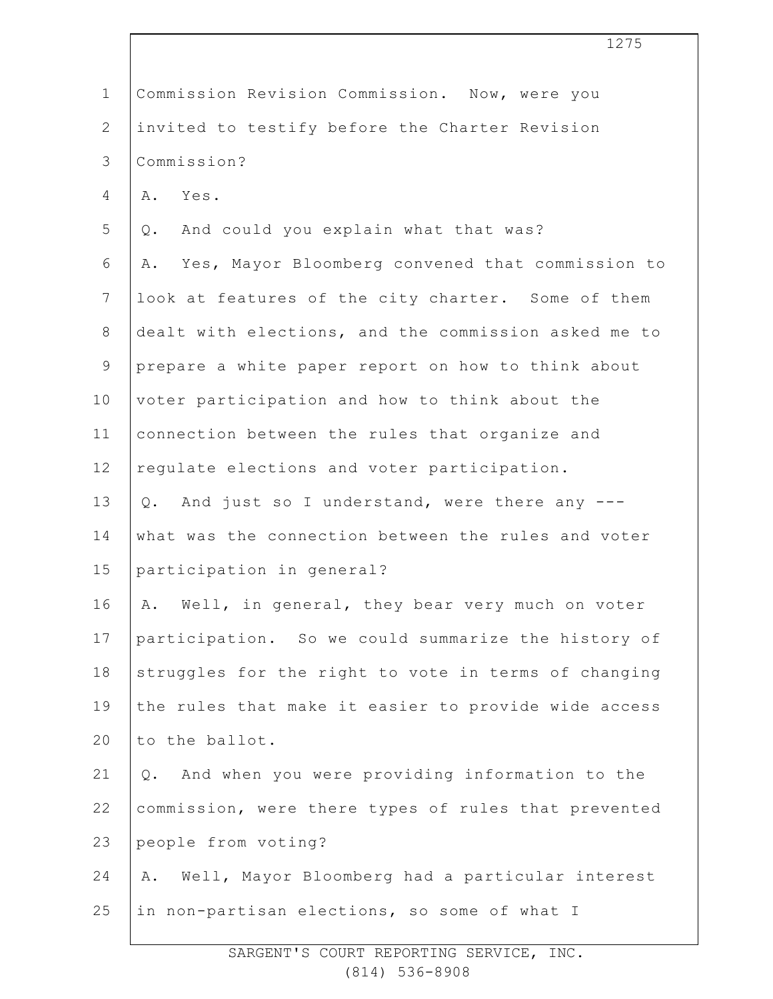|                | 1275                                                   |
|----------------|--------------------------------------------------------|
| $\mathbf 1$    | Commission Revision Commission. Now, were you          |
| $\mathbf{2}$   | invited to testify before the Charter Revision         |
| 3              | Commission?                                            |
| 4              | Yes.<br>Α.                                             |
| 5              | And could you explain what that was?<br>Q.             |
| 6              | Yes, Mayor Bloomberg convened that commission to<br>Α. |
| $\overline{7}$ | look at features of the city charter. Some of them     |
| 8              | dealt with elections, and the commission asked me to   |
| $\mathsf 9$    | prepare a white paper report on how to think about     |
| 10             | voter participation and how to think about the         |
| 11             | connection between the rules that organize and         |
| 12             | regulate elections and voter participation.            |
| 13             | Q. And just so I understand, were there any ---        |
| 14             | what was the connection between the rules and voter    |
| 15             | participation in general?                              |
| 16             | A. Well, in general, they bear very much on voter      |
| 17             | participation. So we could summarize the history of    |
| 18             | struggles for the right to vote in terms of changing   |
| 19             | the rules that make it easier to provide wide access   |
| 20             | to the ballot.                                         |
| 21             | And when you were providing information to the<br>Q.   |
| 22             | commission, were there types of rules that prevented   |
| 23             | people from voting?                                    |
| 24             | Well, Mayor Bloomberg had a particular interest<br>Α.  |
| 25             | in non-partisan elections, so some of what I           |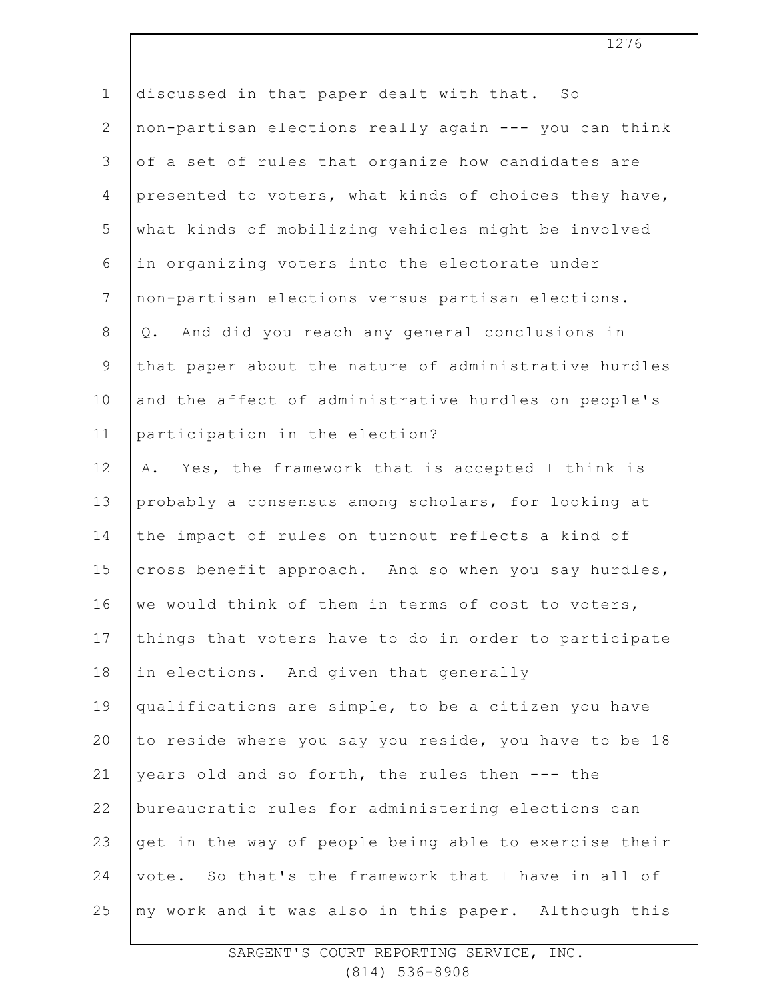| $\mathbf 1$     | discussed in that paper dealt with that. So           |
|-----------------|-------------------------------------------------------|
| $\mathbf{2}$    | non-partisan elections really again --- you can think |
| 3               | of a set of rules that organize how candidates are    |
| $\overline{4}$  | presented to voters, what kinds of choices they have, |
| 5               | what kinds of mobilizing vehicles might be involved   |
| 6               | in organizing voters into the electorate under        |
| $7\phantom{.0}$ | non-partisan elections versus partisan elections.     |
| $\,8\,$         | And did you reach any general conclusions in<br>Q.    |
| $\mathsf 9$     | that paper about the nature of administrative hurdles |
| 10              | and the affect of administrative hurdles on people's  |
| 11              | participation in the election?                        |
| 12              | Yes, the framework that is accepted I think is<br>Α.  |
| 13              | probably a consensus among scholars, for looking at   |
| 14              | the impact of rules on turnout reflects a kind of     |
| 15              | cross benefit approach. And so when you say hurdles,  |
| 16              | we would think of them in terms of cost to voters,    |
| 17              | things that voters have to do in order to participate |
| 18              | in elections. And given that generally                |
| 19              | qualifications are simple, to be a citizen you have   |
| 20              | to reside where you say you reside, you have to be 18 |
| 21              | years old and so forth, the rules then --- the        |
| 22              | bureaucratic rules for administering elections can    |
| 23              | get in the way of people being able to exercise their |
| 24              | vote. So that's the framework that I have in all of   |
| 25              | my work and it was also in this paper. Although this  |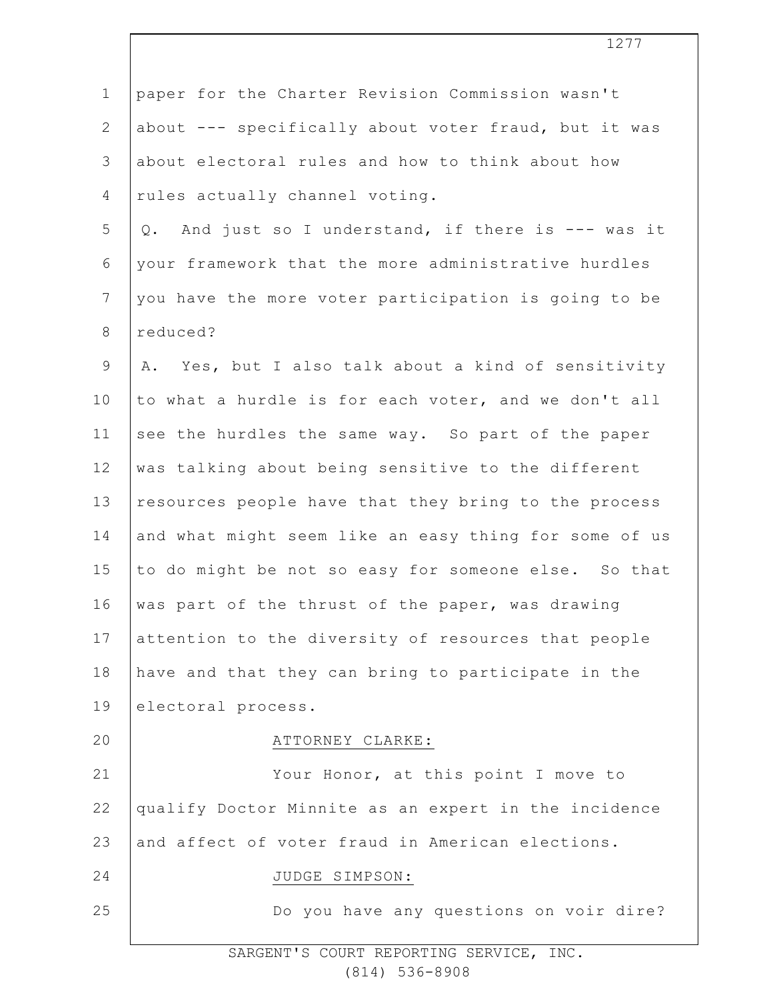| $\mathbf 1$    | paper for the Charter Revision Commission wasn't       |
|----------------|--------------------------------------------------------|
| $\mathbf{2}$   | about --- specifically about voter fraud, but it was   |
| 3              | about electoral rules and how to think about how       |
| 4              | rules actually channel voting.                         |
| 5              | And just so I understand, if there is --- was it<br>Q. |
| 6              | your framework that the more administrative hurdles    |
| $7\phantom{.}$ | you have the more voter participation is going to be   |
| $8\,$          | reduced?                                               |
| $\mathsf 9$    | A. Yes, but I also talk about a kind of sensitivity    |
| 10             | to what a hurdle is for each voter, and we don't all   |
| 11             | see the hurdles the same way. So part of the paper     |
| 12             | was talking about being sensitive to the different     |
| 13             | resources people have that they bring to the process   |
| 14             | and what might seem like an easy thing for some of us  |
| 15             | to do might be not so easy for someone else. So that   |
| 16             | was part of the thrust of the paper, was drawing       |
| 17             | attention to the diversity of resources that people    |
| 18             | have and that they can bring to participate in the     |
| 19             | electoral process.                                     |
| 20             | ATTORNEY CLARKE:                                       |
| 21             | Your Honor, at this point I move to                    |
| 22             | qualify Doctor Minnite as an expert in the incidence   |
| 23             | and affect of voter fraud in American elections.       |
| 24             | JUDGE SIMPSON:                                         |
| 25             | Do you have any questions on voir dire?                |
|                |                                                        |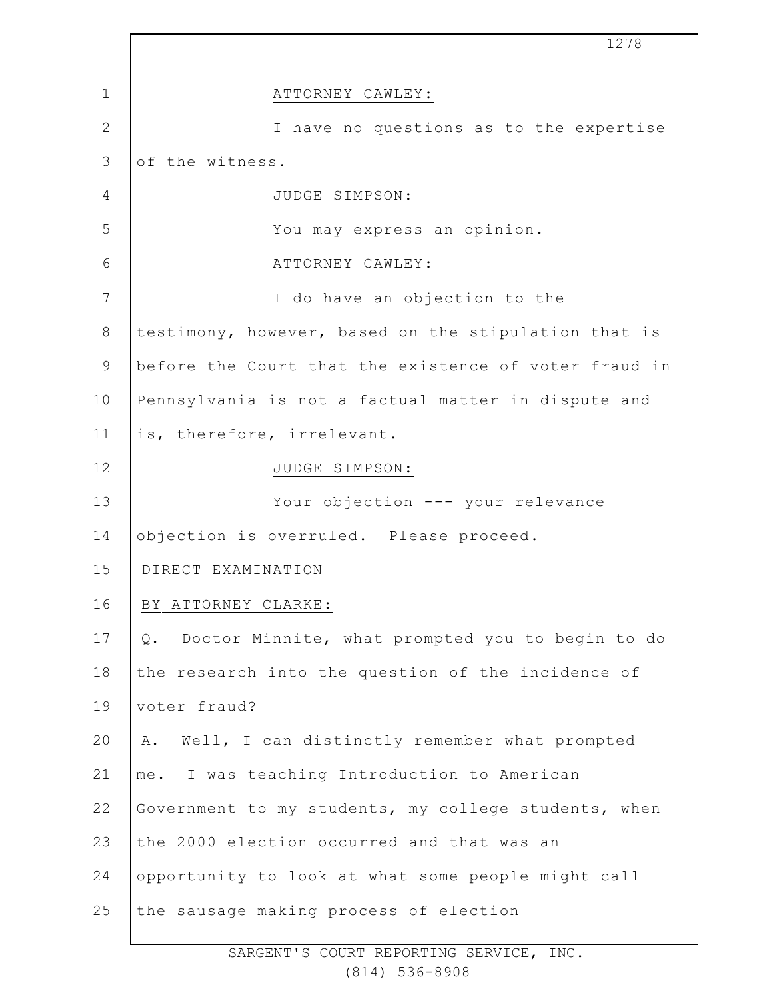|                | 1278                                                      |
|----------------|-----------------------------------------------------------|
| $\mathbf 1$    | ATTORNEY CAWLEY:                                          |
| $\overline{2}$ | I have no questions as to the expertise                   |
| 3              | of the witness.                                           |
| $\overline{4}$ | JUDGE SIMPSON:                                            |
| 5              | You may express an opinion.                               |
| 6              | ATTORNEY CAWLEY:                                          |
| 7              | I do have an objection to the                             |
| $8\,$          | testimony, however, based on the stipulation that is      |
| 9              | before the Court that the existence of voter fraud in     |
| 10             | Pennsylvania is not a factual matter in dispute and       |
| 11             | is, therefore, irrelevant.                                |
| 12             | JUDGE SIMPSON:                                            |
| 13             | Your objection --- your relevance                         |
| 14             | objection is overruled. Please proceed.                   |
| 15             | DIRECT EXAMINATION                                        |
| 16             | BY ATTORNEY CLARKE:                                       |
| 17             | Doctor Minnite, what prompted you to begin to do<br>$Q$ . |
| 18             | the research into the question of the incidence of        |
| 19             | voter fraud?                                              |
| 20             | Well, I can distinctly remember what prompted<br>Α.       |
| 21             | me. I was teaching Introduction to American               |
| 22             | Government to my students, my college students, when      |
| 23             | the 2000 election occurred and that was an                |
| 24             | opportunity to look at what some people might call        |
| 25             | the sausage making process of election                    |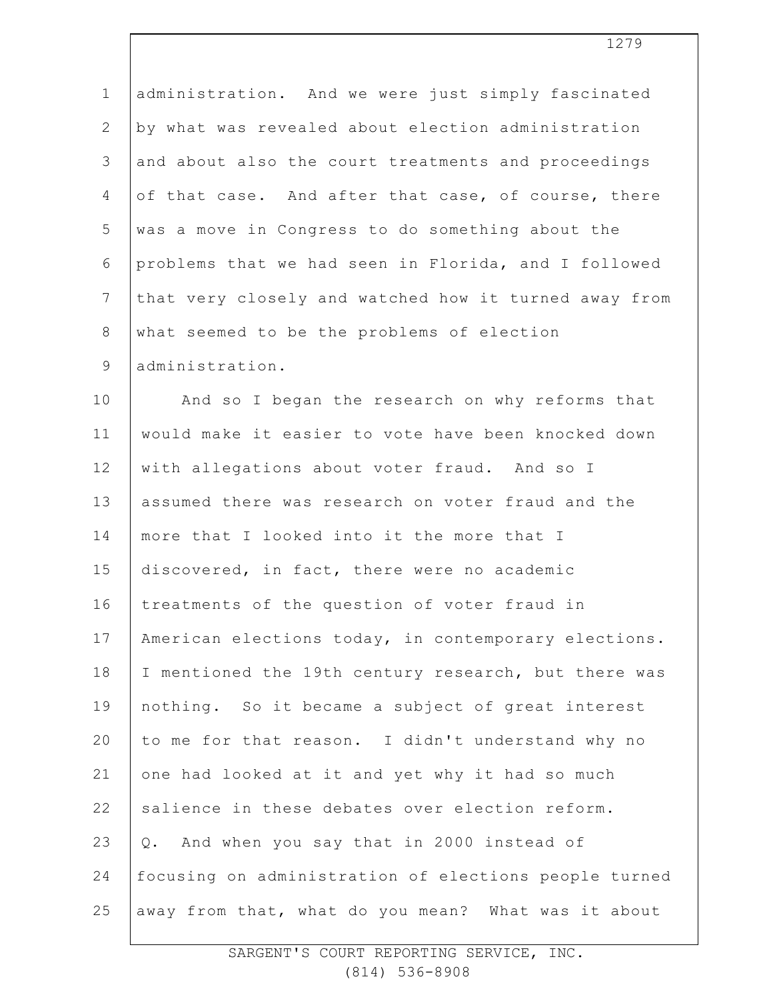1 2 3 4 5 6 7 8 9 10 11 12 13 14 15 16 17 18 19  $20$ 21 22 23 24 25 administration. And we were just simply fascinated by what was revealed about election administration and about also the court treatments and proceedings of that case. And after that case, of course, there was a move in Congress to do something about the problems that we had seen in Florida, and I followed that very closely and watched how it turned away from what seemed to be the problems of election administration. And so I began the research on why reforms that would make it easier to vote have been knocked down with allegations about voter fraud. And so I assumed there was research on voter fraud and the more that I looked into it the more that I discovered, in fact, there were no academic treatments of the question of voter fraud in American elections today, in contemporary elections. I mentioned the 19th century research, but there was nothing. So it became a subject of great interest to me for that reason. I didn't understand why no one had looked at it and yet why it had so much salience in these debates over election reform. Q. And when you say that in 2000 instead of focusing on administration of elections people turned away from that, what do you mean? What was it about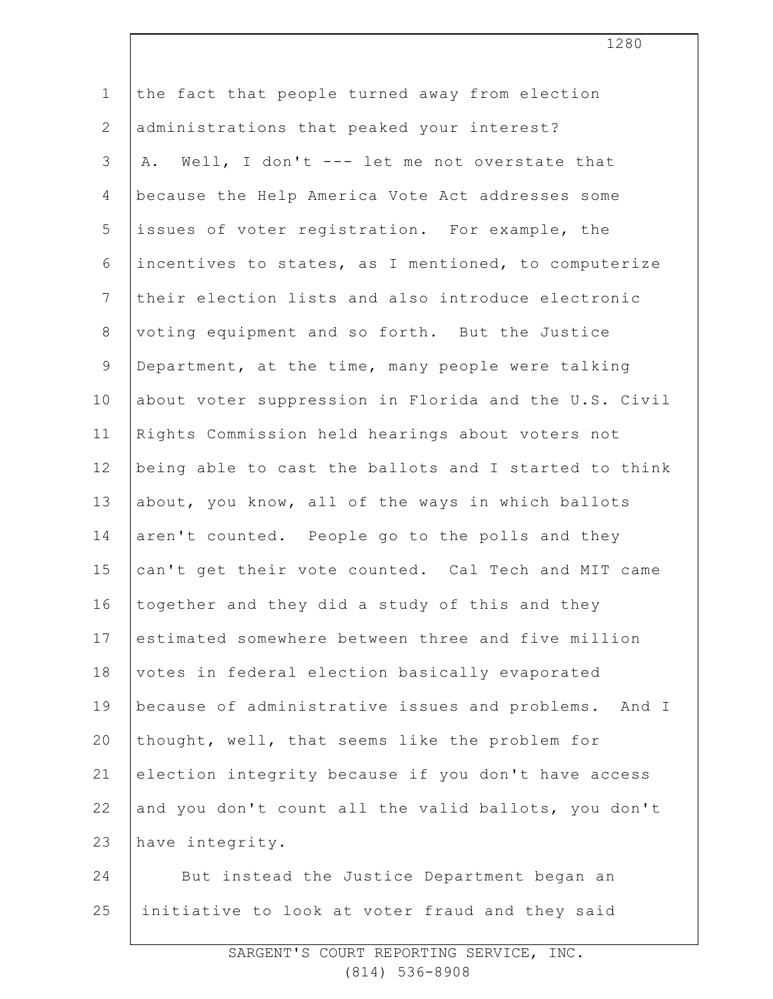| $\mathbf 1$    | the fact that people turned away from election        |
|----------------|-------------------------------------------------------|
| 2              | administrations that peaked your interest?            |
| 3              | A. Well, I don't --- let me not overstate that        |
| $\overline{4}$ | because the Help America Vote Act addresses some      |
| 5              | issues of voter reqistration. For example, the        |
| 6              | incentives to states, as I mentioned, to computerize  |
| $\overline{7}$ | their election lists and also introduce electronic    |
| $8\,$          | voting equipment and so forth. But the Justice        |
| $\mathsf 9$    | Department, at the time, many people were talking     |
| 10             | about voter suppression in Florida and the U.S. Civil |
| 11             | Rights Commission held hearings about voters not      |
| 12             | being able to cast the ballots and I started to think |
| 13             | about, you know, all of the ways in which ballots     |
| 14             | aren't counted. People go to the polls and they       |
| 15             | can't get their vote counted. Cal Tech and MIT came   |
| 16             | together and they did a study of this and they        |
| 17             | estimated somewhere between three and five million    |
| 18             | votes in federal election basically evaporated        |
| 19             | because of administrative issues and problems. And I  |
| 20             | thought, well, that seems like the problem for        |
| 21             | election integrity because if you don't have access   |
| 22             | and you don't count all the valid ballots, you don't  |
| 23             | have integrity.                                       |
| 24             | But instead the Justice Department began an           |
| 25             | initiative to look at voter fraud and they said       |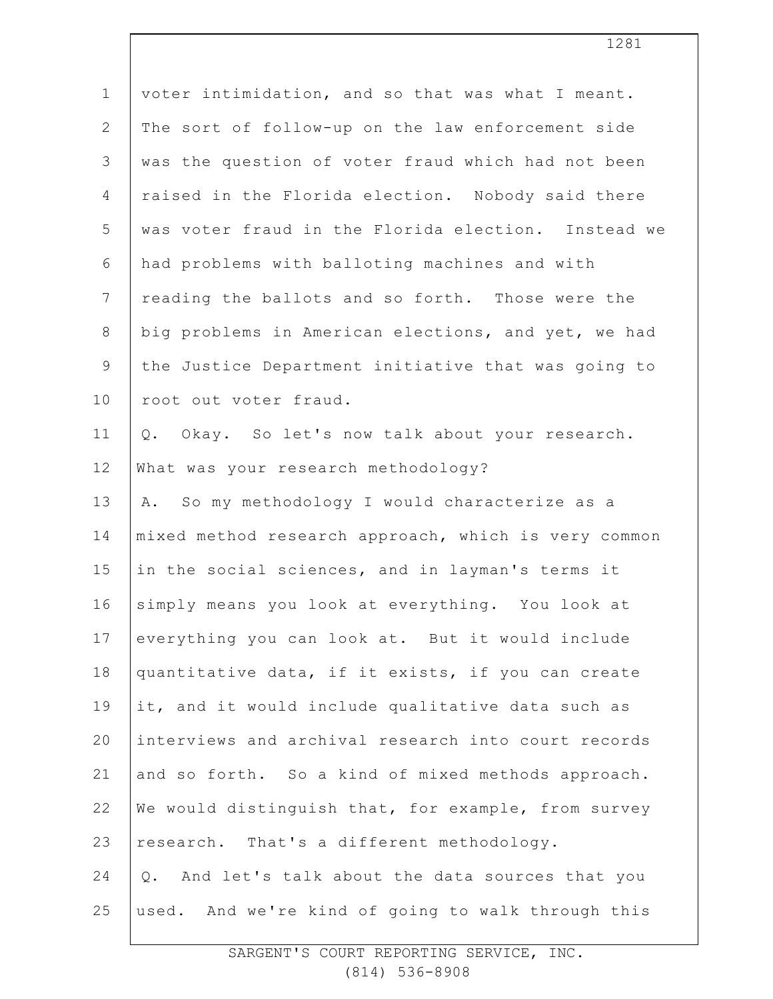| $\mathbf 1$    | voter intimidation, and so that was what I meant.    |
|----------------|------------------------------------------------------|
| $\mathbf{2}$   | The sort of follow-up on the law enforcement side    |
| 3              | was the question of voter fraud which had not been   |
| 4              | raised in the Florida election. Nobody said there    |
| 5              | was voter fraud in the Florida election. Instead we  |
| 6              | had problems with balloting machines and with        |
| $\overline{7}$ | reading the ballots and so forth. Those were the     |
| $\,8\,$        | big problems in American elections, and yet, we had  |
| 9              | the Justice Department initiative that was going to  |
| 10             | root out voter fraud.                                |
| 11             | Okay. So let's now talk about your research.<br>Q.   |
| 12             | What was your research methodology?                  |
| 13             | So my methodology I would characterize as a<br>Α.    |
| 14             | mixed method research approach, which is very common |
| 15             | in the social sciences, and in layman's terms it     |
| 16             | simply means you look at everything. You look at     |
| 17             | everything you can look at. But it would include     |
| 18             | quantitative data, if it exists, if you can create   |
| 19             | it, and it would include qualitative data such as    |
| 20             | interviews and archival research into court records  |
| 21             | and so forth. So a kind of mixed methods approach.   |
| 22             | We would distinguish that, for example, from survey  |
| 23             | research. That's a different methodology.            |
| 24             | Q. And let's talk about the data sources that you    |
| 25             | used. And we're kind of going to walk through this   |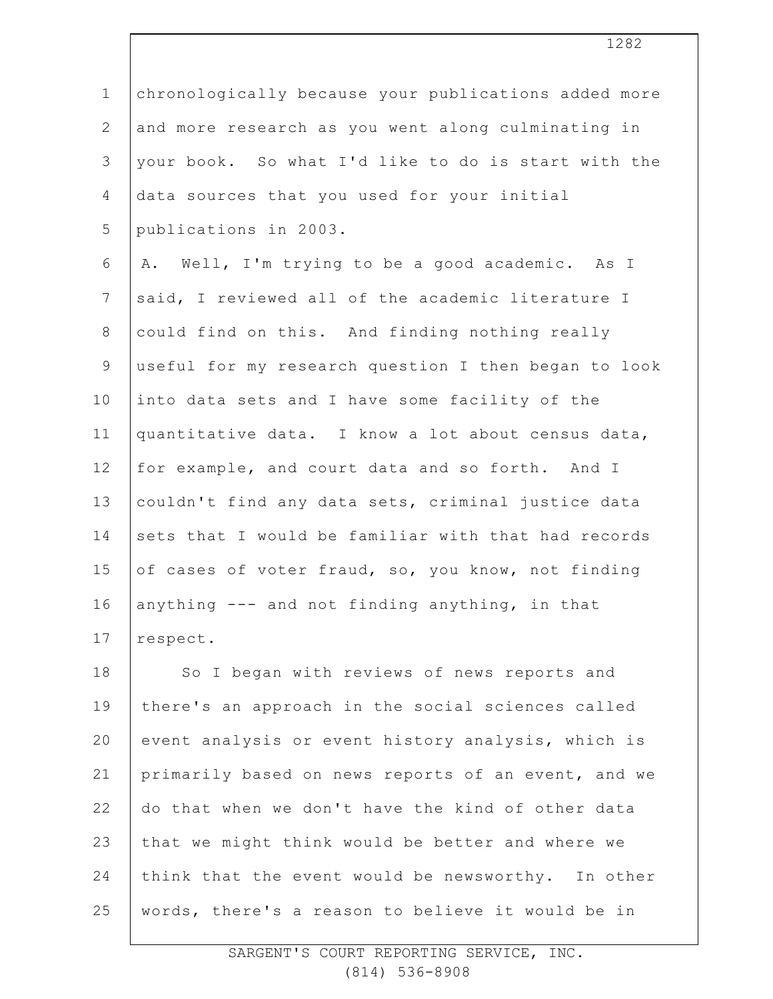| $\mathbf 1$    | chronologically because your publications added more |
|----------------|------------------------------------------------------|
| $\mathbf{2}$   | and more research as you went along culminating in   |
| 3              | your book. So what I'd like to do is start with the  |
| 4              | data sources that you used for your initial          |
| 5              | publications in 2003.                                |
| 6              | A. Well, I'm trying to be a good academic. As I      |
| $7\phantom{.}$ | said, I reviewed all of the academic literature I    |
| $8\,$          | could find on this. And finding nothing really       |
| $\mathsf 9$    | useful for my research question I then began to look |
| 10             | into data sets and I have some facility of the       |
| 11             | quantitative data. I know a lot about census data,   |
| 12             | for example, and court data and so forth. And I      |
| 13             | couldn't find any data sets, criminal justice data   |
| 14             | sets that I would be familiar with that had records  |
| 15             | of cases of voter fraud, so, you know, not finding   |
| 16             | anything --- and not finding anything, in that       |
| 17             | respect.                                             |
| 18             | So I began with reviews of news reports and          |
| 19             | there's an approach in the social sciences called    |
| 20             | event analysis or event history analysis, which is   |
| 21             | primarily based on news reports of an event, and we  |
| 22             | do that when we don't have the kind of other data    |
| 23             | that we might think would be better and where we     |
| 24             | think that the event would be newsworthy. In other   |
| 25             | words, there's a reason to believe it would be in    |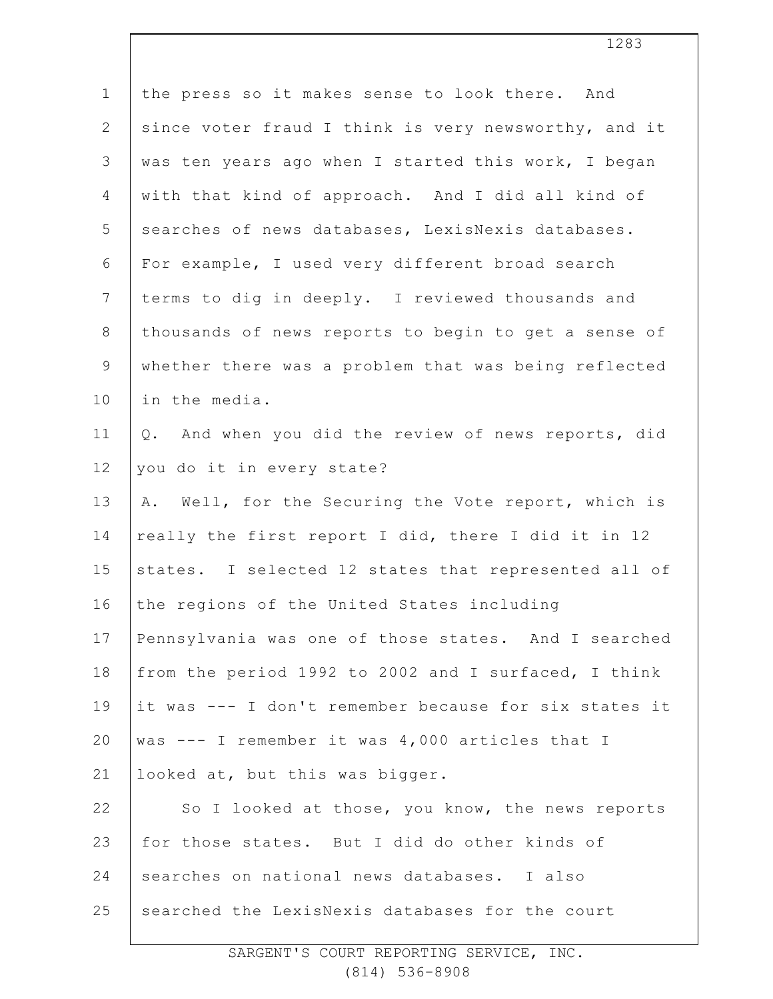| $\mathbf 1$    | the press so it makes sense to look there. And        |
|----------------|-------------------------------------------------------|
| 2              | since voter fraud I think is very newsworthy, and it  |
| 3              | was ten years ago when I started this work, I began   |
| 4              | with that kind of approach. And I did all kind of     |
| 5              | searches of news databases, LexisNexis databases.     |
| 6              | For example, I used very different broad search       |
| $7\phantom{.}$ | terms to dig in deeply. I reviewed thousands and      |
| $8\,$          | thousands of news reports to begin to get a sense of  |
| $\mathsf 9$    | whether there was a problem that was being reflected  |
| 10             | in the media.                                         |
| 11             | Q. And when you did the review of news reports, did   |
| 12             | you do it in every state?                             |
| 13             | A. Well, for the Securing the Vote report, which is   |
| 14             | really the first report I did, there I did it in 12   |
| 15             | states. I selected 12 states that represented all of  |
| 16             | the regions of the United States including            |
| 17             | Pennsylvania was one of those states. And I searched  |
| 18             | from the period 1992 to 2002 and I surfaced, I think  |
| 19             | it was --- I don't remember because for six states it |
| 20             | was --- I remember it was 4,000 articles that I       |
| 21             | looked at, but this was bigger.                       |
| 22             | So I looked at those, you know, the news reports      |
| 23             | for those states. But I did do other kinds of         |
| 24             | searches on national news databases. I also           |
| 25             | searched the LexisNexis databases for the court       |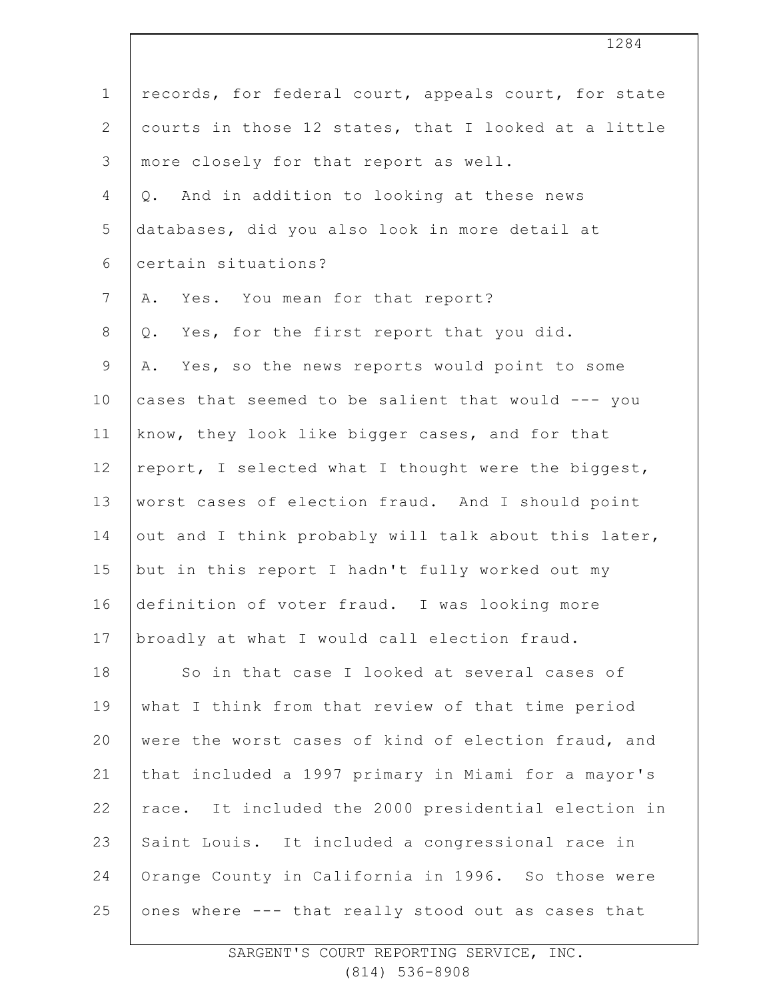| $1\,$           | records, for federal court, appeals court, for state |
|-----------------|------------------------------------------------------|
| $\mathbf{2}$    | courts in those 12 states, that I looked at a little |
| $\mathfrak{Z}$  | more closely for that report as well.                |
| 4               | And in addition to looking at these news<br>Q.       |
| 5               | databases, did you also look in more detail at       |
| 6               | certain situations?                                  |
| $7\phantom{.0}$ | Yes. You mean for that report?<br>Α.                 |
| $8\,$           | Q. Yes, for the first report that you did.           |
| $\mathsf 9$     | Yes, so the news reports would point to some<br>Α.   |
| 10              | cases that seemed to be salient that would --- you   |
| 11              | know, they look like bigger cases, and for that      |
| 12              | report, I selected what I thought were the biggest,  |
| 13              | worst cases of election fraud. And I should point    |
| 14              | out and I think probably will talk about this later, |
| 15              | but in this report I hadn't fully worked out my      |
| 16              | definition of voter fraud. I was looking more        |
| 17              | broadly at what I would call election fraud.         |
| 18              | So in that case I looked at several cases of         |
| 19              | what I think from that review of that time period    |
| 20              | were the worst cases of kind of election fraud, and  |
| 21              | that included a 1997 primary in Miami for a mayor's  |
| 22              | race. It included the 2000 presidential election in  |
| 23              | Saint Louis. It included a congressional race in     |
| 24              | Orange County in California in 1996. So those were   |
| 25              | ones where --- that really stood out as cases that   |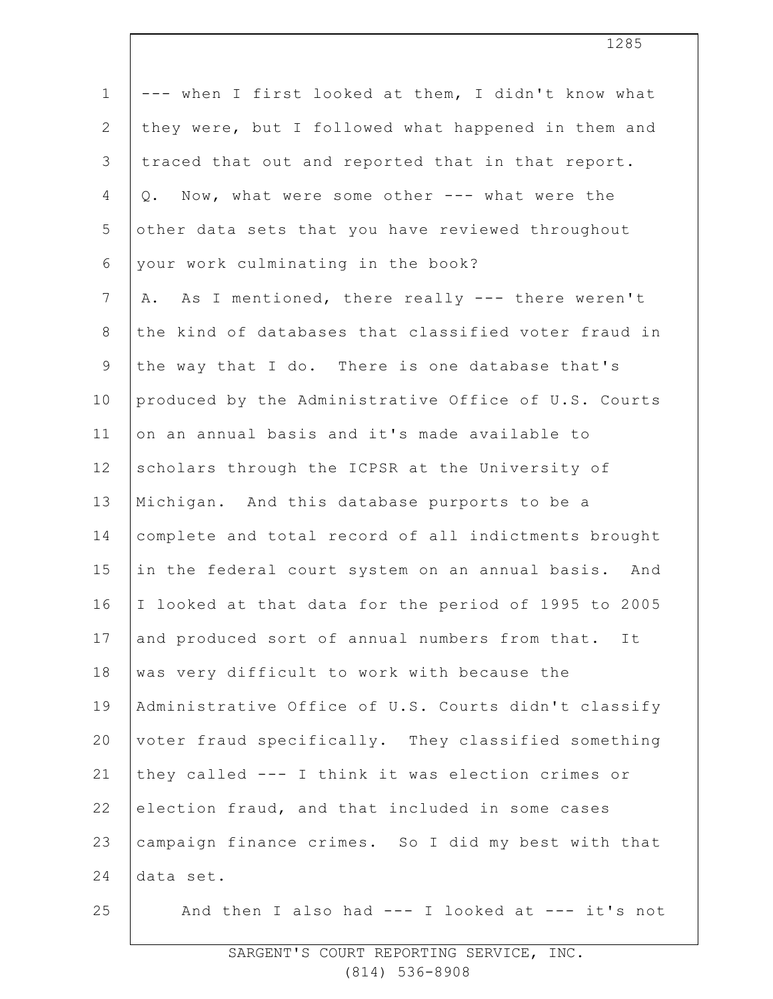| $\mathbf 1$    | --- when I first looked at them, I didn't know what  |
|----------------|------------------------------------------------------|
| $\overline{2}$ | they were, but I followed what happened in them and  |
| 3              | traced that out and reported that in that report.    |
| $\overline{4}$ | Now, what were some other --- what were the<br>Q.    |
| 5              | other data sets that you have reviewed throughout    |
| 6              | your work culminating in the book?                   |
| $\overline{7}$ | A. As I mentioned, there really --- there weren't    |
| $8\,$          | the kind of databases that classified voter fraud in |
| $\mathsf 9$    | the way that I do. There is one database that's      |
| 10             | produced by the Administrative Office of U.S. Courts |
| 11             | on an annual basis and it's made available to        |
| 12             | scholars through the ICPSR at the University of      |
| 13             | Michigan. And this database purports to be a         |
| 14             | complete and total record of all indictments brought |
| 15             | in the federal court system on an annual basis. And  |
| 16             | I looked at that data for the period of 1995 to 2005 |
| 17             | and produced sort of annual numbers from that. It    |
| 18             | was very difficult to work with because the          |
| 19             | Administrative Office of U.S. Courts didn't classify |
| 20             | voter fraud specifically. They classified something  |
| 21             | they called --- I think it was election crimes or    |
| 22             | election fraud, and that included in some cases      |
| 23             | campaign finance crimes. So I did my best with that  |
| 24             | data set.                                            |
| 25             | And then I also had $---$ I looked at $---$ it's not |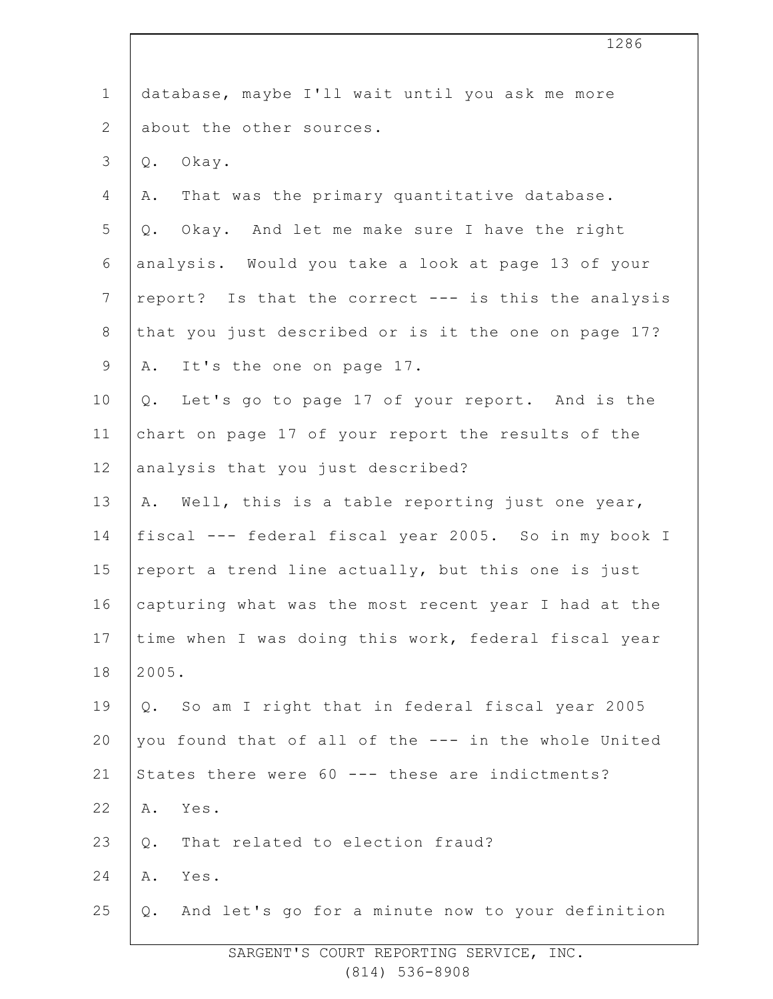|                | 1286                                                   |
|----------------|--------------------------------------------------------|
| $\mathbf 1$    | database, maybe I'll wait until you ask me more        |
| $\overline{2}$ | about the other sources.                               |
| 3              | Okay.<br>Q.                                            |
| 4              | That was the primary quantitative database.<br>Α.      |
| 5              | Q. Okay. And let me make sure I have the right         |
| 6              | analysis. Would you take a look at page 13 of your     |
| $\overline{7}$ | report? Is that the correct --- is this the analysis   |
| $\,8\,$        | that you just described or is it the one on page 17?   |
| $\mathsf 9$    | A. It's the one on page 17.                            |
| 10             | Let's go to page 17 of your report. And is the<br>Q.   |
| 11             | chart on page 17 of your report the results of the     |
| 12             | analysis that you just described?                      |
| 13             | A. Well, this is a table reporting just one year,      |
| 14             | fiscal --- federal fiscal year 2005. So in my book I   |
| 15             | report a trend line actually, but this one is just     |
| 16             | capturing what was the most recent year I had at the   |
| 17             | time when I was doing this work, federal fiscal year   |
| 18             | 2005.                                                  |
| 19             | Q. So am I right that in federal fiscal year 2005      |
| 20             | you found that of all of the --- in the whole United   |
| 21             | States there were 60 --- these are indictments?        |
| 22             | Yes.<br>Α.                                             |
| 23             | That related to election fraud?<br>Q.                  |
| 24             | Yes.<br>Α.                                             |
| 25             | And let's go for a minute now to your definition<br>Q. |

 $\Gamma$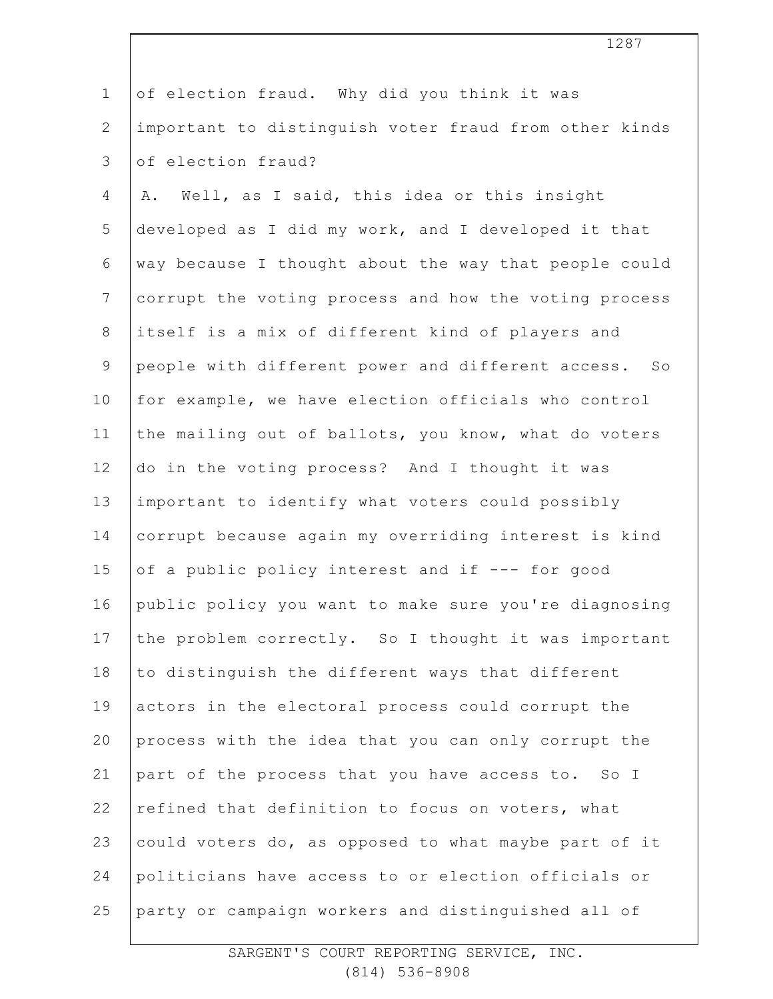| $\mathbf{1}$   | of election fraud. Why did you think it was           |
|----------------|-------------------------------------------------------|
| $\overline{2}$ | important to distinguish voter fraud from other kinds |
| 3              | of election fraud?                                    |
| 4              | Well, as I said, this idea or this insight<br>Α.      |
| 5              | developed as I did my work, and I developed it that   |
| 6              | way because I thought about the way that people could |
| $\overline{7}$ | corrupt the voting process and how the voting process |
| 8              | itself is a mix of different kind of players and      |
| 9              | people with different power and different access. So  |
| 10             | for example, we have election officials who control   |
| 11             | the mailing out of ballots, you know, what do voters  |
| 12             | do in the voting process? And I thought it was        |
| 13             | important to identify what voters could possibly      |
| 14             | corrupt because again my overriding interest is kind  |
| 15             | of a public policy interest and if --- for good       |
| 16             | public policy you want to make sure you're diagnosing |
| 17             | the problem correctly. So I thought it was important  |
| 18             | to distinguish the different ways that different      |
| 19             | actors in the electoral process could corrupt the     |
| 20             | process with the idea that you can only corrupt the   |
| 21             | part of the process that you have access to. So I     |
| 22             | refined that definition to focus on voters, what      |
| 23             | could voters do, as opposed to what maybe part of it  |
| 24             | politicians have access to or election officials or   |
| 25             | party or campaign workers and distinguished all of    |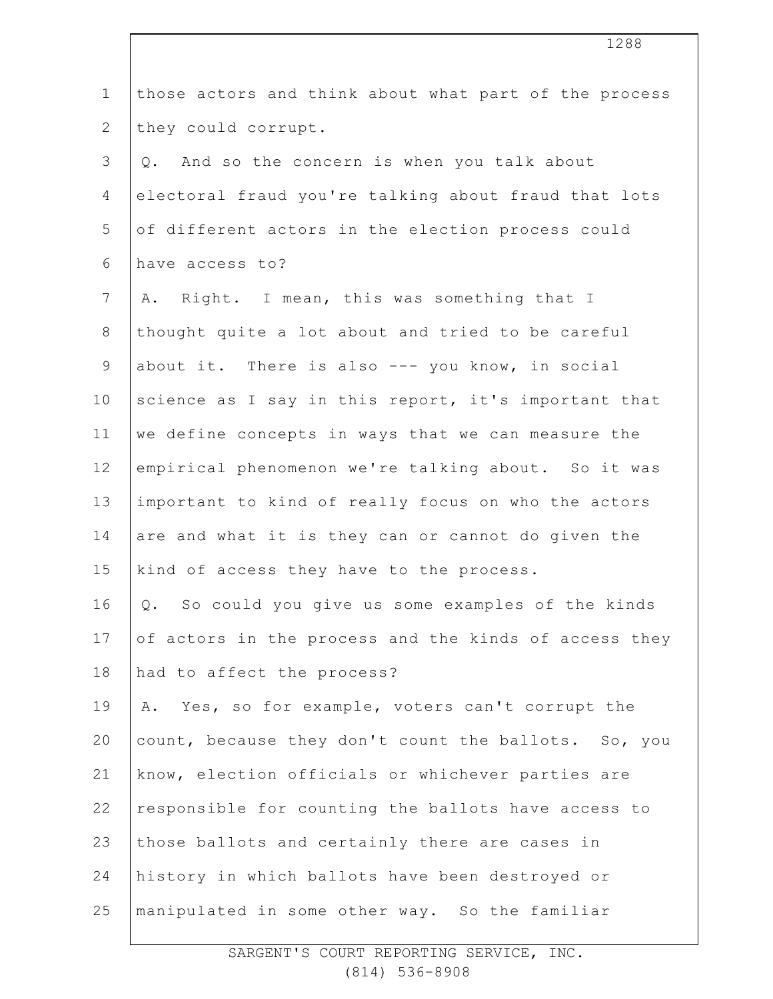| $\mathbf 1$     | those actors and think about what part of the process |
|-----------------|-------------------------------------------------------|
| $\mathbf{2}$    | they could corrupt.                                   |
| 3               | And so the concern is when you talk about<br>Q.       |
| $\overline{4}$  | electoral fraud you're talking about fraud that lots  |
| 5               | of different actors in the election process could     |
| 6               | have access to?                                       |
| $7\phantom{.0}$ | Right. I mean, this was something that I<br>Α.        |
| $8\,$           | thought quite a lot about and tried to be careful     |
| $\mathsf 9$     | about it. There is also --- you know, in social       |
| 10              | science as I say in this report, it's important that  |
| 11              | we define concepts in ways that we can measure the    |
| 12              | empirical phenomenon we're talking about. So it was   |
| 13              | important to kind of really focus on who the actors   |
| 14              | are and what it is they can or cannot do given the    |
| 15              | kind of access they have to the process.              |
| 16              | Q. So could you give us some examples of the kinds    |
| 17              | of actors in the process and the kinds of access they |
| 18              | had to affect the process?                            |
| 19              | Yes, so for example, voters can't corrupt the<br>Α.   |
| 20              | count, because they don't count the ballots. So, you  |
| 21              | know, election officials or whichever parties are     |
| 22              | responsible for counting the ballots have access to   |
| 23              | those ballots and certainly there are cases in        |
| 24              | history in which ballots have been destroyed or       |
| 25              | manipulated in some other way. So the familiar        |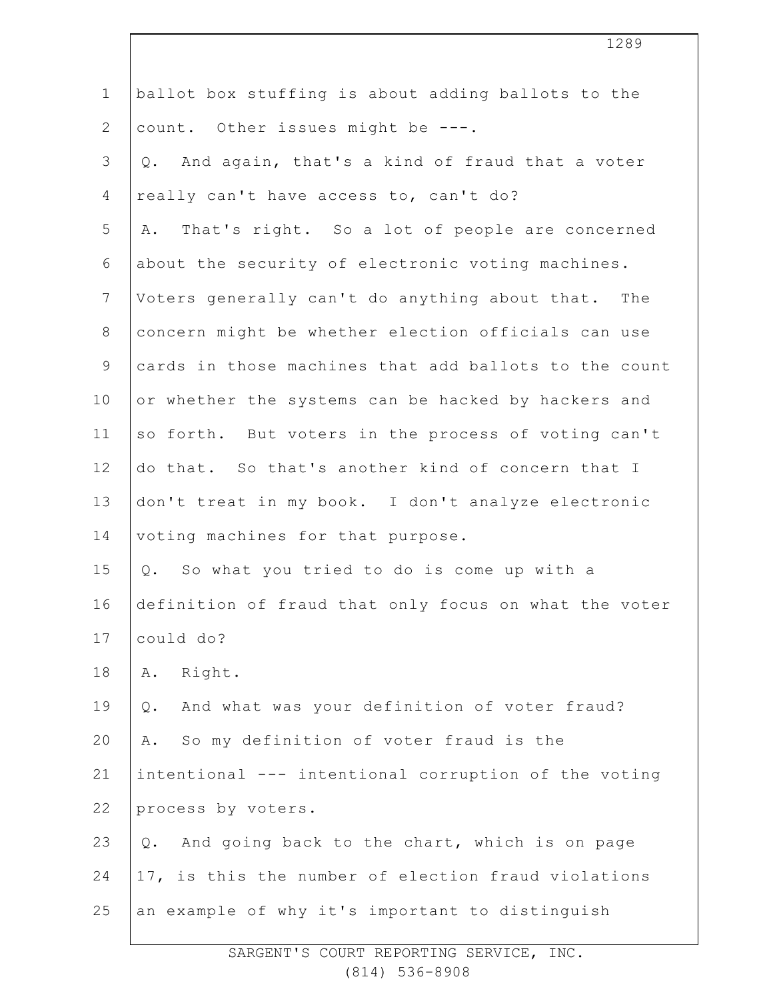| $\mathbf 1$    | ballot box stuffing is about adding ballots to the     |
|----------------|--------------------------------------------------------|
| $\mathbf{2}$   | count. Other issues might be ---.                      |
| 3              | And again, that's a kind of fraud that a voter<br>Q.   |
| 4              | really can't have access to, can't do?                 |
| 5              | That's right. So a lot of people are concerned<br>Α.   |
| 6              | about the security of electronic voting machines.      |
| $7\phantom{.}$ | Voters generally can't do anything about that. The     |
| $8\,$          | concern might be whether election officials can use    |
| $\mathcal{G}$  | cards in those machines that add ballots to the count  |
| 10             | or whether the systems can be hacked by hackers and    |
| 11             | so forth. But voters in the process of voting can't    |
| 12             | do that. So that's another kind of concern that I      |
| 13             | don't treat in my book. I don't analyze electronic     |
| 14             | voting machines for that purpose.                      |
| 15             | So what you tried to do is come up with a<br>Q.        |
| 16             | definition of fraud that only focus on what the voter  |
| 17             | could do?                                              |
| 18             | Right.<br>Α.                                           |
| 19             | And what was your definition of voter fraud?<br>Q.     |
| 20             | So my definition of voter fraud is the<br>Α.           |
| 21             | intentional --- intentional corruption of the voting   |
| 22             | process by voters.                                     |
| 23             | And going back to the chart, which is on page<br>$Q$ . |
| 24             | 17, is this the number of election fraud violations    |
| 25             | an example of why it's important to distinguish        |
|                |                                                        |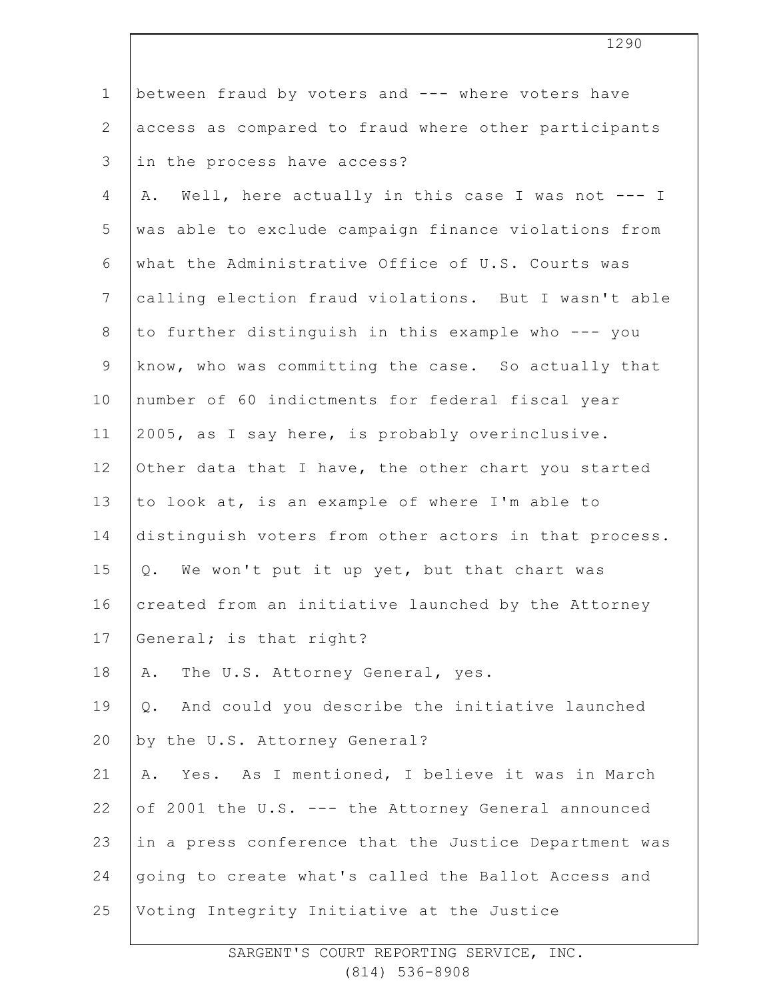| $\mathbf 1$     | between fraud by voters and --- where voters have       |
|-----------------|---------------------------------------------------------|
| $\mathbf{2}$    | access as compared to fraud where other participants    |
| 3               | in the process have access?                             |
| 4               | Well, here actually in this case I was not --- I<br>Α.  |
| 5               | was able to exclude campaign finance violations from    |
| 6               | what the Administrative Office of U.S. Courts was       |
| $7\phantom{.0}$ | calling election fraud violations. But I wasn't able    |
| 8               | to further distinguish in this example who --- you      |
| $\mathsf 9$     | know, who was committing the case. So actually that     |
| 10              | number of 60 indictments for federal fiscal year        |
| 11              | 2005, as I say here, is probably overinclusive.         |
| 12              | Other data that I have, the other chart you started     |
| 13              | to look at, is an example of where I'm able to          |
| 14              | distinguish voters from other actors in that process.   |
| 15              | Q. We won't put it up yet, but that chart was           |
| 16              | created from an initiative launched by the Attorney     |
| 17              | General; is that right?                                 |
| 18              | The U.S. Attorney General, yes.<br>Α.                   |
| 19              | And could you describe the initiative launched<br>$Q$ . |
| 20              | by the U.S. Attorney General?                           |
| 21              | Yes. As I mentioned, I believe it was in March<br>Α.    |
| 22              | of 2001 the U.S. --- the Attorney General announced     |
| 23              | in a press conference that the Justice Department was   |
| 24              | going to create what's called the Ballot Access and     |
| 25              | Voting Integrity Initiative at the Justice              |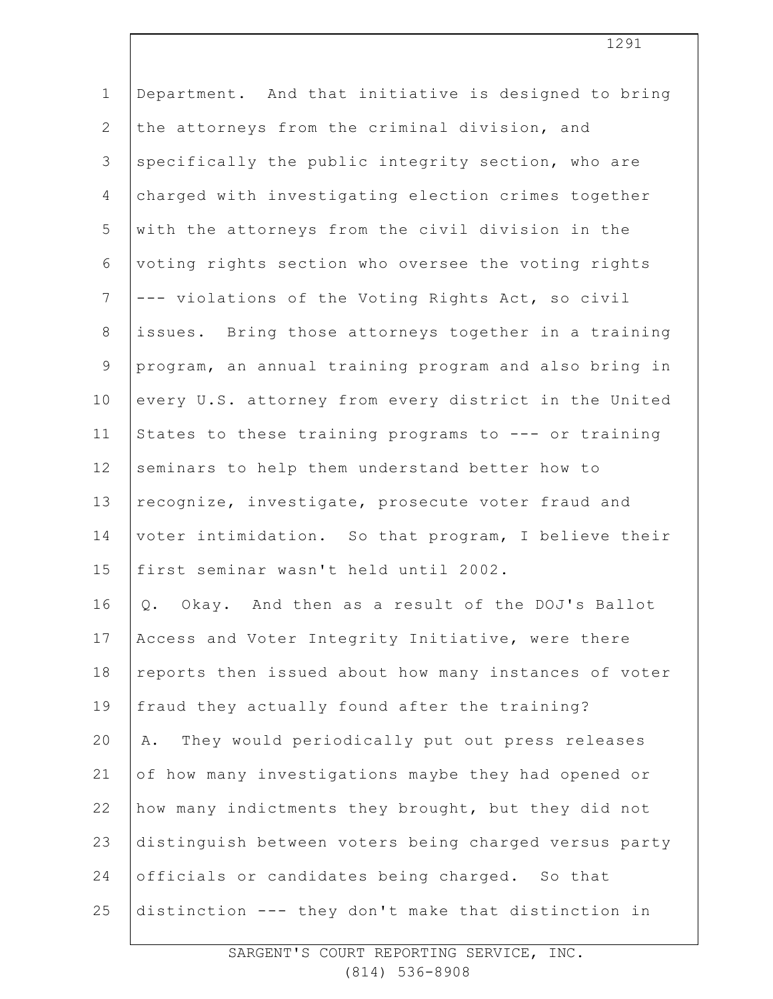| $\mathbf 1$    | Department. And that initiative is designed to bring    |
|----------------|---------------------------------------------------------|
| $\mathbf{2}$   | the attorneys from the criminal division, and           |
| $\mathfrak{Z}$ | specifically the public integrity section, who are      |
| $\overline{4}$ | charged with investigating election crimes together     |
| 5              | with the attorneys from the civil division in the       |
| 6              | voting rights section who oversee the voting rights     |
| $7\phantom{.}$ | --- violations of the Voting Rights Act, so civil       |
| $\,8\,$        | issues. Bring those attorneys together in a training    |
| $\overline{9}$ | program, an annual training program and also bring in   |
| 10             | every U.S. attorney from every district in the United   |
| 11             | States to these training programs to --- or training    |
| 12             | seminars to help them understand better how to          |
| 13             | recognize, investigate, prosecute voter fraud and       |
| 14             | voter intimidation. So that program, I believe their    |
| 15             | first seminar wasn't held until 2002.                   |
| 16             | Okay. And then as a result of the DOJ's Ballot<br>$Q$ . |
| 17             | Access and Voter Integrity Initiative, were there       |
| $18\,$         | reports then issued about how many instances of voter   |
| 19             | fraud they actually found after the training?           |
| 20             | They would periodically put out press releases<br>Α.    |
| 21             | of how many investigations maybe they had opened or     |
| 22             | how many indictments they brought, but they did not     |
| 23             | distinguish between voters being charged versus party   |
| 24             | officials or candidates being charged. So that          |
| 25             | distinction --- they don't make that distinction in     |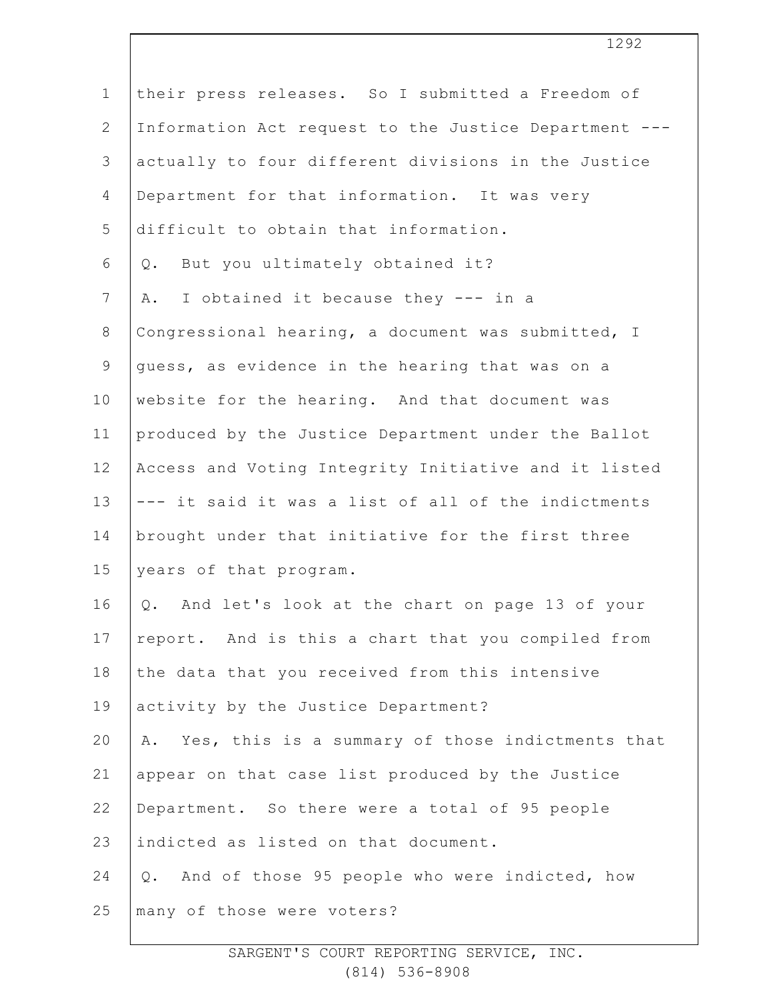| their press releases. So I submitted a Freedom of     |
|-------------------------------------------------------|
| Information Act request to the Justice Department --- |
| actually to four different divisions in the Justice   |
| Department for that information. It was very          |
| difficult to obtain that information.                 |
| Q. But you ultimately obtained it?                    |
| I obtained it because they --- in a<br>Α.             |
| Congressional hearing, a document was submitted, I    |
| quess, as evidence in the hearing that was on a       |
| website for the hearing. And that document was        |
| produced by the Justice Department under the Ballot   |
| Access and Voting Integrity Initiative and it listed  |
| --- it said it was a list of all of the indictments   |
| brought under that initiative for the first three     |
| years of that program.                                |
| And let's look at the chart on page 13 of your<br>Q.  |
| report. And is this a chart that you compiled from    |
| the data that you received from this intensive        |
| activity by the Justice Department?                   |
| A. Yes, this is a summary of those indictments that   |
| appear on that case list produced by the Justice      |
| Department. So there were a total of 95 people        |
| indicted as listed on that document.                  |
| Q. And of those 95 people who were indicted, how      |
| many of those were voters?                            |
|                                                       |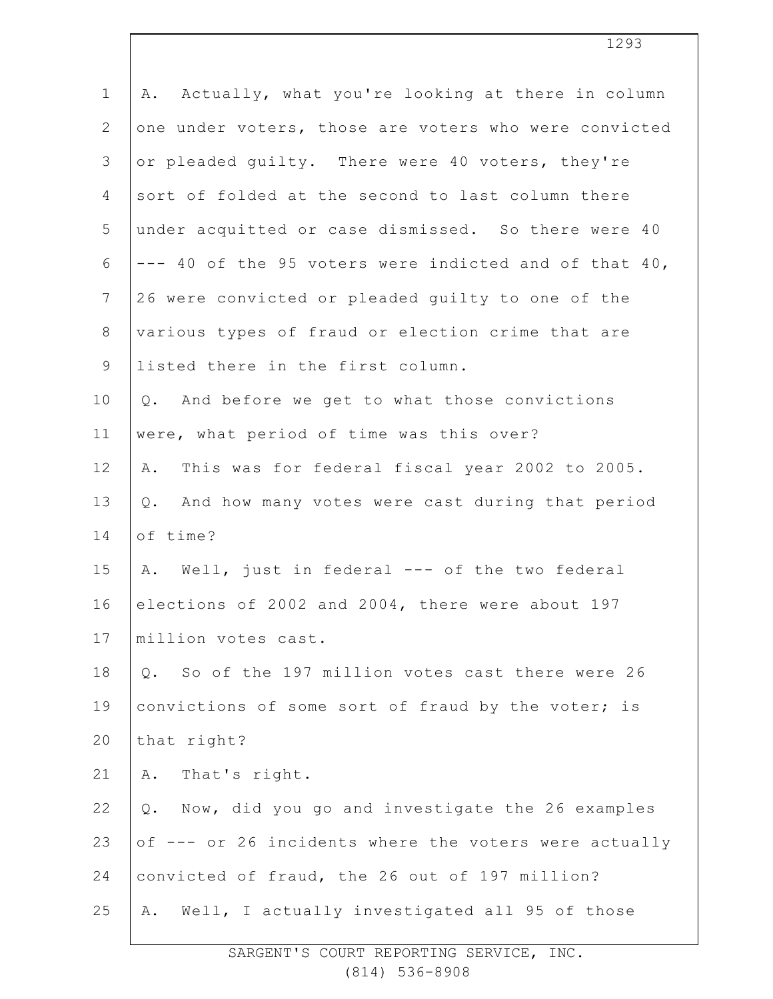| $\mathbf 1$    | Actually, what you're looking at there in column<br>Α. |
|----------------|--------------------------------------------------------|
| $\mathbf{2}$   | one under voters, those are voters who were convicted  |
| 3              | or pleaded guilty. There were 40 voters, they're       |
| $\overline{4}$ | sort of folded at the second to last column there      |
| 5              | under acquitted or case dismissed. So there were 40    |
| 6              | --- 40 of the 95 voters were indicted and of that 40,  |
| $7\phantom{.}$ | 26 were convicted or pleaded guilty to one of the      |
| $8\,$          | various types of fraud or election crime that are      |
| $\mathsf 9$    | listed there in the first column.                      |
| 10             | Q. And before we get to what those convictions         |
| 11             | were, what period of time was this over?               |
| 12             | This was for federal fiscal year 2002 to 2005.<br>Α.   |
| 13             | And how many votes were cast during that period<br>Q.  |
| 14             | of time?                                               |
| 15             | A. Well, just in federal --- of the two federal        |
| 16             | elections of 2002 and 2004, there were about 197       |
| 17             | million votes cast.                                    |
| 18             | So of the 197 million votes cast there were 26<br>Q.   |
| 19             | convictions of some sort of fraud by the voter; is     |
| 20             | that right?                                            |
| 21             | That's right.<br>Α.                                    |
| 22             | Now, did you go and investigate the 26 examples<br>Q.  |
| 23             | of --- or 26 incidents where the voters were actually  |
| 24             | convicted of fraud, the 26 out of 197 million?         |
| 25             | Well, I actually investigated all 95 of those<br>Α.    |
|                |                                                        |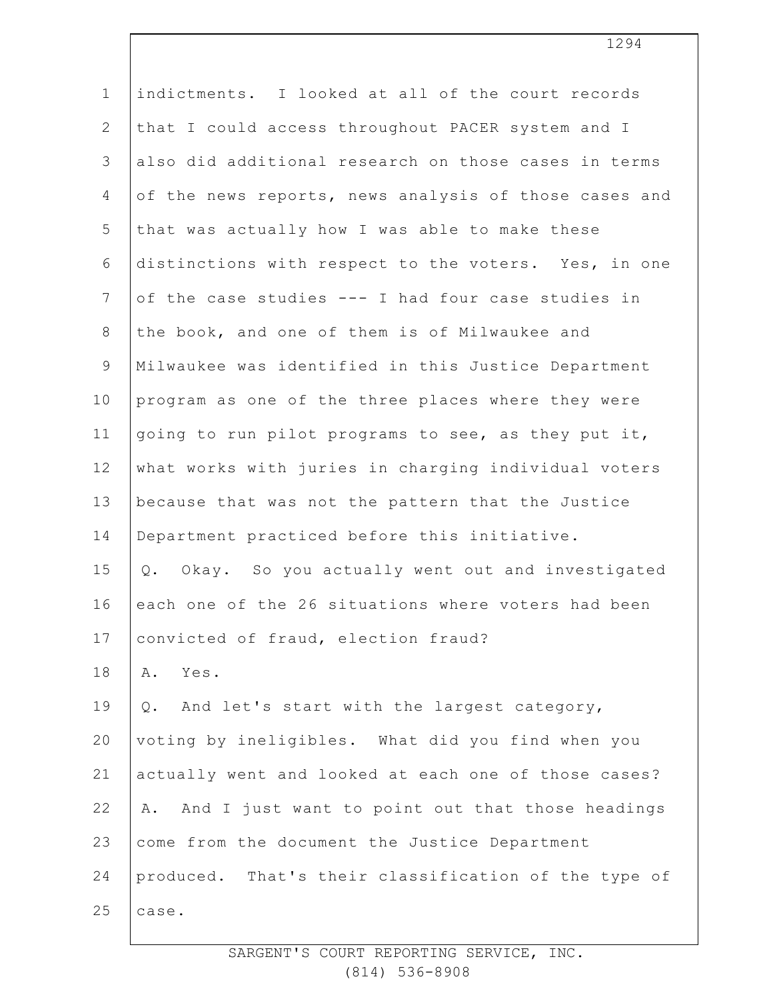| $\mathbf 1$     | indictments. I looked at all of the court records        |
|-----------------|----------------------------------------------------------|
| $\overline{2}$  | that I could access throughout PACER system and I        |
| 3               | also did additional research on those cases in terms     |
| 4               | of the news reports, news analysis of those cases and    |
| 5               | that was actually how I was able to make these           |
| 6               | distinctions with respect to the voters. Yes, in one     |
| $7\phantom{.0}$ | of the case studies --- I had four case studies in       |
| $8\,$           | the book, and one of them is of Milwaukee and            |
| $\mathcal{G}$   | Milwaukee was identified in this Justice Department      |
| 10              | program as one of the three places where they were       |
| 11              | going to run pilot programs to see, as they put it,      |
| 12              | what works with juries in charging individual voters     |
| 13              | because that was not the pattern that the Justice        |
| 14              | Department practiced before this initiative.             |
| 15              | Okay. So you actually went out and investigated<br>$Q$ . |
| 16              | each one of the 26 situations where voters had been      |
| 17              | convicted of fraud, election fraud?                      |
| 18              | Yes.<br>Α.                                               |
| 19              | And let's start with the largest category,<br>$Q$ .      |
| 20              | voting by ineligibles. What did you find when you        |
| 21              | actually went and looked at each one of those cases?     |
| 22              | And I just want to point out that those headings<br>Α.   |
| 23              | come from the document the Justice Department            |
| 24              | produced. That's their classification of the type of     |
| 25              | case.                                                    |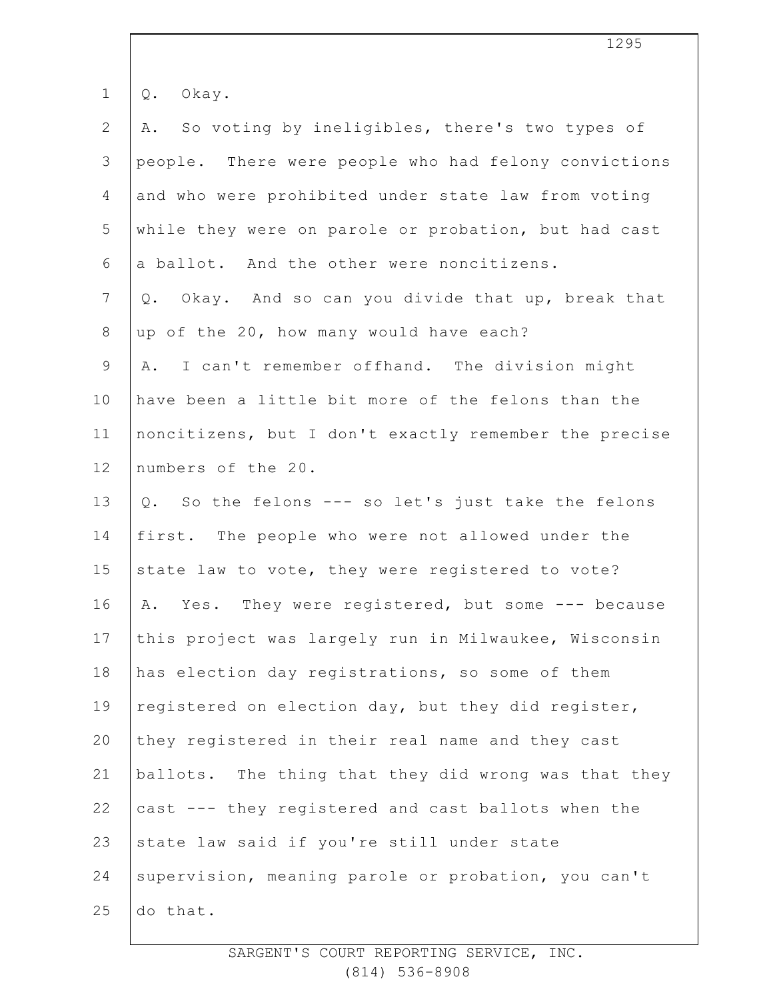| $\mathbf 1$    | Okay.<br>Q.                                           |
|----------------|-------------------------------------------------------|
| $\mathbf{2}$   | A. So voting by ineligibles, there's two types of     |
| $\mathfrak{Z}$ | people. There were people who had felony convictions  |
| $\overline{4}$ | and who were prohibited under state law from voting   |
| 5              | while they were on parole or probation, but had cast  |
| 6              | a ballot. And the other were noncitizens.             |
| $7\phantom{.}$ | Okay. And so can you divide that up, break that<br>Q. |
| $8\,$          | up of the 20, how many would have each?               |
| $\mathsf 9$    | A. I can't remember offhand. The division might       |
| 10             | have been a little bit more of the felons than the    |
| 11             | noncitizens, but I don't exactly remember the precise |
| 12             | numbers of the 20.                                    |
| 13             | Q. So the felons --- so let's just take the felons    |
| 14             | first. The people who were not allowed under the      |
| 15             | state law to vote, they were registered to vote?      |
| 16             | Yes. They were registered, but some --- because<br>Α. |
| 17             | this project was largely run in Milwaukee, Wisconsin  |
| 18             | has election day registrations, so some of them       |
| 19             | registered on election day, but they did register,    |
| 20             | they registered in their real name and they cast      |
| 21             | ballots. The thing that they did wrong was that they  |
| 22             | cast --- they registered and cast ballots when the    |
| 23             | state law said if you're still under state            |
| 24             | supervision, meaning parole or probation, you can't   |
| 25             | do that.                                              |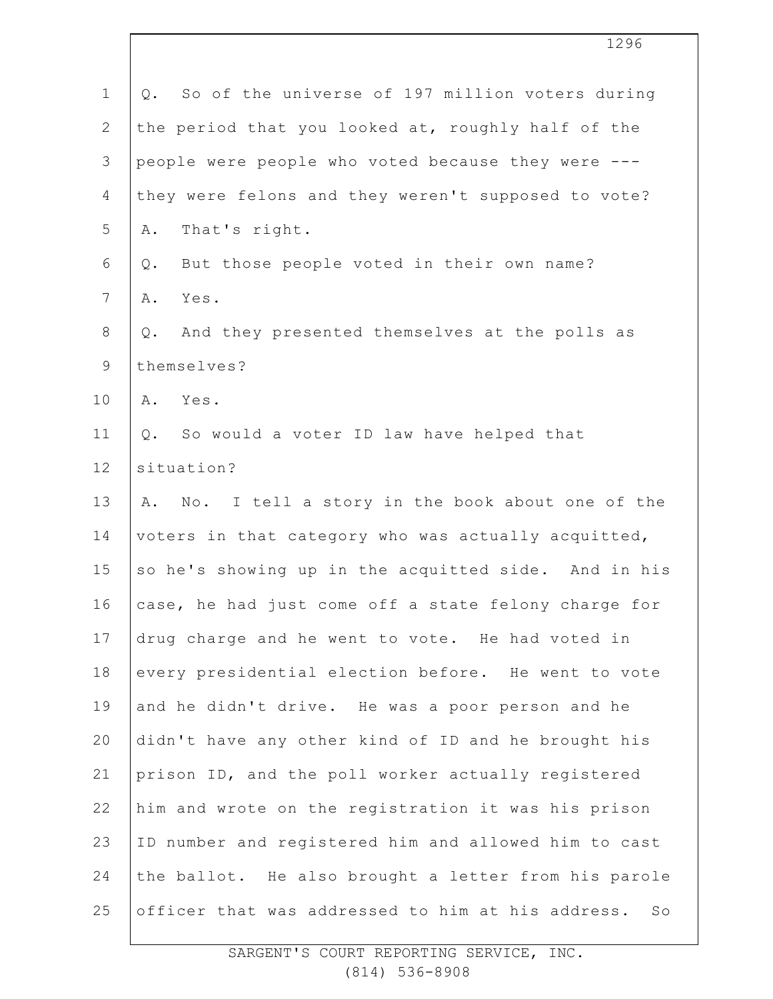| $\mathbf{1}$  | So of the universe of 197 million voters during<br>Q.               |
|---------------|---------------------------------------------------------------------|
| $\mathbf{2}$  | the period that you looked at, roughly half of the                  |
| $\mathcal{S}$ | people were people who voted because they were ---                  |
| 4             | they were felons and they weren't supposed to vote?                 |
| 5             | That's right.<br>Α.                                                 |
| 6             | But those people voted in their own name?<br>Q.                     |
| 7             | Yes.<br>Α.                                                          |
| $8\,$         | And they presented themselves at the polls as<br>Q.                 |
| 9             | themselves?                                                         |
| 10            | Yes.<br>Α.                                                          |
| 11            | So would a voter ID law have helped that<br>Q.                      |
| 12            | situation?                                                          |
| 13            | I tell a story in the book about one of the<br>A. No.               |
| 14            | voters in that category who was actually acquitted,                 |
| 15            | so he's showing up in the acquitted side. And in his                |
| 16            | case, he had just come off a state felony charge for                |
| 17            | drug charge and he went to vote. He had voted in                    |
| 18            | every presidential election before. He went to vote                 |
| 19            | and he didn't drive. He was a poor person and he                    |
| 20            | didn't have any other kind of ID and he brought his                 |
| 21            | prison ID, and the poll worker actually registered                  |
| 22            | him and wrote on the registration it was his prison                 |
| 23            | ID number and registered him and allowed him to cast                |
| 24            | the ballot. He also brought a letter from his parole                |
| 25            | officer that was addressed to him at his address.<br>$S_{\bigcirc}$ |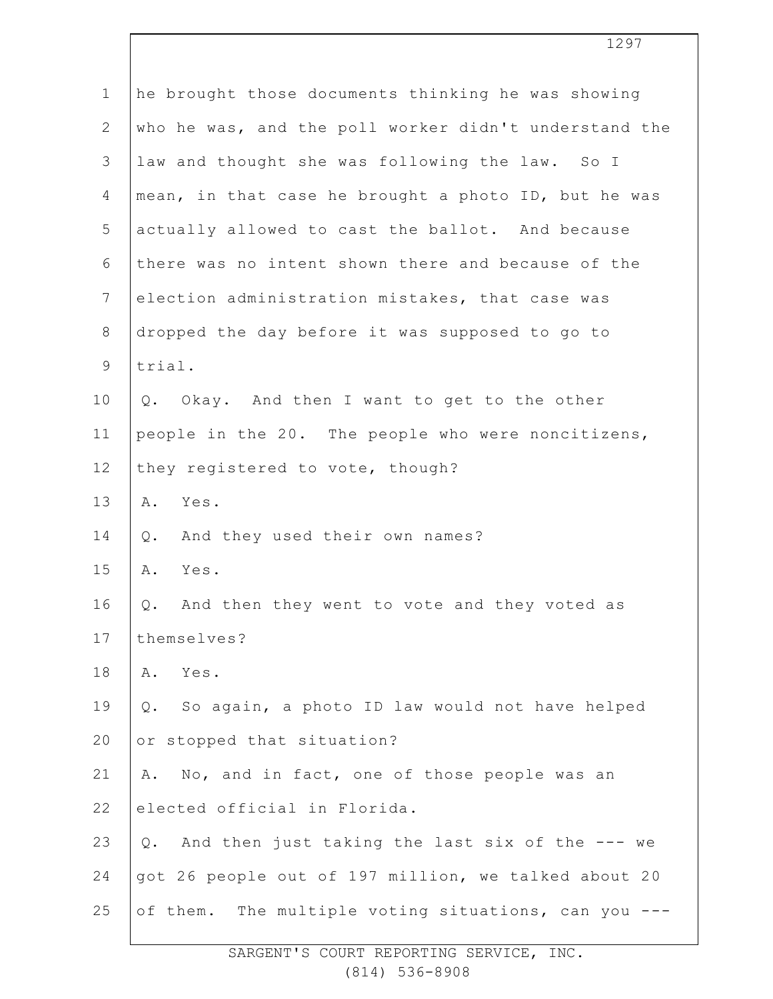| $\mathbf 1$    | he brought those documents thinking he was showing       |
|----------------|----------------------------------------------------------|
| $\mathbf{2}$   | who he was, and the poll worker didn't understand the    |
| 3              | law and thought she was following the law. So I          |
| 4              | mean, in that case he brought a photo ID, but he was     |
| 5              | actually allowed to cast the ballot. And because         |
| 6              | there was no intent shown there and because of the       |
| $\overline{7}$ | election administration mistakes, that case was          |
| $\,8\,$        | dropped the day before it was supposed to go to          |
| $\mathsf 9$    | trial.                                                   |
| 10             | Okay. And then I want to get to the other<br>Q.          |
| 11             | people in the 20. The people who were noncitizens,       |
| 12             | they registered to vote, though?                         |
| 13             | Yes.<br>Α.                                               |
| 14             | And they used their own names?<br>Q.                     |
| 15             | Yes.<br>Α.                                               |
| 16             | And then they went to vote and they voted as<br>Q.       |
| 17             | themselves?                                              |
| 18             | Yes.<br>Α.                                               |
| 19             | So again, a photo ID law would not have helped<br>$Q$ .  |
| 20             | or stopped that situation?                               |
| 21             | No, and in fact, one of those people was an<br>Α.        |
| 22             | elected official in Florida.                             |
| 23             | And then just taking the last six of the --- we<br>$Q$ . |
| 24             | got 26 people out of 197 million, we talked about 20     |
| 25             | of them. The multiple voting situations, can you ---     |
|                |                                                          |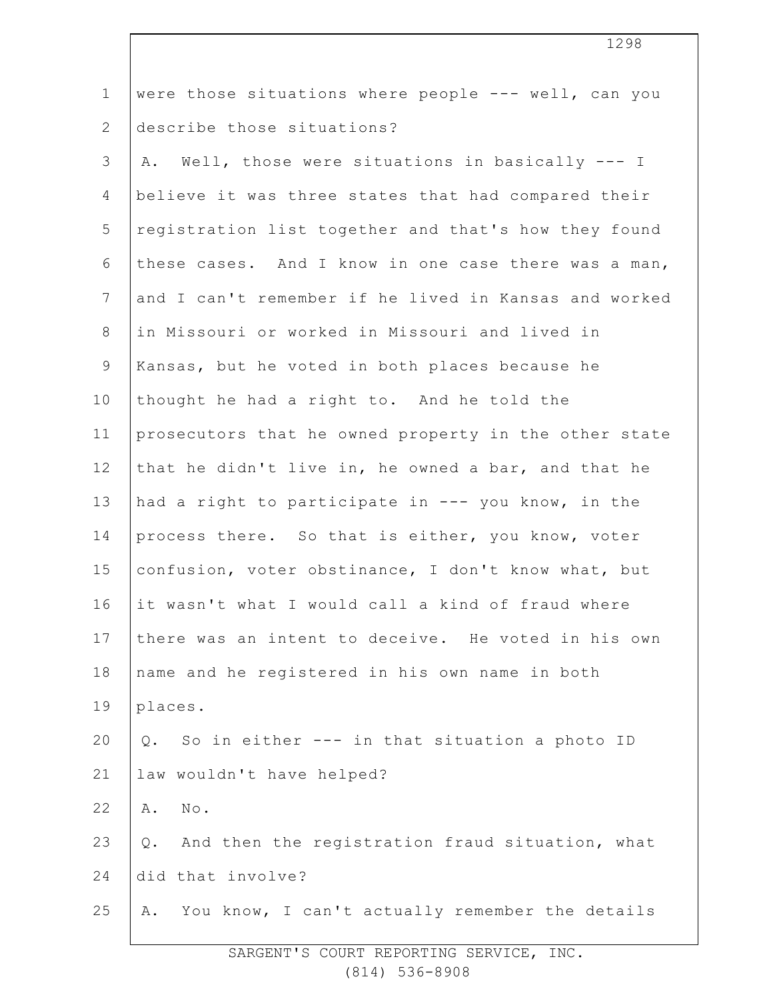| $\mathbf 1$     | were those situations where people --- well, can you   |
|-----------------|--------------------------------------------------------|
| $\overline{2}$  | describe those situations?                             |
| 3               | A. Well, those were situations in basically --- I      |
| 4               | believe it was three states that had compared their    |
| 5               | registration list together and that's how they found   |
| 6               | these cases. And I know in one case there was a man,   |
| $7\phantom{.0}$ | and I can't remember if he lived in Kansas and worked  |
| 8               | in Missouri or worked in Missouri and lived in         |
| 9               | Kansas, but he voted in both places because he         |
| 10              | thought he had a right to. And he told the             |
| 11              | prosecutors that he owned property in the other state  |
| 12              | that he didn't live in, he owned a bar, and that he    |
| 13              | had a right to participate in --- you know, in the     |
| 14              | process there. So that is either, you know, voter      |
| 15              | confusion, voter obstinance, I don't know what, but    |
| 16              | it wasn't what I would call a kind of fraud where      |
| 17              | there was an intent to deceive. He voted in his own    |
| 18              | name and he registered in his own name in both         |
| 19              | places.                                                |
| 20              | So in either --- in that situation a photo ID<br>$Q$ . |
| 21              | law wouldn't have helped?                              |
| 22              | Α.<br>No.                                              |
| 23              | And then the registration fraud situation, what<br>Q.  |
| 24              | did that involve?                                      |
| 25              | You know, I can't actually remember the details<br>Α.  |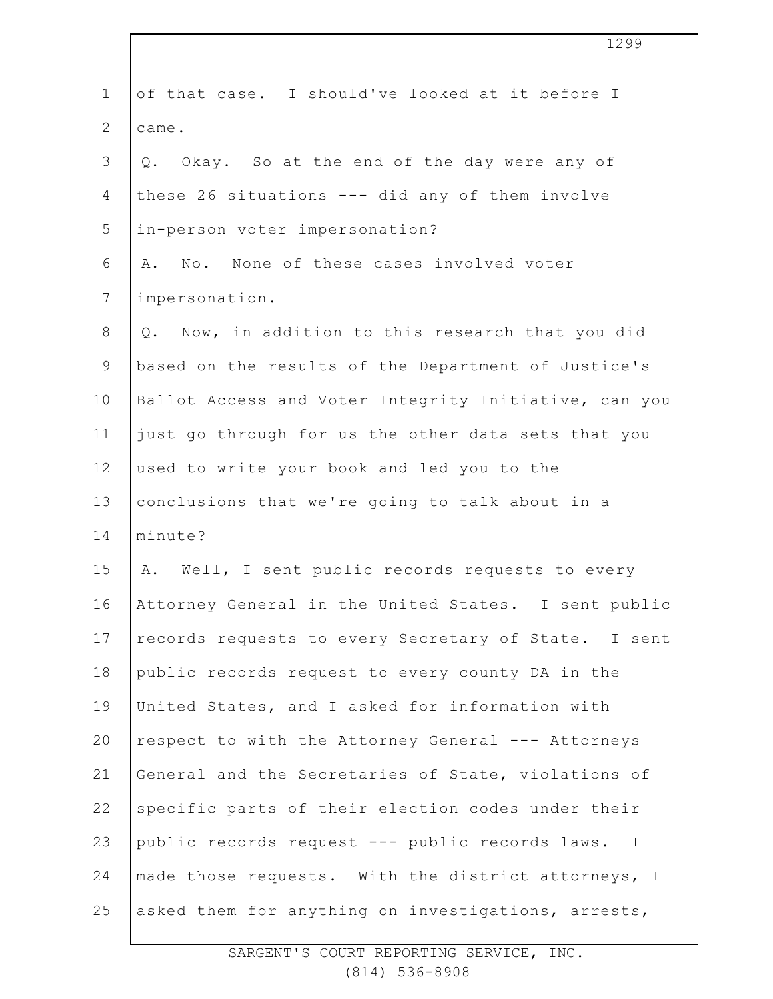| $\mathbf 1$    | of that case. I should've looked at it before I       |
|----------------|-------------------------------------------------------|
| $\overline{2}$ | came.                                                 |
| 3              | Okay. So at the end of the day were any of<br>Q.      |
| 4              | these 26 situations --- did any of them involve       |
| 5              | in-person voter impersonation?                        |
| 6              | A. No. None of these cases involved voter             |
| $7\phantom{.}$ | impersonation.                                        |
| $8\,$          | Q. Now, in addition to this research that you did     |
| $\mathcal{G}$  | based on the results of the Department of Justice's   |
| 10             | Ballot Access and Voter Integrity Initiative, can you |
| 11             | just go through for us the other data sets that you   |
| 12             | used to write your book and led you to the            |
| 13             | conclusions that we're going to talk about in a       |
| 14             | minute?                                               |
| 15             | A. Well, I sent public records requests to every      |
| 16             | Attorney General in the United States. I sent public  |
| 17             | records requests to every Secretary of State. I sent  |
| 18             | public records request to every county DA in the      |
| 19             | United States, and I asked for information with       |
| 20             | respect to with the Attorney General --- Attorneys    |
| 21             | General and the Secretaries of State, violations of   |
| 22             | specific parts of their election codes under their    |
| 23             | public records request --- public records laws. I     |
| 24             | made those requests. With the district attorneys, I   |
| 25             | asked them for anything on investigations, arrests,   |

1299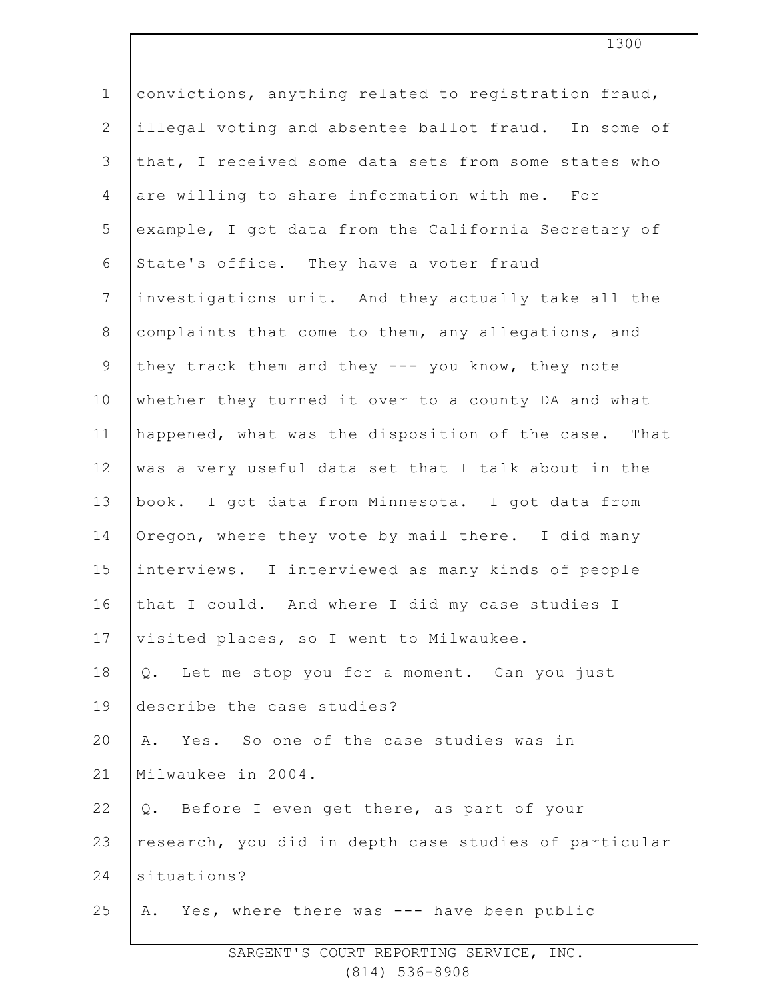1 2 3 4 5 6 7 8 9 10 11 12 13 14 15 16 17 18 19 20 21 22 23 24 25 convictions, anything related to registration fraud, illegal voting and absentee ballot fraud. In some of that, I received some data sets from some states who are willing to share information with me. For example, I got data from the California Secretary of State's office. They have a voter fraud investigations unit. And they actually take all the complaints that come to them, any allegations, and they track them and they --- you know, they note whether they turned it over to a county DA and what happened, what was the disposition of the case. That was a very useful data set that I talk about in the book. I got data from Minnesota. I got data from Oregon, where they vote by mail there. I did many interviews. I interviewed as many kinds of people that I could. And where I did my case studies I visited places, so I went to Milwaukee. Q. Let me stop you for a moment. Can you just describe the case studies? A. Yes. So one of the case studies was in Milwaukee in 2004. Q. Before I even get there, as part of your research, you did in depth case studies of particular situations? A. Yes, where there was --- have been public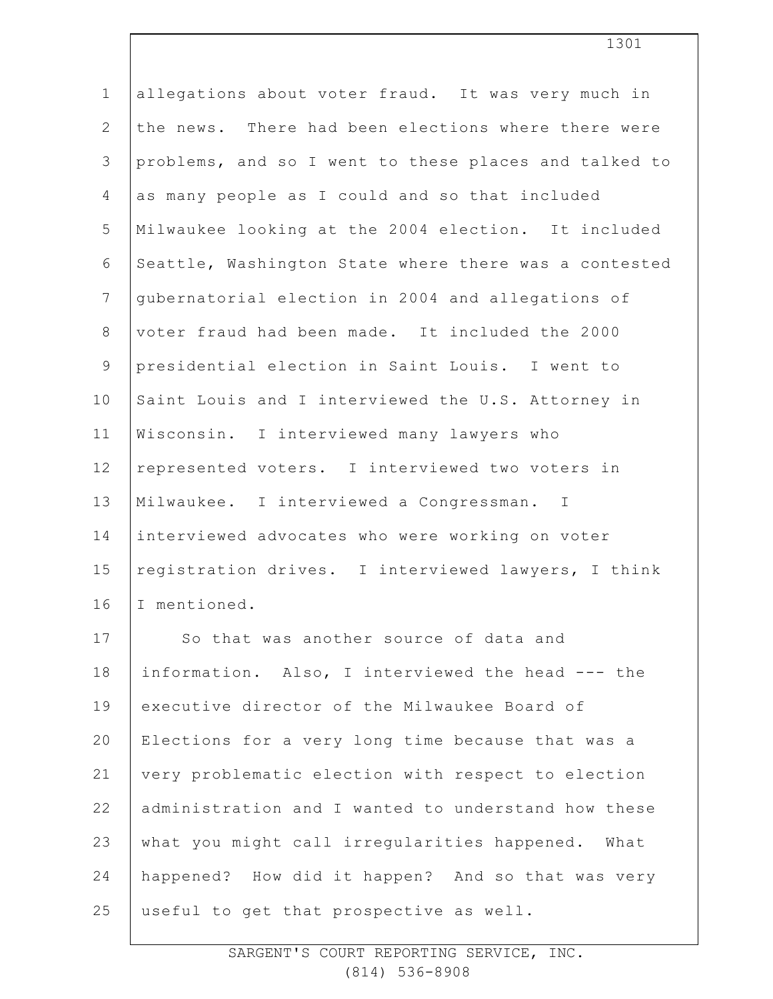| $\mathbf 1$    | allegations about voter fraud. It was very much in    |
|----------------|-------------------------------------------------------|
| $\overline{2}$ | the news. There had been elections where there were   |
| $\mathfrak{Z}$ | problems, and so I went to these places and talked to |
| $\overline{4}$ | as many people as I could and so that included        |
| 5              | Milwaukee looking at the 2004 election. It included   |
| 6              | Seattle, Washington State where there was a contested |
| $\overline{7}$ | gubernatorial election in 2004 and allegations of     |
| $\,8\,$        | voter fraud had been made. It included the 2000       |
| $\mathsf 9$    | presidential election in Saint Louis. I went to       |
| 10             | Saint Louis and I interviewed the U.S. Attorney in    |
| 11             | Wisconsin. I interviewed many lawyers who             |
| 12             | represented voters. I interviewed two voters in       |
| 13             | Milwaukee. I interviewed a Congressman. I             |
| 14             | interviewed advocates who were working on voter       |
| 15             | reqistration drives. I interviewed lawyers, I think   |
| 16             | I mentioned.                                          |
| 17             | So that was another source of data and                |
| 18             | information. Also, I interviewed the head --- the     |
| 19             | executive director of the Milwaukee Board of          |
| 20             | Elections for a very long time because that was a     |
| 21             | very problematic election with respect to election    |
| 22             | administration and I wanted to understand how these   |
| 23             | what you might call irregularities happened. What     |
| 24             | happened? How did it happen? And so that was very     |
| 25             | useful to get that prospective as well.               |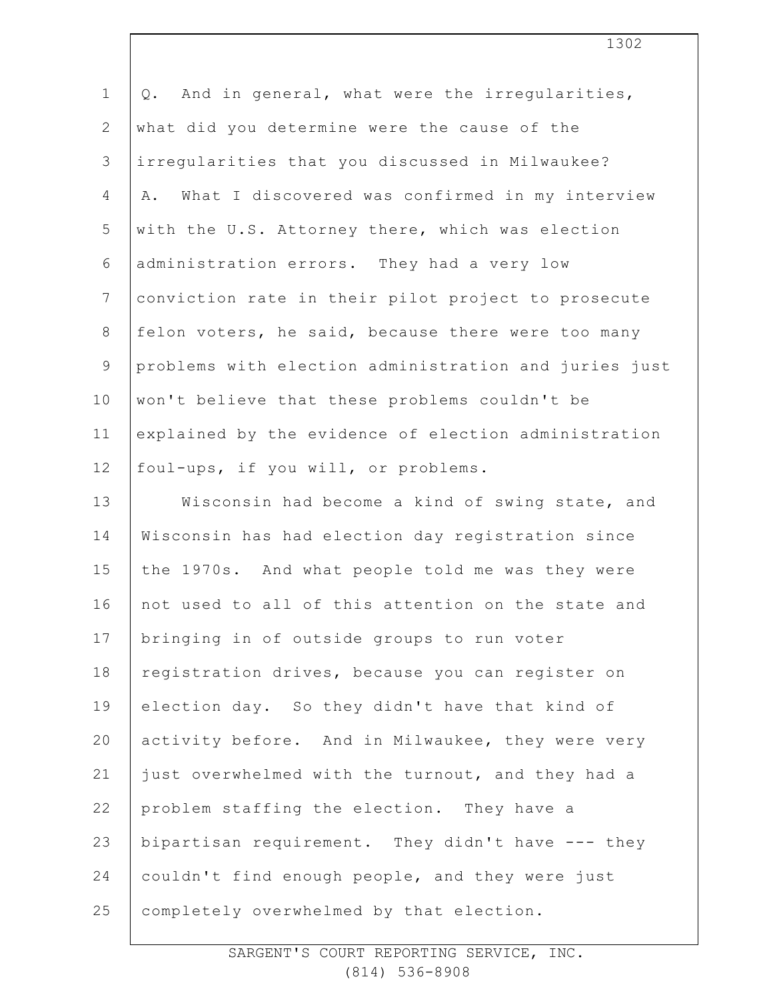| $\mathbf 1$    | And in general, what were the irregularities,<br>Q.   |
|----------------|-------------------------------------------------------|
| $\mathbf{2}$   | what did you determine were the cause of the          |
| 3              | irregularities that you discussed in Milwaukee?       |
| 4              | What I discovered was confirmed in my interview<br>Α. |
| 5              | with the U.S. Attorney there, which was election      |
| 6              | administration errors. They had a very low            |
| $7\phantom{.}$ | conviction rate in their pilot project to prosecute   |
| $\,8\,$        | felon voters, he said, because there were too many    |
| $\mathsf 9$    | problems with election administration and juries just |
| 10             | won't believe that these problems couldn't be         |
| 11             | explained by the evidence of election administration  |
| 12             | foul-ups, if you will, or problems.                   |
| 13             | Wisconsin had become a kind of swing state, and       |
| 14             | Wisconsin has had election day registration since     |
| 15             | the 1970s. And what people told me was they were      |
| 16             | not used to all of this attention on the state and    |
| 17             | bringing in of outside groups to run voter            |
| 18             | registration drives, because you can register on      |
| 19             | election day. So they didn't have that kind of        |
| 20             | activity before. And in Milwaukee, they were very     |
| 21             | just overwhelmed with the turnout, and they had a     |
| 22             | problem staffing the election. They have a            |
| 23             | bipartisan requirement. They didn't have --- they     |
| 24             | couldn't find enough people, and they were just       |
| 25             | completely overwhelmed by that election.              |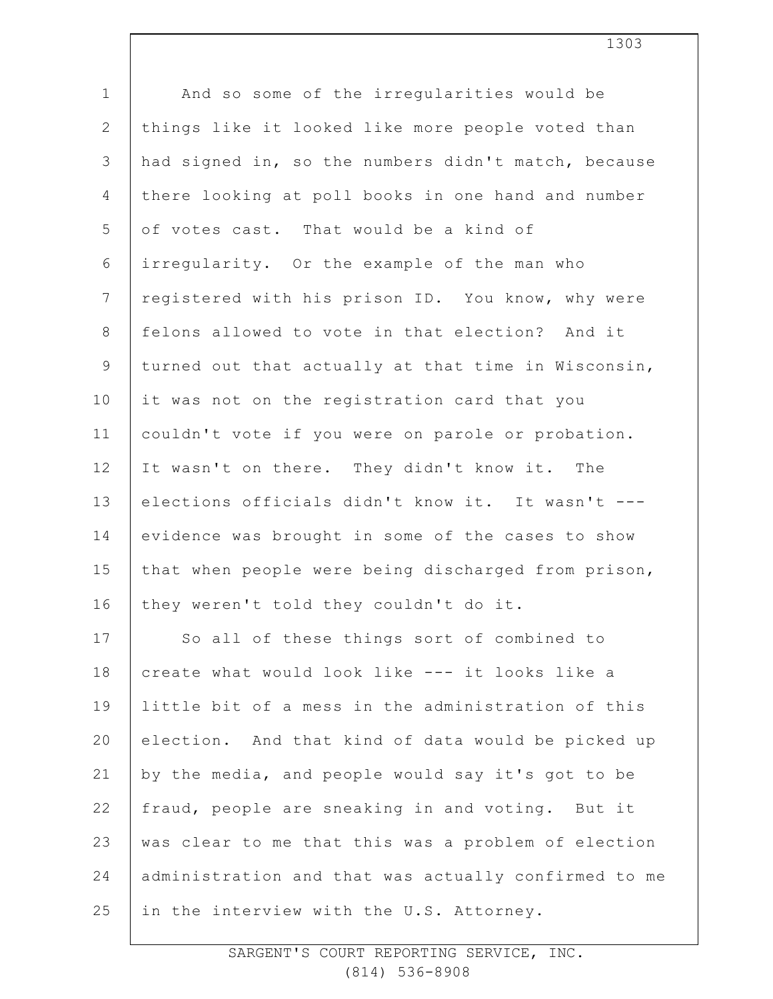| $\mathbf 1$    | And so some of the irregularities would be           |
|----------------|------------------------------------------------------|
| $\mathbf{2}$   | things like it looked like more people voted than    |
| 3              | had signed in, so the numbers didn't match, because  |
| $\overline{4}$ | there looking at poll books in one hand and number   |
| 5              | of votes cast. That would be a kind of               |
| 6              | irregularity. Or the example of the man who          |
| $7\phantom{.}$ | registered with his prison ID. You know, why were    |
| $8\,$          | felons allowed to vote in that election? And it      |
| $\mathsf 9$    | turned out that actually at that time in Wisconsin,  |
| 10             | it was not on the registration card that you         |
| 11             | couldn't vote if you were on parole or probation.    |
| 12             | It wasn't on there. They didn't know it. The         |
| 13             | elections officials didn't know it. It wasn't ---    |
| 14             | evidence was brought in some of the cases to show    |
| 15             | that when people were being discharged from prison,  |
| 16             | they weren't told they couldn't do it.               |
| 17             | So all of these things sort of combined to           |
| 18             | create what would look like --- it looks like a      |
| 19             | little bit of a mess in the administration of this   |
| 20             | election. And that kind of data would be picked up   |
| 21             | by the media, and people would say it's got to be    |
| 22             | fraud, people are sneaking in and voting. But it     |
| 23             | was clear to me that this was a problem of election  |
| 24             | administration and that was actually confirmed to me |
| 25             | in the interview with the U.S. Attorney.             |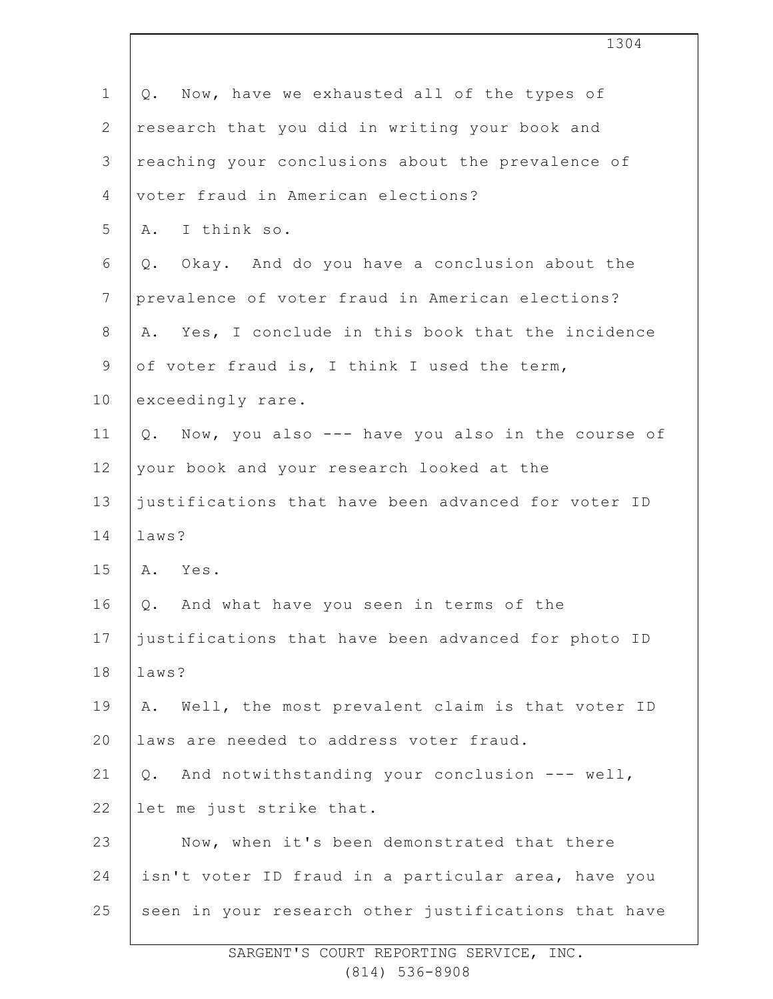|                | 1304                                                  |
|----------------|-------------------------------------------------------|
| $\mathbf 1$    | Now, have we exhausted all of the types of<br>Q.      |
| $\mathbf{2}$   | research that you did in writing your book and        |
| $\mathfrak{Z}$ | reaching your conclusions about the prevalence of     |
| 4              | voter fraud in American elections?                    |
| 5              | A. I think so.                                        |
| 6              | Q. Okay. And do you have a conclusion about the       |
| $7\phantom{.}$ | prevalence of voter fraud in American elections?      |
| $8\,$          | Yes, I conclude in this book that the incidence<br>Α. |
| $\mathsf 9$    | of voter fraud is, I think I used the term,           |
| 10             | exceedingly rare.                                     |
| 11             | Q. Now, you also --- have you also in the course of   |
| 12             | your book and your research looked at the             |
| 13             | justifications that have been advanced for voter ID   |
| 14             | laws?                                                 |
| 15             | Yes.<br>Α.                                            |
| 16             | Q. And what have you seen in terms of the             |
| 17             | justifications that have been advanced for photo ID   |
| 18             | laws?                                                 |
| 19             | Well, the most prevalent claim is that voter ID<br>Α. |
| 20             | laws are needed to address voter fraud.               |
| 21             | Q. And notwithstanding your conclusion --- well,      |
| 22             | let me just strike that.                              |
| 23             | Now, when it's been demonstrated that there           |
| 24             | isn't voter ID fraud in a particular area, have you   |
| 25             | seen in your research other justifications that have  |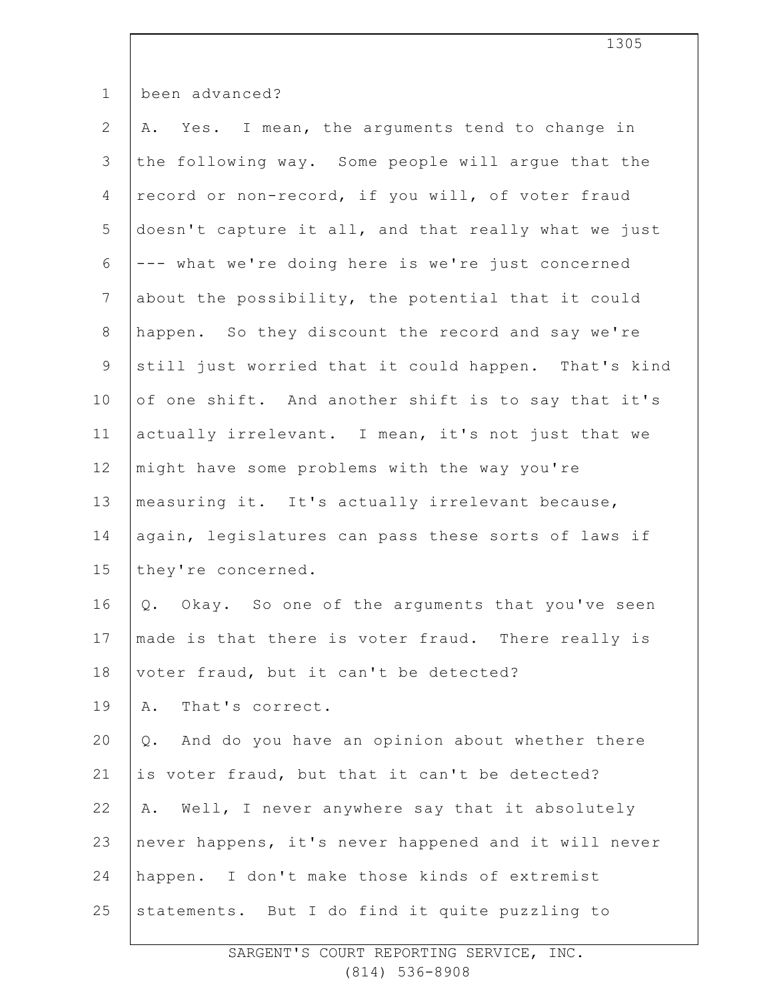| $\mathbf 1$    | been advanced?                                       |
|----------------|------------------------------------------------------|
| $\mathbf{2}$   | A. Yes. I mean, the arguments tend to change in      |
| 3              | the following way. Some people will argue that the   |
| 4              | record or non-record, if you will, of voter fraud    |
| 5              | doesn't capture it all, and that really what we just |
| 6              | --- what we're doing here is we're just concerned    |
| $7\phantom{.}$ | about the possibility, the potential that it could   |
| $8\,$          | happen. So they discount the record and say we're    |
| $\mathsf 9$    | still just worried that it could happen. That's kind |
| 10             | of one shift. And another shift is to say that it's  |
| 11             | actually irrelevant. I mean, it's not just that we   |
| 12             | might have some problems with the way you're         |
| 13             | measuring it. It's actually irrelevant because,      |
| 14             | again, legislatures can pass these sorts of laws if  |
| 15             | they're concerned.                                   |
| 16             | Q. Okay. So one of the arguments that you've seen    |
| 17             | made is that there is voter fraud. There really is   |
| 18             | voter fraud, but it can't be detected?               |
| 19             | That's correct.<br>Α.                                |
| 20             | And do you have an opinion about whether there<br>Q. |
| 21             | is voter fraud, but that it can't be detected?       |
| 22             | Well, I never anywhere say that it absolutely<br>Α.  |
| 23             | never happens, it's never happened and it will never |
| 24             | happen. I don't make those kinds of extremist        |
| 25             | statements. But I do find it quite puzzling to       |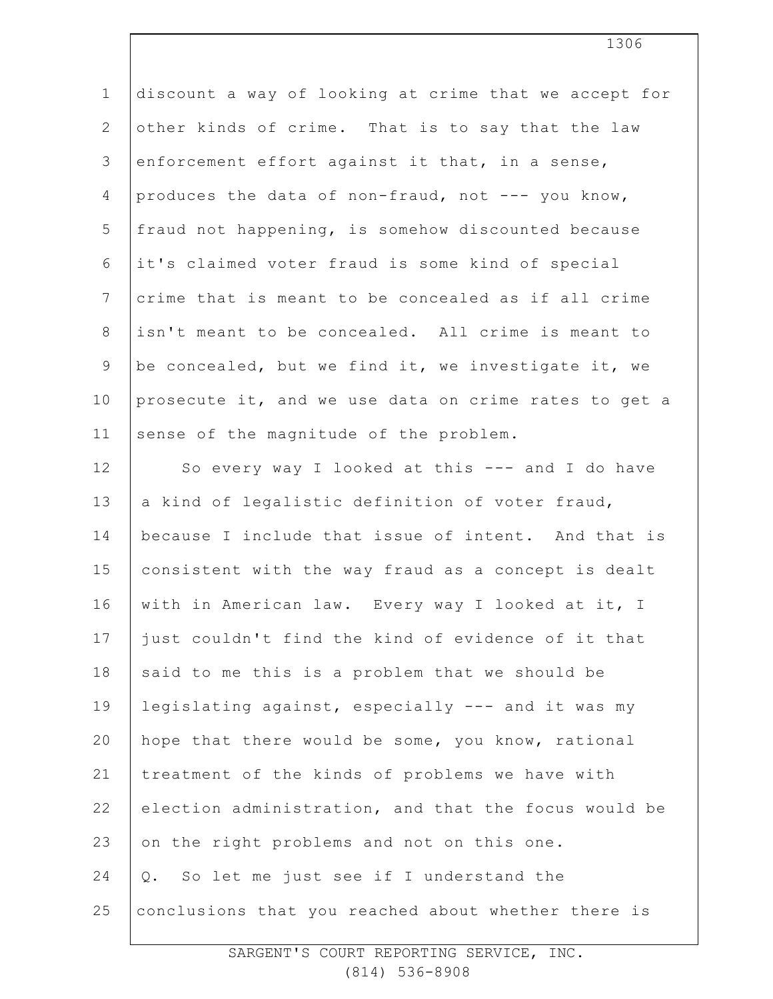| $\mathbf 1$     | discount a way of looking at crime that we accept for |
|-----------------|-------------------------------------------------------|
| $\mathbf{2}$    | other kinds of crime. That is to say that the law     |
| $\mathfrak{Z}$  | enforcement effort against it that, in a sense,       |
| 4               | produces the data of non-fraud, not --- you know,     |
| 5               | fraud not happening, is somehow discounted because    |
| 6               | it's claimed voter fraud is some kind of special      |
| $7\phantom{.0}$ | crime that is meant to be concealed as if all crime   |
| $\,8\,$         | isn't meant to be concealed. All crime is meant to    |
| 9               | be concealed, but we find it, we investigate it, we   |
| 10              | prosecute it, and we use data on crime rates to get a |
| 11              | sense of the magnitude of the problem.                |
| 12              | So every way I looked at this --- and I do have       |
| 13              | a kind of legalistic definition of voter fraud,       |
| 14              | because I include that issue of intent. And that is   |
| 15              | consistent with the way fraud as a concept is dealt   |
| 16              | with in American law. Every way I looked at it, I     |
| 17              | just couldn't find the kind of evidence of it that    |
| 18              | said to me this is a problem that we should be        |
| 19              | legislating against, especially --- and it was my     |
| 20              | hope that there would be some, you know, rational     |
| 21              | treatment of the kinds of problems we have with       |
| 22              | election administration, and that the focus would be  |
| 23              | on the right problems and not on this one.            |
| 24              | Q. So let me just see if I understand the             |
| 25              | conclusions that you reached about whether there is   |
|                 |                                                       |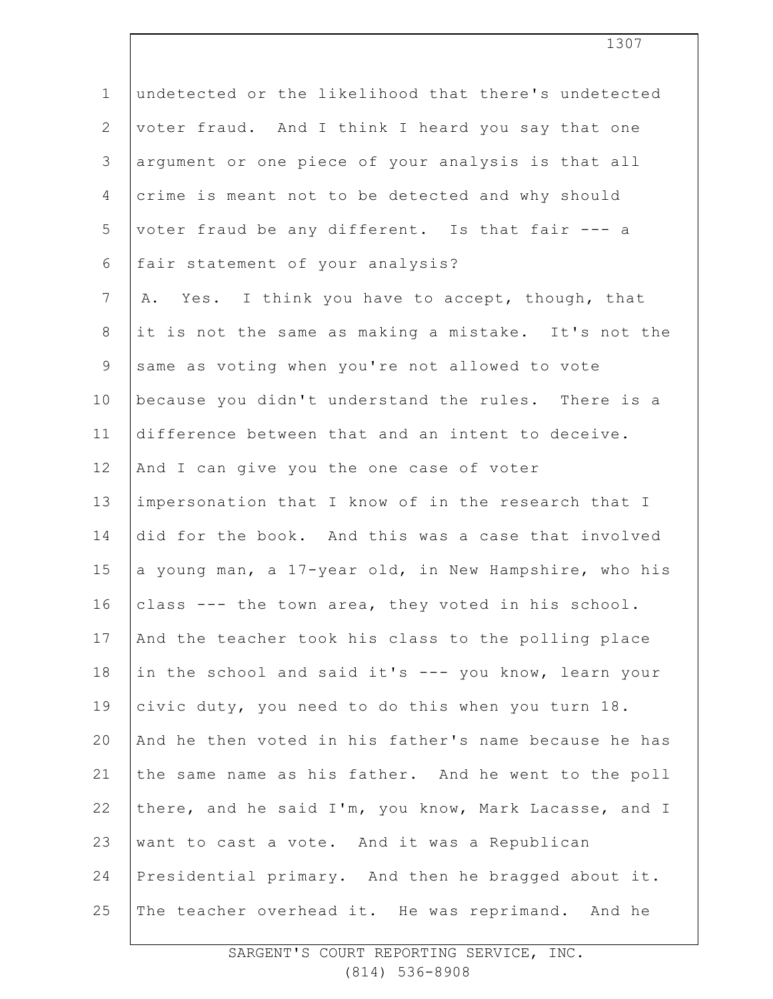| $\mathbf 1$    | undetected or the likelihood that there's undetected  |
|----------------|-------------------------------------------------------|
| $\overline{2}$ | voter fraud. And I think I heard you say that one     |
| 3              | argument or one piece of your analysis is that all    |
| 4              | crime is meant not to be detected and why should      |
| 5              | voter fraud be any different. Is that fair --- a      |
| 6              | fair statement of your analysis?                      |
| $7\phantom{.}$ | Yes. I think you have to accept, though, that<br>Α.   |
| 8              | it is not the same as making a mistake. It's not the  |
| 9              | same as voting when you're not allowed to vote        |
| 10             | because you didn't understand the rules. There is a   |
| 11             | difference between that and an intent to deceive.     |
| 12             | And I can give you the one case of voter              |
| 13             | impersonation that I know of in the research that I   |
| 14             | did for the book. And this was a case that involved   |
| 15             | a young man, a 17-year old, in New Hampshire, who his |
| 16             | class --- the town area, they voted in his school.    |
| 17             | And the teacher took his class to the polling place   |
| 18             | in the school and said it's --- you know, learn your  |
| 19             | civic duty, you need to do this when you turn 18.     |
| 20             | And he then voted in his father's name because he has |
| 21             | the same name as his father. And he went to the poll  |
| 22             | there, and he said I'm, you know, Mark Lacasse, and I |
| 23             | want to cast a vote. And it was a Republican          |
| 24             | Presidential primary. And then he bragged about it.   |
| 25             | The teacher overhead it. He was reprimand. And he     |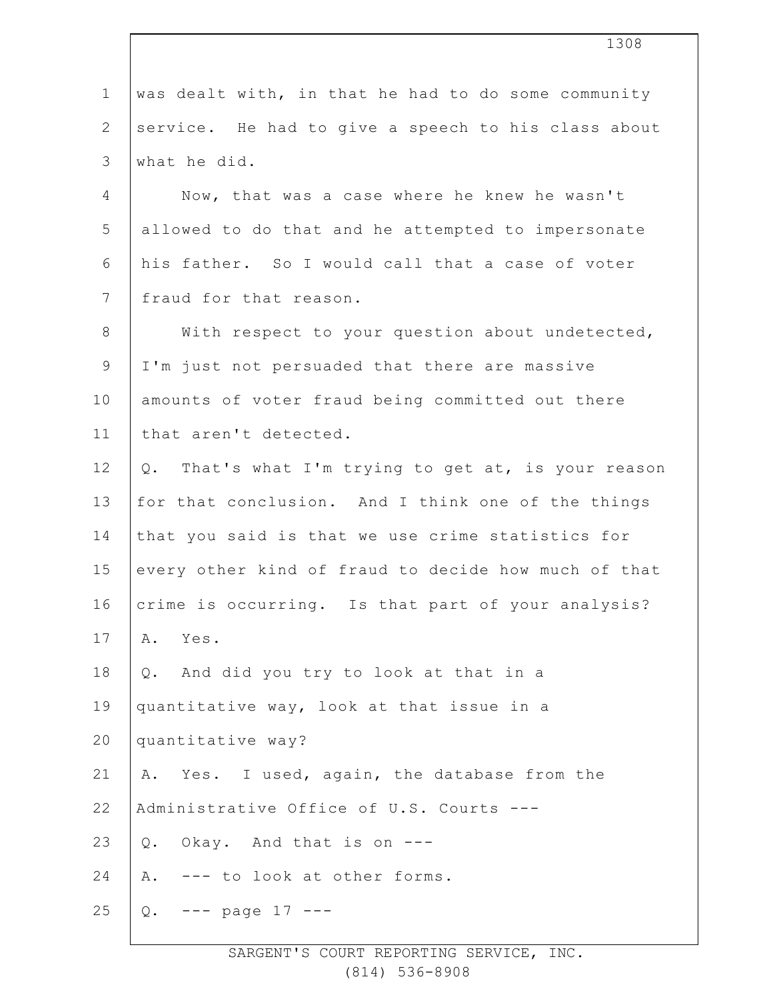| $\mathbf 1$     | was dealt with, in that he had to do some community  |
|-----------------|------------------------------------------------------|
| 2               | service. He had to give a speech to his class about  |
| 3               | what he did.                                         |
| 4               | Now, that was a case where he knew he wasn't         |
| 5               | allowed to do that and he attempted to impersonate   |
| 6               | his father. So I would call that a case of voter     |
| $7\overline{ }$ | fraud for that reason.                               |
| $8\,$           | With respect to your question about undetected,      |
| $\mathsf 9$     | I'm just not persuaded that there are massive        |
| 10              | amounts of voter fraud being committed out there     |
| 11              | that aren't detected.                                |
| 12              | Q. That's what I'm trying to get at, is your reason  |
| 13              | for that conclusion. And I think one of the things   |
| 14              | that you said is that we use crime statistics for    |
| 15              | every other kind of fraud to decide how much of that |
| 16              | crime is occurring. Is that part of your analysis?   |
| 17              | Yes.<br>Α.                                           |
| 18              | And did you try to look at that in a<br>Q.           |
| 19              | quantitative way, look at that issue in a            |
| 20              | quantitative way?                                    |
| 21              | A. Yes. I used, again, the database from the         |
| 22              | Administrative Office of U.S. Courts ---             |
| 23              | Q. Okay. And that is on ---                          |
| 24              | --- to look at other forms.<br>Α.                    |
| 25              | Q. $---$ page 17 $---$                               |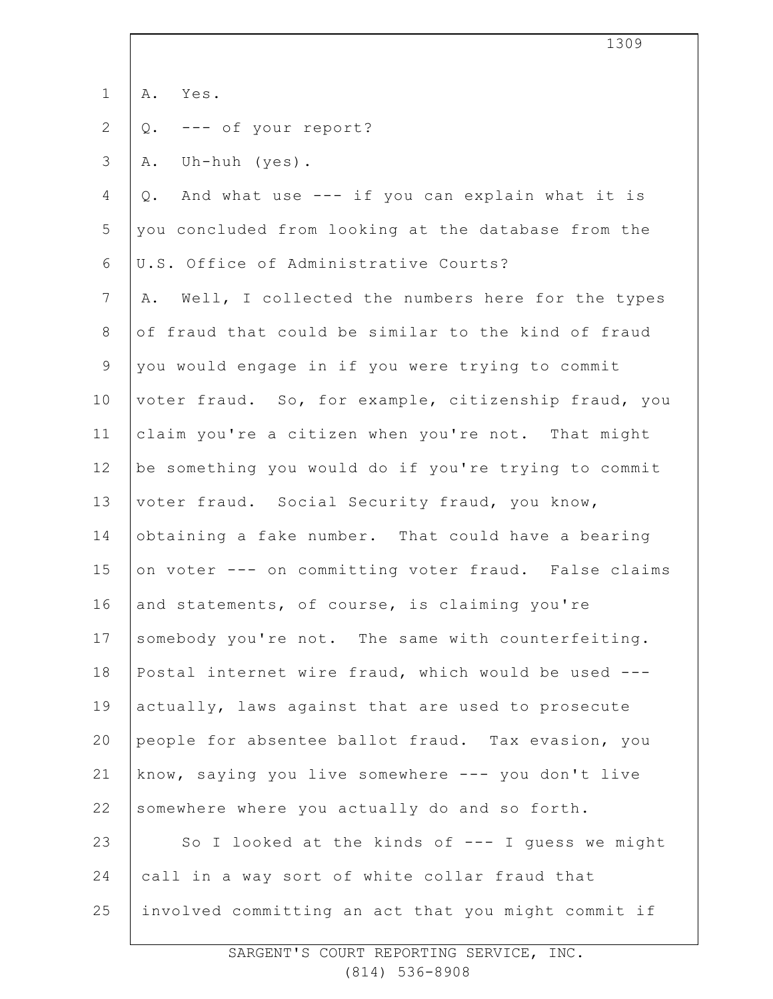|                | 1309                                                    |
|----------------|---------------------------------------------------------|
| $\mathbf 1$    | A. Yes.                                                 |
| $\overline{2}$ | --- of your report?<br>Q.                               |
| $\mathcal{S}$  | Uh-huh (yes).<br>Α.                                     |
| 4              | And what use --- if you can explain what it is<br>$Q$ . |
| 5              | you concluded from looking at the database from the     |
| $\sqrt{6}$     | U.S. Office of Administrative Courts?                   |
| $\overline{7}$ | Well, I collected the numbers here for the types<br>Α.  |
| $8\,$          | of fraud that could be similar to the kind of fraud     |
| $\mathsf 9$    | you would engage in if you were trying to commit        |
| 10             | voter fraud. So, for example, citizenship fraud, you    |
| 11             | claim you're a citizen when you're not. That might      |
| 12             | be something you would do if you're trying to commit    |
| 13             | voter fraud. Social Security fraud, you know,           |
| 14             | obtaining a fake number. That could have a bearing      |
| 15             | on voter --- on committing voter fraud. False claims    |
| 16             | and statements, of course, is claiming you're           |
| 17             | somebody you're not. The same with counterfeiting.      |
| 18             | Postal internet wire fraud, which would be used ---     |
| 19             | actually, laws against that are used to prosecute       |
| 20             | people for absentee ballot fraud. Tax evasion, you      |
| 21             | know, saying you live somewhere --- you don't live      |
| 22             | somewhere where you actually do and so forth.           |
| 23             | So I looked at the kinds of --- I quess we might        |
| 24             | call in a way sort of white collar fraud that           |
| 25             | involved committing an act that you might commit if     |
|                |                                                         |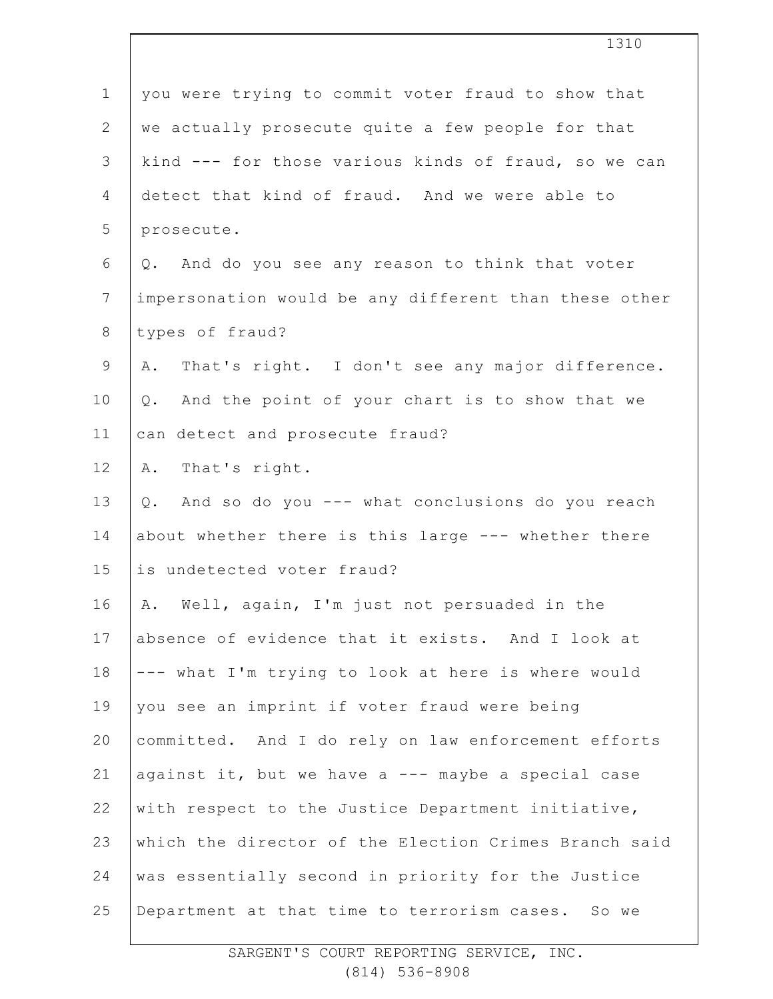| $1\,$          | you were trying to commit voter fraud to show that    |
|----------------|-------------------------------------------------------|
| $\overline{2}$ | we actually prosecute quite a few people for that     |
| 3              | kind --- for those various kinds of fraud, so we can  |
| 4              | detect that kind of fraud. And we were able to        |
| 5              | prosecute.                                            |
| 6              | Q. And do you see any reason to think that voter      |
| $\overline{7}$ | impersonation would be any different than these other |
| 8              | types of fraud?                                       |
| $\overline{9}$ | That's right. I don't see any major difference.<br>Α. |
| 10             | Q. And the point of your chart is to show that we     |
| 11             | can detect and prosecute fraud?                       |
| 12             | A. That's right.                                      |
| 13             | And so do you --- what conclusions do you reach<br>Q. |
| 14             | about whether there is this large --- whether there   |
| 15             | is undetected voter fraud?                            |
| 16             | A. Well, again, I'm just not persuaded in the         |
| 17             | absence of evidence that it exists. And I look at     |
| 18             | --- what I'm trying to look at here is where would    |
| 19             | you see an imprint if voter fraud were being          |
| 20             | committed. And I do rely on law enforcement efforts   |
| 21             | against it, but we have a --- maybe a special case    |
| 22             | with respect to the Justice Department initiative,    |
| 23             | which the director of the Election Crimes Branch said |
| 24             | was essentially second in priority for the Justice    |
| 25             | Department at that time to terrorism cases. So we     |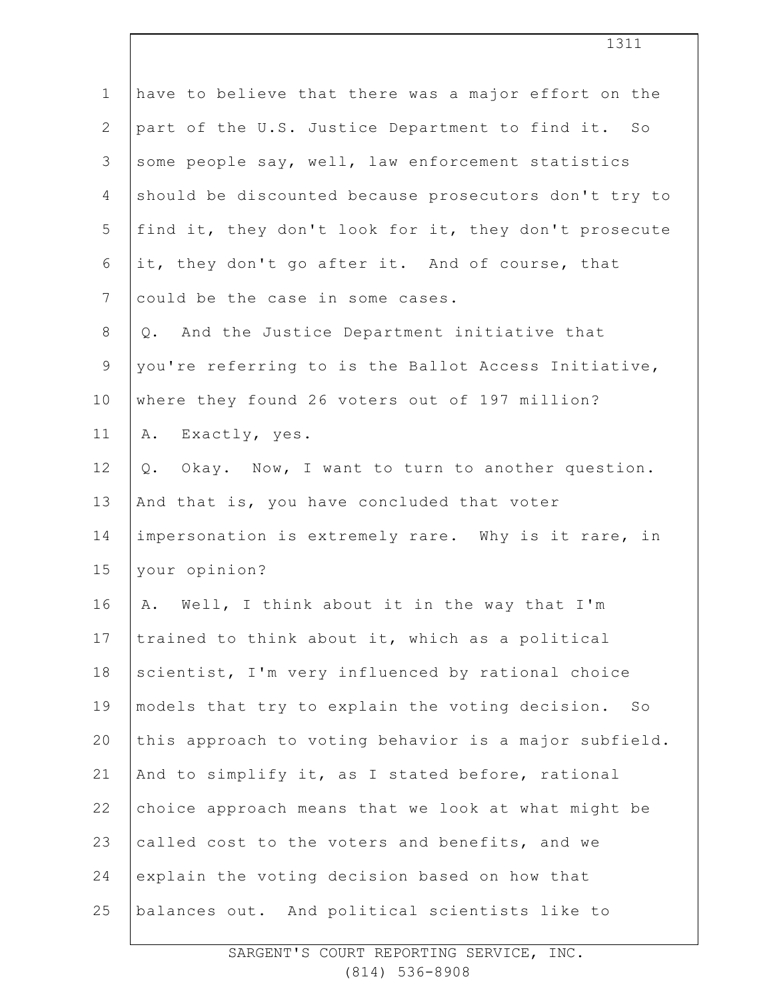| $\mathbf 1$    | have to believe that there was a major effort on the  |
|----------------|-------------------------------------------------------|
| $\overline{2}$ | part of the U.S. Justice Department to find it. So    |
| 3              | some people say, well, law enforcement statistics     |
| 4              | should be discounted because prosecutors don't try to |
| 5              | find it, they don't look for it, they don't prosecute |
| 6              | it, they don't go after it. And of course, that       |
| $\overline{7}$ | could be the case in some cases.                      |
| $8\,$          | And the Justice Department initiative that<br>Q.      |
| $\mathsf 9$    | you're referring to is the Ballot Access Initiative,  |
| 10             | where they found 26 voters out of 197 million?        |
| 11             | A. Exactly, yes.                                      |
| 12             | Okay. Now, I want to turn to another question.<br>Q.  |
| 13             | And that is, you have concluded that voter            |
| 14             | impersonation is extremely rare. Why is it rare, in   |
| 15             | your opinion?                                         |
| 16             | A. Well, I think about it in the way that I'm         |
| 17             | trained to think about it, which as a political       |
| 18             | scientist, I'm very influenced by rational choice     |
| 19             | models that try to explain the voting decision. So    |
| 20             | this approach to voting behavior is a major subfield. |
| 21             | And to simplify it, as I stated before, rational      |
| 22             | choice approach means that we look at what might be   |
| 23             | called cost to the voters and benefits, and we        |
| 24             | explain the voting decision based on how that         |
| 25             | balances out. And political scientists like to        |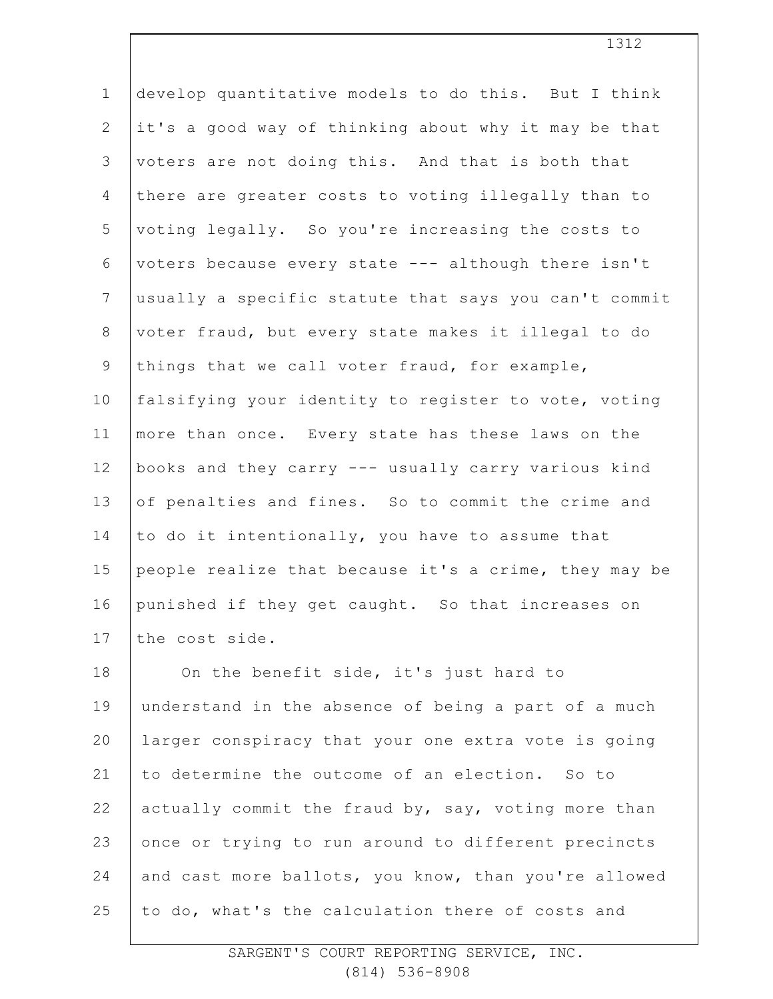| $\mathbf 1$     | develop quantitative models to do this. But I think   |
|-----------------|-------------------------------------------------------|
| $\mathbf{2}$    | it's a good way of thinking about why it may be that  |
| 3               | voters are not doing this. And that is both that      |
| $\overline{4}$  | there are greater costs to voting illegally than to   |
| 5               | voting legally. So you're increasing the costs to     |
| 6               | voters because every state --- although there isn't   |
| $7\phantom{.0}$ | usually a specific statute that says you can't commit |
| 8               | voter fraud, but every state makes it illegal to do   |
| $\mathsf 9$     | things that we call voter fraud, for example,         |
| 10              | falsifying your identity to register to vote, voting  |
| 11              | more than once. Every state has these laws on the     |
| 12              | books and they carry --- usually carry various kind   |
| 13              | of penalties and fines. So to commit the crime and    |
| 14              | to do it intentionally, you have to assume that       |
| 15              | people realize that because it's a crime, they may be |
| 16              | punished if they get caught. So that increases on     |
| 17              | the cost side.                                        |
| 18              | On the benefit side, it's just hard to                |
| 19              | understand in the absence of being a part of a much   |
| 20              | larger conspiracy that your one extra vote is going   |
| 21              | to determine the outcome of an election. So to        |
| 22              | actually commit the fraud by, say, voting more than   |
| 23              | once or trying to run around to different precincts   |
| 24              | and cast more ballots, you know, than you're allowed  |
| 25              | to do, what's the calculation there of costs and      |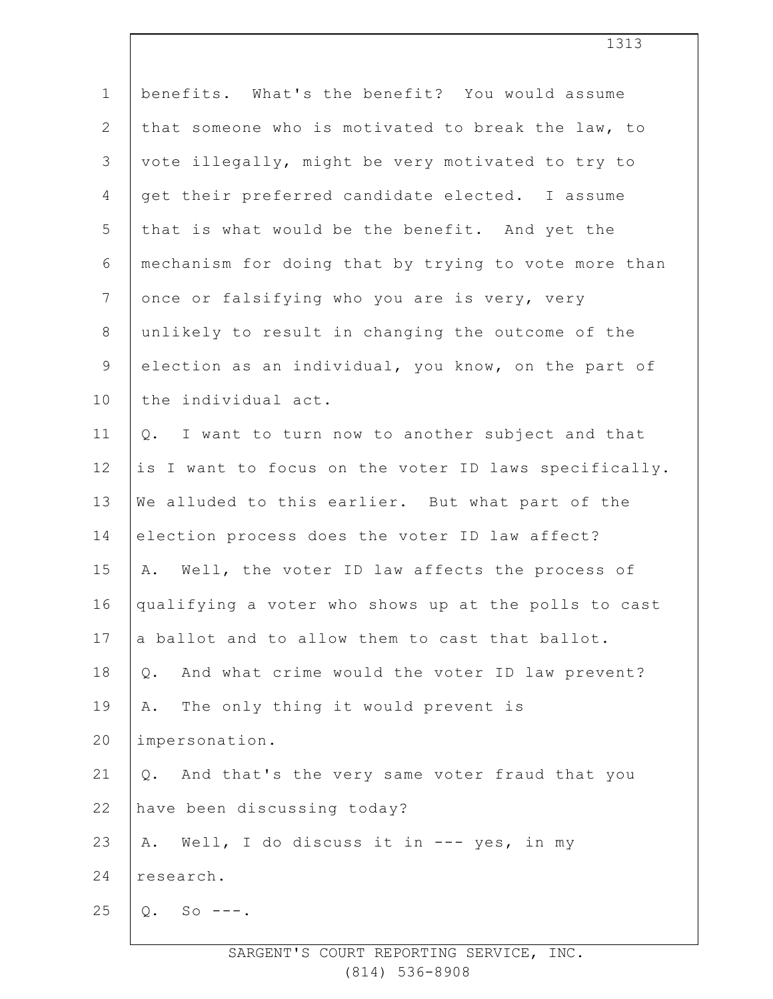| $\mathbf 1$    | benefits. What's the benefit? You would assume        |
|----------------|-------------------------------------------------------|
| $\mathbf{2}$   | that someone who is motivated to break the law, to    |
| $\mathfrak{Z}$ | vote illegally, might be very motivated to try to     |
| $\overline{4}$ | get their preferred candidate elected. I assume       |
| 5              | that is what would be the benefit. And yet the        |
| 6              | mechanism for doing that by trying to vote more than  |
| $\overline{7}$ | once or falsifying who you are is very, very          |
| $\,8\,$        | unlikely to result in changing the outcome of the     |
| $\mathsf 9$    | election as an individual, you know, on the part of   |
| 10             | the individual act.                                   |
| 11             | I want to turn now to another subject and that<br>Q.  |
| 12             | is I want to focus on the voter ID laws specifically. |
| 13             | We alluded to this earlier. But what part of the      |
| 14             | election process does the voter ID law affect?        |
| 15             | Well, the voter ID law affects the process of<br>Α.   |
| 16             | qualifying a voter who shows up at the polls to cast  |
| 17             | a ballot and to allow them to cast that ballot.       |
| 18             | And what crime would the voter ID law prevent?<br>Q.  |
| 19             | The only thing it would prevent is<br>Α.              |
| 20             | impersonation.                                        |
| 21             | And that's the very same voter fraud that you<br>Q.   |
| 22             | have been discussing today?                           |
| 23             | Well, I do discuss it in --- yes, in my<br>Α.         |
| 24             | research.                                             |
| 25             | $Q.$ So ---.                                          |
|                |                                                       |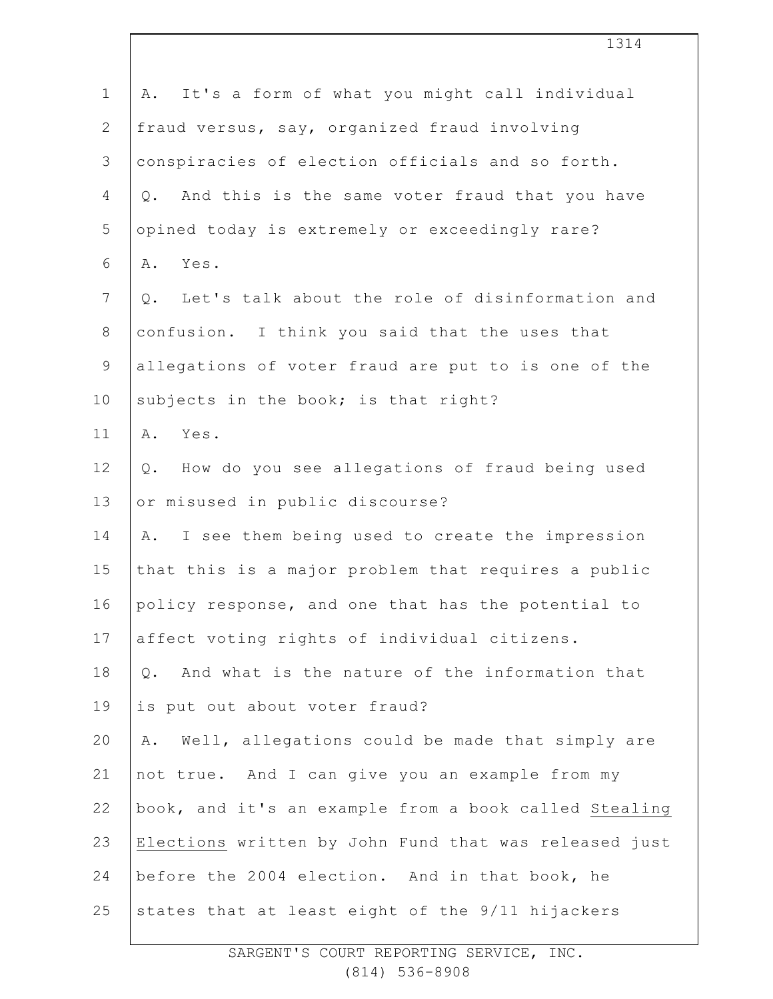| $\mathbf 1$    | It's a form of what you might call individual<br>Α.     |
|----------------|---------------------------------------------------------|
| $\overline{2}$ | fraud versus, say, organized fraud involving            |
| 3              | conspiracies of election officials and so forth.        |
| 4              | And this is the same voter fraud that you have<br>$Q$ . |
| 5              | opined today is extremely or exceedingly rare?          |
| 6              | A. Yes.                                                 |
| $\overline{7}$ | Let's talk about the role of disinformation and<br>Q.   |
| $8\,$          | confusion. I think you said that the uses that          |
| $\mathsf 9$    | allegations of voter fraud are put to is one of the     |
| 10             | subjects in the book; is that right?                    |
| 11             | Yes.<br>Α.                                              |
| 12             | How do you see allegations of fraud being used<br>$Q$ . |
| 13             | or misused in public discourse?                         |
| 14             | I see them being used to create the impression<br>Α.    |
| 15             | that this is a major problem that requires a public     |
| 16             | policy response, and one that has the potential to      |
| 17             | affect voting rights of individual citizens.            |
| 18             | And what is the nature of the information that<br>$Q$ . |
| 19             | is put out about voter fraud?                           |
| 20             | Well, allegations could be made that simply are<br>Α.   |
| 21             | not true. And I can give you an example from my         |
| 22             | book, and it's an example from a book called Stealing   |
| 23             | Elections written by John Fund that was released just   |
| 24             | before the 2004 election. And in that book, he          |
| 25             | states that at least eight of the 9/11 hijackers        |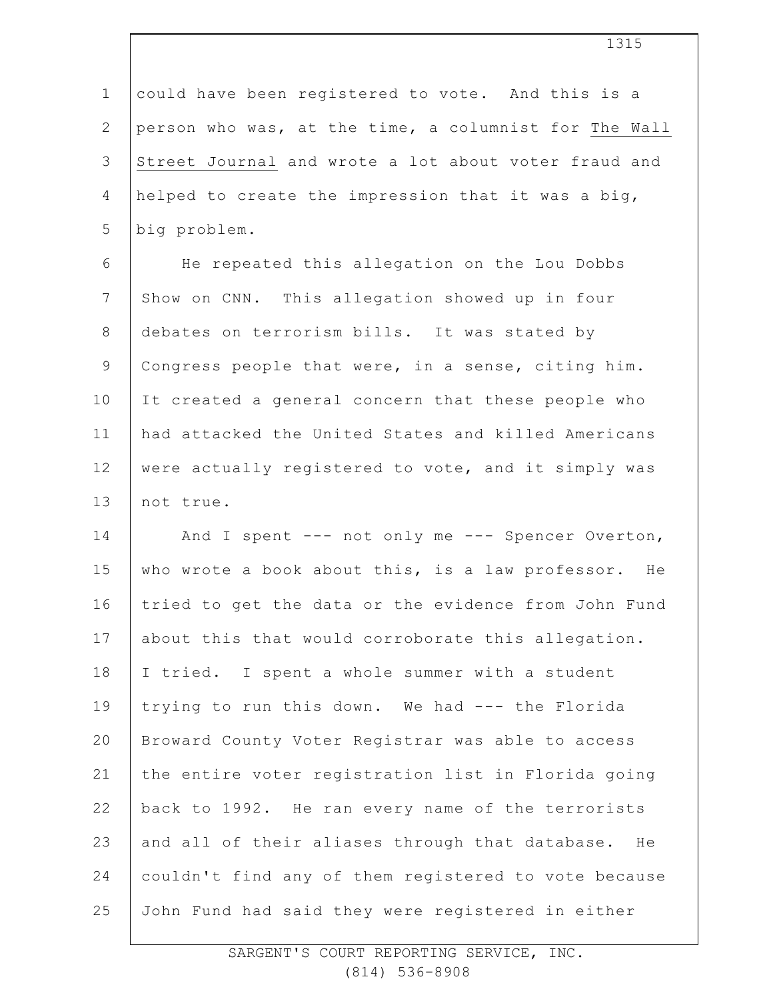1 2 3 4 5 6 7 8 9 10 11 12 13 14 15 16 17 18 19 20 21 22 23 24 25 could have been registered to vote. And this is a person who was, at the time, a columnist for The Wall Street Journal and wrote a lot about voter fraud and helped to create the impression that it was a big, big problem. He repeated this allegation on the Lou Dobbs Show on CNN. This allegation showed up in four debates on terrorism bills. It was stated by Congress people that were, in a sense, citing him. It created a general concern that these people who had attacked the United States and killed Americans were actually registered to vote, and it simply was not true. And I spent --- not only me --- Spencer Overton, who wrote a book about this, is a law professor. He tried to get the data or the evidence from John Fund about this that would corroborate this allegation. I tried. I spent a whole summer with a student trying to run this down. We had --- the Florida Broward County Voter Registrar was able to access the entire voter registration list in Florida going back to 1992. He ran every name of the terrorists and all of their aliases through that database. He couldn't find any of them registered to vote because John Fund had said they were registered in either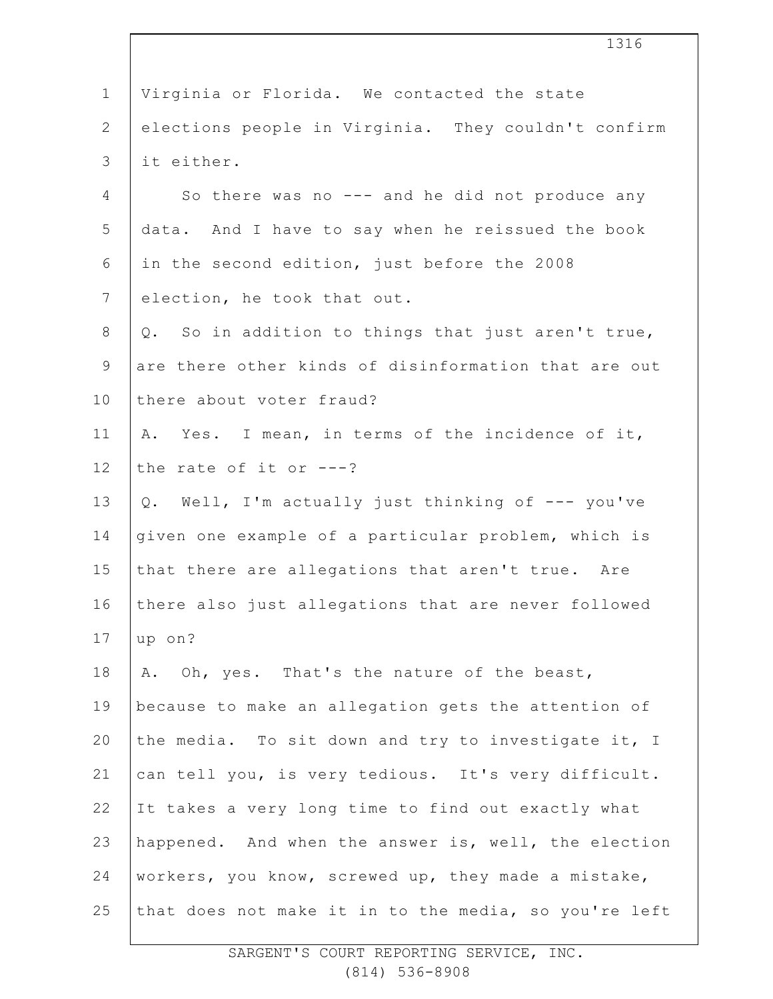| $\mathbf 1$    | Virginia or Florida. We contacted the state           |
|----------------|-------------------------------------------------------|
| $\overline{2}$ | elections people in Virginia. They couldn't confirm   |
| 3              | it either.                                            |
| 4              | So there was no --- and he did not produce any        |
| 5              | data. And I have to say when he reissued the book     |
| 6              | in the second edition, just before the 2008           |
| $7\phantom{.}$ | election, he took that out.                           |
| 8              | So in addition to things that just aren't true,<br>Q. |
| 9              | are there other kinds of disinformation that are out  |
| 10             | there about voter fraud?                              |
| 11             | A. Yes. I mean, in terms of the incidence of it,      |
| 12             | the rate of it or $---?$                              |
| 13             | Q. Well, I'm actually just thinking of --- you've     |
| 14             | given one example of a particular problem, which is   |
| 15             | that there are allegations that aren't true. Are      |
| 16             | there also just allegations that are never followed   |
| 17             | up on?                                                |
| 18             | A. Oh, yes. That's the nature of the beast,           |
| 19             | because to make an allegation gets the attention of   |
| 20             | the media. To sit down and try to investigate it, I   |
| 21             | can tell you, is very tedious. It's very difficult.   |
| 22             | It takes a very long time to find out exactly what    |
| 23             | happened. And when the answer is, well, the election  |
| 24             | workers, you know, screwed up, they made a mistake,   |
| 25             | that does not make it in to the media, so you're left |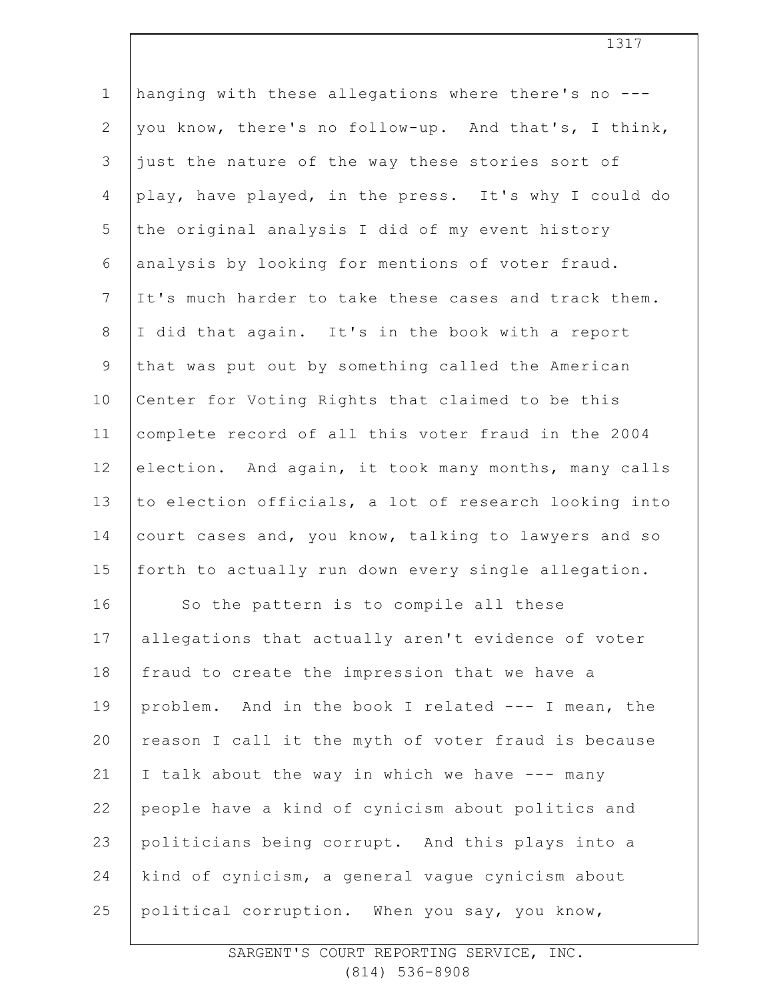| hanging with these allegations where there's no ---   |
|-------------------------------------------------------|
| you know, there's no follow-up. And that's, I think,  |
| just the nature of the way these stories sort of      |
| play, have played, in the press. It's why I could do  |
| the original analysis I did of my event history       |
| analysis by looking for mentions of voter fraud.      |
| It's much harder to take these cases and track them.  |
| I did that again. It's in the book with a report      |
| that was put out by something called the American     |
| Center for Voting Rights that claimed to be this      |
| complete record of all this voter fraud in the 2004   |
| election. And again, it took many months, many calls  |
| to election officials, a lot of research looking into |
| court cases and, you know, talking to lawyers and so  |
| forth to actually run down every single allegation.   |
| So the pattern is to compile all these                |
| allegations that actually aren't evidence of voter    |
| fraud to create the impression that we have a         |
| problem. And in the book I related --- I mean, the    |
| reason I call it the myth of voter fraud is because   |
| I talk about the way in which we have --- many        |
| people have a kind of cynicism about politics and     |
| politicians being corrupt. And this plays into a      |
| kind of cynicism, a general vague cynicism about      |
| political corruption. When you say, you know,         |
|                                                       |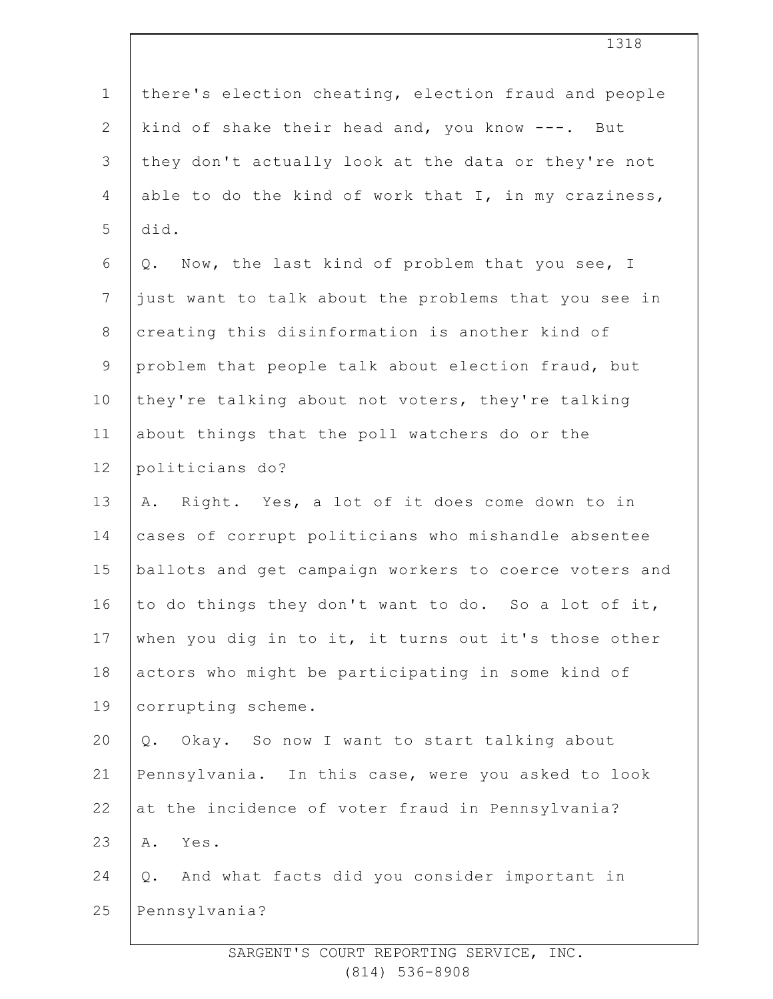| $1\,$          | there's election cheating, election fraud and people  |
|----------------|-------------------------------------------------------|
| $\mathbf{2}$   | kind of shake their head and, you know ---. But       |
| 3              | they don't actually look at the data or they're not   |
| 4              | able to do the kind of work that I, in my craziness,  |
| 5              | did.                                                  |
| 6              | Now, the last kind of problem that you see, I<br>Q.   |
| $\overline{7}$ | just want to talk about the problems that you see in  |
| $8\,$          | creating this disinformation is another kind of       |
| $\mathsf 9$    | problem that people talk about election fraud, but    |
| 10             | they're talking about not voters, they're talking     |
| 11             | about things that the poll watchers do or the         |
| 12             | politicians do?                                       |
| 13             | Right. Yes, a lot of it does come down to in<br>Α.    |
| 14             | cases of corrupt politicians who mishandle absentee   |
| 15             | ballots and get campaign workers to coerce voters and |
| 16             | to do things they don't want to do. So a lot of it,   |
| 17             | when you dig in to it, it turns out it's those other  |
| 18             | actors who might be participating in some kind of     |
| 19             | corrupting scheme.                                    |
| 20             | Okay. So now I want to start talking about<br>Q.      |
| 21             | Pennsylvania. In this case, were you asked to look    |
| 22             | at the incidence of voter fraud in Pennsylvania?      |
| 23             | Yes.<br>Α.                                            |
| 24             | And what facts did you consider important in<br>$Q$ . |
| 25             | Pennsylvania?                                         |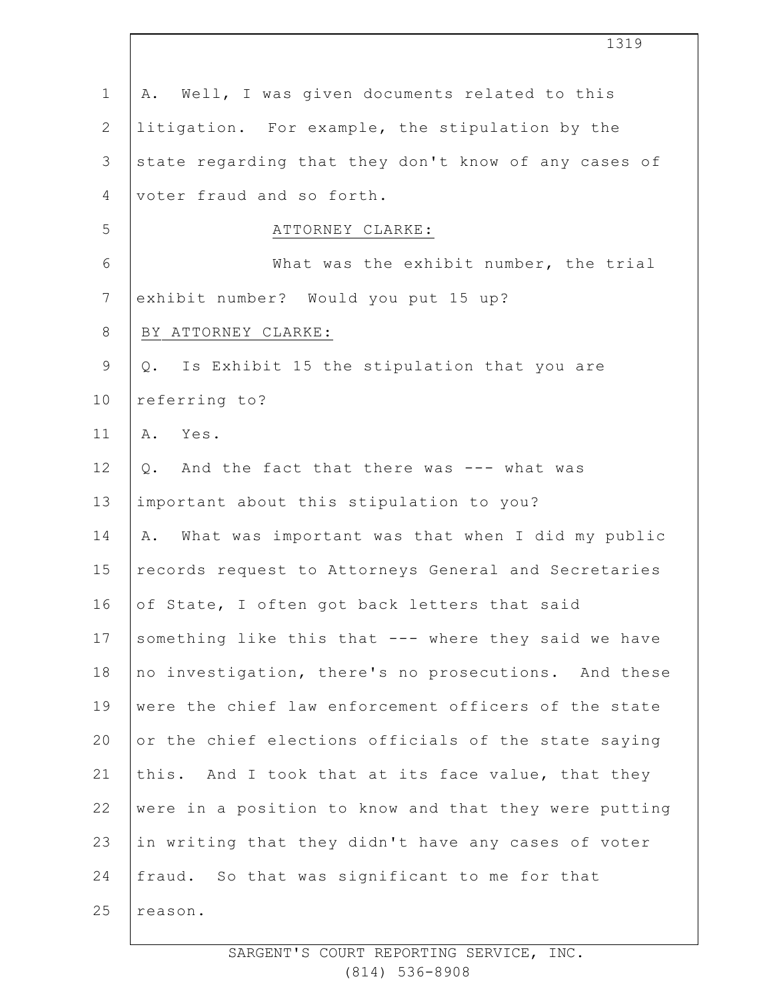|                | 1319                                                   |
|----------------|--------------------------------------------------------|
| $\mathbf 1$    | Well, I was given documents related to this<br>Α.      |
| $\mathbf{2}$   | litigation. For example, the stipulation by the        |
| 3              | state regarding that they don't know of any cases of   |
| $\overline{4}$ | voter fraud and so forth.                              |
| 5              | ATTORNEY CLARKE:                                       |
| $\epsilon$     | What was the exhibit number, the trial                 |
| $7\phantom{.}$ | exhibit number? Would you put 15 up?                   |
| $8\,$          | BY ATTORNEY CLARKE:                                    |
| $\mathsf 9$    | Is Exhibit 15 the stipulation that you are<br>Q.       |
| 10             | referring to?                                          |
| 11             | A. Yes.                                                |
| 12             | And the fact that there was --- what was<br>Q.         |
| 13             | important about this stipulation to you?               |
| 14             | What was important was that when I did my public<br>Α. |
| 15             | records request to Attorneys General and Secretaries   |
| 16             | of State, I often got back letters that said           |
| 17             | something like this that --- where they said we have   |
| 18             | no investigation, there's no prosecutions. And these   |
| 19             | were the chief law enforcement officers of the state   |
| 20             | or the chief elections officials of the state saying   |
| 21             | this. And I took that at its face value, that they     |
| 22             | were in a position to know and that they were putting  |
| 23             | in writing that they didn't have any cases of voter    |
| 24             | fraud. So that was significant to me for that          |
| 25             | reason.                                                |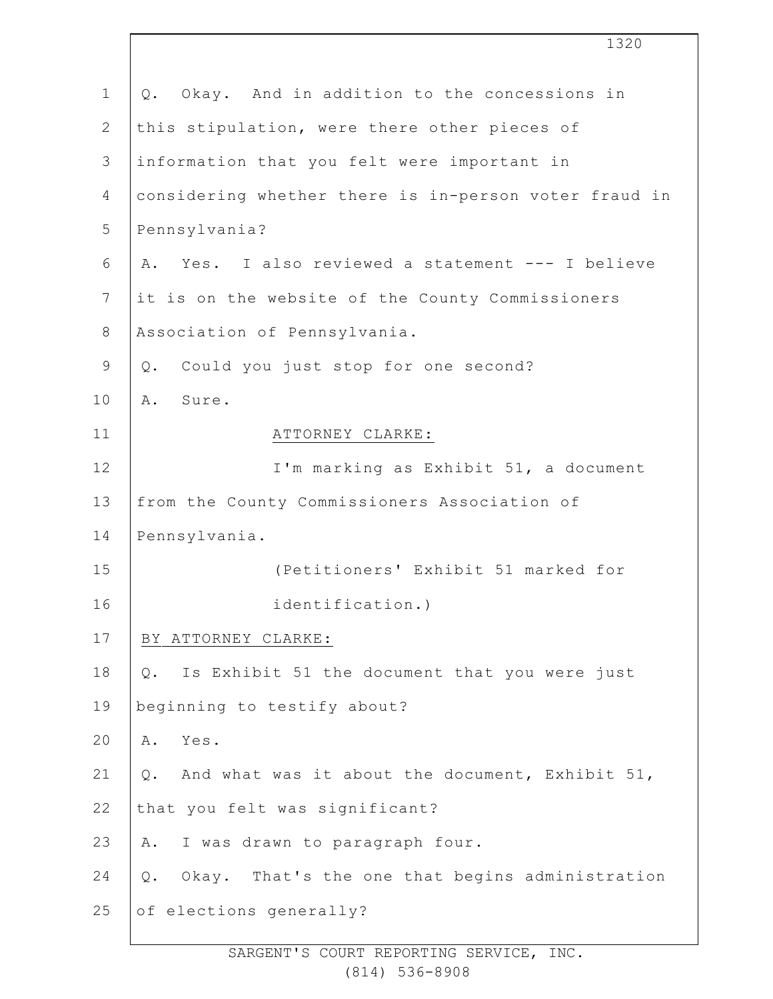1 2 3 4 5 6 7 8 9 10 11 12 13 14 15 16 17 18 19  $20$ 21 22 23 24 25 Q. Okay. And in addition to the concessions in this stipulation, were there other pieces of information that you felt were important in considering whether there is in-person voter fraud in Pennsylvania? A. Yes. I also reviewed a statement --- I believe it is on the website of the County Commissioners Association of Pennsylvania. Q. Could you just stop for one second? A. Sure. ATTORNEY CLARKE: I'm marking as Exhibit 51, a document from the County Commissioners Association of Pennsylvania. (Petitioners' Exhibit 51 marked for identification.) BY ATTORNEY CLARKE: Q. Is Exhibit 51 the document that you were just beginning to testify about? A. Yes. Q. And what was it about the document, Exhibit 51, that you felt was significant? A. I was drawn to paragraph four. Q. Okay. That's the one that begins administration of elections generally?

1320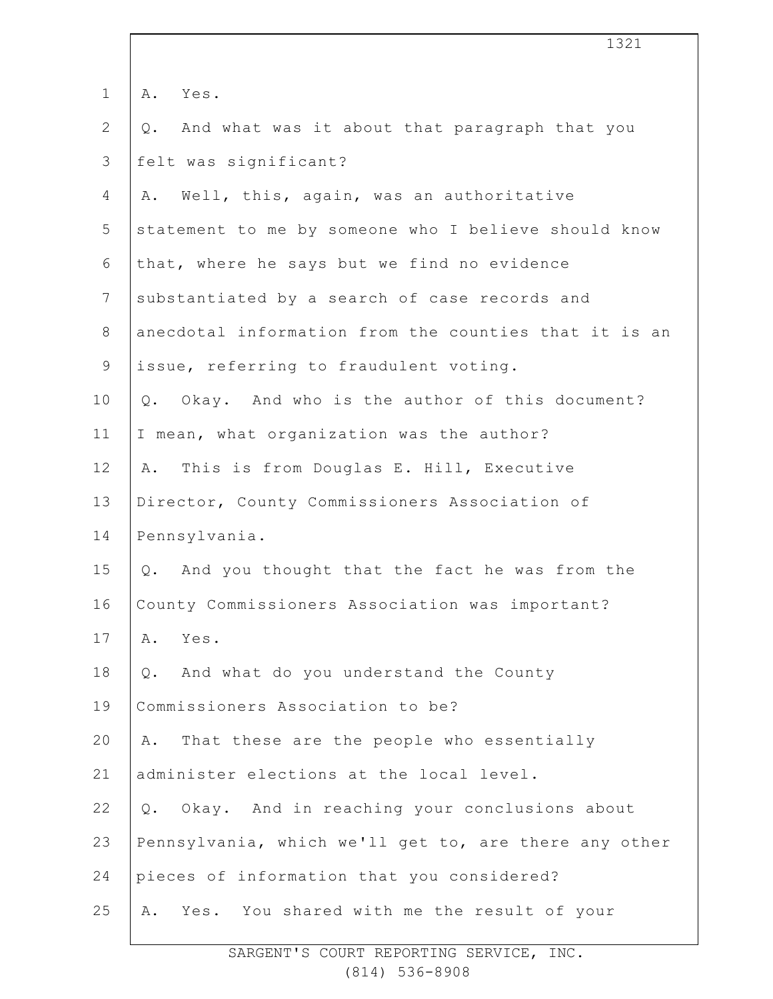|                | 1321                                                   |
|----------------|--------------------------------------------------------|
| $\mathbf 1$    | Α.<br>Yes.                                             |
| $\mathbf{2}$   | And what was it about that paragraph that you<br>$Q$ . |
| 3              | felt was significant?                                  |
| 4              | Well, this, again, was an authoritative<br>Α.          |
| 5              | statement to me by someone who I believe should know   |
| 6              | that, where he says but we find no evidence            |
| $7\phantom{.}$ | substantiated by a search of case records and          |
| $8\,$          | anecdotal information from the counties that it is an  |
| $\mathsf 9$    | issue, referring to fraudulent voting.                 |
| 10             | Okay. And who is the author of this document?<br>$Q$ . |
| 11             | I mean, what organization was the author?              |
| 12             | This is from Douglas E. Hill, Executive<br>Α.          |
| 13             | Director, County Commissioners Association of          |
| 14             | Pennsylvania.                                          |
| 15             | And you thought that the fact he was from the<br>Q.    |
| 16             | County Commissioners Association was important?        |
| 17             | Α.<br>Yes.                                             |
| 18             | And what do you understand the County<br>Q.            |
| 19             | Commissioners Association to be?                       |
| 20             | That these are the people who essentially<br>Α.        |
| 21             | administer elections at the local level.               |
| 22             | Okay. And in reaching your conclusions about<br>Q.     |
| 23             | Pennsylvania, which we'll get to, are there any other  |
| 24             | pieces of information that you considered?             |
| 25             | Yes. You shared with me the result of your<br>Α.       |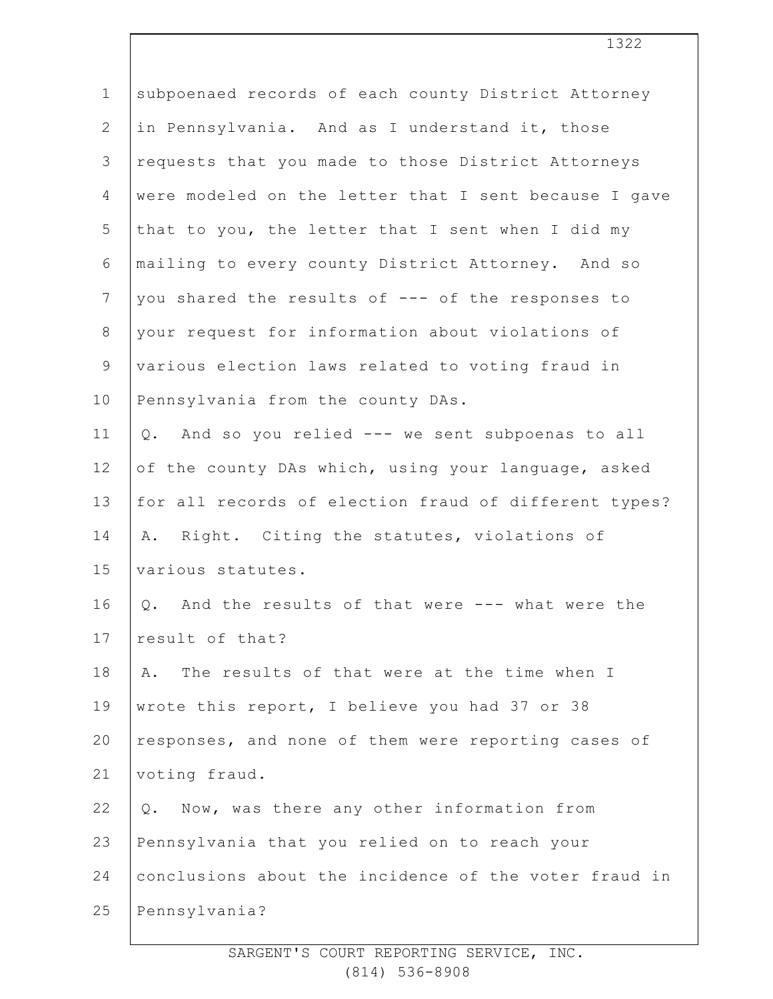| $\mathbf 1$    | subpoenaed records of each county District Attorney   |
|----------------|-------------------------------------------------------|
| $\overline{2}$ | in Pennsylvania. And as I understand it, those        |
| 3              | requests that you made to those District Attorneys    |
| $\overline{4}$ | were modeled on the letter that I sent because I gave |
| 5              | that to you, the letter that I sent when I did my     |
| 6              | mailing to every county District Attorney. And so     |
| $\overline{7}$ | you shared the results of --- of the responses to     |
| $8\,$          | your request for information about violations of      |
| $\mathsf 9$    | various election laws related to voting fraud in      |
| 10             | Pennsylvania from the county DAs.                     |
| 11             | And so you relied --- we sent subpoenas to all<br>Q.  |
| 12             | of the county DAs which, using your language, asked   |
| 13             | for all records of election fraud of different types? |
| 14             | A. Right. Citing the statutes, violations of          |
| 15             | various statutes.                                     |
| 16             | Q. And the results of that were --- what were the     |
| 17             | result of that?                                       |
| 18             | The results of that were at the time when I<br>Α.     |
| 19             | wrote this report, I believe you had 37 or 38         |
| 20             | responses, and none of them were reporting cases of   |
| 21             | voting fraud.                                         |
| 22             | Now, was there any other information from<br>Q.       |
| 23             | Pennsylvania that you relied on to reach your         |
| 24             | conclusions about the incidence of the voter fraud in |
| 25             | Pennsylvania?                                         |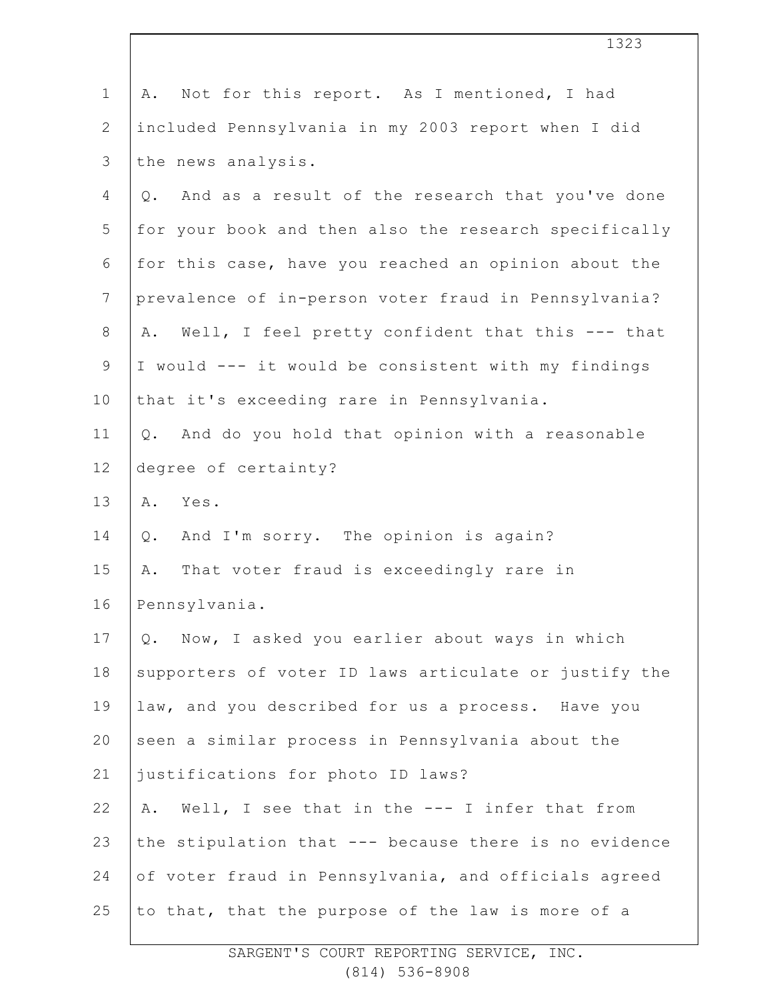| $\mathbf 1$     | Not for this report. As I mentioned, I had<br>Α.          |
|-----------------|-----------------------------------------------------------|
| $\mathbf{2}$    | included Pennsylvania in my 2003 report when I did        |
| 3               | the news analysis.                                        |
| 4               | And as a result of the research that you've done<br>$Q$ . |
| 5               | for your book and then also the research specifically     |
| 6               | for this case, have you reached an opinion about the      |
| $7\phantom{.0}$ | prevalence of in-person voter fraud in Pennsylvania?      |
| $8\,$           | Well, I feel pretty confident that this --- that<br>Α.    |
| $\mathsf 9$     | I would --- it would be consistent with my findings       |
| 10              | that it's exceeding rare in Pennsylvania.                 |
| 11              | And do you hold that opinion with a reasonable<br>Q.      |
| 12              | degree of certainty?                                      |
| 13              | Yes.<br>Α.                                                |
| 14              | And I'm sorry. The opinion is again?<br>Q.                |
| 15              | That voter fraud is exceedingly rare in<br>Α.             |
| 16              | Pennsylvania.                                             |
| 17              | Q. Now, I asked you earlier about ways in which           |
| 18              | supporters of voter ID laws articulate or justify the     |
| 19              | law, and you described for us a process. Have you         |
| 20              | seen a similar process in Pennsylvania about the          |
| 21              | justifications for photo ID laws?                         |
| 22              | Well, I see that in the --- I infer that from<br>Α.       |
| 23              | the stipulation that --- because there is no evidence     |
| 24              | of voter fraud in Pennsylvania, and officials agreed      |
| 25              | to that, that the purpose of the law is more of a         |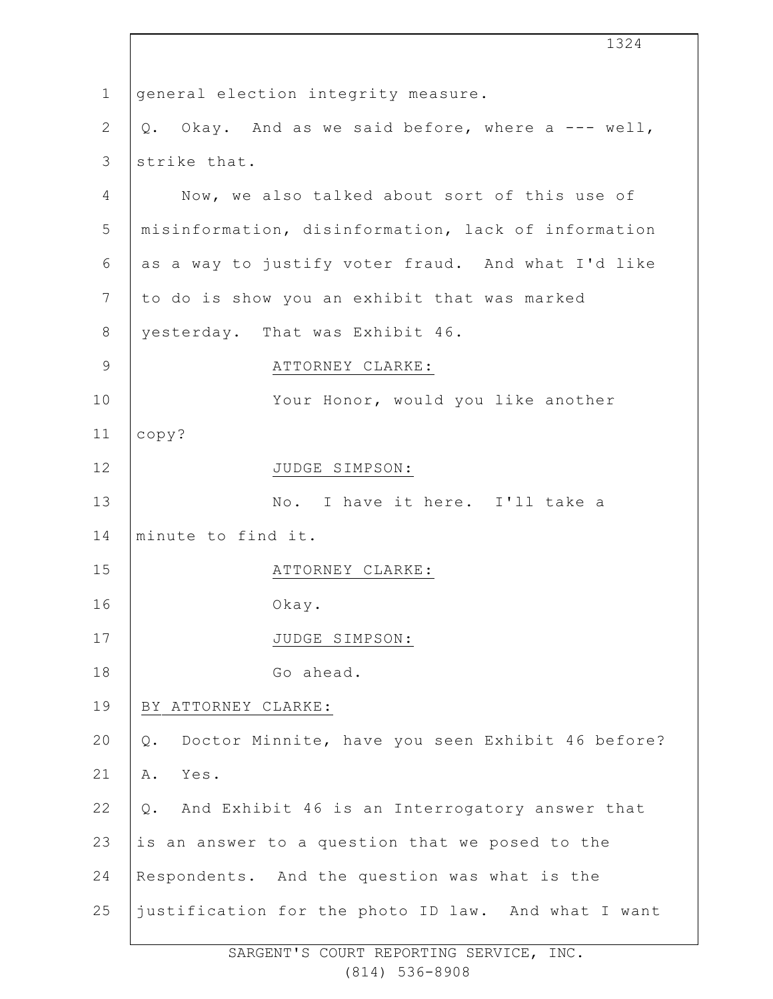| 1324                                                      |
|-----------------------------------------------------------|
| general election integrity measure.                       |
| Okay. And as we said before, where a --- well,<br>Q.      |
| strike that.                                              |
| Now, we also talked about sort of this use of             |
| misinformation, disinformation, lack of information       |
| as a way to justify voter fraud. And what I'd like        |
| to do is show you an exhibit that was marked              |
| yesterday. That was Exhibit 46.                           |
| ATTORNEY CLARKE:                                          |
| Your Honor, would you like another                        |
| copy?                                                     |
| JUDGE SIMPSON:                                            |
| No. I have it here. I'll take a                           |
| minute to find it.                                        |
| ATTORNEY CLARKE:                                          |
| Okay.                                                     |
| JUDGE SIMPSON:                                            |
| Go ahead.                                                 |
| BY ATTORNEY CLARKE:                                       |
| Doctor Minnite, have you seen Exhibit 46 before?<br>$Q$ . |
| Yes.<br>Α.                                                |
| And Exhibit 46 is an Interrogatory answer that<br>$Q$ .   |
| is an answer to a question that we posed to the           |
| Respondents. And the question was what is the             |
| justification for the photo ID law. And what I want       |
|                                                           |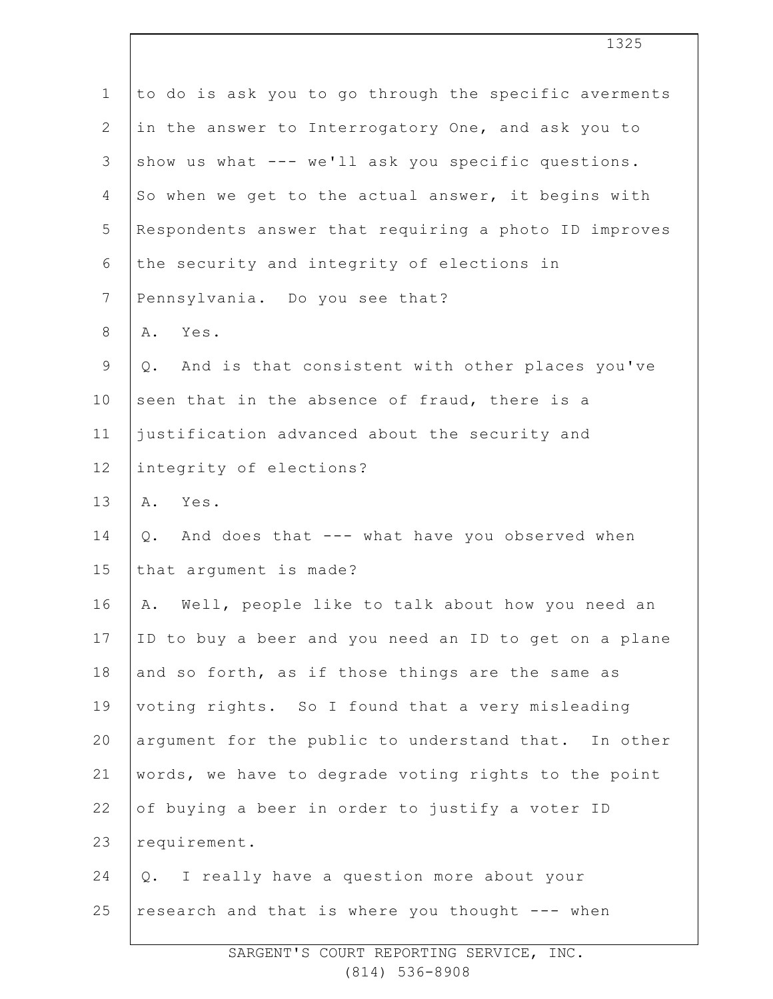| to do is ask you to go through the specific averments |
|-------------------------------------------------------|
| in the answer to Interrogatory One, and ask you to    |
| show us what --- we'll ask you specific questions.    |
| So when we get to the actual answer, it begins with   |
| Respondents answer that requiring a photo ID improves |
| the security and integrity of elections in            |
| Pennsylvania. Do you see that?                        |
| Yes.<br>Α.                                            |
| And is that consistent with other places you've<br>Q. |
| seen that in the absence of fraud, there is a         |
| justification advanced about the security and         |
| integrity of elections?                               |
| Yes.<br>Α.                                            |
| And does that --- what have you observed when<br>Q.   |
| that argument is made?                                |
| Well, people like to talk about how you need an<br>Α. |
| ID to buy a beer and you need an ID to get on a plane |
| and so forth, as if those things are the same as      |
| voting rights. So I found that a very misleading      |
| argument for the public to understand that. In other  |
| words, we have to degrade voting rights to the point  |
| of buying a beer in order to justify a voter ID       |
| requirement.                                          |
| I really have a question more about your<br>$Q$ .     |
| research and that is where you thought --- when       |
|                                                       |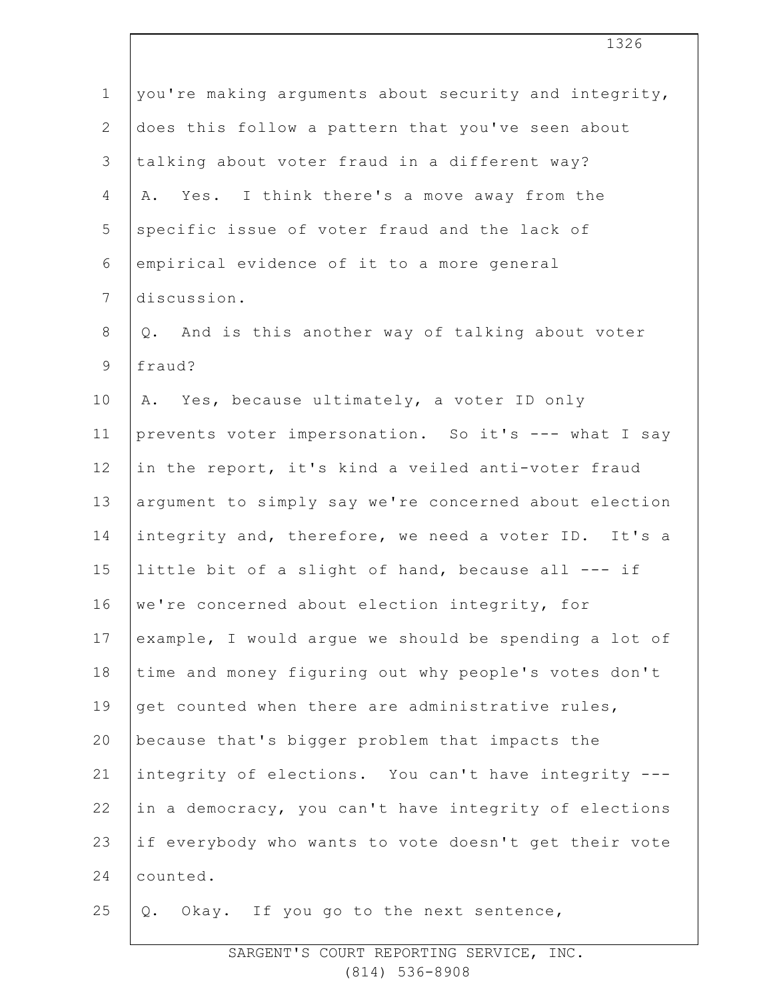| $\mathbf 1$    | you're making arguments about security and integrity, |
|----------------|-------------------------------------------------------|
| $\mathbf{2}$   | does this follow a pattern that you've seen about     |
| 3              | talking about voter fraud in a different way?         |
| 4              | A. Yes. I think there's a move away from the          |
| 5              | specific issue of voter fraud and the lack of         |
| 6              | empirical evidence of it to a more general            |
| $\overline{7}$ | discussion.                                           |
| $8\,$          | Q. And is this another way of talking about voter     |
| 9              | fraud?                                                |
| 10             | A. Yes, because ultimately, a voter ID only           |
| 11             | prevents voter impersonation. So it's --- what I say  |
| 12             | in the report, it's kind a veiled anti-voter fraud    |
| 13             | argument to simply say we're concerned about election |
| 14             | integrity and, therefore, we need a voter ID. It's a  |
| 15             | little bit of a slight of hand, because all --- if    |
| 16             | we're concerned about election integrity, for         |
| 17             | example, I would argue we should be spending a lot of |
| 18             | time and money figuring out why people's votes don't  |
| 19             | get counted when there are administrative rules,      |
| 20             | because that's bigger problem that impacts the        |
| 21             | integrity of elections. You can't have integrity ---  |
| 22             | in a democracy, you can't have integrity of elections |
| 23             | if everybody who wants to vote doesn't get their vote |
| 24             | counted.                                              |
| 25             | Okay. If you go to the next sentence,<br>Q.           |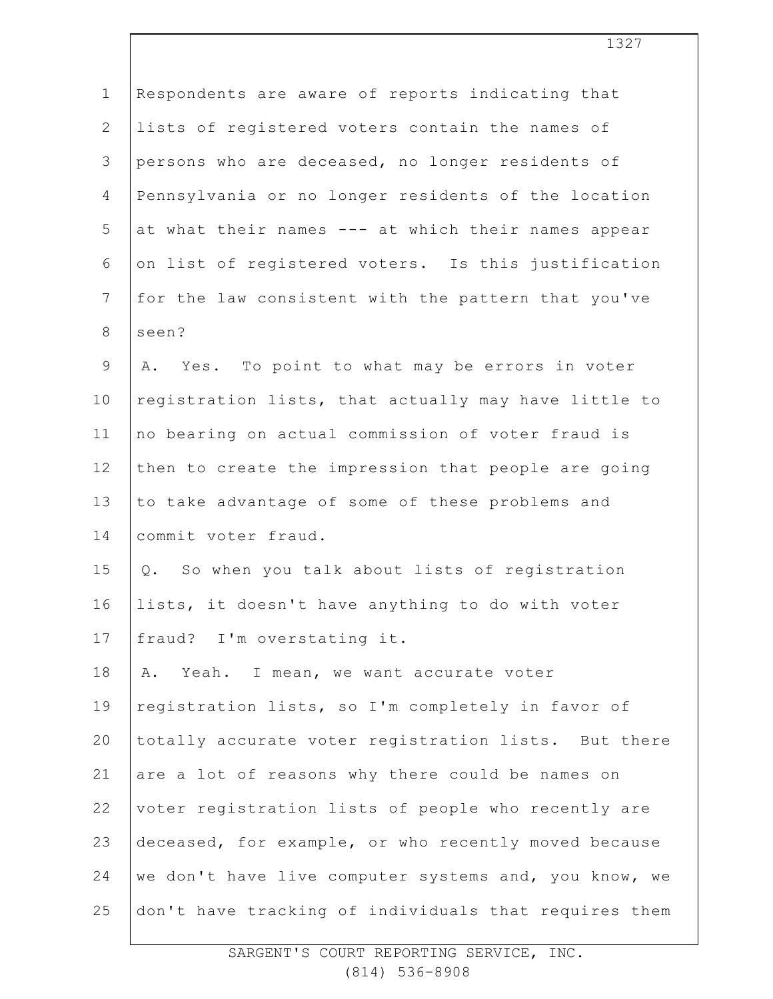| $\mathbf 1$    | Respondents are aware of reports indicating that      |
|----------------|-------------------------------------------------------|
| $\overline{2}$ | lists of registered voters contain the names of       |
| 3              | persons who are deceased, no longer residents of      |
| $\overline{4}$ | Pennsylvania or no longer residents of the location   |
| 5              | at what their names --- at which their names appear   |
| 6              | on list of registered voters. Is this justification   |
| $7\phantom{.}$ | for the law consistent with the pattern that you've   |
| $\,8\,$        | seen?                                                 |
| $\mathsf 9$    | A. Yes. To point to what may be errors in voter       |
| 10             | registration lists, that actually may have little to  |
| 11             | no bearing on actual commission of voter fraud is     |
| 12             | then to create the impression that people are going   |
| 13             | to take advantage of some of these problems and       |
| 14             | commit voter fraud.                                   |
| 15             | Q. So when you talk about lists of registration       |
| 16             | lists, it doesn't have anything to do with voter      |
| 17             | fraud? I'm overstating it.                            |
| 18             | Yeah. I mean, we want accurate voter<br>Α.            |
| 19             | registration lists, so I'm completely in favor of     |
| 20             | totally accurate voter registration lists. But there  |
| 21             | are a lot of reasons why there could be names on      |
| 22             | voter registration lists of people who recently are   |
| 23             | deceased, for example, or who recently moved because  |
| 24             | we don't have live computer systems and, you know, we |
| 25             | don't have tracking of individuals that requires them |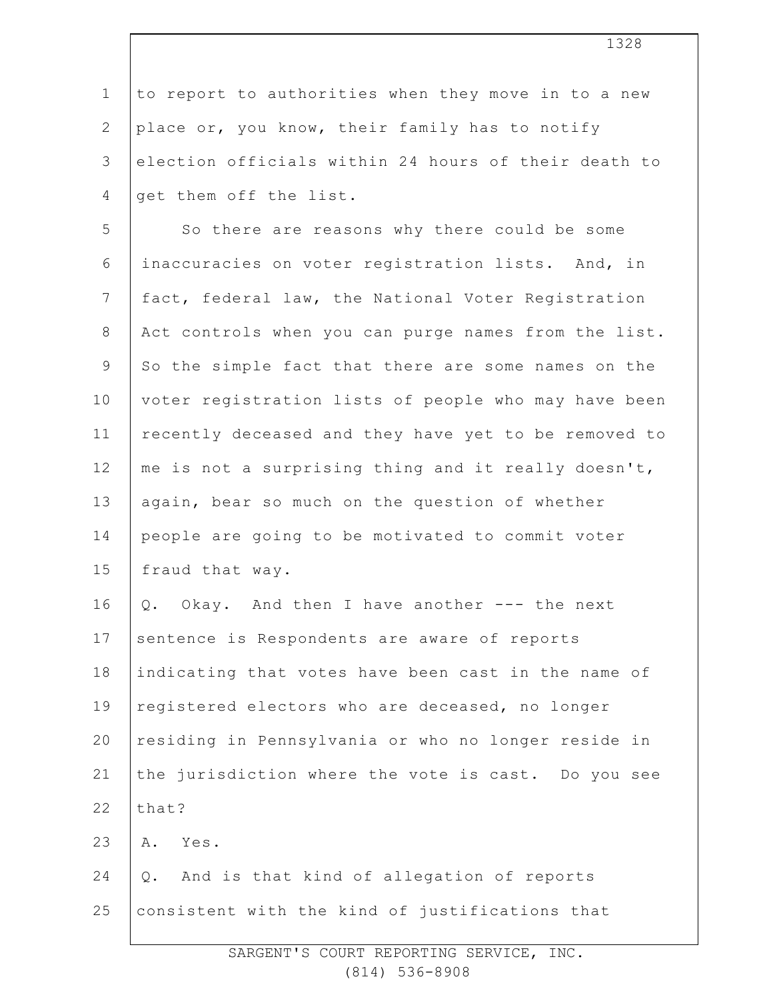| $\mathbf{1}$   | to report to authorities when they move in to a new  |
|----------------|------------------------------------------------------|
| $\mathbf{2}$   | place or, you know, their family has to notify       |
| 3              | election officials within 24 hours of their death to |
| $\overline{4}$ | get them off the list.                               |
| 5              | So there are reasons why there could be some         |
| 6              | inaccuracies on voter registration lists. And, in    |
| $7\phantom{.}$ | fact, federal law, the National Voter Registration   |
| $8\,$          | Act controls when you can purge names from the list. |
| $\mathsf 9$    | So the simple fact that there are some names on the  |
| 10             | voter registration lists of people who may have been |
| 11             | recently deceased and they have yet to be removed to |
| 12             | me is not a surprising thing and it really doesn't,  |
| 13             | again, bear so much on the question of whether       |
| 14             | people are going to be motivated to commit voter     |
| 15             | fraud that way.                                      |
| 16             | Q. Okay. And then I have another --- the next        |
| 17             | sentence is Respondents are aware of reports         |
| 18             | indicating that votes have been cast in the name of  |
| 19             | registered electors who are deceased, no longer      |
| 20             | residing in Pennsylvania or who no longer reside in  |
| 21             | the jurisdiction where the vote is cast. Do you see  |
| 22             | that?                                                |
| 23             | Yes.<br>Α.                                           |
| 24             | And is that kind of allegation of reports<br>Q.      |
| 25             | consistent with the kind of justifications that      |
|                |                                                      |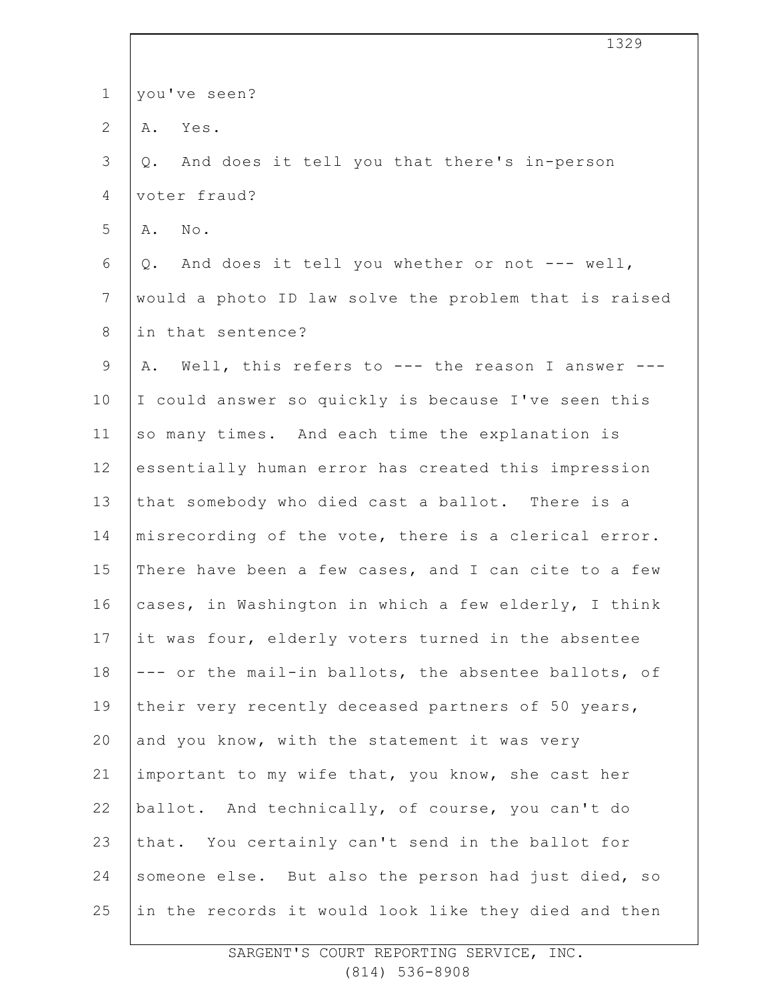| $\mathbf 1$    | you've seen?                                          |
|----------------|-------------------------------------------------------|
| $\mathbf{2}$   | Yes.<br>Α.                                            |
| 3              | And does it tell you that there's in-person<br>Q.     |
| 4              | voter fraud?                                          |
| 5              | A. No.                                                |
| 6              | And does it tell you whether or not --- well,<br>Q.   |
| $7\phantom{.}$ | would a photo ID law solve the problem that is raised |
| $8\,$          | in that sentence?                                     |
| $\mathsf 9$    | A. Well, this refers to --- the reason I answer ---   |
| 10             | I could answer so quickly is because I've seen this   |
| 11             | so many times. And each time the explanation is       |
| 12             | essentially human error has created this impression   |
| 13             | that somebody who died cast a ballot. There is a      |
| 14             | misrecording of the vote, there is a clerical error.  |
| 15             | There have been a few cases, and I can cite to a few  |
| 16             | cases, in Washington in which a few elderly, I think  |
| 17             | it was four, elderly voters turned in the absentee    |
| 18             | --- or the mail-in ballots, the absentee ballots, of  |
| 19             | their very recently deceased partners of 50 years,    |
| 20             | and you know, with the statement it was very          |
| 21             | important to my wife that, you know, she cast her     |
| 22             | ballot. And technically, of course, you can't do      |
| 23             | that. You certainly can't send in the ballot for      |
| 24             | someone else. But also the person had just died, so   |
| 25             | in the records it would look like they died and then  |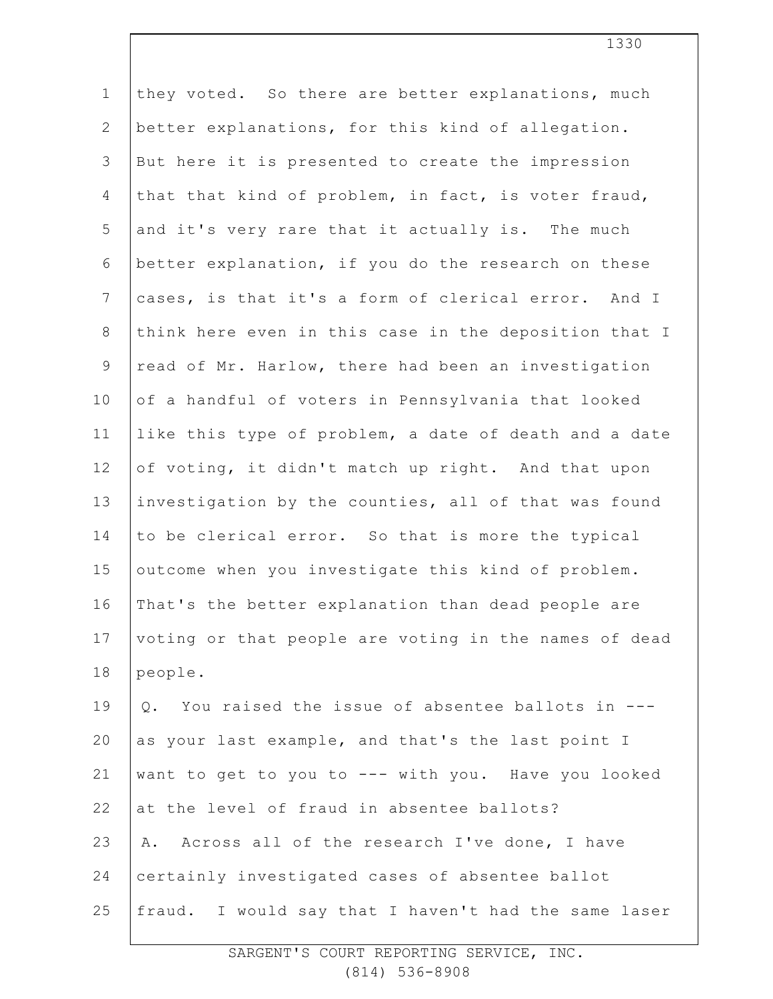| they voted. So there are better explanations, much    |
|-------------------------------------------------------|
| better explanations, for this kind of allegation.     |
| But here it is presented to create the impression     |
| that that kind of problem, in fact, is voter fraud,   |
| and it's very rare that it actually is. The much      |
| better explanation, if you do the research on these   |
| cases, is that it's a form of clerical error. And I   |
| think here even in this case in the deposition that I |
| read of Mr. Harlow, there had been an investigation   |
| of a handful of voters in Pennsylvania that looked    |
| like this type of problem, a date of death and a date |
| of voting, it didn't match up right. And that upon    |
| investigation by the counties, all of that was found  |
| to be clerical error. So that is more the typical     |
| outcome when you investigate this kind of problem.    |
| That's the better explanation than dead people are    |
| voting or that people are voting in the names of dead |
| people.                                               |
| You raised the issue of absentee ballots in ---<br>Q. |
| as your last example, and that's the last point I     |
| want to get to you to --- with you. Have you looked   |
| at the level of fraud in absentee ballots?            |
| Across all of the research I've done, I have<br>Α.    |
| certainly investigated cases of absentee ballot       |
| fraud. I would say that I haven't had the same laser  |
|                                                       |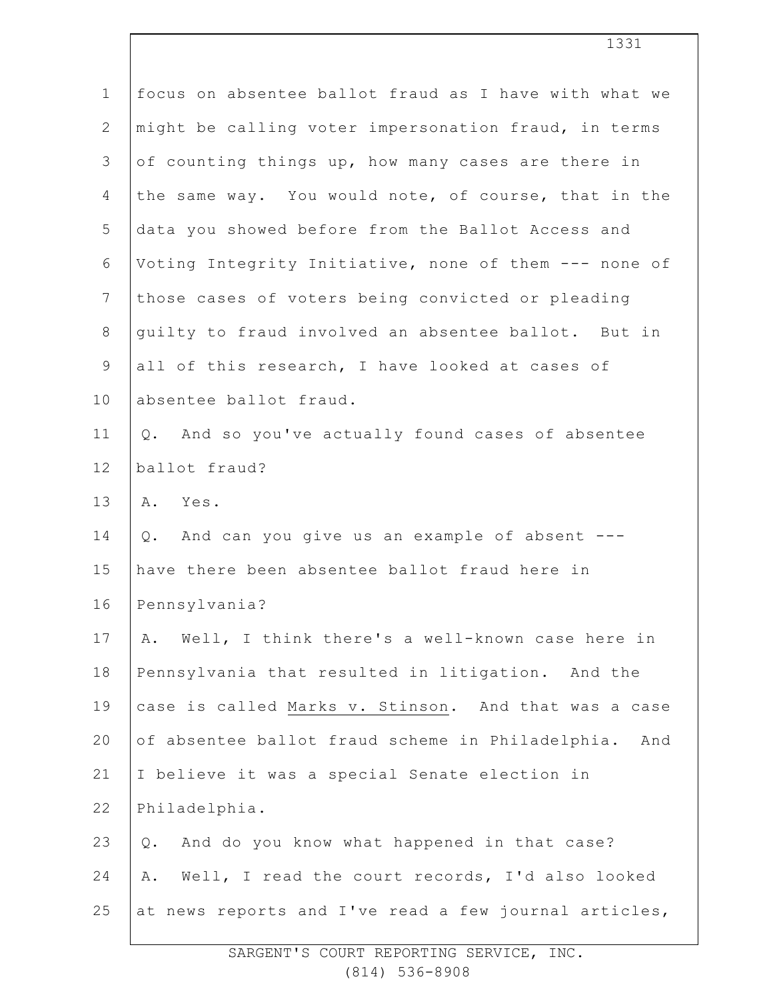| $\mathbf 1$    | focus on absentee ballot fraud as I have with what we |
|----------------|-------------------------------------------------------|
| $\mathbf{2}$   | might be calling voter impersonation fraud, in terms  |
| 3              | of counting things up, how many cases are there in    |
| 4              | the same way. You would note, of course, that in the  |
| 5              | data you showed before from the Ballot Access and     |
| 6              | Voting Integrity Initiative, none of them --- none of |
| $\overline{7}$ | those cases of voters being convicted or pleading     |
| $8\,$          | guilty to fraud involved an absentee ballot. But in   |
| 9              | all of this research, I have looked at cases of       |
| 10             | absentee ballot fraud.                                |
| 11             | Q. And so you've actually found cases of absentee     |
| 12             | ballot fraud?                                         |
| 13             | A. Yes.                                               |
| 14             | Q. And can you give us an example of absent ---       |
| 15             | have there been absentee ballot fraud here in         |
| 16             | Pennsylvania?                                         |
| 17             | A. Well, I think there's a well-known case here in    |
| 18             | Pennsylvania that resulted in litigation. And the     |
| 19             | case is called Marks v. Stinson. And that was a case  |
| 20             | of absentee ballot fraud scheme in Philadelphia. And  |
| 21             | I believe it was a special Senate election in         |
| 22             | Philadelphia.                                         |
| 23             | And do you know what happened in that case?<br>Q.     |
| 24             | Well, I read the court records, I'd also looked<br>Α. |
| 25             | at news reports and I've read a few journal articles, |
|                |                                                       |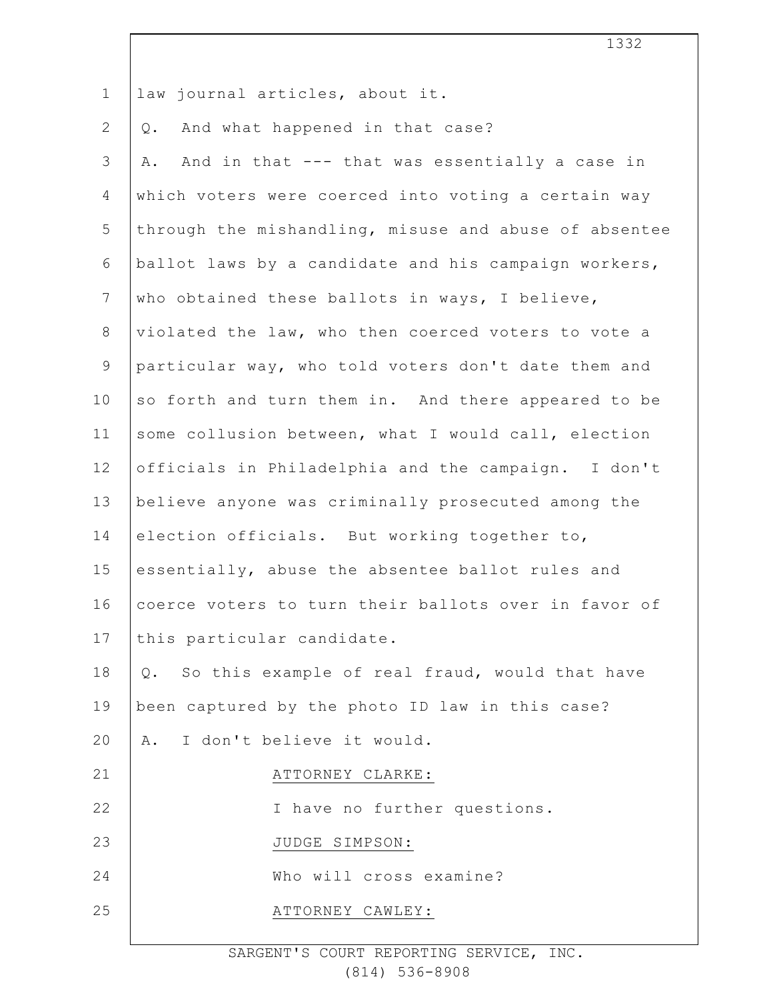| $\mathbf 1$    | law journal articles, about it.                         |
|----------------|---------------------------------------------------------|
| $\overline{2}$ | And what happened in that case?<br>Q.                   |
| 3              | And in that --- that was essentially a case in<br>Α.    |
| $\overline{4}$ | which voters were coerced into voting a certain way     |
| 5              | through the mishandling, misuse and abuse of absentee   |
| 6              | ballot laws by a candidate and his campaign workers,    |
| $\overline{7}$ | who obtained these ballots in ways, I believe,          |
| $8\,$          | violated the law, who then coerced voters to vote a     |
| $\mathsf 9$    | particular way, who told voters don't date them and     |
| 10             | so forth and turn them in. And there appeared to be     |
| 11             | some collusion between, what I would call, election     |
| 12             | officials in Philadelphia and the campaign. I don't     |
| 13             | believe anyone was criminally prosecuted among the      |
| 14             | election officials. But working together to,            |
| 15             | essentially, abuse the absentee ballot rules and        |
| 16             | coerce voters to turn their ballots over in favor of    |
| 17             | this particular candidate.                              |
| 18             | So this example of real fraud, would that have<br>$Q$ . |
| 19             | been captured by the photo ID law in this case?         |
| 20             | I don't believe it would.<br>Α.                         |
| 21             | ATTORNEY CLARKE:                                        |
| 22             | I have no further questions.                            |
| 23             | JUDGE SIMPSON:                                          |
| 24             | Who will cross examine?                                 |
| 25             | ATTORNEY CAWLEY:                                        |
|                |                                                         |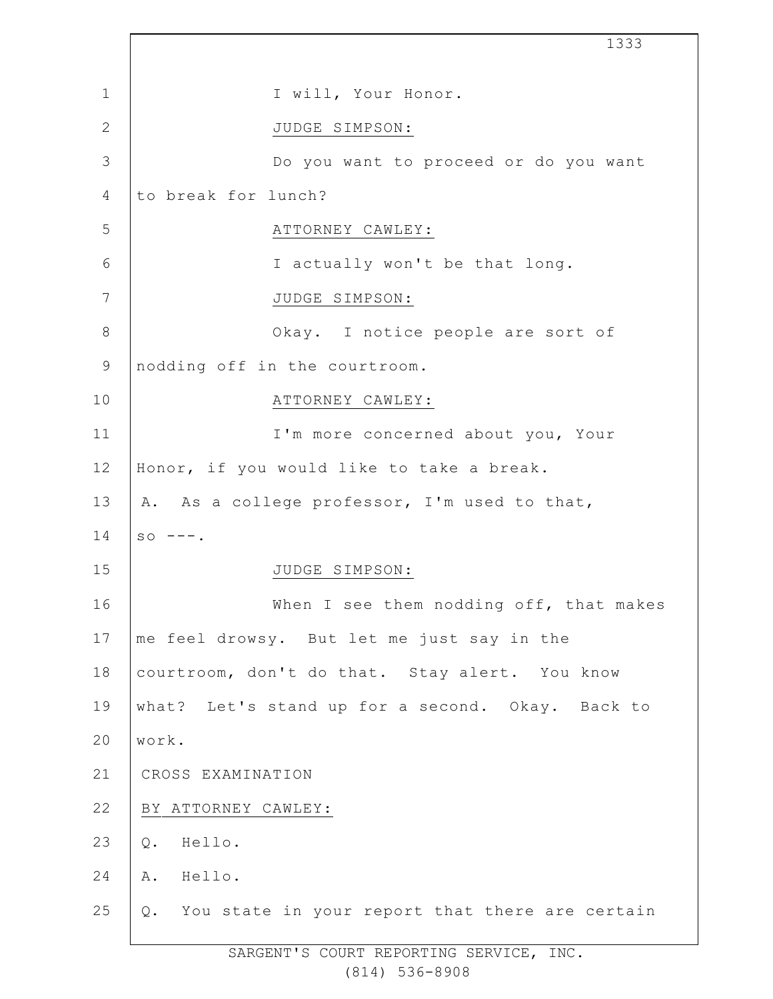|              | 1333                                               |
|--------------|----------------------------------------------------|
| $\mathbf{1}$ | I will, Your Honor.                                |
| $\mathbf{2}$ | JUDGE SIMPSON:                                     |
| 3            | Do you want to proceed or do you want              |
| 4            | to break for lunch?                                |
| 5            | ATTORNEY CAWLEY:                                   |
| 6            | I actually won't be that long.                     |
| 7            | JUDGE SIMPSON:                                     |
| $8\,$        | Okay. I notice people are sort of                  |
| $\mathsf 9$  | nodding off in the courtroom.                      |
| 10           | ATTORNEY CAWLEY:                                   |
| 11           | I'm more concerned about you, Your                 |
| 12           | Honor, if you would like to take a break.          |
| 13           | A. As a college professor, I'm used to that,       |
| 14           | $SO$ ---.                                          |
| 15           | JUDGE SIMPSON:                                     |
| 16           | When I see them nodding off, that makes            |
| 17           | me feel drowsy. But let me just say in the         |
| 18           | courtroom, don't do that. Stay alert. You know     |
| 19           | what? Let's stand up for a second. Okay. Back to   |
| 20           | work.                                              |
| 21           | CROSS EXAMINATION                                  |
| 22           | BY ATTORNEY CAWLEY:                                |
| 23           | Q.<br>Hello.                                       |
| 24           | Hello.<br>Α.                                       |
| 25           | Q. You state in your report that there are certain |

Ī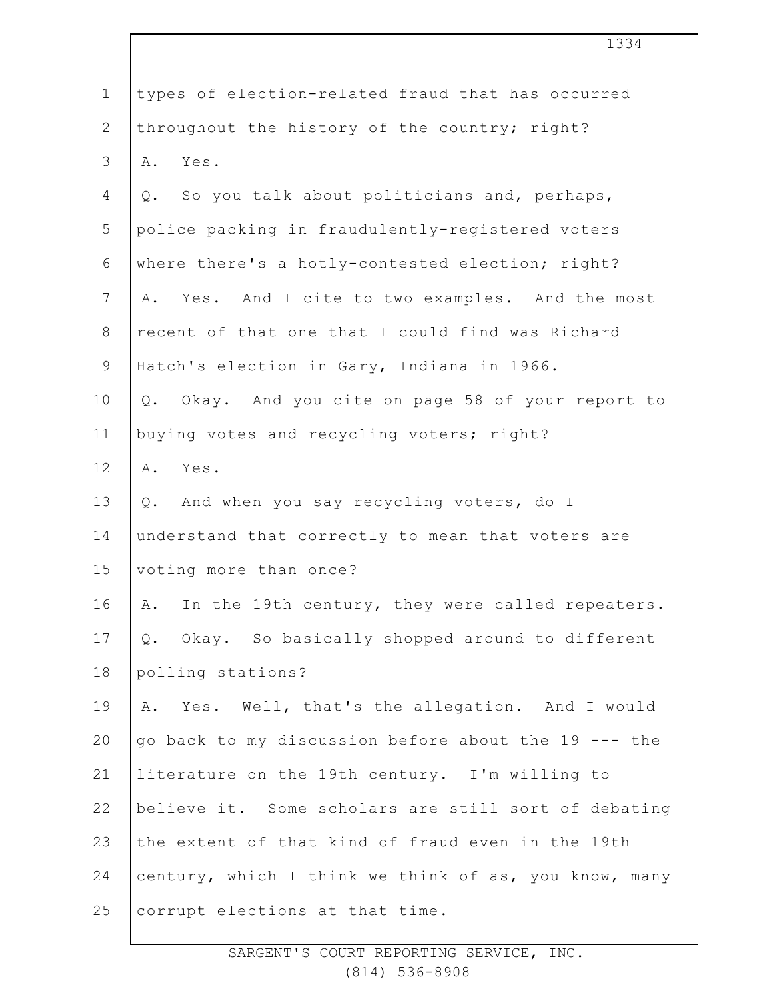|                | 1334                                                    |
|----------------|---------------------------------------------------------|
| $\mathbf 1$    | types of election-related fraud that has occurred       |
| $\overline{2}$ | throughout the history of the country; right?           |
| 3              | Yes.<br>Α.                                              |
| 4              | So you talk about politicians and, perhaps,<br>Q.       |
| 5              | police packing in fraudulently-registered voters        |
| 6              | where there's a hotly-contested election; right?        |
| $\overline{7}$ | A. Yes. And I cite to two examples. And the most        |
| $8\,$          | recent of that one that I could find was Richard        |
| $\mathsf 9$    | Hatch's election in Gary, Indiana in 1966.              |
| 10             | Okay. And you cite on page 58 of your report to<br>Q.   |
| 11             | buying votes and recycling voters; right?               |
| 12             | A. Yes.                                                 |
| 13             | Q. And when you say recycling voters, do I              |
| 14             | understand that correctly to mean that voters are       |
| 15             | voting more than once?                                  |
| 16             | In the 19th century, they were called repeaters.<br>Α.  |
| 17             | Okay. So basically shopped around to different<br>$Q$ . |
| 18             | polling stations?                                       |
| 19             | A. Yes. Well, that's the allegation. And I would        |
| 20             | go back to my discussion before about the 19 --- the    |
| 21             | literature on the 19th century. I'm willing to          |
| 22             | believe it. Some scholars are still sort of debating    |
| 23             | the extent of that kind of fraud even in the 19th       |
| 24             | century, which I think we think of as, you know, many   |
| 25             | corrupt elections at that time.                         |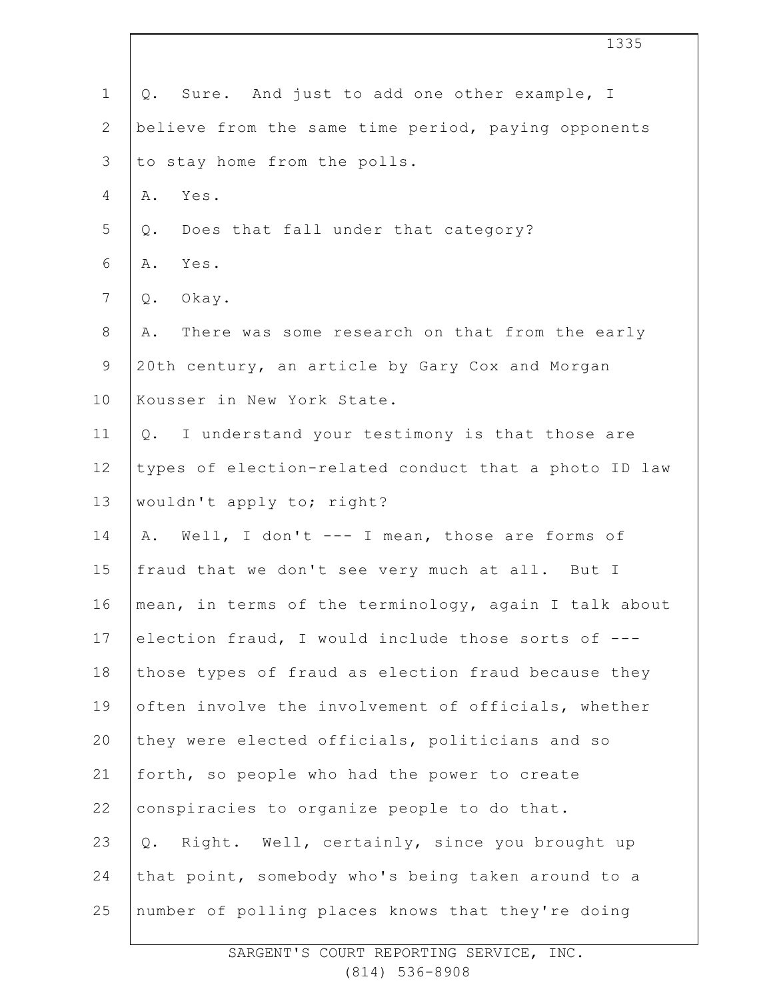|                | 1335                                                  |
|----------------|-------------------------------------------------------|
| $\mathbf 1$    | Sure. And just to add one other example, I<br>Q.      |
| $\mathbf{2}$   | believe from the same time period, paying opponents   |
| 3              | to stay home from the polls.                          |
| 4              | Yes.<br>Α.                                            |
| 5              | Does that fall under that category?<br>Q.             |
| $\sqrt{6}$     | Yes.<br>Α.                                            |
| $7\phantom{.}$ | $Q$ .<br>Okay.                                        |
| $8\,$          | There was some research on that from the early<br>Α.  |
| $\mathsf 9$    | 20th century, an article by Gary Cox and Morgan       |
| 10             | Kousser in New York State.                            |
| 11             | Q. I understand your testimony is that those are      |
| 12             | types of election-related conduct that a photo ID law |
| 13             | wouldn't apply to; right?                             |
| 14             | Well, I don't --- I mean, those are forms of<br>Α.    |
| 15             | fraud that we don't see very much at all. But I       |
| 16             | mean, in terms of the terminology, again I talk about |
| 17             | election fraud, I would include those sorts of ---    |
| 18             | those types of fraud as election fraud because they   |
| 19             | often involve the involvement of officials, whether   |
| 20             | they were elected officials, politicians and so       |
| 21             | forth, so people who had the power to create          |
| 22             | conspiracies to organize people to do that.           |
| 23             | Right. Well, certainly, since you brought up<br>Q.    |
| 24             | that point, somebody who's being taken around to a    |
| 25             | number of polling places knows that they're doing     |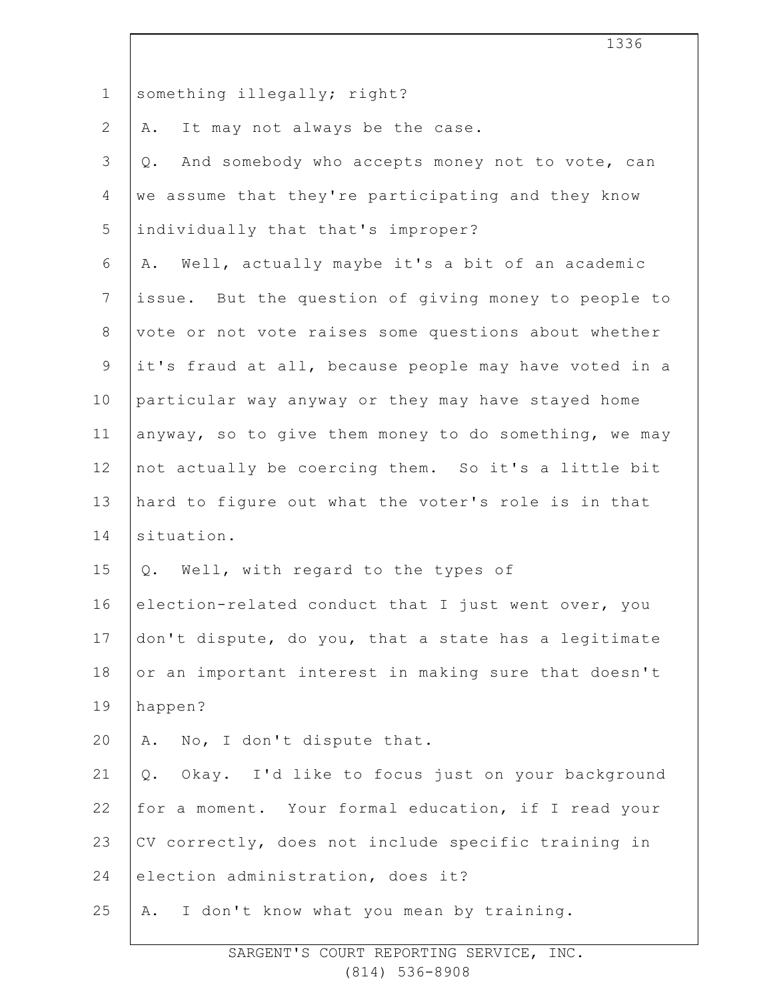|                | エンシロ                                                     |
|----------------|----------------------------------------------------------|
| $\mathbf 1$    | something illegally; right?                              |
| $\mathbf{2}$   | It may not always be the case.<br>Α.                     |
| 3              | And somebody who accepts money not to vote, can<br>Q.    |
| $\overline{4}$ | we assume that they're participating and they know       |
| 5              | individually that that's improper?                       |
| 6              | A. Well, actually maybe it's a bit of an academic        |
| $\overline{7}$ | issue. But the question of giving money to people to     |
| $\,8\,$        | vote or not vote raises some questions about whether     |
| $\mathsf 9$    | it's fraud at all, because people may have voted in a    |
| 10             | particular way anyway or they may have stayed home       |
| 11             | anyway, so to give them money to do something, we may    |
| 12             | not actually be coercing them. So it's a little bit      |
| 13             | hard to figure out what the voter's role is in that      |
| 14             | situation.                                               |
| 15             | Well, with regard to the types of<br>Q.                  |
| 16             | election-related conduct that I just went over, you      |
| 17             | don't dispute, do you, that a state has a legitimate     |
| 18             | or an important interest in making sure that doesn't     |
| 19             | happen?                                                  |
| 20             | A. No, I don't dispute that.                             |
| 21             | Okay. I'd like to focus just on your background<br>$Q$ . |
| 22             | for a moment. Your formal education, if I read your      |
| 23             | CV correctly, does not include specific training in      |
| 24             | election administration, does it?                        |
| 25             | I don't know what you mean by training.<br>Α.            |

 $\Gamma$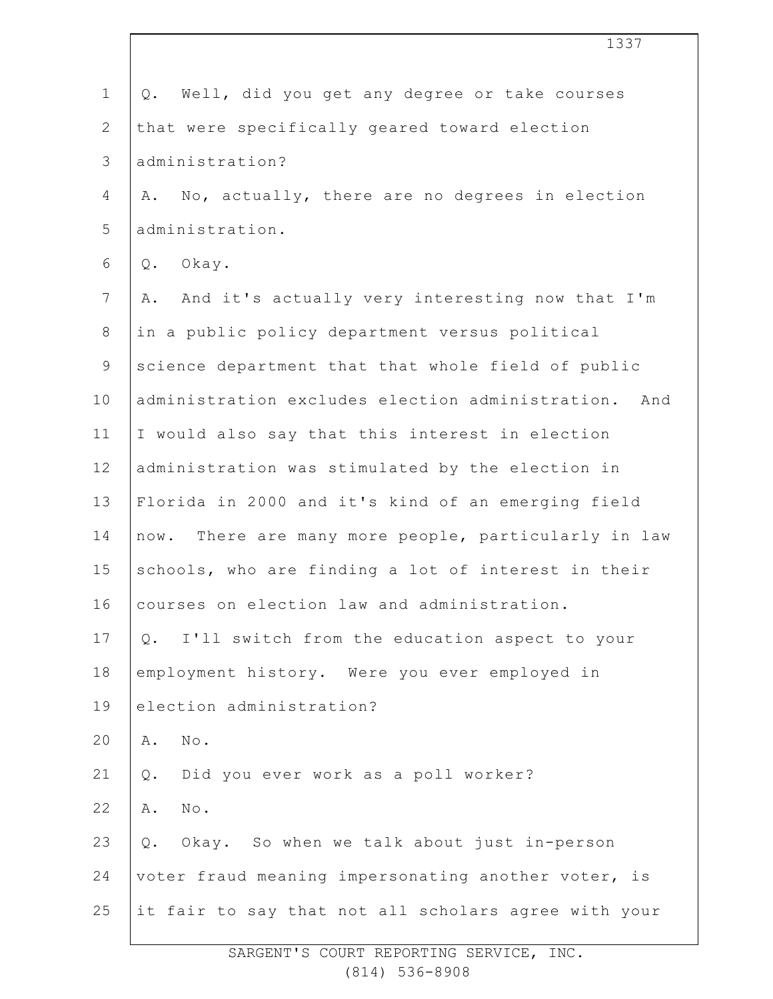| $\mathbf 1$    | Well, did you get any degree or take courses<br>Q.    |
|----------------|-------------------------------------------------------|
| $\overline{2}$ | that were specifically geared toward election         |
| 3              | administration?                                       |
| $\overline{4}$ | A. No, actually, there are no degrees in election     |
| 5              | administration.                                       |
| 6              | Q. Okay.                                              |
| 7              | And it's actually very interesting now that I'm<br>Α. |
| $8\,$          | in a public policy department versus political        |
| $\mathsf 9$    | science department that that whole field of public    |
| 10             | administration excludes election administration. And  |
| 11             | I would also say that this interest in election       |
| 12             | administration was stimulated by the election in      |
| 13             | Florida in 2000 and it's kind of an emerging field    |
| 14             | now. There are many more people, particularly in law  |
| 15             | schools, who are finding a lot of interest in their   |
| 16             | courses on election law and administration.           |
| 17             | I'll switch from the education aspect to your<br>Q.   |
| 18             | employment history. Were you ever employed in         |
| 19             | election administration?                              |
| 20             | No.<br>Α.                                             |
| 21             | Did you ever work as a poll worker?<br>$Q$ .          |
| 22             | $N \circ$ .<br>Α.                                     |
| 23             | Okay. So when we talk about just in-person<br>Q.      |
| 24             | voter fraud meaning impersonating another voter, is   |
| 25             | it fair to say that not all scholars agree with your  |
|                |                                                       |

1337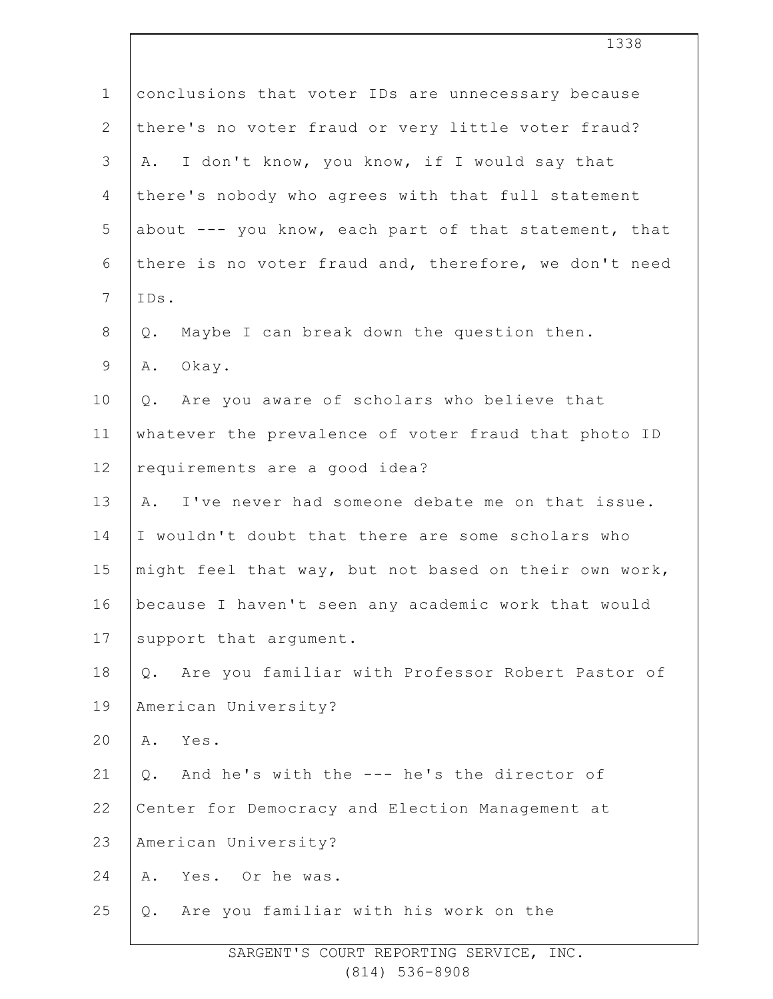| $\mathbf 1$    | conclusions that voter IDs are unnecessary because     |
|----------------|--------------------------------------------------------|
| $\overline{2}$ | there's no voter fraud or very little voter fraud?     |
| 3              | A. I don't know, you know, if I would say that         |
| 4              | there's nobody who agrees with that full statement     |
| 5              | about --- you know, each part of that statement, that  |
| 6              | there is no voter fraud and, therefore, we don't need  |
| $\overline{7}$ | IDs.                                                   |
| 8              | Maybe I can break down the question then.<br>Q.        |
| 9              | Α.<br>Okay.                                            |
| 10             | Q. Are you aware of scholars who believe that          |
| 11             | whatever the prevalence of voter fraud that photo ID   |
| 12             | requirements are a good idea?                          |
| 13             | A. I've never had someone debate me on that issue.     |
| 14             | I wouldn't doubt that there are some scholars who      |
| 15             | might feel that way, but not based on their own work,  |
| 16             | because I haven't seen any academic work that would    |
| 17             | support that argument.                                 |
| 18             | Are you familiar with Professor Robert Pastor of<br>Q. |
| 19             | American University?                                   |
| 20             | Α.<br>Yes.                                             |
| 21             | And he's with the --- he's the director of<br>Q.       |
| 22             | Center for Democracy and Election Management at        |
| 23             | American University?                                   |
| 24             | Yes. Or he was.<br>Α.                                  |
| 25             | Are you familiar with his work on the<br>Q.            |
|                |                                                        |

1338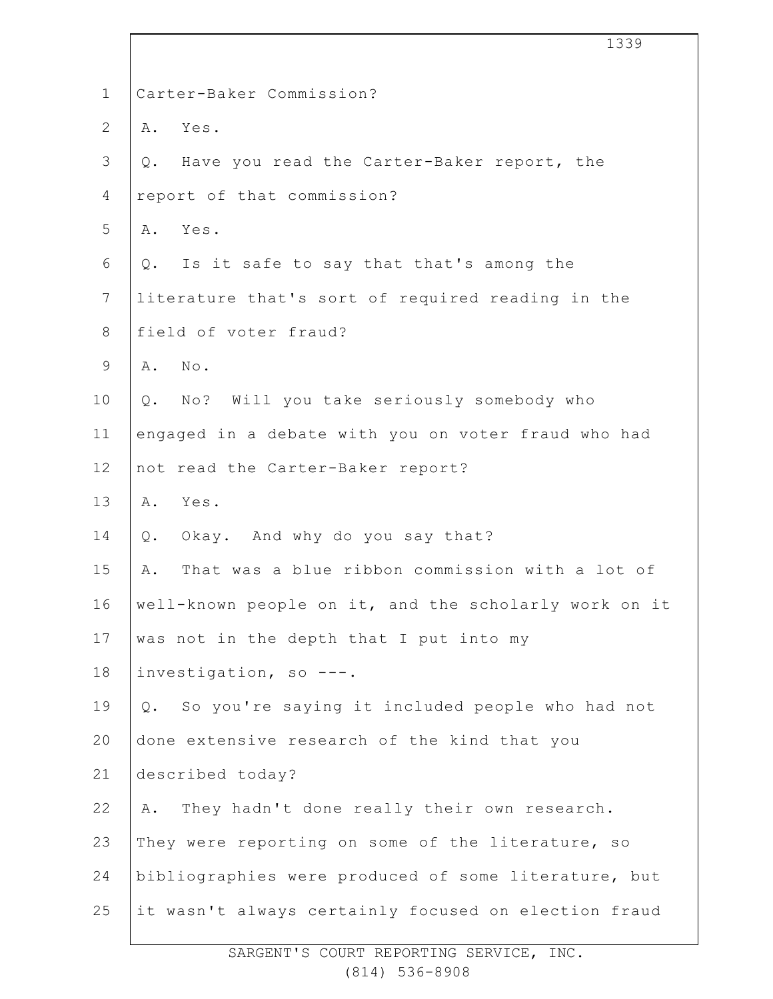|                | 1339                                                  |
|----------------|-------------------------------------------------------|
| $\mathbf 1$    | Carter-Baker Commission?                              |
| $\mathbf{2}$   | Yes.<br>Α.                                            |
| 3              | Q. Have you read the Carter-Baker report, the         |
| 4              | report of that commission?                            |
| 5              | Yes.<br>Α.                                            |
| 6              | Q. Is it safe to say that that's among the            |
| $7\phantom{.}$ | literature that's sort of required reading in the     |
| 8              | field of voter fraud?                                 |
| $\mathsf 9$    | No.<br>Α.                                             |
| 10             | No? Will you take seriously somebody who<br>Q.        |
| 11             | engaged in a debate with you on voter fraud who had   |
| 12             | not read the Carter-Baker report?                     |
| 13             | Yes.<br>Α.                                            |
| 14             | Okay. And why do you say that?<br>Q.                  |
| 15             | That was a blue ribbon commission with a lot of<br>Α. |
| 16             | well-known people on it, and the scholarly work on it |
| 17             | was not in the depth that I put into my               |
| 18             | investigation, so ---.                                |
| 19             | Q. So you're saying it included people who had not    |
| 20             | done extensive research of the kind that you          |
| 21             | described today?                                      |
| 22             | They hadn't done really their own research.<br>Α.     |
| 23             | They were reporting on some of the literature, so     |
| 24             | bibliographies were produced of some literature, but  |
| 25             | it wasn't always certainly focused on election fraud  |
|                |                                                       |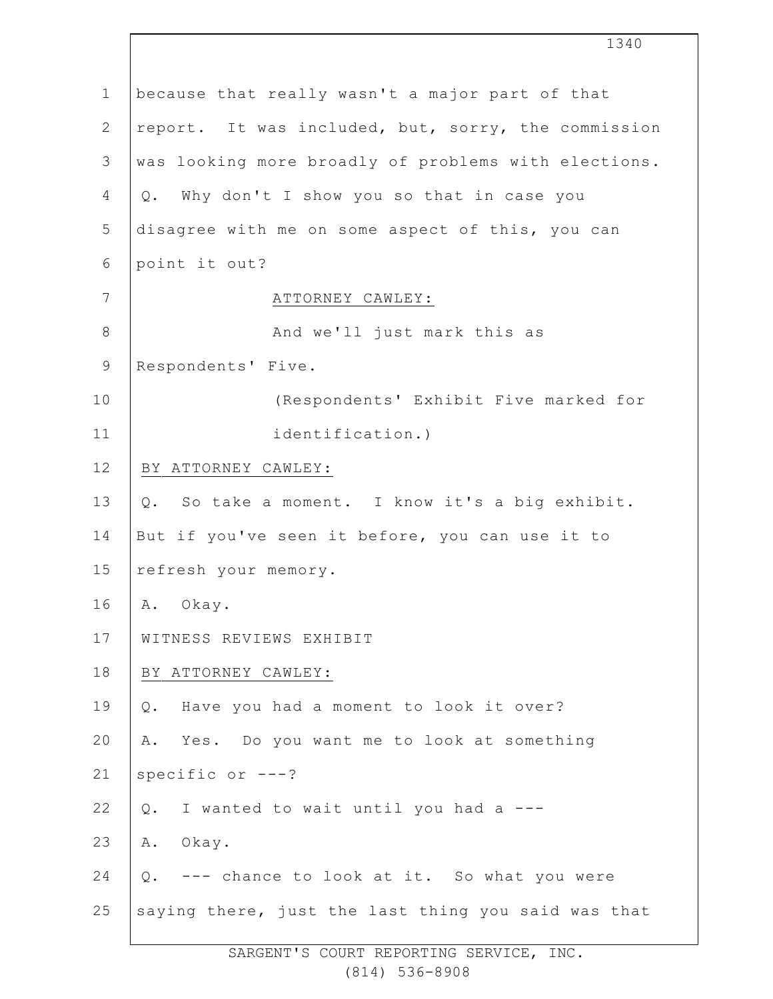1 2 3 4 5 6 7 8 9 10 11 12 13 14 15 16 17 18 19 20 21 22 23 24 25 because that really wasn't a major part of that report. It was included, but, sorry, the commission was looking more broadly of problems with elections. Q. Why don't I show you so that in case you disagree with me on some aspect of this, you can point it out? ATTORNEY CAWLEY: And we'll just mark this as Respondents' Five. (Respondents' Exhibit Five marked for identification.) BY ATTORNEY CAWLEY: Q. So take a moment. I know it's a big exhibit. But if you've seen it before, you can use it to refresh your memory. A. Okay. WITNESS REVIEWS EXHIBIT BY ATTORNEY CAWLEY: Q. Have you had a moment to look it over? A. Yes. Do you want me to look at something specific or ---? Q. I wanted to wait until you had a --- A. Okay. Q. --- chance to look at it. So what you were saying there, just the last thing you said was that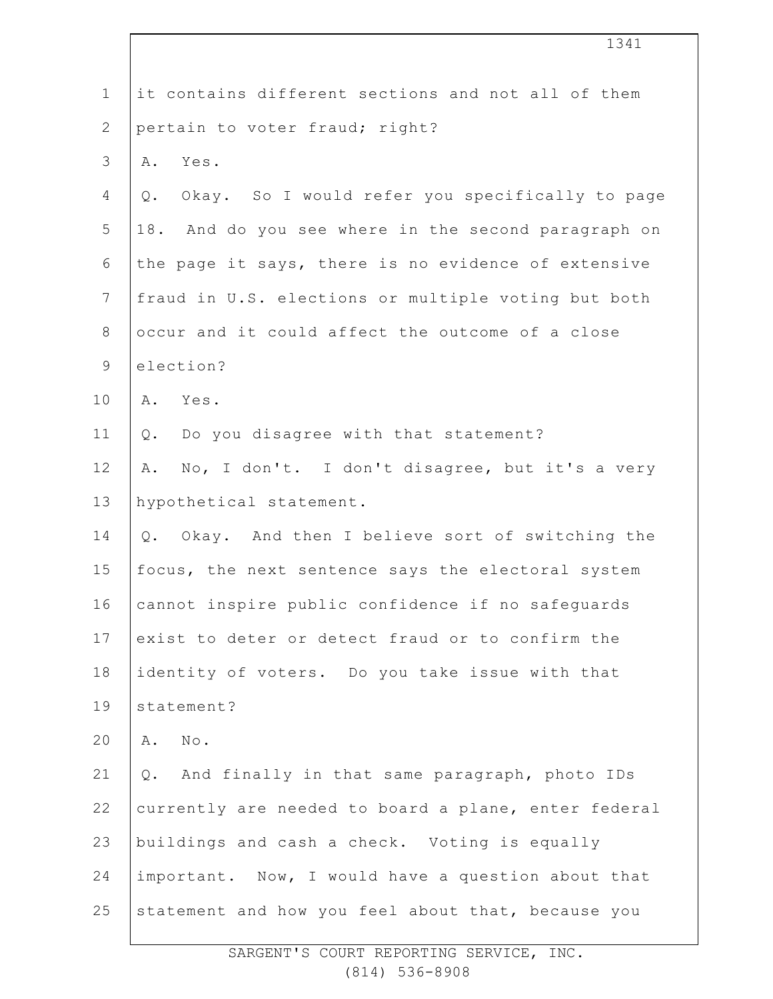| $\mathbf 1$    | it contains different sections and not all of them      |
|----------------|---------------------------------------------------------|
| $\mathbf{2}$   | pertain to voter fraud; right?                          |
| 3              | Yes.<br>Α.                                              |
| 4              | Okay. So I would refer you specifically to page<br>Q.   |
| 5              | 18. And do you see where in the second paragraph on     |
| $\epsilon$     | the page it says, there is no evidence of extensive     |
| $\overline{7}$ | fraud in U.S. elections or multiple voting but both     |
| $\,8\,$        | occur and it could affect the outcome of a close        |
| $\mathsf 9$    | election?                                               |
| 10             | Yes.<br>Α.                                              |
| 11             | Q. Do you disagree with that statement?                 |
| 12             | No, I don't. I don't disagree, but it's a very<br>Α.    |
| 13             | hypothetical statement.                                 |
| 14             | Okay. And then I believe sort of switching the<br>$Q$ . |
| 15             | focus, the next sentence says the electoral system      |
| 16             | cannot inspire public confidence if no safeguards       |
| 17             | exist to deter or detect fraud or to confirm the        |
| 18             | identity of voters. Do you take issue with that         |
| 19             | statement?                                              |
| 20             | $N \circ$ .<br>Α.                                       |
| 21             | Q. And finally in that same paragraph, photo IDs        |
| 22             | currently are needed to board a plane, enter federal    |
| 23             | buildings and cash a check. Voting is equally           |
| 24             | important. Now, I would have a question about that      |
| 25             | statement and how you feel about that, because you      |
|                |                                                         |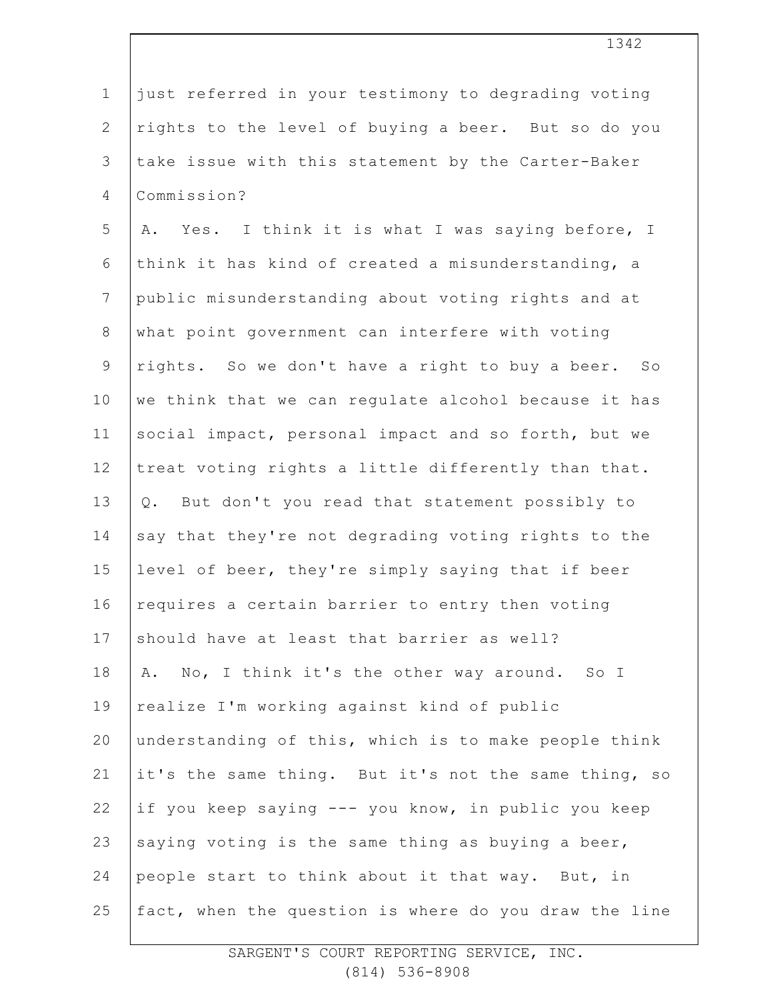| $\mathbf 1$     | just referred in your testimony to degrading voting   |
|-----------------|-------------------------------------------------------|
| $\mathbf{2}$    | rights to the level of buying a beer. But so do you   |
| 3               | take issue with this statement by the Carter-Baker    |
| $\overline{4}$  | Commission?                                           |
| 5               | Yes. I think it is what I was saying before, I<br>Α.  |
| 6               | think it has kind of created a misunderstanding, a    |
| $7\phantom{.0}$ | public misunderstanding about voting rights and at    |
| $8\,$           | what point government can interfere with voting       |
| $\mathsf 9$     | rights. So we don't have a right to buy a beer. So    |
| 10              | we think that we can regulate alcohol because it has  |
| 11              | social impact, personal impact and so forth, but we   |
| 12              | treat voting rights a little differently than that.   |
| 13              | But don't you read that statement possibly to<br>Q.   |
| 14              | say that they're not degrading voting rights to the   |
| 15              | level of beer, they're simply saying that if beer     |
| 16              | requires a certain barrier to entry then voting       |
| 17              | should have at least that barrier as well?            |
| 18              | A. No, I think it's the other way around. So I        |
| 19              | realize I'm working against kind of public            |
| 20              | understanding of this, which is to make people think  |
| 21              | it's the same thing. But it's not the same thing, so  |
| 22              | if you keep saying --- you know, in public you keep   |
| 23              | saying voting is the same thing as buying a beer,     |
| 24              | people start to think about it that way. But, in      |
| 25              | fact, when the question is where do you draw the line |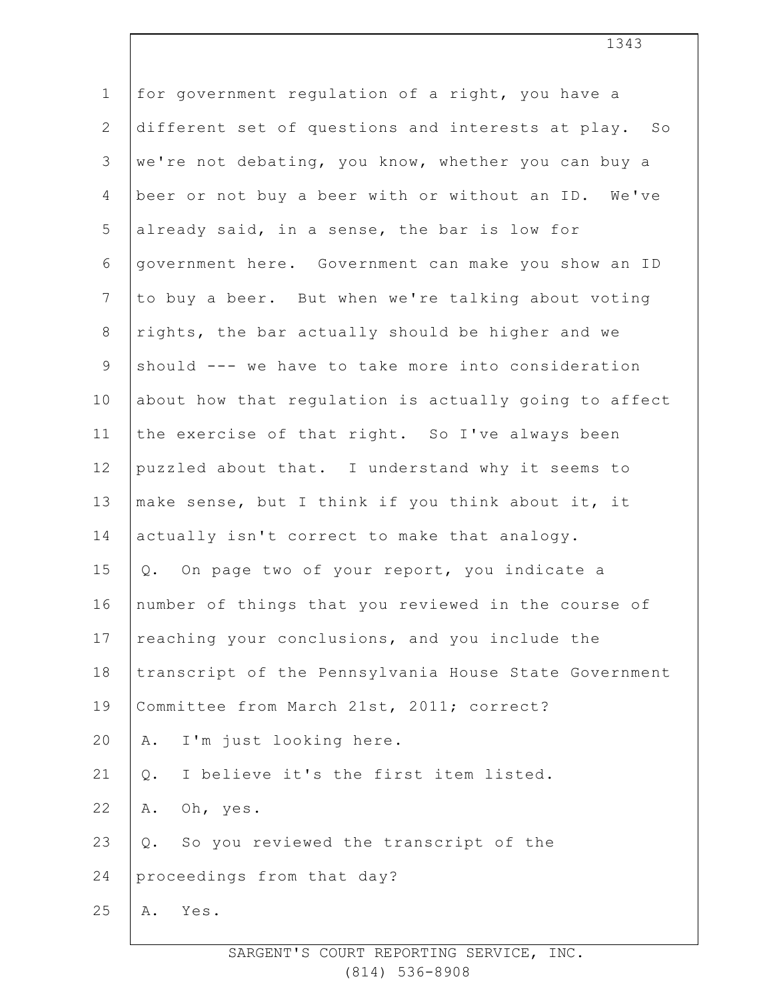| $\mathbf 1$     | for government regulation of a right, you have a      |
|-----------------|-------------------------------------------------------|
| $\mathbf{2}$    | different set of questions and interests at play. So  |
| 3               | we're not debating, you know, whether you can buy a   |
| $\overline{4}$  | beer or not buy a beer with or without an ID. We've   |
| 5               | already said, in a sense, the bar is low for          |
| 6               | government here. Government can make you show an ID   |
| $7\phantom{.0}$ | to buy a beer. But when we're talking about voting    |
| $8\,$           | rights, the bar actually should be higher and we      |
| 9               | should --- we have to take more into consideration    |
| 10              | about how that regulation is actually going to affect |
| 11              | the exercise of that right. So I've always been       |
| 12              | puzzled about that. I understand why it seems to      |
| 13              | make sense, but I think if you think about it, it     |
| 14              | actually isn't correct to make that analogy.          |
| 15              | On page two of your report, you indicate a<br>Q.      |
| 16              | number of things that you reviewed in the course of   |
| 17              | reaching your conclusions, and you include the        |
| 18              | transcript of the Pennsylvania House State Government |
| 19              | Committee from March 21st, 2011; correct?             |
| 20              | I'm just looking here.<br>Α.                          |
| 21              | I believe it's the first item listed.<br>Q.           |
| 22              | Oh, yes.<br>Α.                                        |
| 23              | So you reviewed the transcript of the<br>Q.           |
| 24              | proceedings from that day?                            |
| 25              | Yes.<br>Α.                                            |
|                 |                                                       |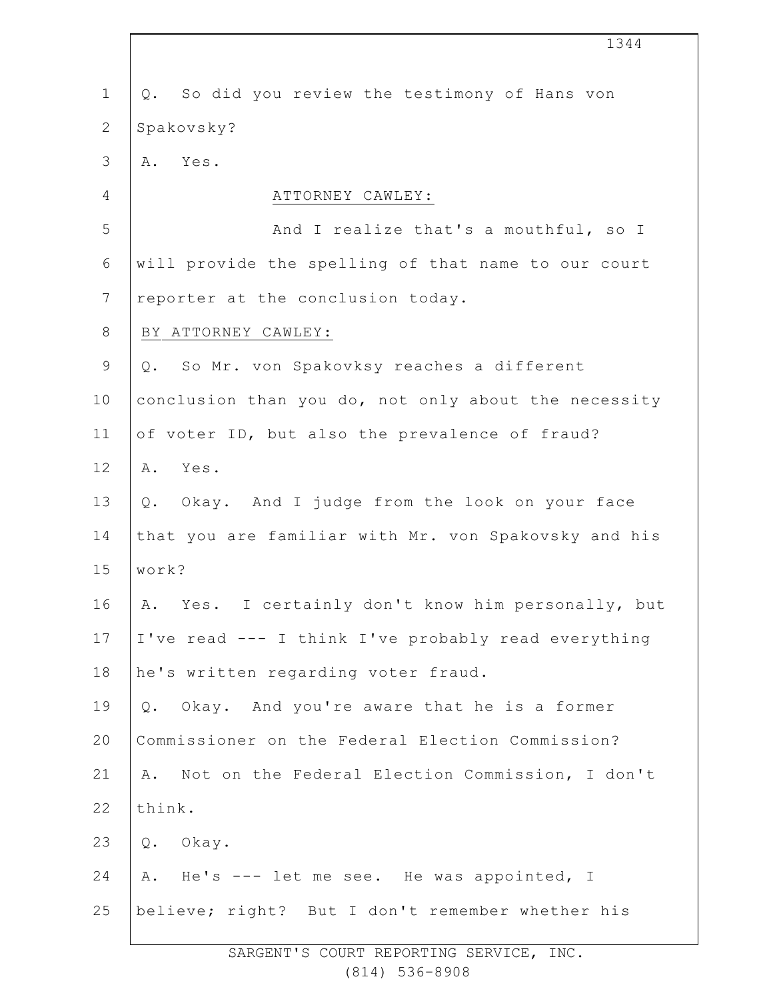|                | 1344                                                  |
|----------------|-------------------------------------------------------|
| $\mathbf 1$    | So did you review the testimony of Hans von<br>Q.     |
| $\overline{2}$ | Spakovsky?                                            |
| $\mathfrak{Z}$ | A. Yes.                                               |
| 4              | ATTORNEY CAWLEY:                                      |
| 5              | And I realize that's a mouthful, so I                 |
| 6              | will provide the spelling of that name to our court   |
| $\overline{7}$ | reporter at the conclusion today.                     |
| $8\,$          | BY ATTORNEY CAWLEY:                                   |
| $\mathsf 9$    | Q. So Mr. von Spakovksy reaches a different           |
| 10             | conclusion than you do, not only about the necessity  |
| 11             | of voter ID, but also the prevalence of fraud?        |
| 12             | Yes.<br>Α.                                            |
| 13             | Q. Okay. And I judge from the look on your face       |
| 14             | that you are familiar with Mr. von Spakovsky and his  |
| 15             | work?                                                 |
| 16             | Yes. I certainly don't know him personally, but<br>Α. |
| 17             | I've read --- I think I've probably read everything   |
| 18             | he's written regarding voter fraud.                   |
| 19             | Q. Okay. And you're aware that he is a former         |
| 20             | Commissioner on the Federal Election Commission?      |
| 21             | Not on the Federal Election Commission, I don't<br>Α. |
| 22             | think.                                                |
| 23             | Q. Okay.                                              |
| 24             | He's --- let me see. He was appointed, I<br>Α.        |
| 25             | believe; right? But I don't remember whether his      |
|                |                                                       |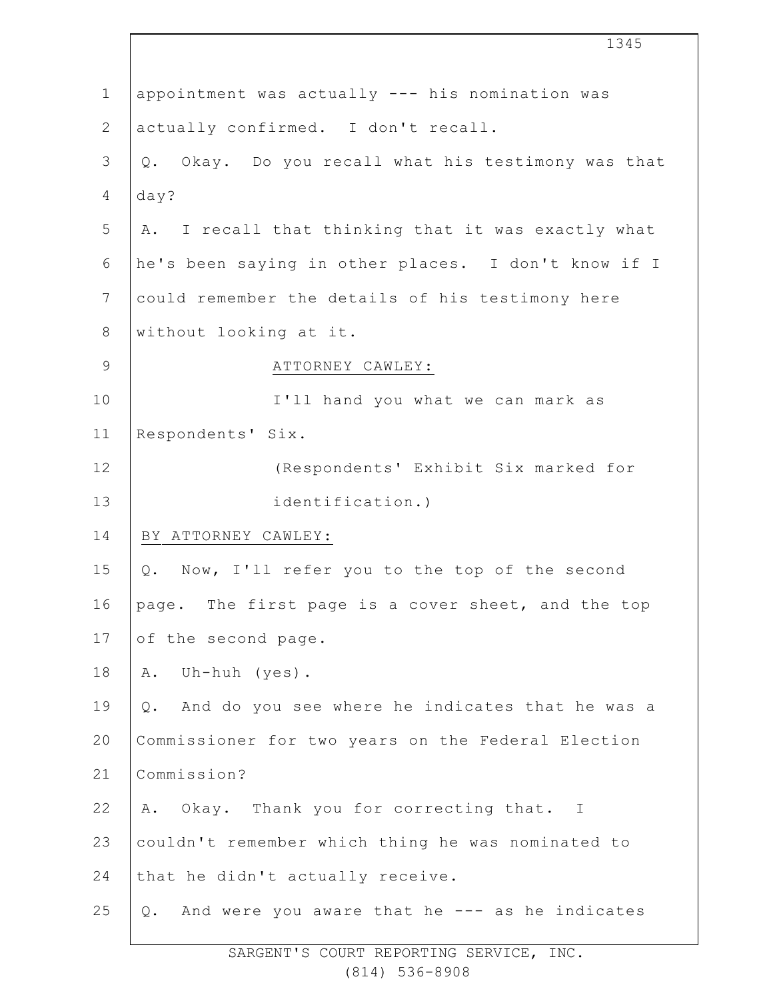|                | 1345                                                 |
|----------------|------------------------------------------------------|
| $\mathbf 1$    | appointment was actually --- his nomination was      |
| $\mathbf{2}$   | actually confirmed. I don't recall.                  |
| $\mathfrak{Z}$ | Q. Okay. Do you recall what his testimony was that   |
| $\overline{4}$ | day?                                                 |
| 5              | A. I recall that thinking that it was exactly what   |
| 6              | he's been saying in other places. I don't know if I  |
| $\overline{7}$ | could remember the details of his testimony here     |
| $\,8\,$        | without looking at it.                               |
| $\mathsf 9$    | ATTORNEY CAWLEY:                                     |
| 10             | I'll hand you what we can mark as                    |
| 11             | Respondents' Six.                                    |
| 12             | (Respondents' Exhibit Six marked for                 |
| 13             | identification.)                                     |
| 14             | BY ATTORNEY CAWLEY:                                  |
| 15             | Q. Now, I'll refer you to the top of the second      |
| 16             | page. The first page is a cover sheet, and the top   |
| 17             | of the second page.                                  |
| 18             | Uh-huh (yes).<br>Α.                                  |
| 19             | Q. And do you see where he indicates that he was a   |
| 20             | Commissioner for two years on the Federal Election   |
| 21             | Commission?                                          |
| 22             | Okay. Thank you for correcting that. I<br>Α.         |
| 23             | couldn't remember which thing he was nominated to    |
| 24             | that he didn't actually receive.                     |
| 25             | And were you aware that he --- as he indicates<br>Q. |
|                |                                                      |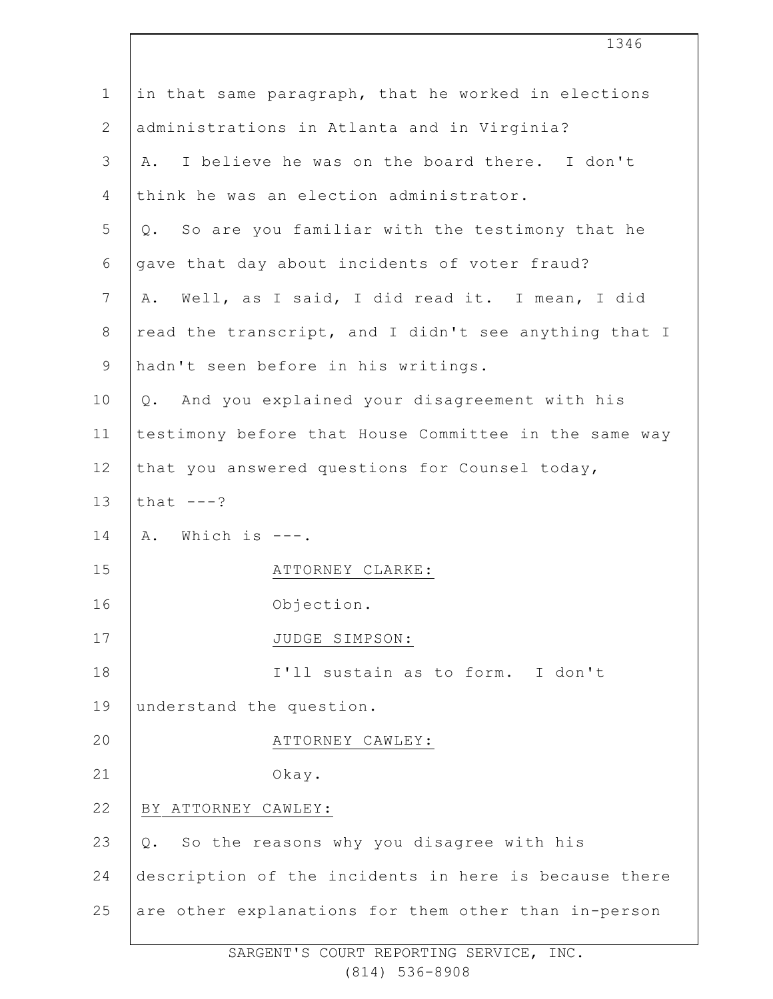| $\mathbf 1$    | in that same paragraph, that he worked in elections   |
|----------------|-------------------------------------------------------|
| $\overline{2}$ | administrations in Atlanta and in Virginia?           |
| 3              | A. I believe he was on the board there. I don't       |
| 4              | think he was an election administrator.               |
| 5              | Q. So are you familiar with the testimony that he     |
| 6              | gave that day about incidents of voter fraud?         |
| 7              | A. Well, as I said, I did read it. I mean, I did      |
| $8\,$          | read the transcript, and I didn't see anything that I |
| $\mathsf 9$    | hadn't seen before in his writings.                   |
| 10             | And you explained your disagreement with his<br>Q.    |
| 11             | testimony before that House Committee in the same way |
| 12             | that you answered questions for Counsel today,        |
| 13             | that $---?$                                           |
| 14             | A. Which is ---.                                      |
| 15             | ATTORNEY CLARKE:                                      |
| 16             | Objection.                                            |
| 17             | JUDGE SIMPSON:                                        |
| 18             | I'll sustain as to form. I don't                      |
| 19             | understand the question.                              |
| 20             | ATTORNEY CAWLEY:                                      |
| 21             | Okay.                                                 |
| 22             | BY ATTORNEY CAWLEY:                                   |
| 23             | Q. So the reasons why you disagree with his           |
| 24             | description of the incidents in here is because there |
| 25             | are other explanations for them other than in-person  |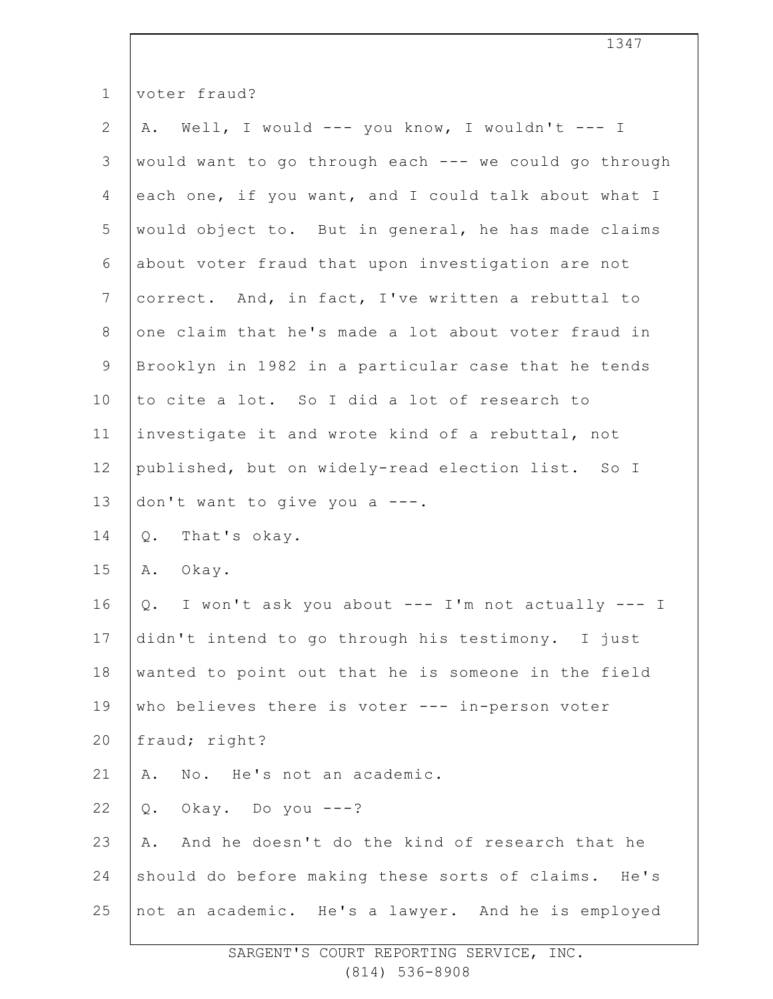| $\mathbf 1$    | voter fraud?                                           |
|----------------|--------------------------------------------------------|
| $\mathbf{2}$   | Well, I would --- you know, I wouldn't --- I<br>Α.     |
| $\mathfrak{Z}$ | would want to go through each --- we could go through  |
| 4              | each one, if you want, and I could talk about what I   |
| 5              | would object to. But in general, he has made claims    |
| 6              | about voter fraud that upon investigation are not      |
| $\overline{7}$ | correct. And, in fact, I've written a rebuttal to      |
| $\,8\,$        | one claim that he's made a lot about voter fraud in    |
| $\overline{9}$ | Brooklyn in 1982 in a particular case that he tends    |
| 10             | to cite a lot. So I did a lot of research to           |
| 11             | investigate it and wrote kind of a rebuttal, not       |
| 12             | published, but on widely-read election list. So I      |
| 13             | don't want to give you a ---.                          |
| 14             | That's okay.<br>Q.                                     |
| 15             | Α.<br>Okay.                                            |
| 16             | I won't ask you about --- I'm not actually --- I<br>Q. |
| 17             | didn't intend to go through his testimony. I just      |
| $1\,8$         | wanted to point out that he is someone in the field    |
| 19             | who believes there is voter --- in-person voter        |
| 20             | fraud; right?                                          |
| 21             | No. He's not an academic.<br>Α.                        |
| 22             | Okay. Do you $---?$<br>$Q$ .                           |
| 23             | And he doesn't do the kind of research that he<br>Α.   |
| 24             | should do before making these sorts of claims. He's    |
| 25             | not an academic. He's a lawyer. And he is employed     |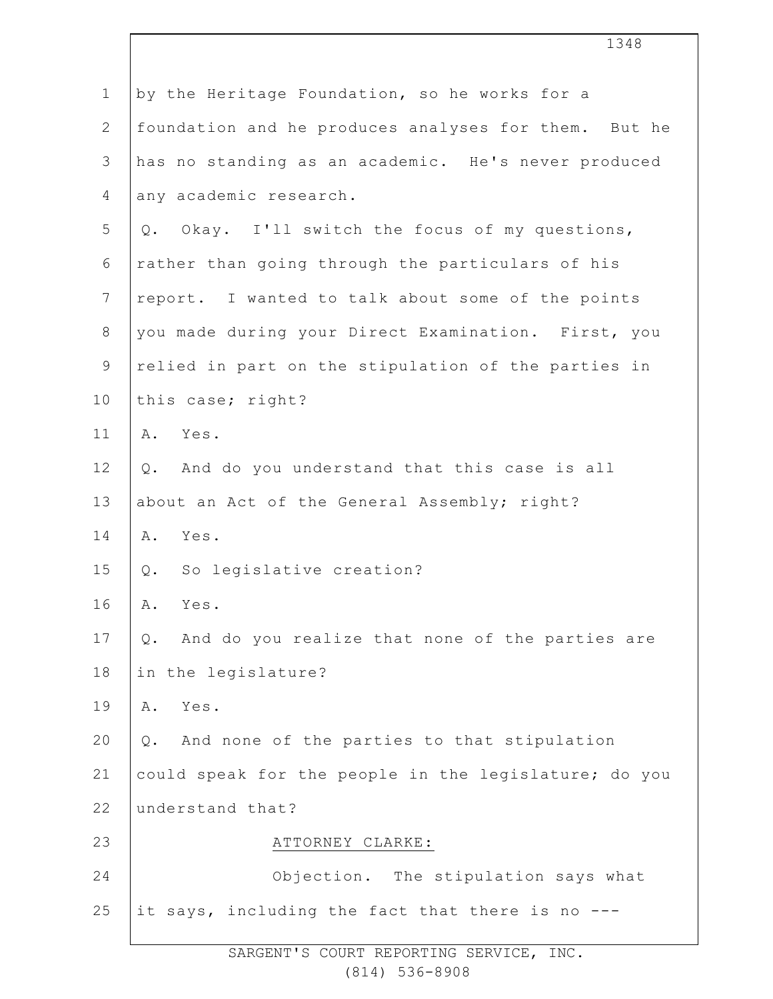|                | 1348                                                     |
|----------------|----------------------------------------------------------|
| $\mathbf 1$    | by the Heritage Foundation, so he works for a            |
| $\mathbf{2}$   | foundation and he produces analyses for them. But he     |
| 3              | has no standing as an academic. He's never produced      |
| 4              | any academic research.                                   |
| 5              | Q. Okay. I'll switch the focus of my questions,          |
| 6              | rather than going through the particulars of his         |
| $7\phantom{.}$ | report. I wanted to talk about some of the points        |
| $8\,$          | you made during your Direct Examination. First, you      |
| $\mathsf 9$    | relied in part on the stipulation of the parties in      |
| 10             | this case; right?                                        |
| 11             | A. Yes.                                                  |
| 12             | And do you understand that this case is all<br>Q.        |
| 13             | about an Act of the General Assembly; right?             |
| 14             | Yes.<br>Α.                                               |
| 15             | Q. So legislative creation?                              |
| 16             | Α.<br>Yes.                                               |
| 17             | And do you realize that none of the parties are<br>$Q$ . |
| 18             | in the legislature?                                      |
| 19             | Yes.<br>Α.                                               |
| 20             | And none of the parties to that stipulation<br>Q.        |
| 21             | could speak for the people in the legislature; do you    |
| 22             | understand that?                                         |
| 23             | ATTORNEY CLARKE:                                         |
| 24             | Objection. The stipulation says what                     |
| 25             | it says, including the fact that there is no ---         |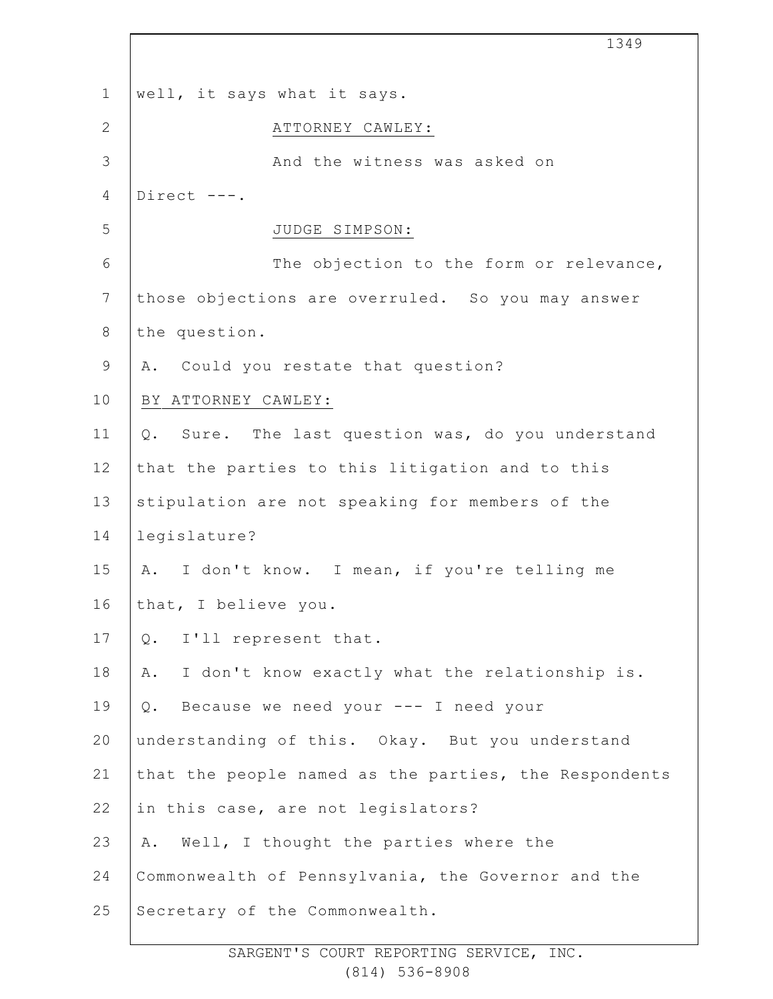1 2 3 4 5 6 7 8 9 10 11 12 13 14 15 16 17 18 19 20 21 22 23 24 25 1349 well, it says what it says. ATTORNEY CAWLEY: And the witness was asked on Direct ---. JUDGE SIMPSON: The objection to the form or relevance, those objections are overruled. So you may answer the question. A. Could you restate that question? BY ATTORNEY CAWLEY: Q. Sure. The last question was, do you understand that the parties to this litigation and to this stipulation are not speaking for members of the legislature? A. I don't know. I mean, if you're telling me that, I believe you. Q. I'll represent that. A. I don't know exactly what the relationship is. Q. Because we need your --- I need your understanding of this. Okay. But you understand that the people named as the parties, the Respondents in this case, are not legislators? A. Well, I thought the parties where the Commonwealth of Pennsylvania, the Governor and the Secretary of the Commonwealth.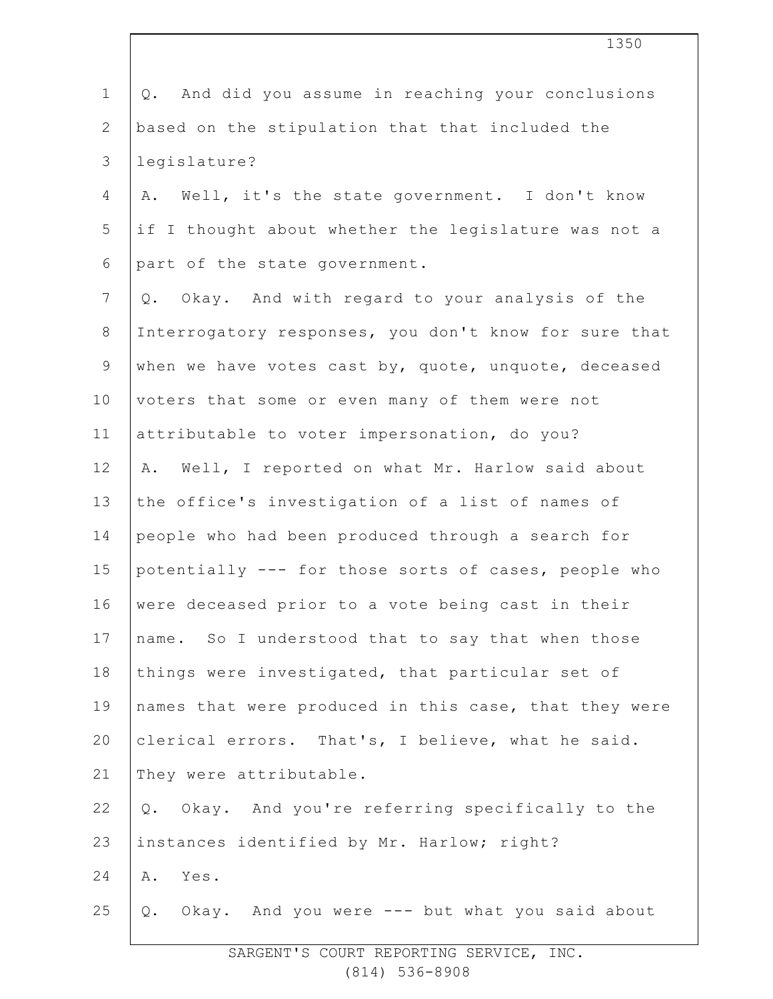| $\mathbf 1$    | And did you assume in reaching your conclusions<br>Q. |
|----------------|-------------------------------------------------------|
| $\mathbf{2}$   | based on the stipulation that that included the       |
| 3              | legislature?                                          |
| 4              | Well, it's the state government. I don't know<br>Α.   |
| 5              | if I thought about whether the legislature was not a  |
| 6              | part of the state government.                         |
| $7\phantom{.}$ | Okay. And with regard to your analysis of the<br>Q.   |
| $\,8\,$        | Interrogatory responses, you don't know for sure that |
| $\mathsf 9$    | when we have votes cast by, quote, unquote, deceased  |
| 10             | voters that some or even many of them were not        |
| 11             | attributable to voter impersonation, do you?          |
| 12             | Well, I reported on what Mr. Harlow said about<br>Α.  |
| 13             | the office's investigation of a list of names of      |
| 14             | people who had been produced through a search for     |
| 15             | potentially --- for those sorts of cases, people who  |
| 16             | were deceased prior to a vote being cast in their     |
| 17             | name. So I understood that to say that when those     |
| 18             | things were investigated, that particular set of      |
| 19             | names that were produced in this case, that they were |
| 20             | clerical errors. That's, I believe, what he said.     |
| 21             | They were attributable.                               |
| 22             | Okay. And you're referring specifically to the<br>Q.  |
| 23             | instances identified by Mr. Harlow; right?            |
| 24             | Α.<br>Yes.                                            |
| 25             | Okay. And you were --- but what you said about<br>Q.  |
|                |                                                       |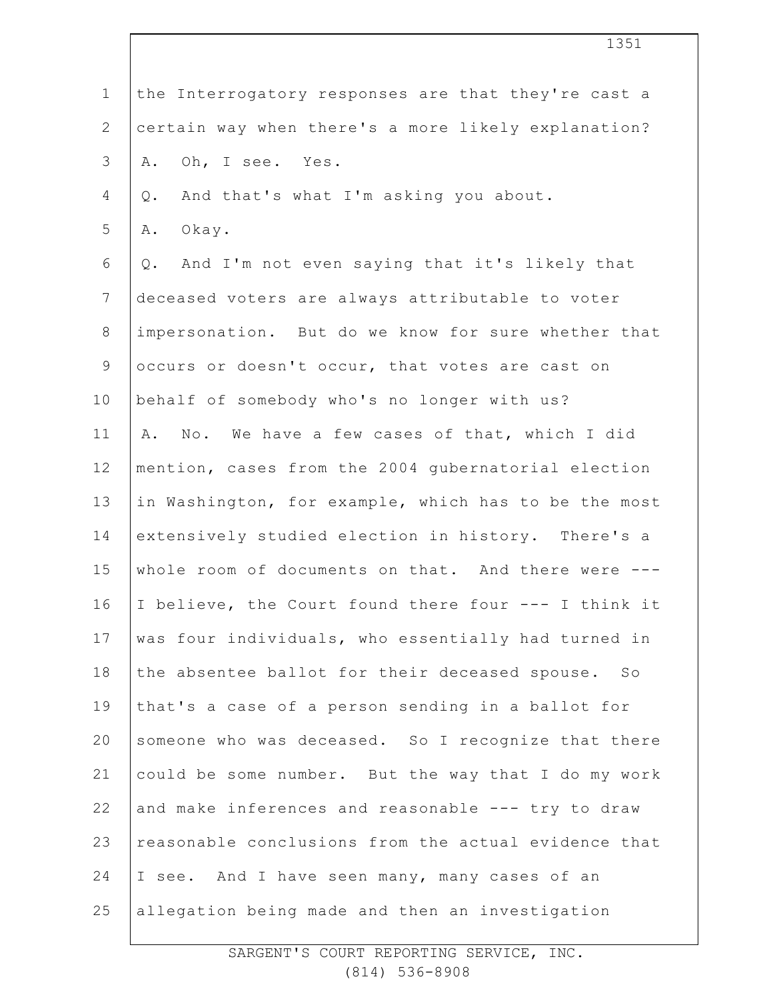| $\mathbf 1$    | the Interrogatory responses are that they're cast a  |
|----------------|------------------------------------------------------|
| $\overline{2}$ | certain way when there's a more likely explanation?  |
| 3              | Oh, I see. Yes.<br>Α.                                |
| $\overline{4}$ | And that's what I'm asking you about.<br>$Q$ .       |
| 5              | Okay.<br>Α.                                          |
| 6              | And I'm not even saying that it's likely that<br>Q.  |
| $7\phantom{.}$ | deceased voters are always attributable to voter     |
| $\,8\,$        | impersonation. But do we know for sure whether that  |
| $\mathsf 9$    | occurs or doesn't occur, that votes are cast on      |
| 10             | behalf of somebody who's no longer with us?          |
| 11             | A. No. We have a few cases of that, which I did      |
| 12             | mention, cases from the 2004 gubernatorial election  |
| 13             | in Washington, for example, which has to be the most |
| 14             | extensively studied election in history. There's a   |
| 15             | whole room of documents on that. And there were ---  |
| 16             | I believe, the Court found there four --- I think it |
| 17             | was four individuals, who essentially had turned in  |
| 18             | the absentee ballot for their deceased spouse. So    |
| 19             | that's a case of a person sending in a ballot for    |
| 20             | someone who was deceased. So I recognize that there  |
| 21             | could be some number. But the way that I do my work  |
| 22             | and make inferences and reasonable --- try to draw   |
| 23             | reasonable conclusions from the actual evidence that |
| 24             | I see. And I have seen many, many cases of an        |
| 25             | allegation being made and then an investigation      |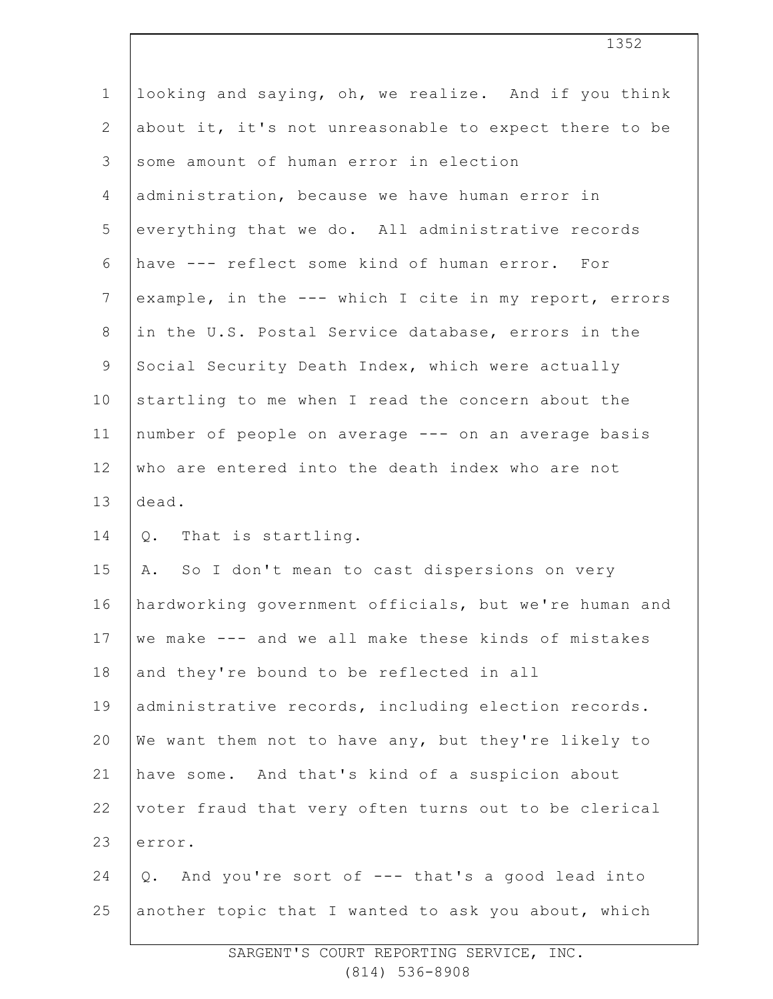| $\mathbf 1$     | looking and saying, oh, we realize. And if you think  |
|-----------------|-------------------------------------------------------|
| $\mathbf{2}$    | about it, it's not unreasonable to expect there to be |
| 3               | some amount of human error in election                |
| $\overline{4}$  | administration, because we have human error in        |
| 5               | everything that we do. All administrative records     |
| 6               | have --- reflect some kind of human error. For        |
| $7\overline{ }$ | example, in the --- which I cite in my report, errors |
| $8\,$           | in the U.S. Postal Service database, errors in the    |
| $\overline{9}$  | Social Security Death Index, which were actually      |
| 10              | startling to me when I read the concern about the     |
| 11              | number of people on average --- on an average basis   |
| 12              | who are entered into the death index who are not      |
| 13              | dead.                                                 |
|                 |                                                       |
| 14              | Q. That is startling.                                 |
| 15              | A. So I don't mean to cast dispersions on very        |
| 16              | hardworking government officials, but we're human and |
| 17              | we make --- and we all make these kinds of mistakes   |
| 18              | and they're bound to be reflected in all              |
| 19              | administrative records, including election records.   |
| 20              | We want them not to have any, but they're likely to   |
| 21              | have some. And that's kind of a suspicion about       |
| 22              | voter fraud that very often turns out to be clerical  |
| 23              | error.                                                |
| 24              | Q. And you're sort of --- that's a good lead into     |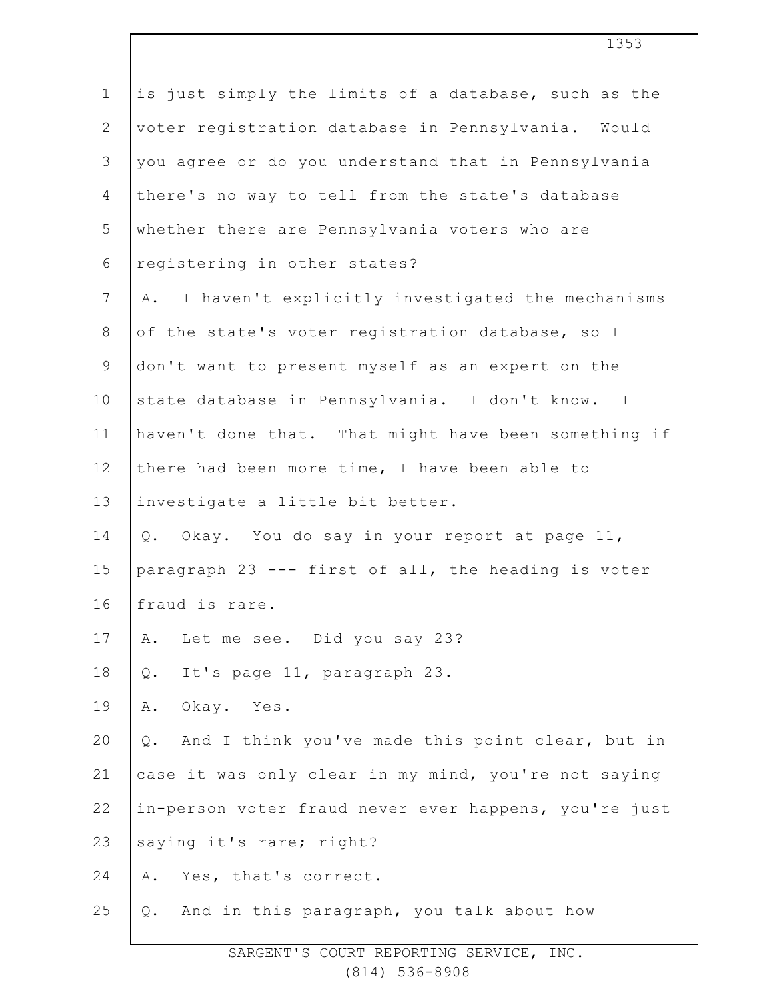| $\mathbf 1$    | is just simply the limits of a database, such as the   |
|----------------|--------------------------------------------------------|
| $\mathbf{2}$   | voter registration database in Pennsylvania. Would     |
| 3              | you agree or do you understand that in Pennsylvania    |
| $\overline{4}$ | there's no way to tell from the state's database       |
| 5              | whether there are Pennsylvania voters who are          |
| 6              | registering in other states?                           |
| $\overline{7}$ | I haven't explicitly investigated the mechanisms<br>Α. |
| $8\,$          | of the state's voter registration database, so I       |
| $\mathsf 9$    | don't want to present myself as an expert on the       |
| 10             | state database in Pennsylvania. I don't know. I        |
| 11             | haven't done that. That might have been something if   |
| 12             | there had been more time, I have been able to          |
| 13             | investigate a little bit better.                       |
| 14             | Okay. You do say in your report at page 11,<br>$Q$ .   |
| 15             | paragraph 23 --- first of all, the heading is voter    |
| 16             | fraud is rare.                                         |
| 17             | Let me see. Did you say 23?<br>Α.                      |
| 18             | It's page 11, paragraph 23.<br>$\mathbb Q$ .           |
| 19             | Okay. Yes.<br>Α.                                       |
| 20             | And I think you've made this point clear, but in<br>Q. |
| 21             | case it was only clear in my mind, you're not saying   |
| 22             | in-person voter fraud never ever happens, you're just  |
| 23             | saying it's rare; right?                               |
| 24             | Yes, that's correct.<br>Α.                             |
| 25             | And in this paragraph, you talk about how<br>Q.        |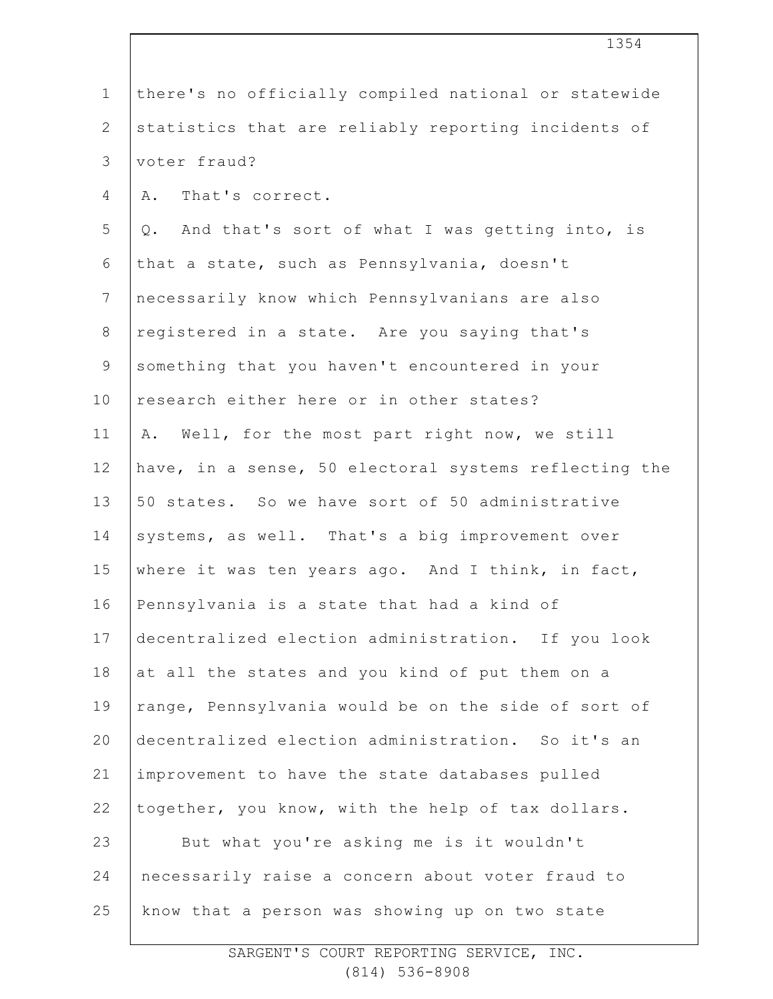|                | 1354                                                  |
|----------------|-------------------------------------------------------|
| $\mathbf 1$    | there's no officially compiled national or statewide  |
| $\mathbf{2}$   | statistics that are reliably reporting incidents of   |
| 3              | voter fraud?                                          |
| 4              | That's correct.<br>Α.                                 |
| 5              | Q. And that's sort of what I was getting into, is     |
| 6              | that a state, such as Pennsylvania, doesn't           |
| $\overline{7}$ | necessarily know which Pennsylvanians are also        |
| $8\,$          | registered in a state. Are you saying that's          |
| 9              | something that you haven't encountered in your        |
| 10             | research either here or in other states?              |
| 11             | Well, for the most part right now, we still<br>Α.     |
| 12             | have, in a sense, 50 electoral systems reflecting the |
| 13             | 50 states. So we have sort of 50 administrative       |
| 14             | systems, as well. That's a big improvement over       |
| 15             | where it was ten years ago. And I think, in fact,     |
| 16             | Pennsylvania is a state that had a kind of            |
| 17             | decentralized election administration. If you look    |
| 18             | at all the states and you kind of put them on a       |
| 19             | range, Pennsylvania would be on the side of sort of   |
| 20             | decentralized election administration. So it's an     |
| 21             | improvement to have the state databases pulled        |
| 22             | together, you know, with the help of tax dollars.     |
| 23             | But what you're asking me is it wouldn't              |
| 24             | necessarily raise a concern about voter fraud to      |
| 25             | know that a person was showing up on two state        |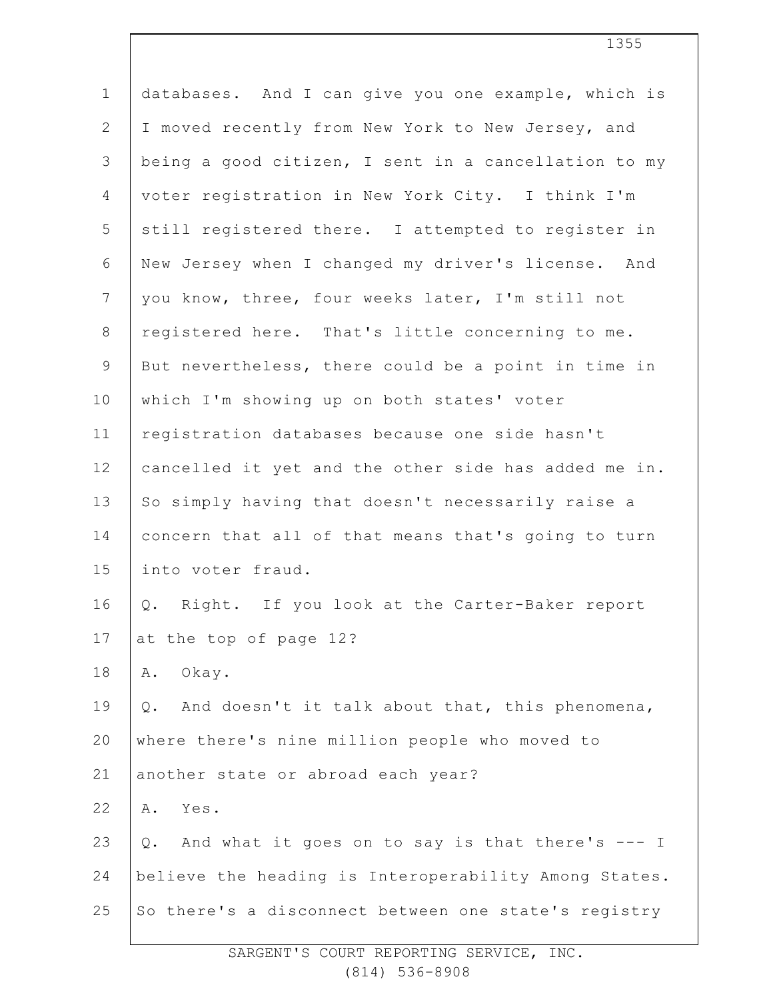| $\mathbf 1$     | databases. And I can give you one example, which is    |
|-----------------|--------------------------------------------------------|
| $\mathbf{2}$    | I moved recently from New York to New Jersey, and      |
| $\mathfrak{Z}$  | being a good citizen, I sent in a cancellation to my   |
| 4               | voter registration in New York City. I think I'm       |
| 5               | still registered there. I attempted to register in     |
| 6               | New Jersey when I changed my driver's license. And     |
| $7\phantom{.0}$ | you know, three, four weeks later, I'm still not       |
| $8\,$           | registered here. That's little concerning to me.       |
| $\mathsf 9$     | But nevertheless, there could be a point in time in    |
| 10              | which I'm showing up on both states' voter             |
| 11              | registration databases because one side hasn't         |
| 12              | cancelled it yet and the other side has added me in.   |
| 13              | So simply having that doesn't necessarily raise a      |
| 14              | concern that all of that means that's going to turn    |
| 15              | into voter fraud.                                      |
| 16              | Right. If you look at the Carter-Baker report<br>Q.    |
| 17              | at the top of page 12?                                 |
| 18              | Okay.<br>Α.                                            |
| 19              | And doesn't it talk about that, this phenomena,<br>Q.  |
| 20              | where there's nine million people who moved to         |
| 21              | another state or abroad each year?                     |
| 22              | Yes.<br>Α.                                             |
| 23              | And what it goes on to say is that there's --- I<br>Q. |
| 24              | believe the heading is Interoperability Among States.  |
| 25              | So there's a disconnect between one state's registry   |
|                 |                                                        |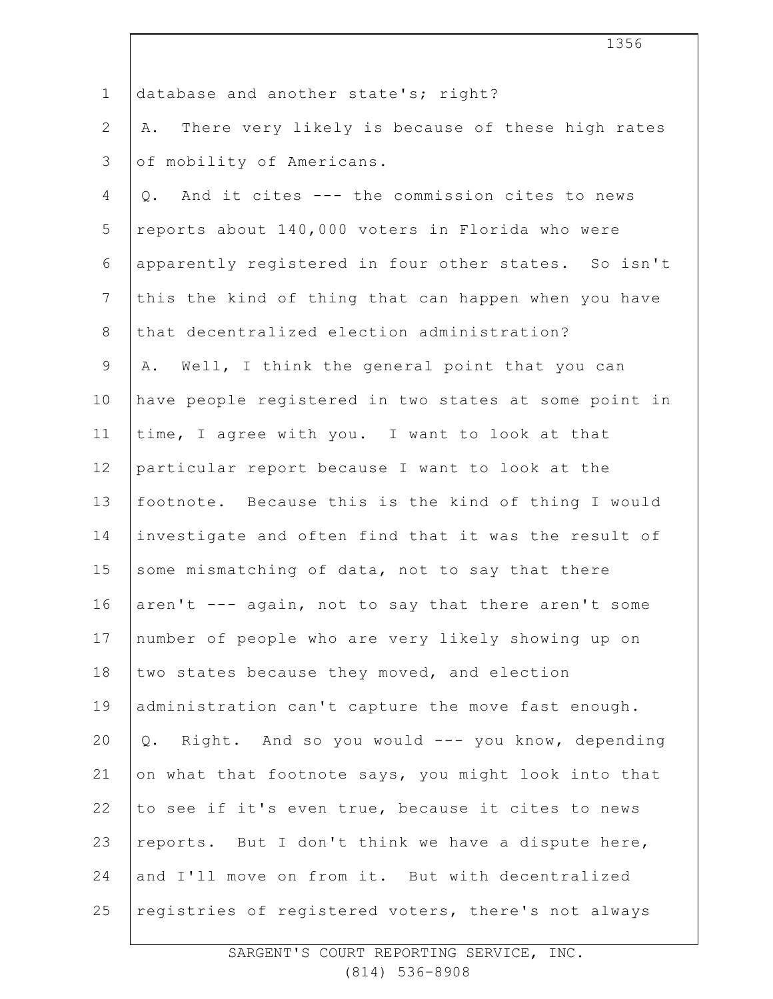| $\mathbf 1$    | database and another state's; right?                   |
|----------------|--------------------------------------------------------|
| $\mathbf{2}$   | There very likely is because of these high rates<br>Α. |
| 3              | of mobility of Americans.                              |
| $\overline{4}$ | Q. And it cites --- the commission cites to news       |
| 5              | reports about 140,000 voters in Florida who were       |
| 6              | apparently registered in four other states. So isn't   |
| $\overline{7}$ | this the kind of thing that can happen when you have   |
| $8\,$          | that decentralized election administration?            |
| 9              | Well, I think the general point that you can<br>Α.     |
| 10             | have people registered in two states at some point in  |
| 11             | time, I agree with you. I want to look at that         |
| 12             | particular report because I want to look at the        |
| 13             | footnote. Because this is the kind of thing I would    |
| 14             | investigate and often find that it was the result of   |
| 15             | some mismatching of data, not to say that there        |
| 16             | aren't --- again, not to say that there aren't some    |
| 17             | number of people who are very likely showing up on     |
| 18             | two states because they moved, and election            |
| 19             | administration can't capture the move fast enough.     |
| 20             | Q. Right. And so you would --- you know, depending     |
| 21             | on what that footnote says, you might look into that   |
| 22             | to see if it's even true, because it cites to news     |
| 23             | reports. But I don't think we have a dispute here,     |
| 24             | and I'll move on from it. But with decentralized       |
| 25             | registries of registered voters, there's not always    |

 $\overline{\phantom{a}}$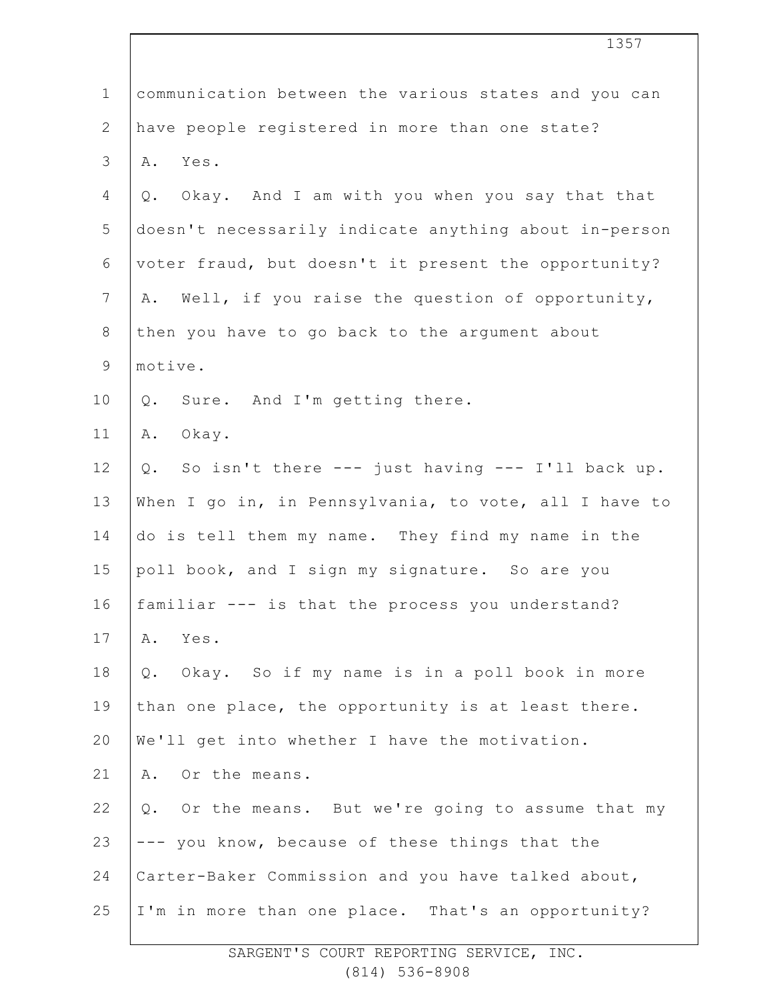|                | エンソノ                                                  |
|----------------|-------------------------------------------------------|
| $\mathbf 1$    | communication between the various states and you can  |
| $\mathbf{2}$   | have people registered in more than one state?        |
| 3              | Yes.<br>Α.                                            |
| 4              | Q. Okay. And I am with you when you say that that     |
| 5              | doesn't necessarily indicate anything about in-person |
| 6              | voter fraud, but doesn't it present the opportunity?  |
| $\overline{7}$ | Well, if you raise the question of opportunity,<br>Α. |
| $8\,$          | then you have to go back to the argument about        |
| $\mathsf 9$    | motive.                                               |
| 10             | Sure. And I'm getting there.<br>Q.                    |
| 11             | Okay.<br>Α.                                           |
| 12             | Q. So isn't there --- just having --- I'll back up.   |
| 13             | When I go in, in Pennsylvania, to vote, all I have to |
| 14             | do is tell them my name. They find my name in the     |
| 15             | poll book, and I sign my signature. So are you        |
| 16             | familiar --- is that the process you understand?      |
| 17             | Yes.<br>Α.                                            |
| 18             | Q. Okay. So if my name is in a poll book in more      |
| 19             | than one place, the opportunity is at least there.    |
| 20             | We'll get into whether I have the motivation.         |
| 21             | Or the means.<br>Α.                                   |
| 22             | Q. Or the means. But we're going to assume that my    |
| 23             | --- you know, because of these things that the        |
| 24             | Carter-Baker Commission and you have talked about,    |
| 25             | I'm in more than one place. That's an opportunity?    |
|                |                                                       |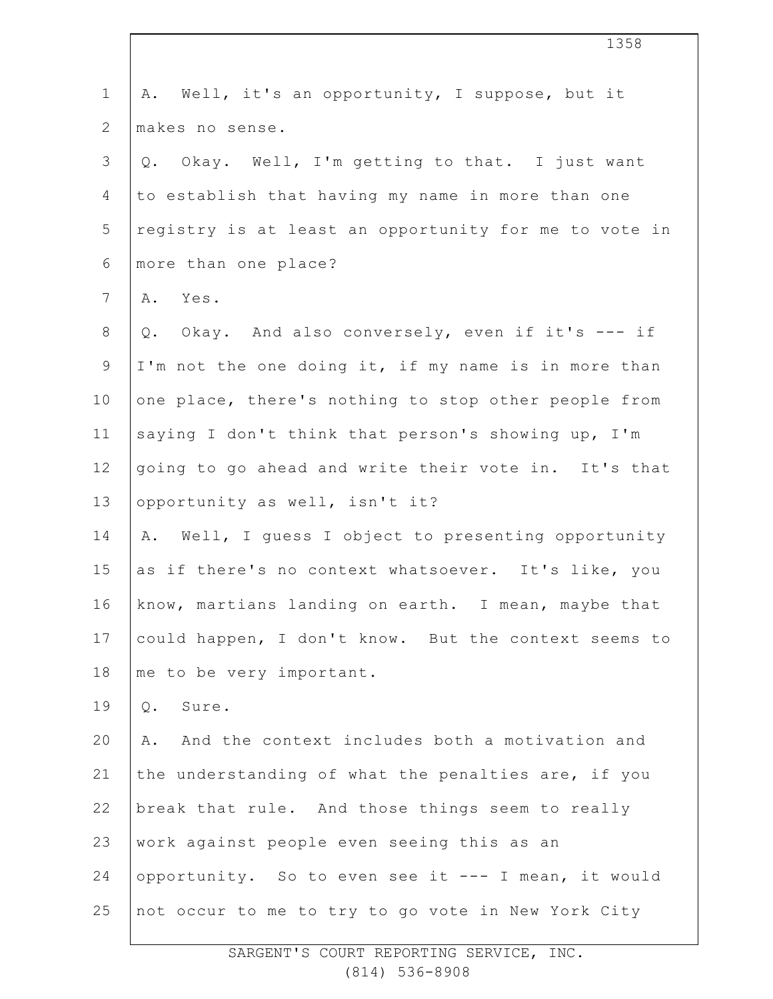| $\mathbf 1$     | A. Well, it's an opportunity, I suppose, but it        |
|-----------------|--------------------------------------------------------|
| $\overline{2}$  | makes no sense.                                        |
| 3               | Q. Okay. Well, I'm getting to that. I just want        |
| 4               | to establish that having my name in more than one      |
| 5               | registry is at least an opportunity for me to vote in  |
| 6               | more than one place?                                   |
| $\overline{7}$  | A. Yes.                                                |
| $8\,$           | Okay. And also conversely, even if it's --- if<br>Q.   |
| $\mathsf 9$     | I'm not the one doing it, if my name is in more than   |
| 10              | one place, there's nothing to stop other people from   |
| 11              | saying I don't think that person's showing up, I'm     |
| 12 <sup>°</sup> | going to go ahead and write their vote in. It's that   |
| 13              | opportunity as well, isn't it?                         |
| 14              | Well, I guess I object to presenting opportunity<br>Α. |
| 15              | as if there's no context whatsoever. It's like, you    |
| 16              | know, martians landing on earth. I mean, maybe that    |
| 17              | could happen, I don't know. But the context seems to   |
| 18              | me to be very important.                               |
| 19              | Sure.<br>$Q$ .                                         |
| 20              | And the context includes both a motivation and<br>Α.   |
| 21              | the understanding of what the penalties are, if you    |
| 22              | break that rule. And those things seem to really       |
| 23              | work against people even seeing this as an             |
| 24              | opportunity. So to even see it --- I mean, it would    |
| 25              | not occur to me to try to go vote in New York City     |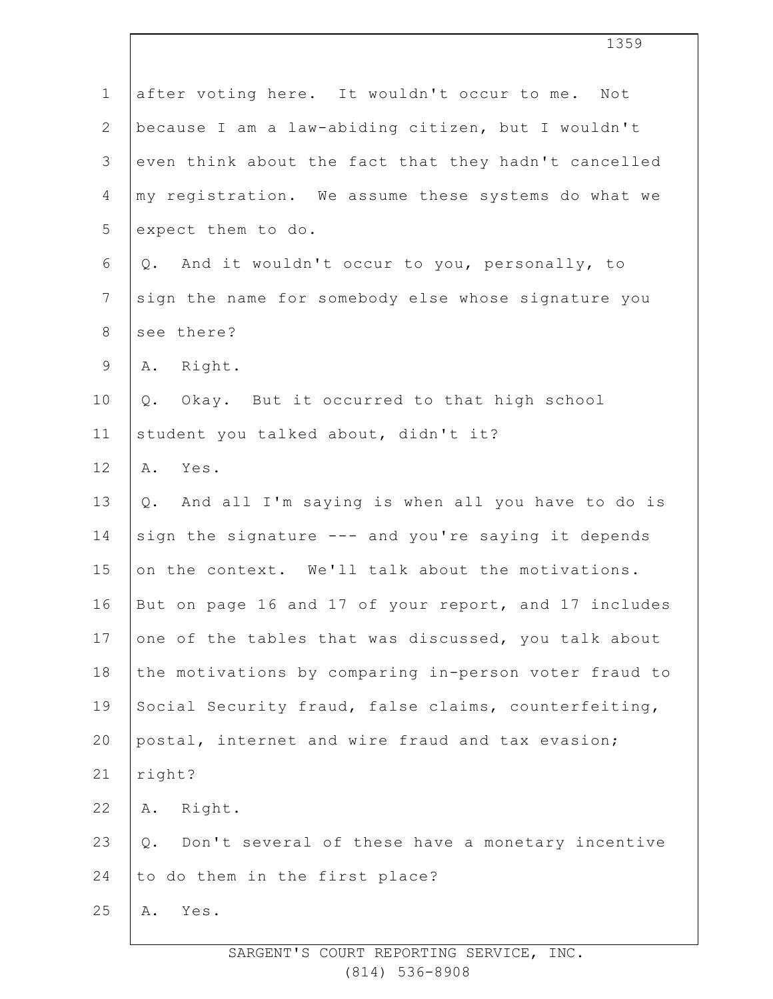|                 | 1359                                                   |
|-----------------|--------------------------------------------------------|
| $\mathbf 1$     | after voting here. It wouldn't occur to me. Not        |
| $\overline{2}$  | because I am a law-abiding citizen, but I wouldn't     |
| 3               | even think about the fact that they hadn't cancelled   |
| 4               | my registration. We assume these systems do what we    |
| 5               | expect them to do.                                     |
| 6               | And it wouldn't occur to you, personally, to<br>Q.     |
| $\overline{7}$  | sign the name for somebody else whose signature you    |
| $8\,$           | see there?                                             |
| 9               | A. Right.                                              |
| 10              | Okay. But it occurred to that high school<br>Q.        |
| 11              | student you talked about, didn't it?                   |
| 12 <sup>°</sup> | Yes.<br>Α.                                             |
| 13              | Q. And all I'm saying is when all you have to do is    |
| 14              | sign the signature --- and you're saying it depends    |
| 15              | on the context. We'll talk about the motivations.      |
| 16              | But on page 16 and 17 of your report, and 17 includes  |
| $17$            | one of the tables that was discussed, you talk about   |
| 18              | the motivations by comparing in-person voter fraud to  |
| 19              | Social Security fraud, false claims, counterfeiting,   |
| 20              | postal, internet and wire fraud and tax evasion;       |
| 21              | right?                                                 |
| 22              | Right.<br>Α.                                           |
| 23              | Don't several of these have a monetary incentive<br>Q. |
| 24              | to do them in the first place?                         |
| 25              | Α.<br>Yes.                                             |
|                 |                                                        |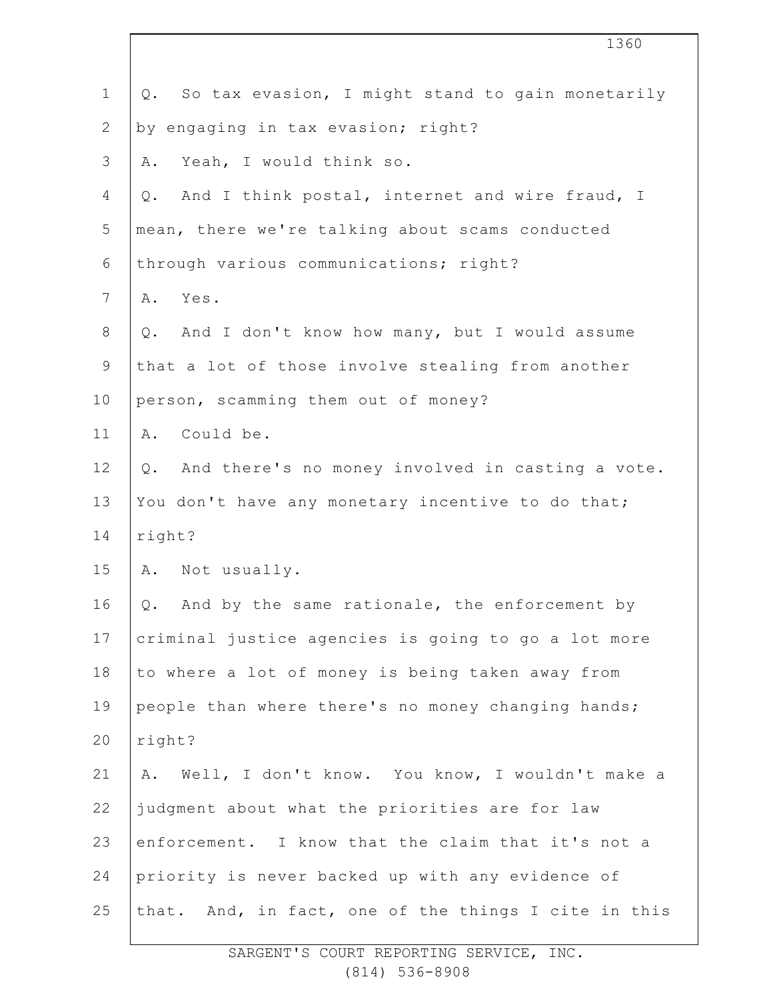| 1360                                                   |
|--------------------------------------------------------|
| Q. So tax evasion, I might stand to gain monetarily    |
| by engaging in tax evasion; right?                     |
| Yeah, I would think so.<br>Α.                          |
| And I think postal, internet and wire fraud, I<br>Q.   |
| mean, there we're talking about scams conducted        |
| through various communications; right?                 |
| Yes.<br>Α.                                             |
| And I don't know how many, but I would assume<br>Q.    |
| that a lot of those involve stealing from another      |
| person, scamming them out of money?                    |
| Could be.<br>Α.                                        |
| And there's no money involved in casting a vote.<br>Q. |
| You don't have any monetary incentive to do that;      |
| right?                                                 |
| A. Not usually.                                        |
| Q. And by the same rationale, the enforcement by       |
| criminal justice agencies is going to go a lot more    |
| to where a lot of money is being taken away from       |
| people than where there's no money changing hands;     |
| right?                                                 |
| Well, I don't know. You know, I wouldn't make a<br>Α.  |
| judgment about what the priorities are for law         |
| enforcement. I know that the claim that it's not a     |
| priority is never backed up with any evidence of       |
| that. And, in fact, one of the things I cite in this   |
|                                                        |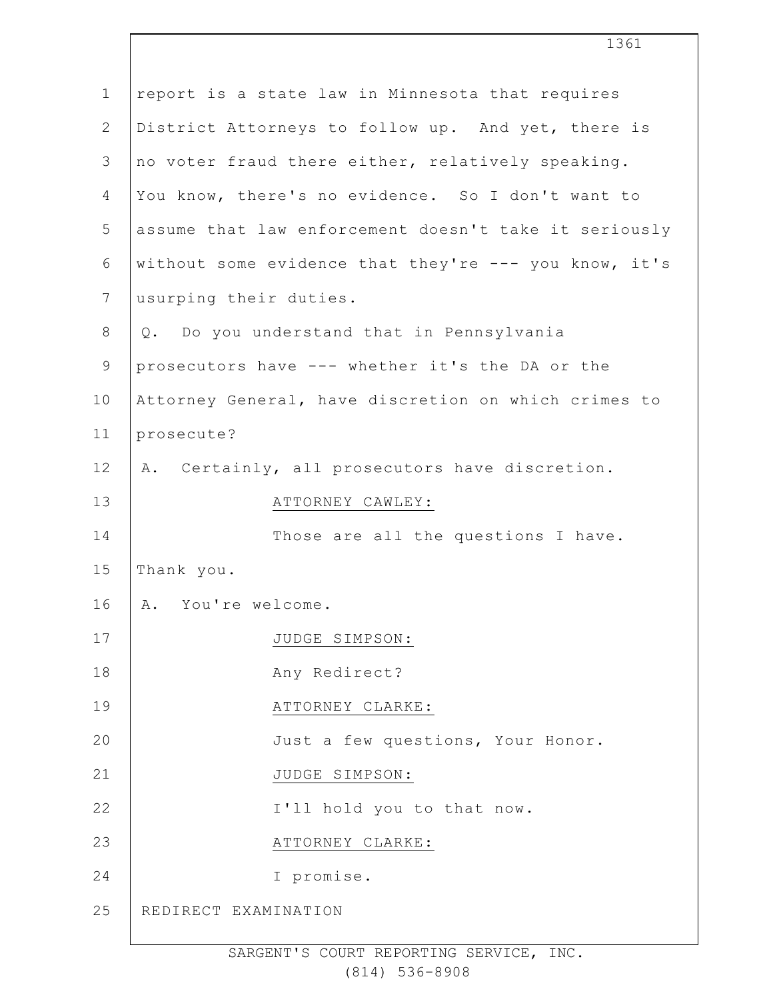| $\mathbf 1$    | report is a state law in Minnesota that requires      |
|----------------|-------------------------------------------------------|
| $\overline{2}$ | District Attorneys to follow up. And yet, there is    |
| 3              | no voter fraud there either, relatively speaking.     |
| 4              | You know, there's no evidence. So I don't want to     |
| 5              | assume that law enforcement doesn't take it seriously |
| 6              | without some evidence that they're --- you know, it's |
| $\overline{7}$ | usurping their duties.                                |
| $8\,$          | Q. Do you understand that in Pennsylvania             |
| $\mathsf 9$    | prosecutors have --- whether it's the DA or the       |
| 10             | Attorney General, have discretion on which crimes to  |
| 11             | prosecute?                                            |
| 12             | A. Certainly, all prosecutors have discretion.        |
| 13             | ATTORNEY CAWLEY:                                      |
| 14             | Those are all the questions I have.                   |
| 15             | Thank you.                                            |
| 16             | A. You're welcome.                                    |
| 17             | JUDGE SIMPSON:                                        |
| 18             | Any Redirect?                                         |
| 19             | ATTORNEY CLARKE:                                      |
| 20             | Just a few questions, Your Honor.                     |
| 21             | JUDGE SIMPSON:                                        |
| 22             | I'll hold you to that now.                            |
| 23             | ATTORNEY CLARKE:                                      |
| 24             | I promise.                                            |
| 25             | REDIRECT EXAMINATION                                  |
|                |                                                       |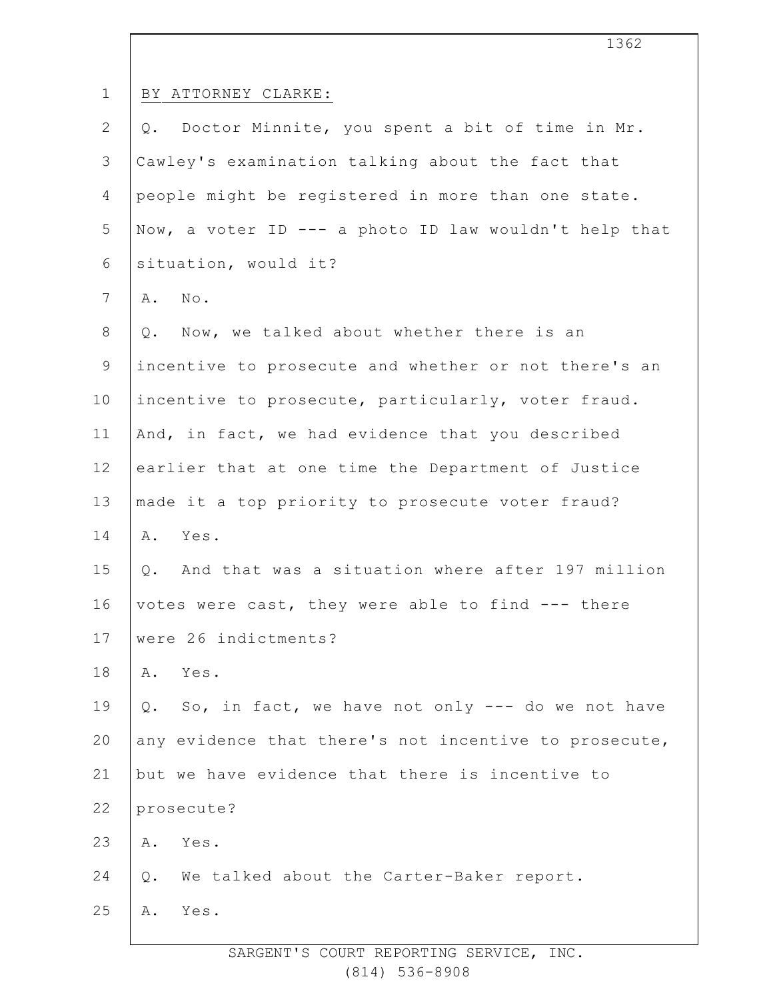|                 | エつので                                                  |
|-----------------|-------------------------------------------------------|
| $\mathbf 1$     | BY ATTORNEY CLARKE:                                   |
| $\mathbf{2}$    | Q. Doctor Minnite, you spent a bit of time in Mr.     |
| 3               | Cawley's examination talking about the fact that      |
| $\overline{4}$  | people might be registered in more than one state.    |
| 5               | Now, a voter ID --- a photo ID law wouldn't help that |
| 6               | situation, would it?                                  |
| $7\overline{ }$ | No.<br>Α.                                             |
| $8\,$           | Now, we talked about whether there is an<br>Q.        |
| $\mathsf 9$     | incentive to prosecute and whether or not there's an  |
| 10              | incentive to prosecute, particularly, voter fraud.    |
| 11              | And, in fact, we had evidence that you described      |
| 12              | earlier that at one time the Department of Justice    |
| 13              | made it a top priority to prosecute voter fraud?      |
| 14              | Α.<br>Yes.                                            |
| 15              | Q. And that was a situation where after 197 million   |
| 16              | votes were cast, they were able to find --- there     |
| 17              | were 26 indictments?                                  |
| 18              | Yes.<br>Α.                                            |
| 19              | Q. So, in fact, we have not only --- do we not have   |
| 20              | any evidence that there's not incentive to prosecute, |
| 21              | but we have evidence that there is incentive to       |
| 22              | prosecute?                                            |
| 23              | Yes.<br>Α.                                            |
| 24              | Q. We talked about the Carter-Baker report.           |
| 25              | Yes.<br>Α.                                            |
|                 |                                                       |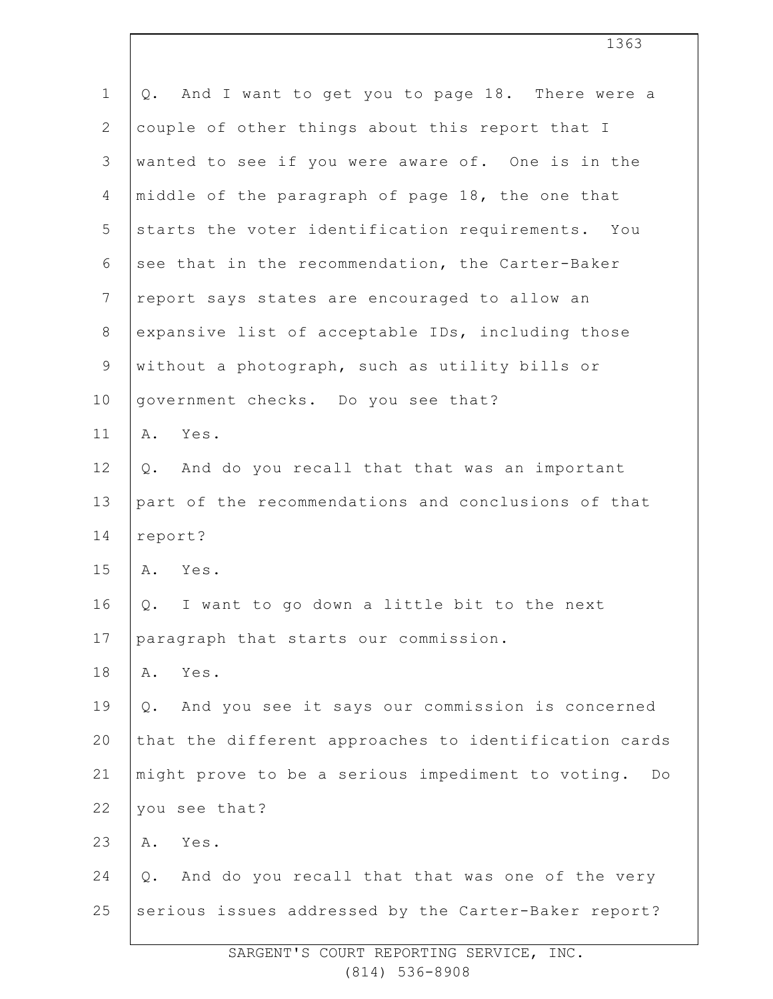| $\mathbf 1$    | And I want to get you to page 18. There were a<br>Q.     |
|----------------|----------------------------------------------------------|
| $\overline{2}$ | couple of other things about this report that I          |
| 3              | wanted to see if you were aware of. One is in the        |
| 4              | middle of the paragraph of page 18, the one that         |
| 5              | starts the voter identification requirements. You        |
| 6              | see that in the recommendation, the Carter-Baker         |
| $\overline{7}$ | report says states are encouraged to allow an            |
| $8\,$          | expansive list of acceptable IDs, including those        |
| $\mathsf 9$    | without a photograph, such as utility bills or           |
| 10             | government checks. Do you see that?                      |
| 11             | Yes.<br>Α.                                               |
| 12             | And do you recall that that was an important<br>Q.       |
| 13             | part of the recommendations and conclusions of that      |
| 14             | report?                                                  |
| 15             | A. Yes.                                                  |
| 16             | Q. I want to go down a little bit to the next            |
| 17             | paragraph that starts our commission.                    |
| 18             | Yes.<br>Α.                                               |
| 19             | And you see it says our commission is concerned<br>$Q$ . |
| 20             | that the different approaches to identification cards    |
| 21             | might prove to be a serious impediment to voting. Do     |
| 22             | you see that?                                            |
| 23             | Yes.<br>Α.                                               |
| 24             | And do you recall that that was one of the very<br>Q.    |
| 25             | serious issues addressed by the Carter-Baker report?     |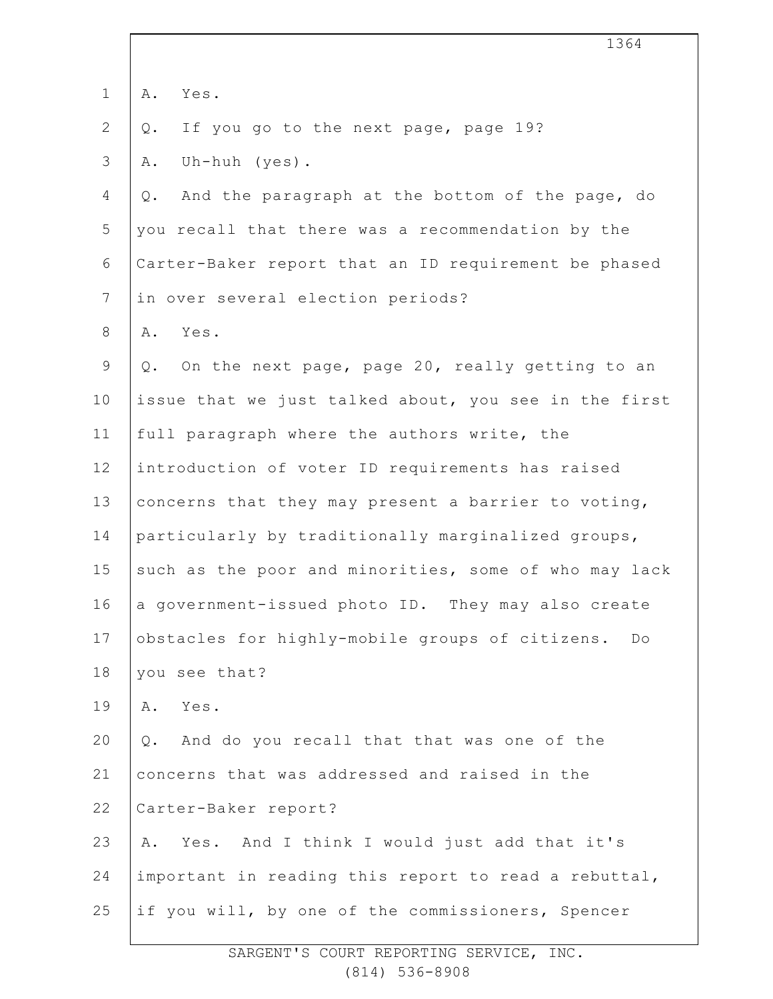|                | 1364                                                  |
|----------------|-------------------------------------------------------|
| $\mathbf 1$    | Α.<br>Yes.                                            |
| $\overline{2}$ | If you go to the next page, page 19?<br>Q.            |
| 3              | Uh-huh (yes).<br>Α.                                   |
| 4              | And the paragraph at the bottom of the page, do<br>Q. |
| 5              | you recall that there was a recommendation by the     |
| 6              | Carter-Baker report that an ID requirement be phased  |
| $\overline{7}$ | in over several election periods?                     |
| 8              | Yes.<br>Α.                                            |
| $\mathsf 9$    | Q. On the next page, page 20, really getting to an    |
| 10             | issue that we just talked about, you see in the first |
| 11             | full paragraph where the authors write, the           |
| 12             | introduction of voter ID requirements has raised      |
| 13             | concerns that they may present a barrier to voting,   |
| 14             | particularly by traditionally marginalized groups,    |
| 15             | such as the poor and minorities, some of who may lack |
| 16             | a government-issued photo ID. They may also create    |
| 17             | obstacles for highly-mobile groups of citizens.<br>Do |
| 18             | you see that?                                         |
| 19             | Yes.<br>Α.                                            |
| 20             | And do you recall that that was one of the<br>Q.      |
| 21             | concerns that was addressed and raised in the         |
| 22             | Carter-Baker report?                                  |
| 23             | Yes. And I think I would just add that it's<br>Α.     |
| 24             | important in reading this report to read a rebuttal,  |
| 25             | if you will, by one of the commissioners, Spencer     |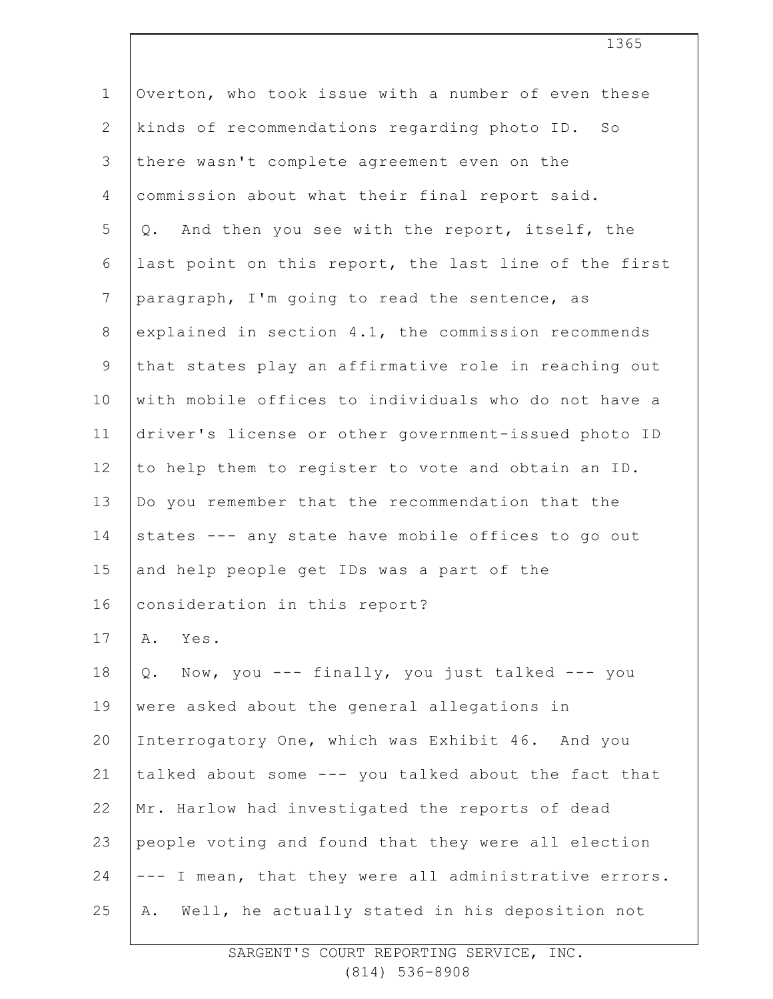| $\mathbf 1$    | Overton, who took issue with a number of even these   |
|----------------|-------------------------------------------------------|
| $\mathbf{2}$   | kinds of recommendations regarding photo ID. So       |
| 3              | there wasn't complete agreement even on the           |
| 4              | commission about what their final report said.        |
| 5              | Q. And then you see with the report, itself, the      |
| 6              | last point on this report, the last line of the first |
| $7\phantom{.}$ | paragraph, I'm going to read the sentence, as         |
| 8              | explained in section 4.1, the commission recommends   |
| $\mathsf 9$    | that states play an affirmative role in reaching out  |
| 10             | with mobile offices to individuals who do not have a  |
| 11             | driver's license or other government-issued photo ID  |
| 12             | to help them to register to vote and obtain an ID.    |
| 13             | Do you remember that the recommendation that the      |
| 14             | states --- any state have mobile offices to go out    |
| 15             | and help people get IDs was a part of the             |
| 16             | consideration in this report?                         |
| 17             | Yes.<br>Α.                                            |
| 18             | Q. Now, you --- finally, you just talked --- you      |
| 19             | were asked about the general allegations in           |
| 20             | Interrogatory One, which was Exhibit 46. And you      |
| 21             | talked about some --- you talked about the fact that  |
| 22             | Mr. Harlow had investigated the reports of dead       |
| 23             | people voting and found that they were all election   |
| 24             | --- I mean, that they were all administrative errors. |
| 25             | Well, he actually stated in his deposition not<br>Α.  |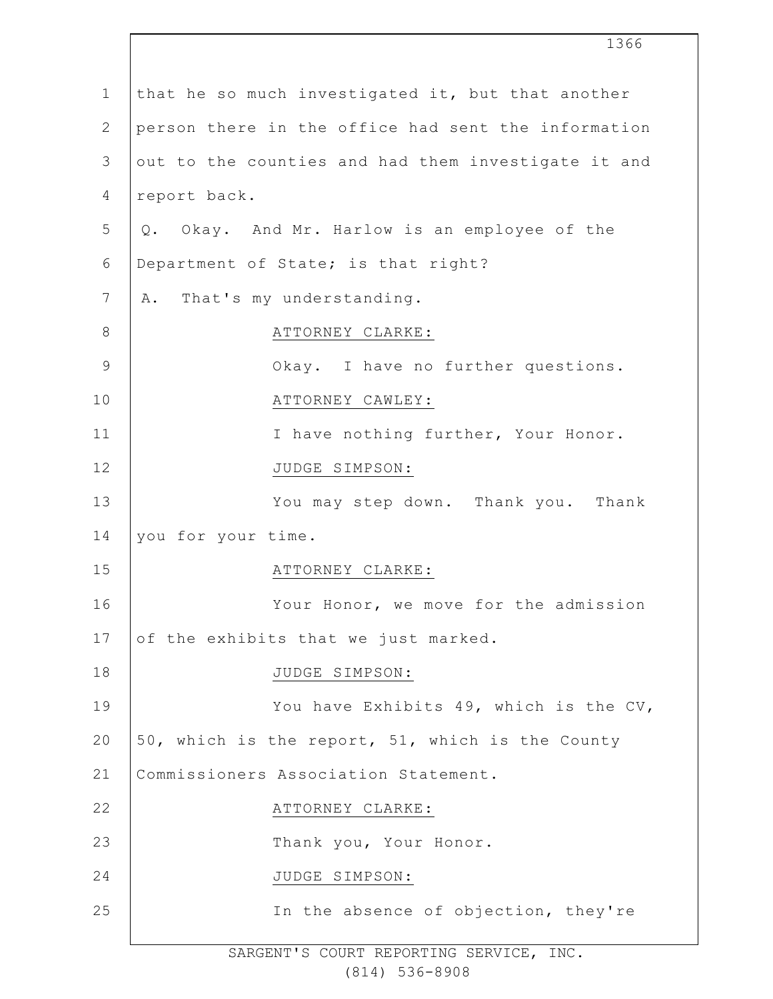|                | 1366                                                |
|----------------|-----------------------------------------------------|
| $\mathbf 1$    | that he so much investigated it, but that another   |
| $\mathbf{2}$   | person there in the office had sent the information |
| 3              | out to the counties and had them investigate it and |
| $\overline{4}$ | report back.                                        |
| 5              | Q. Okay. And Mr. Harlow is an employee of the       |
| 6              | Department of State; is that right?                 |
| 7              | That's my understanding.<br>Α.                      |
| 8              | ATTORNEY CLARKE:                                    |
| $\mathsf 9$    | Okay. I have no further questions.                  |
| 10             | ATTORNEY CAWLEY:                                    |
| 11             | I have nothing further, Your Honor.                 |
| 12             | JUDGE SIMPSON:                                      |
| 13             | You may step down. Thank you. Thank                 |
| 14             | you for your time.                                  |
| 15             | ATTORNEY CLARKE:                                    |
| 16             | Your Honor, we move for the admission               |
| 17             | of the exhibits that we just marked.                |
| 18             | JUDGE SIMPSON:                                      |
| 19             | You have Exhibits 49, which is the CV,              |
| 20             | 50, which is the report, 51, which is the County    |
| 21             | Commissioners Association Statement.                |
| 22             | ATTORNEY CLARKE:                                    |
| 23             | Thank you, Your Honor.                              |
| 24             | JUDGE SIMPSON:                                      |
| 25             | In the absence of objection, they're                |
|                |                                                     |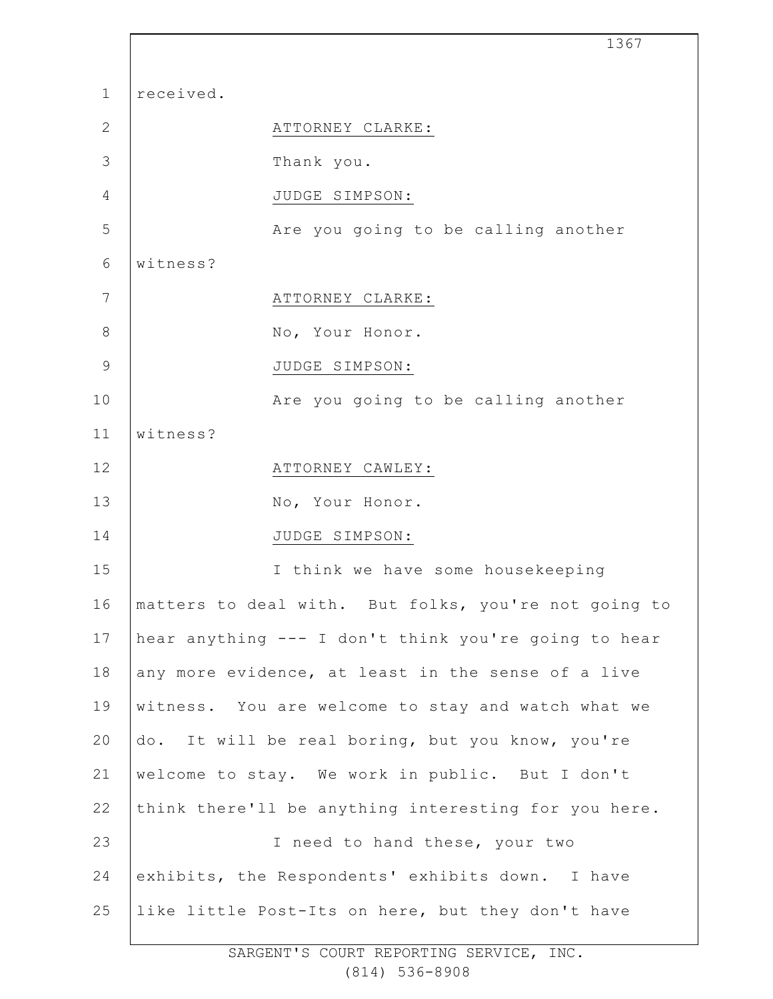1 2 3 4 5 6 7 8 9 10 11 12 13 14 15 16 17 18 19 20 21 22 23 24 25 1367 received. ATTORNEY CLARKE: Thank you. JUDGE SIMPSON: Are you going to be calling another witness? ATTORNEY CLARKE: No, Your Honor. JUDGE SIMPSON: Are you going to be calling another witness? ATTORNEY CAWLEY: No, Your Honor. JUDGE SIMPSON: I think we have some housekeeping matters to deal with. But folks, you're not going to hear anything --- I don't think you're going to hear any more evidence, at least in the sense of a live witness. You are welcome to stay and watch what we do. It will be real boring, but you know, you're welcome to stay. We work in public. But I don't think there'll be anything interesting for you here. I need to hand these, your two exhibits, the Respondents' exhibits down. I have like little Post-Its on here, but they don't have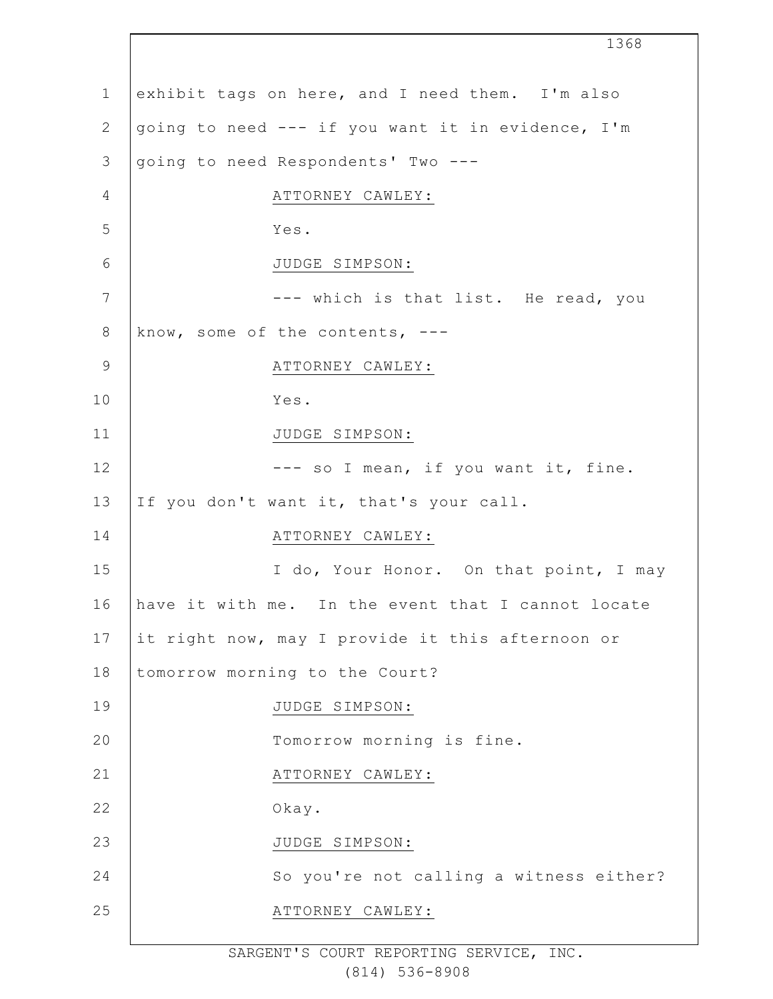1 2 3 4 5 6 7 8 9 10 11 12 13 14 15 16 17 18 19  $20$ 21 22 23 24 25 1368 exhibit tags on here, and I need them. I'm also going to need --- if you want it in evidence, I'm going to need Respondents' Two --- ATTORNEY CAWLEY: Yes. JUDGE SIMPSON: --- which is that list. He read, you know, some of the contents, --- ATTORNEY CAWLEY: Yes. JUDGE SIMPSON: --- so I mean, if you want it, fine. If you don't want it, that's your call. ATTORNEY CAWLEY: I do, Your Honor. On that point, I may have it with me. In the event that I cannot locate it right now, may I provide it this afternoon or tomorrow morning to the Court? JUDGE SIMPSON: Tomorrow morning is fine. ATTORNEY CAWLEY: Okay. JUDGE SIMPSON: So you're not calling a witness either? ATTORNEY CAWLEY: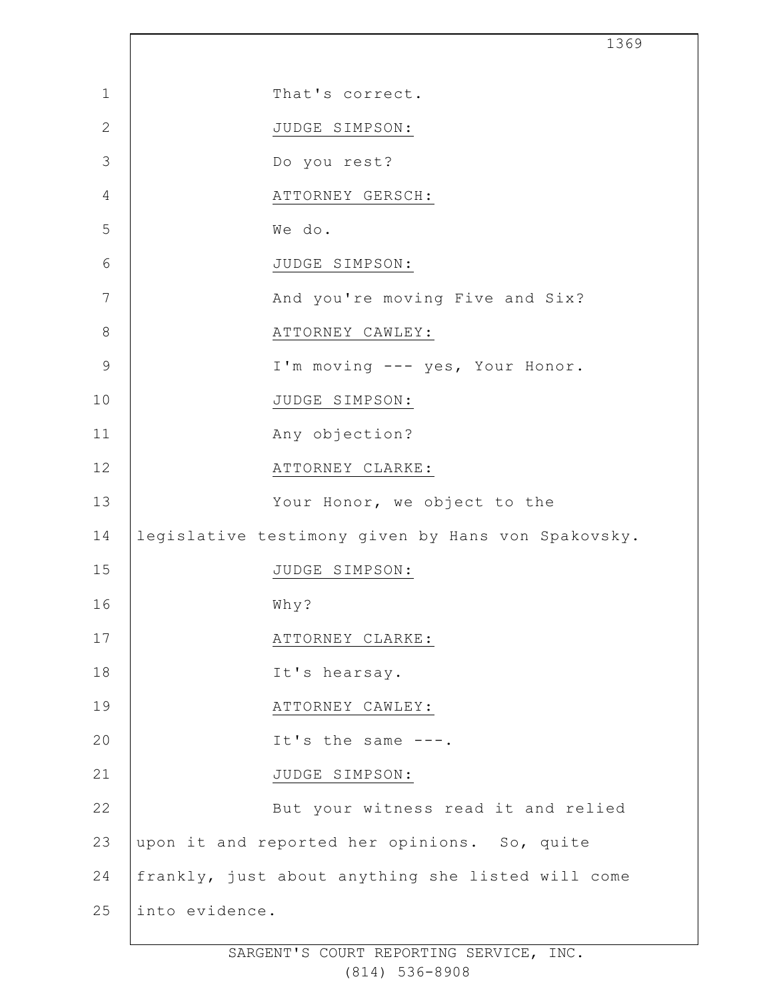| That's correct.<br>JUDGE SIMPSON:<br>Do you rest?  |
|----------------------------------------------------|
|                                                    |
|                                                    |
|                                                    |
| ATTORNEY GERSCH:                                   |
| We do.                                             |
| JUDGE SIMPSON:                                     |
| And you're moving Five and Six?                    |
| ATTORNEY CAWLEY:                                   |
| I'm moving --- yes, Your Honor.                    |
| JUDGE SIMPSON:                                     |
| Any objection?                                     |
| ATTORNEY CLARKE:                                   |
| Your Honor, we object to the                       |
| legislative testimony given by Hans von Spakovsky. |
| JUDGE SIMPSON:                                     |
| Why?                                               |
| ATTORNEY CLARKE:                                   |
| It's hearsay.                                      |
| ATTORNEY CAWLEY:                                   |
| It's the same $---$ .                              |
| JUDGE SIMPSON:                                     |
| But your witness read it and relied                |
| upon it and reported her opinions. So, quite       |
| frankly, just about anything she listed will come  |
| into evidence.                                     |
|                                                    |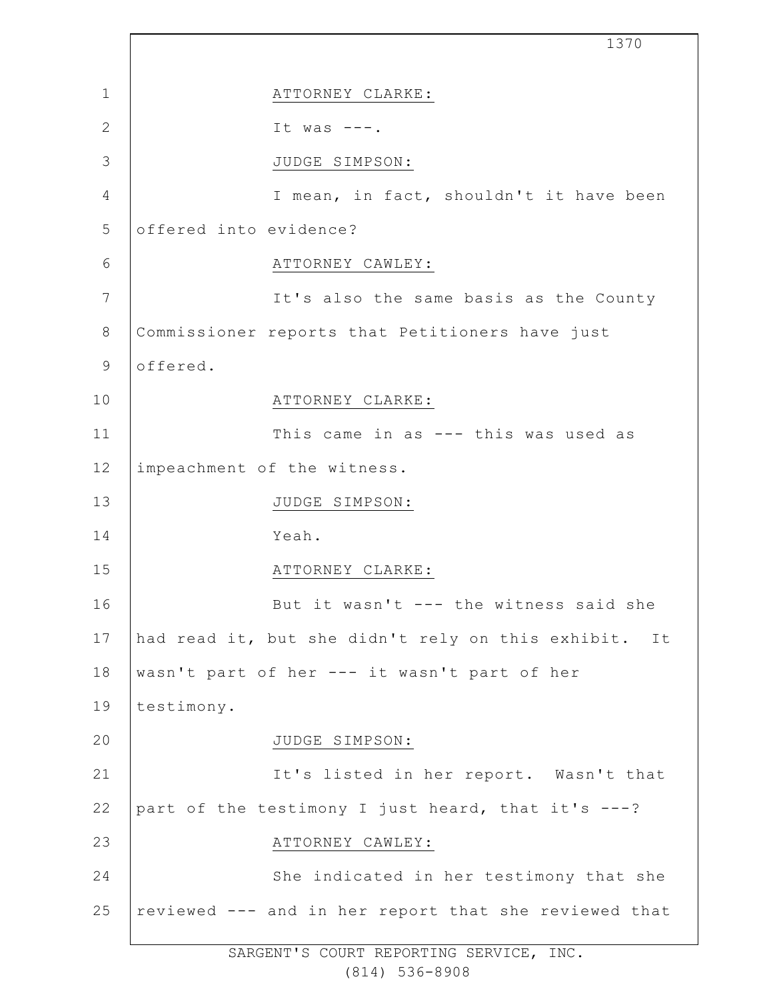1 2 3 4 5 6 7 8 9 10 11 12 13 14 15 16 17 18 19  $20$ 21 22 23 24 25 1370 ATTORNEY CLARKE: It was  $---$ . JUDGE SIMPSON: I mean, in fact, shouldn't it have been offered into evidence? ATTORNEY CAWLEY: It's also the same basis as the County Commissioner reports that Petitioners have just offered. ATTORNEY CLARKE: This came in as --- this was used as impeachment of the witness. JUDGE SIMPSON: Yeah. ATTORNEY CLARKE: But it wasn't --- the witness said she had read it, but she didn't rely on this exhibit. It wasn't part of her --- it wasn't part of her testimony. JUDGE SIMPSON: It's listed in her report. Wasn't that part of the testimony I just heard, that it's ---? ATTORNEY CAWLEY: She indicated in her testimony that she reviewed --- and in her report that she reviewed that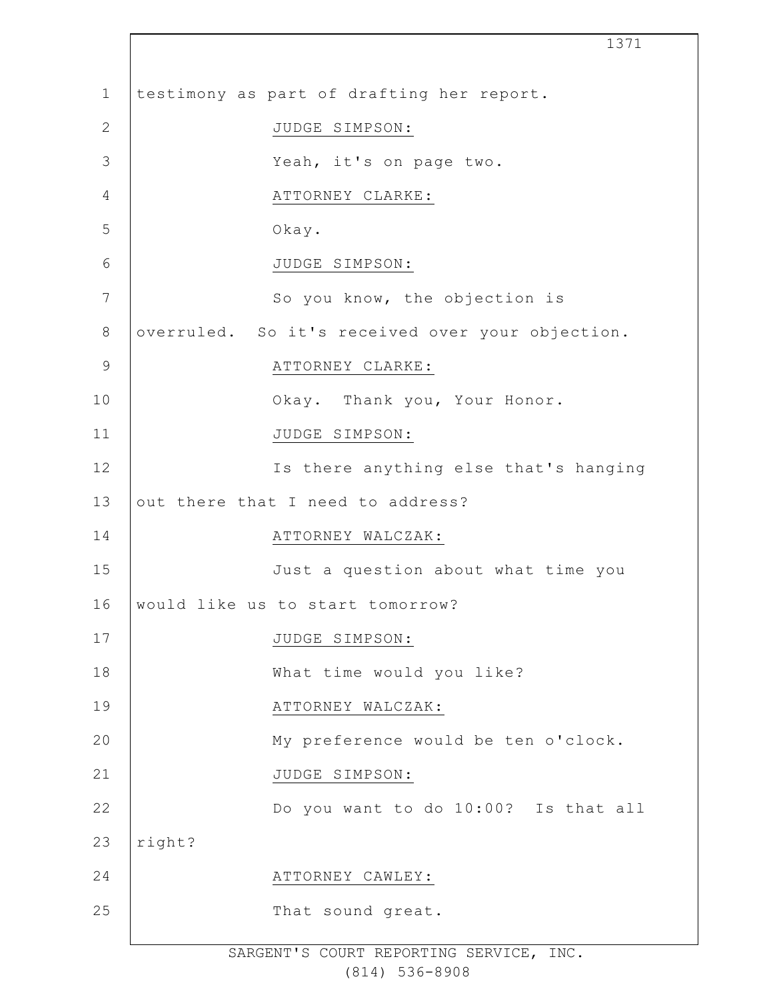|                 | 1371                                             |
|-----------------|--------------------------------------------------|
| $\mathbf 1$     | testimony as part of drafting her report.        |
| $\mathbf{2}$    | JUDGE SIMPSON:                                   |
| 3               | Yeah, it's on page two.                          |
| 4               | ATTORNEY CLARKE:                                 |
| 5               | Okay.                                            |
| 6               | JUDGE SIMPSON:                                   |
| $7\phantom{.0}$ | So you know, the objection is                    |
| $8\,$           | overruled. So it's received over your objection. |
| $\mathsf 9$     | ATTORNEY CLARKE:                                 |
| 10              | Okay. Thank you, Your Honor.                     |
| 11              | JUDGE SIMPSON:                                   |
| 12              | Is there anything else that's hanging            |
| 13              | out there that I need to address?                |
| 14              | ATTORNEY WALCZAK:                                |
| 15              | Just a question about what time you              |
| 16              | would like us to start tomorrow?                 |
| 17              | JUDGE SIMPSON:                                   |
| 18              | What time would you like?                        |
| 19              | ATTORNEY WALCZAK:                                |
| 20              | My preference would be ten o'clock.              |
| 21              | JUDGE SIMPSON:                                   |
| 22              | Do you want to do 10:00? Is that all             |
| 23              | right?                                           |
| 24              | ATTORNEY CAWLEY:                                 |
| 25              | That sound great.                                |
|                 |                                                  |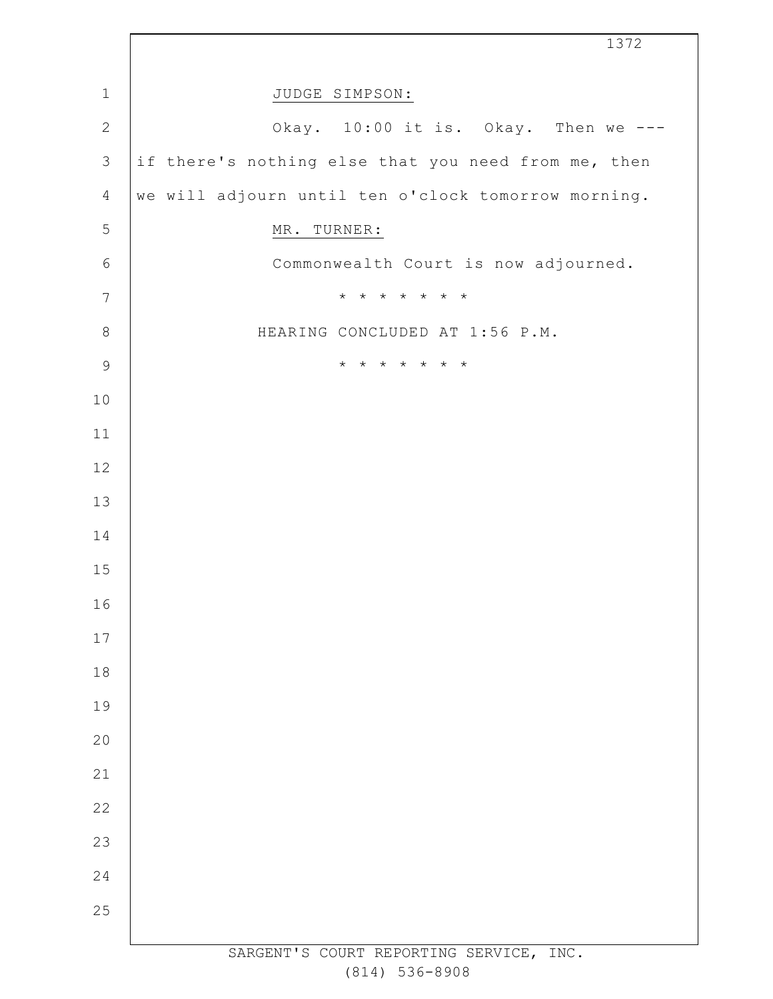|                | 1372                                                |
|----------------|-----------------------------------------------------|
| $1\,$          | JUDGE SIMPSON:                                      |
| $\mathbf{2}$   | Okay. 10:00 it is. Okay. Then we ---                |
| $\mathfrak{Z}$ | if there's nothing else that you need from me, then |
| $\overline{4}$ | we will adjourn until ten o'clock tomorrow morning. |
| 5              | MR. TURNER:                                         |
| $\epsilon$     | Commonwealth Court is now adjourned.                |
| $\overline{7}$ | * * * * * * *                                       |
| $\,8\,$        | HEARING CONCLUDED AT 1:56 P.M.                      |
| $\mathsf 9$    | * * * * * * *                                       |
| $10$           |                                                     |
| 11             |                                                     |
| 12             |                                                     |
| 13             |                                                     |
| 14             |                                                     |
| 15             |                                                     |
| 16             |                                                     |
| $17$           |                                                     |
| 18             |                                                     |
| 19             |                                                     |
| 20             |                                                     |
| 21             |                                                     |
| 22             |                                                     |
| 23             |                                                     |
| 24             |                                                     |
| 25             |                                                     |
|                | SARGENT'S COURT REPORTING SERVICE, INC.             |